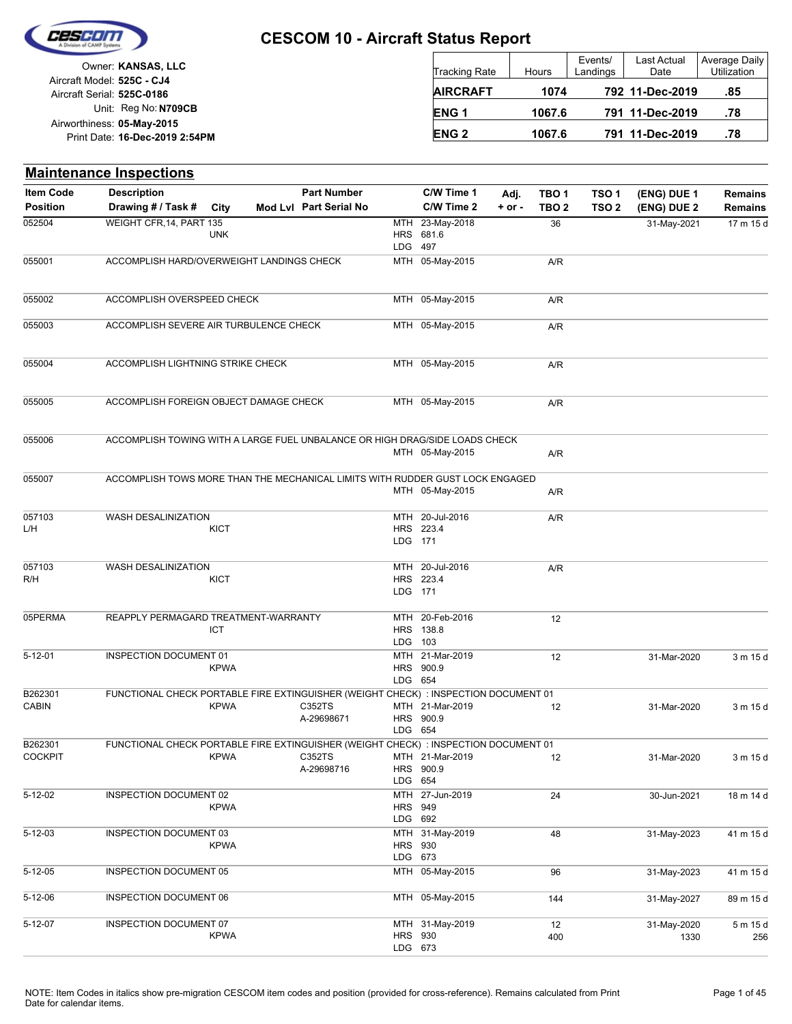

Unit: Reg No: N709CB Print Date: 16-Dec-2019 2:54PM **05-May-2015** Airworthiness: Owner: **KANSAS, LLC** Aircraft Serial: **525C-0186** Aircraft Model: **525C - CJ4**

| Tracking Rate    | Hours  | Events/<br>Landings | Last Actual<br>Date | Average Daily<br><b>Utilization</b> |
|------------------|--------|---------------------|---------------------|-------------------------------------|
| <b>AIRCRAFT</b>  | 1074   |                     | 792 11-Dec-2019     | .85                                 |
| ENG <sub>1</sub> | 1067.6 |                     | 791 11-Dec-2019     | .78                                 |
| <b>ENG 2</b>     | 1067.6 |                     | 791 11-Dec-2019     | .78                                 |

|                           | <b>Maintenance Inspections</b>                                                      |             |                        |                                 |                                              |            |                  |                  |             |                |
|---------------------------|-------------------------------------------------------------------------------------|-------------|------------------------|---------------------------------|----------------------------------------------|------------|------------------|------------------|-------------|----------------|
| <b>Item Code</b>          | <b>Description</b>                                                                  |             | <b>Part Number</b>     |                                 | C/W Time 1                                   | Adj.       | TBO <sub>1</sub> | TSO <sub>1</sub> | (ENG) DUE 1 | <b>Remains</b> |
| <b>Position</b>           | Drawing # / Task #                                                                  | City        | Mod Lvl Part Serial No |                                 | C/W Time 2                                   | $+$ or $-$ | TBO <sub>2</sub> | TSO <sub>2</sub> | (ENG) DUE 2 | <b>Remains</b> |
| 052504                    | WEIGHT CFR, 14, PART 135                                                            | <b>UNK</b>  |                        | <b>MTH</b><br>HRS<br><b>LDG</b> | 23-May-2018<br>681.6<br>497                  |            | 36               |                  | 31-May-2021 | 17 m 15 d      |
| 055001                    | ACCOMPLISH HARD/OVERWEIGHT LANDINGS CHECK                                           |             |                        |                                 | MTH 05-May-2015                              |            | A/R              |                  |             |                |
| 055002                    | ACCOMPLISH OVERSPEED CHECK                                                          |             |                        |                                 | MTH 05-May-2015                              |            | A/R              |                  |             |                |
| 055003                    | ACCOMPLISH SEVERE AIR TURBULENCE CHECK                                              |             |                        |                                 | MTH 05-May-2015                              |            | A/R              |                  |             |                |
| 055004                    | ACCOMPLISH LIGHTNING STRIKE CHECK                                                   |             |                        |                                 | MTH 05-May-2015                              |            | A/R              |                  |             |                |
| 055005                    | ACCOMPLISH FOREIGN OBJECT DAMAGE CHECK                                              |             |                        |                                 | MTH 05-May-2015                              |            | A/R              |                  |             |                |
| 055006                    | ACCOMPLISH TOWING WITH A LARGE FUEL UNBALANCE OR HIGH DRAG/SIDE LOADS CHECK         |             |                        |                                 |                                              |            |                  |                  |             |                |
|                           |                                                                                     |             |                        |                                 | MTH 05-May-2015                              |            | A/R              |                  |             |                |
| 055007                    | ACCOMPLISH TOWS MORE THAN THE MECHANICAL LIMITS WITH RUDDER GUST LOCK ENGAGED       |             |                        |                                 | MTH 05-May-2015                              |            | A/R              |                  |             |                |
| 057103<br>L/H             | WASH DESALINIZATION                                                                 | <b>KICT</b> |                        | LDG 171                         | MTH 20-Jul-2016<br>HRS 223.4                 |            | A/R              |                  |             |                |
| 057103                    | WASH DESALINIZATION                                                                 |             |                        |                                 | MTH 20-Jul-2016                              |            | A/R              |                  |             |                |
| R/H                       |                                                                                     | <b>KICT</b> |                        | LDG 171                         | HRS 223.4                                    |            |                  |                  |             |                |
| 05PERMA                   | REAPPLY PERMAGARD TREATMENT-WARRANTY                                                | ICT         |                        | MTH                             | 20-Feb-2016<br>HRS 138.8                     |            | 12               |                  |             |                |
|                           |                                                                                     |             |                        | <b>LDG</b>                      | 103                                          |            |                  |                  |             |                |
| $5 - 12 - 01$             | INSPECTION DOCUMENT 01                                                              | <b>KPWA</b> |                        | MTH<br>LDG 654                  | 21-Mar-2019<br>HRS 900.9                     |            | 12               |                  | 31-Mar-2020 | 3 m 15 d       |
| B262301                   | FUNCTIONAL CHECK PORTABLE FIRE EXTINGUISHER (WEIGHT CHECK) : INSPECTION DOCUMENT 01 |             |                        |                                 |                                              |            |                  |                  |             |                |
| <b>CABIN</b>              |                                                                                     | <b>KPWA</b> | C352TS<br>A-29698671   | LDG 654                         | MTH 21-Mar-2019<br>HRS 900.9                 |            | 12               |                  | 31-Mar-2020 | 3 m 15 d       |
| B262301<br><b>COCKPIT</b> | FUNCTIONAL CHECK PORTABLE FIRE EXTINGUISHER (WEIGHT CHECK) : INSPECTION DOCUMENT 01 |             | C352TS                 |                                 | MTH 21-Mar-2019                              |            |                  |                  |             |                |
|                           |                                                                                     | <b>KPWA</b> | A-29698716             | LDG 654                         | HRS 900.9                                    |            | 12               |                  | 31-Mar-2020 | 3 m 15 d       |
| 5-12-02                   | INSPECTION DOCUMENT 02                                                              | <b>KPWA</b> |                        |                                 | MTH 27-Jun-2019<br><b>HRS 949</b><br>LDG 692 |            | 24               |                  | 30-Jun-2021 | 18 m 14 d      |
| $5 - 12 - 03$             | INSPECTION DOCUMENT 03                                                              |             |                        |                                 | MTH 31-May-2019                              |            | 48               |                  | 31-May-2023 | 41 m 15 d      |
|                           |                                                                                     | <b>KPWA</b> |                        | HRS 930                         | LDG 673                                      |            |                  |                  |             |                |
| $5 - 12 - 05$             | INSPECTION DOCUMENT 05                                                              |             |                        |                                 | MTH 05-May-2015                              |            | 96               |                  | 31-May-2023 | 41 m 15 d      |
| 5-12-06                   | INSPECTION DOCUMENT 06                                                              |             |                        |                                 | MTH 05-May-2015                              |            | 144              |                  | 31-May-2027 | 89 m 15 d      |
| 5-12-07                   | INSPECTION DOCUMENT 07                                                              |             |                        |                                 | MTH 31-May-2019                              |            | 12               |                  | 31-May-2020 | 5 m 15 d       |
|                           |                                                                                     | <b>KPWA</b> |                        |                                 | <b>HRS 930</b><br>LDG 673                    |            | 400              |                  | 1330        | 256            |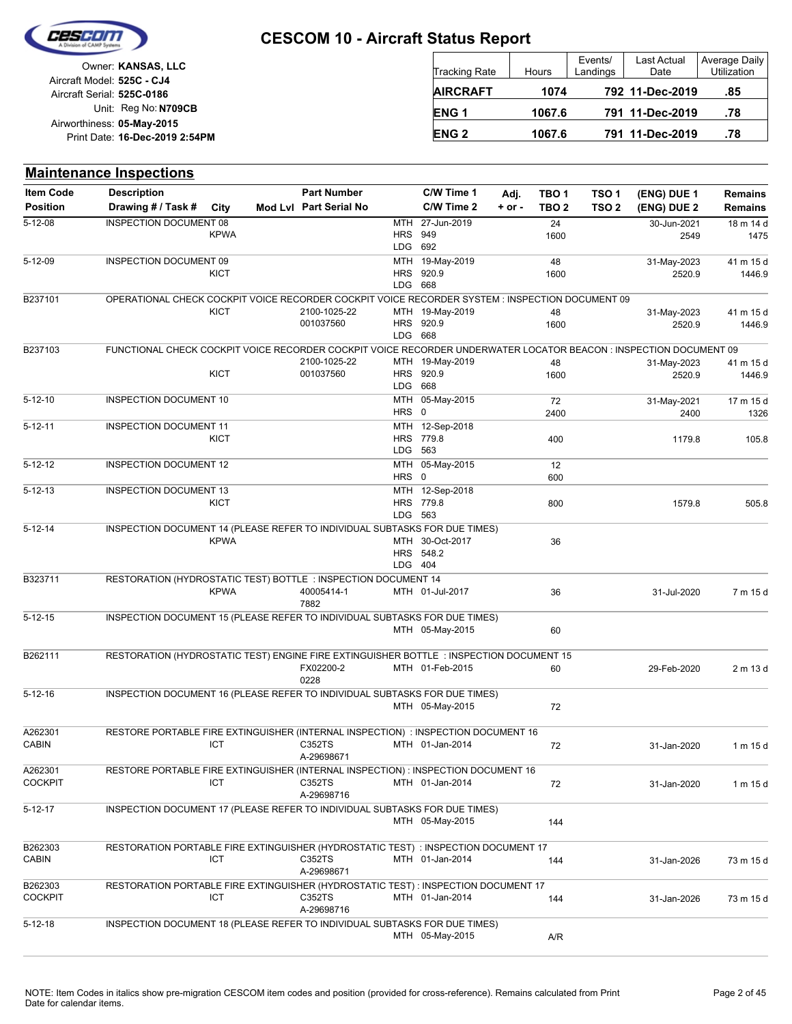

| Owner: KANSAS, LLC             |                            |
|--------------------------------|----------------------------|
|                                | Aircraft Model: 525C - CJ4 |
|                                | Aircraft Serial: 525C-0186 |
| Unit: Reg No: N709CB           |                            |
|                                | Airworthiness: 05-May-2015 |
| Print Date: 16-Dec-2019 2:54PM |                            |
|                                |                            |

| <b>Tracking Rate</b> | Hours  | Events/<br>Landings | Last Actual<br>Date | <b>Average Daily</b><br><b>Utilization</b> |
|----------------------|--------|---------------------|---------------------|--------------------------------------------|
| <b>AIRCRAFT</b>      | 1074   |                     | 792 11-Dec-2019     | .85                                        |
| ENG <sub>1</sub>     | 1067.6 |                     | 791 11-Dec-2019     | .78                                        |
| <b>ENG 2</b>         | 1067.6 |                     | 791 11-Dec-2019     | .78                                        |

|                           | <b>Maintenance Inspections</b>                                                                                    |             |                        |         |                              |          |                  |                  |                       |                     |
|---------------------------|-------------------------------------------------------------------------------------------------------------------|-------------|------------------------|---------|------------------------------|----------|------------------|------------------|-----------------------|---------------------|
| <b>Item Code</b>          | <b>Description</b>                                                                                                |             | <b>Part Number</b>     |         | C/W Time 1                   | Adj.     | TBO <sub>1</sub> | TSO <sub>1</sub> | (ENG) DUE 1           | <b>Remains</b>      |
| <b>Position</b>           | Drawing # / Task #                                                                                                | City        | Mod Lvl Part Serial No |         | C/W Time 2                   | $+ or -$ | TBO <sub>2</sub> | TSO <sub>2</sub> | (ENG) DUE 2           | <b>Remains</b>      |
| $5 - 12 - 08$             | <b>INSPECTION DOCUMENT 08</b>                                                                                     |             |                        |         | MTH 27-Jun-2019              |          | 24               |                  | 30-Jun-2021           | 18 m 14 d           |
|                           |                                                                                                                   | <b>KPWA</b> |                        |         | <b>HRS</b> 949               |          | 1600             |                  | 2549                  | 1475                |
| $5 - 12 - 09$             |                                                                                                                   |             |                        |         | LDG 692                      |          |                  |                  |                       |                     |
|                           | INSPECTION DOCUMENT 09                                                                                            | KICT        |                        |         | MTH 19-May-2019<br>HRS 920.9 |          | 48<br>1600       |                  | 31-May-2023<br>2520.9 | 41 m 15 d<br>1446.9 |
|                           |                                                                                                                   |             |                        | LDG 668 |                              |          |                  |                  |                       |                     |
| B237101                   | OPERATIONAL CHECK COCKPIT VOICE RECORDER COCKPIT VOICE RECORDER SYSTEM : INSPECTION DOCUMENT 09                   |             |                        |         |                              |          |                  |                  |                       |                     |
|                           |                                                                                                                   | KICT        | 2100-1025-22           |         | MTH 19-May-2019              |          | 48               |                  | 31-May-2023           | 41 m 15 d           |
|                           |                                                                                                                   |             | 001037560              | LDG 668 | HRS 920.9                    |          | 1600             |                  | 2520.9                | 1446.9              |
| B237103                   | FUNCTIONAL CHECK COCKPIT VOICE RECORDER COCKPIT VOICE RECORDER UNDERWATER LOCATOR BEACON : INSPECTION DOCUMENT 09 |             |                        |         |                              |          |                  |                  |                       |                     |
|                           |                                                                                                                   |             | 2100-1025-22           |         | MTH 19-May-2019              |          | 48               |                  | 31-May-2023           | 41 m 15 d           |
|                           |                                                                                                                   | <b>KICT</b> | 001037560              |         | HRS 920.9                    |          | 1600             |                  | 2520.9                | 1446.9              |
|                           |                                                                                                                   |             |                        |         | LDG 668                      |          |                  |                  |                       |                     |
| $5 - 12 - 10$             | INSPECTION DOCUMENT 10                                                                                            |             |                        |         | MTH 05-May-2015              |          | 72               |                  | 31-May-2021           | 17 m 15 d           |
|                           |                                                                                                                   |             |                        | HRS 0   |                              |          | 2400             |                  | 2400                  | 1326                |
| $5 - 12 - 11$             | <b>INSPECTION DOCUMENT 11</b>                                                                                     | KICT        |                        |         | MTH 12-Sep-2018<br>HRS 779.8 |          | 400              |                  | 1179.8                | 105.8               |
|                           |                                                                                                                   |             |                        |         | LDG 563                      |          |                  |                  |                       |                     |
| $5 - 12 - 12$             | <b>INSPECTION DOCUMENT 12</b>                                                                                     |             |                        |         | MTH 05-May-2015              |          | 12               |                  |                       |                     |
|                           |                                                                                                                   |             |                        | HRS 0   |                              |          | 600              |                  |                       |                     |
| $5 - 12 - 13$             | <b>INSPECTION DOCUMENT 13</b>                                                                                     |             |                        |         | MTH 12-Sep-2018              |          |                  |                  |                       |                     |
|                           |                                                                                                                   | KICT        |                        |         | HRS 779.8<br>LDG 563         |          | 800              |                  | 1579.8                | 505.8               |
| $5 - 12 - 14$             | INSPECTION DOCUMENT 14 (PLEASE REFER TO INDIVIDUAL SUBTASKS FOR DUE TIMES)                                        |             |                        |         |                              |          |                  |                  |                       |                     |
|                           |                                                                                                                   | <b>KPWA</b> |                        |         | MTH 30-Oct-2017              |          | 36               |                  |                       |                     |
|                           |                                                                                                                   |             |                        |         | HRS 548.2                    |          |                  |                  |                       |                     |
|                           |                                                                                                                   |             |                        |         | LDG 404                      |          |                  |                  |                       |                     |
| B323711                   | RESTORATION (HYDROSTATIC TEST) BOTTLE : INSPECTION DOCUMENT 14                                                    |             |                        |         |                              |          |                  |                  |                       |                     |
|                           |                                                                                                                   | <b>KPWA</b> | 40005414-1<br>7882     |         | MTH 01-Jul-2017              |          | 36               |                  | 31-Jul-2020           | 7 m 15 d            |
| $5 - 12 - 15$             | INSPECTION DOCUMENT 15 (PLEASE REFER TO INDIVIDUAL SUBTASKS FOR DUE TIMES)                                        |             |                        |         |                              |          |                  |                  |                       |                     |
|                           |                                                                                                                   |             |                        |         | MTH 05-May-2015              |          | 60               |                  |                       |                     |
|                           |                                                                                                                   |             |                        |         |                              |          |                  |                  |                       |                     |
| B262111                   | RESTORATION (HYDROSTATIC TEST) ENGINE FIRE EXTINGUISHER BOTTLE : INSPECTION DOCUMENT 15                           |             |                        |         |                              |          |                  |                  |                       |                     |
|                           |                                                                                                                   |             | FX02200-2<br>0228      |         | MTH 01-Feb-2015              |          | 60               |                  | 29-Feb-2020           | 2 m 13 d            |
| $5 - 12 - 16$             | INSPECTION DOCUMENT 16 (PLEASE REFER TO INDIVIDUAL SUBTASKS FOR DUE TIMES)                                        |             |                        |         |                              |          |                  |                  |                       |                     |
|                           |                                                                                                                   |             |                        |         | MTH 05-May-2015              |          | 72               |                  |                       |                     |
|                           |                                                                                                                   |             |                        |         |                              |          |                  |                  |                       |                     |
| A262301                   | RESTORE PORTABLE FIRE EXTINGUISHER (INTERNAL INSPECTION) : INSPECTION DOCUMENT 16                                 |             |                        |         |                              |          |                  |                  |                       |                     |
| <b>CABIN</b>              |                                                                                                                   | ICT         | C352TS                 |         | MTH 01-Jan-2014              |          | 72               |                  | 31-Jan-2020           | 1 m 15 d            |
|                           |                                                                                                                   |             | A-29698671             |         |                              |          |                  |                  |                       |                     |
| A262301<br><b>COCKPIT</b> | RESTORE PORTABLE FIRE EXTINGUISHER (INTERNAL INSPECTION) : INSPECTION DOCUMENT 16                                 | ICT         | C352TS                 |         | MTH 01-Jan-2014              |          | 72               |                  | 31-Jan-2020           | 1 m 15 d            |
|                           |                                                                                                                   |             | A-29698716             |         |                              |          |                  |                  |                       |                     |
| $5 - 12 - 17$             | INSPECTION DOCUMENT 17 (PLEASE REFER TO INDIVIDUAL SUBTASKS FOR DUE TIMES)                                        |             |                        |         |                              |          |                  |                  |                       |                     |
|                           |                                                                                                                   |             |                        |         | MTH 05-May-2015              |          | 144              |                  |                       |                     |
|                           |                                                                                                                   |             |                        |         |                              |          |                  |                  |                       |                     |
| B262303<br><b>CABIN</b>   | RESTORATION PORTABLE FIRE EXTINGUISHER (HYDROSTATIC TEST) : INSPECTION DOCUMENT 17                                | ICT         | C352TS                 |         | MTH 01-Jan-2014              |          |                  |                  |                       |                     |
|                           |                                                                                                                   |             | A-29698671             |         |                              |          | 144              |                  | 31-Jan-2026           | 73 m 15 d           |
| B262303                   | RESTORATION PORTABLE FIRE EXTINGUISHER (HYDROSTATIC TEST) : INSPECTION DOCUMENT 17                                |             |                        |         |                              |          |                  |                  |                       |                     |
| <b>COCKPIT</b>            |                                                                                                                   | ICT         | C352TS                 |         | MTH 01-Jan-2014              |          | 144              |                  | 31-Jan-2026           | 73 m 15 d           |
|                           |                                                                                                                   |             | A-29698716             |         |                              |          |                  |                  |                       |                     |
| 5-12-18                   | INSPECTION DOCUMENT 18 (PLEASE REFER TO INDIVIDUAL SUBTASKS FOR DUE TIMES)                                        |             |                        |         |                              |          |                  |                  |                       |                     |
|                           |                                                                                                                   |             |                        |         | MTH 05-May-2015              |          | A/R              |                  |                       |                     |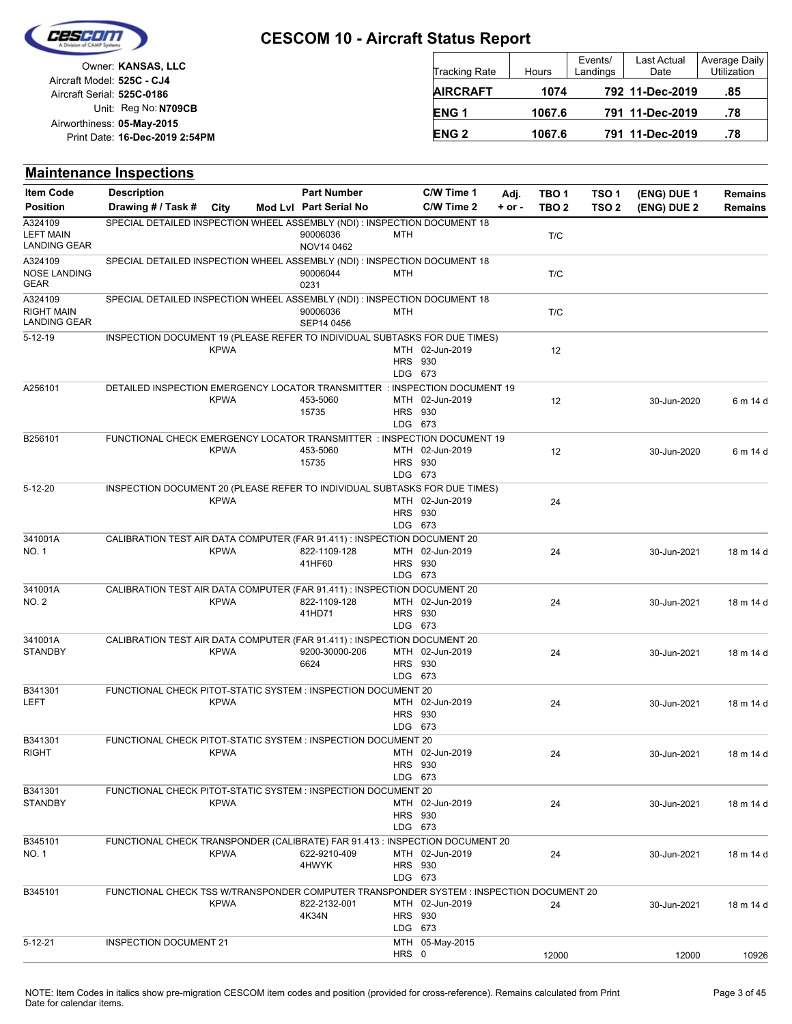

|                            | Owner: KANSAS, LLC             |
|----------------------------|--------------------------------|
| Aircraft Model: 525C - CJ4 |                                |
| Aircraft Serial: 525C-0186 |                                |
|                            | Unit: Reg No: N709CB           |
| Airworthiness: 05-May-2015 |                                |
|                            | Print Date: 16-Dec-2019 2:54PM |

| Tracking Rate    | Hours  | Events/<br>Landings | Last Actual<br>Date | Average Daily<br><b>Utilization</b> |
|------------------|--------|---------------------|---------------------|-------------------------------------|
| <b>AIRCRAFT</b>  | 1074   |                     | 792 11-Dec-2019     | .85                                 |
| ENG <sub>1</sub> | 1067.6 |                     | 791 11-Dec-2019     | .78                                 |
| <b>ENG 2</b>     | 1067.6 |                     | 791 11-Dec-2019     | .78                                 |

## **Maintenance Inspections**

| <b>Item Code</b>                                    | <b>Description</b>                                                                     |             | <b>Part Number</b>     |                           | C/W Time 1      | Adj.       | TBO <sub>1</sub> | TSO <sub>1</sub> | (ENG) DUE 1 | <b>Remains</b> |
|-----------------------------------------------------|----------------------------------------------------------------------------------------|-------------|------------------------|---------------------------|-----------------|------------|------------------|------------------|-------------|----------------|
| <b>Position</b>                                     | Drawing # / Task #                                                                     | City        | Mod Lvl Part Serial No |                           | C/W Time 2      | $+$ or $-$ | TBO <sub>2</sub> | TSO <sub>2</sub> | (ENG) DUE 2 | <b>Remains</b> |
| A324109<br><b>LEFT MAIN</b><br><b>LANDING GEAR</b>  | SPECIAL DETAILED INSPECTION WHEEL ASSEMBLY (NDI) : INSPECTION DOCUMENT 18              |             | 90006036<br>NOV14 0462 | <b>MTH</b>                |                 |            | T/C              |                  |             |                |
| A324109<br><b>NOSE LANDING</b><br><b>GEAR</b>       | SPECIAL DETAILED INSPECTION WHEEL ASSEMBLY (NDI): INSPECTION DOCUMENT 18               |             | 90006044<br>0231       | MTH                       |                 |            | T/C              |                  |             |                |
| A324109<br><b>RIGHT MAIN</b><br><b>LANDING GEAR</b> | SPECIAL DETAILED INSPECTION WHEEL ASSEMBLY (NDI): INSPECTION DOCUMENT 18               |             | 90006036<br>SEP14 0456 | MTH                       |                 |            | T/C              |                  |             |                |
| $5 - 12 - 19$                                       | INSPECTION DOCUMENT 19 (PLEASE REFER TO INDIVIDUAL SUBTASKS FOR DUE TIMES)             | <b>KPWA</b> |                        | <b>HRS 930</b><br>LDG 673 | MTH 02-Jun-2019 |            | 12               |                  |             |                |
| A256101                                             | DETAILED INSPECTION EMERGENCY LOCATOR TRANSMITTER : INSPECTION DOCUMENT 19             | <b>KPWA</b> | 453-5060<br>15735      | <b>HRS 930</b><br>LDG 673 | MTH 02-Jun-2019 |            | 12               |                  | 30-Jun-2020 | 6 m 14 d       |
| B256101                                             | FUNCTIONAL CHECK EMERGENCY LOCATOR TRANSMITTER : INSPECTION DOCUMENT 19                | <b>KPWA</b> | 453-5060<br>15735      | <b>HRS 930</b><br>LDG 673 | MTH 02-Jun-2019 |            | 12               |                  | 30-Jun-2020 | 6 m 14 d       |
| $5 - 12 - 20$                                       | INSPECTION DOCUMENT 20 (PLEASE REFER TO INDIVIDUAL SUBTASKS FOR DUE TIMES)             | <b>KPWA</b> |                        | <b>HRS 930</b><br>LDG 673 | MTH 02-Jun-2019 |            | 24               |                  |             |                |
| 341001A<br>NO. 1                                    | CALIBRATION TEST AIR DATA COMPUTER (FAR 91.411) : INSPECTION DOCUMENT 20               | <b>KPWA</b> | 822-1109-128<br>41HF60 | <b>HRS 930</b><br>LDG 673 | MTH 02-Jun-2019 |            | 24               |                  | 30-Jun-2021 | 18 m 14 d      |
| 341001A<br>NO. 2                                    | CALIBRATION TEST AIR DATA COMPUTER (FAR 91.411) : INSPECTION DOCUMENT 20               | <b>KPWA</b> | 822-1109-128<br>41HD71 | <b>HRS</b> 930<br>LDG 673 | MTH 02-Jun-2019 |            | 24               |                  | 30-Jun-2021 | 18 m 14 d      |
| 341001A<br><b>STANDBY</b>                           | CALIBRATION TEST AIR DATA COMPUTER (FAR 91.411) : INSPECTION DOCUMENT 20               | <b>KPWA</b> | 9200-30000-206<br>6624 | <b>HRS 930</b><br>LDG 673 | MTH 02-Jun-2019 |            | 24               |                  | 30-Jun-2021 | 18 m 14 d      |
| B341301<br>LEFT                                     | FUNCTIONAL CHECK PITOT-STATIC SYSTEM: INSPECTION DOCUMENT 20                           | <b>KPWA</b> |                        | <b>HRS 930</b><br>LDG 673 | MTH 02-Jun-2019 |            | 24               |                  | 30-Jun-2021 | 18 m 14 d      |
| B341301<br><b>RIGHT</b>                             | FUNCTIONAL CHECK PITOT-STATIC SYSTEM: INSPECTION DOCUMENT 20                           | <b>KPWA</b> |                        | <b>HRS 930</b><br>LDG 673 | MTH 02-Jun-2019 |            | 24               |                  | 30-Jun-2021 | 18 m 14 d      |
| B341301<br><b>STANDBY</b>                           | FUNCTIONAL CHECK PITOT-STATIC SYSTEM: INSPECTION DOCUMENT 20                           | <b>KPWA</b> |                        | <b>HRS 930</b><br>LDG 673 | MTH 02-Jun-2019 |            | 24               |                  | 30-Jun-2021 | 18 m 14 d      |
| B345101<br>NO. 1                                    | FUNCTIONAL CHECK TRANSPONDER (CALIBRATE) FAR 91.413 : INSPECTION DOCUMENT 20           | <b>KPWA</b> | 622-9210-409<br>4HWYK  | <b>HRS 930</b><br>LDG 673 | MTH 02-Jun-2019 |            | 24               |                  | 30-Jun-2021 | 18 m 14 d      |
| B345101                                             | FUNCTIONAL CHECK TSS W/TRANSPONDER COMPUTER TRANSPONDER SYSTEM: INSPECTION DOCUMENT 20 | <b>KPWA</b> | 822-2132-001<br>4K34N  | <b>HRS 930</b><br>LDG 673 | MTH 02-Jun-2019 |            | 24               |                  | 30-Jun-2021 | 18 m 14 d      |
| $5 - 12 - 21$                                       | <b>INSPECTION DOCUMENT 21</b>                                                          |             |                        | HRS 0                     | MTH 05-May-2015 |            | 12000            |                  | 12000       | 10926          |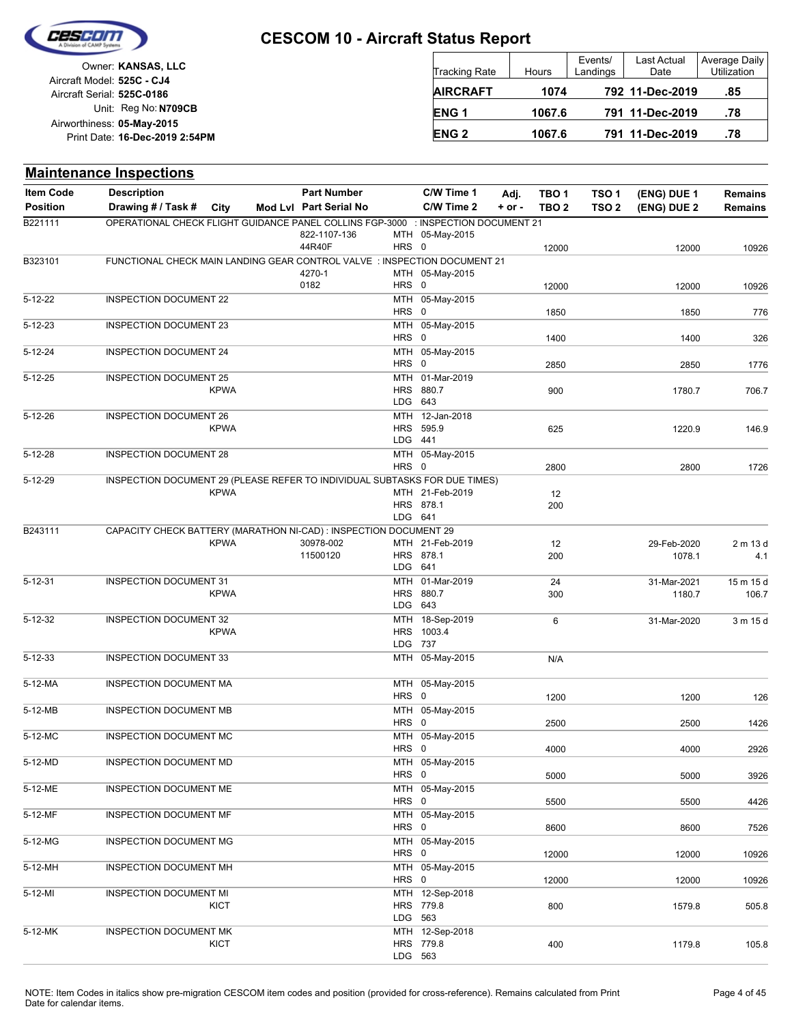

|                            | Owner: KANSAS, LLC             |
|----------------------------|--------------------------------|
| Aircraft Model: 525C - CJ4 |                                |
| Aircraft Serial: 525C-0186 |                                |
|                            | Unit: Reg No: N709CB           |
| Airworthiness: 05-May-2015 |                                |
|                            | Print Date: 16-Dec-2019 2:54PM |
|                            |                                |

| <b>Tracking Rate</b> | Hours  | Events/<br>Landings | Last Actual<br>Date | Average Daily<br>Utilization |
|----------------------|--------|---------------------|---------------------|------------------------------|
| <b>AIRCRAFT</b>      | 1074   |                     | 792 11-Dec-2019     | .85                          |
| <b>ENG1</b>          | 1067.6 |                     | 791 11-Dec-2019     | .78                          |
| <b>ENG 2</b>         | 1067.6 |                     | 791 11-Dec-2019     | .78                          |

|                  | <b>Maintenance Inspections</b>                                                    |             |                        |         |                              |            |                  |                  |                       |                    |
|------------------|-----------------------------------------------------------------------------------|-------------|------------------------|---------|------------------------------|------------|------------------|------------------|-----------------------|--------------------|
| <b>Item Code</b> | <b>Description</b>                                                                |             | <b>Part Number</b>     |         | C/W Time 1                   | Adj.       | TBO <sub>1</sub> | TSO <sub>1</sub> | (ENG) DUE 1           | <b>Remains</b>     |
| <b>Position</b>  | Drawing # / Task #                                                                | City        | Mod Lvl Part Serial No |         | C/W Time 2                   | $+$ or $-$ | TBO <sub>2</sub> | TSO 2            | (ENG) DUE 2           | <b>Remains</b>     |
| B221111          | OPERATIONAL CHECK FLIGHT GUIDANCE PANEL COLLINS FGP-3000 : INSPECTION DOCUMENT 21 |             | 822-1107-136           |         | MTH 05-May-2015              |            |                  |                  |                       |                    |
| B323101          |                                                                                   |             | 44R40F                 | HRS 0   |                              |            | 12000            |                  | 12000                 | 10926              |
|                  | FUNCTIONAL CHECK MAIN LANDING GEAR CONTROL VALVE : INSPECTION DOCUMENT 21         |             | 4270-1                 |         | MTH 05-May-2015              |            |                  |                  |                       |                    |
|                  |                                                                                   |             | 0182                   | HRS 0   |                              |            | 12000            |                  | 12000                 | 10926              |
| $5 - 12 - 22$    | <b>INSPECTION DOCUMENT 22</b>                                                     |             |                        |         | MTH 05-May-2015              |            |                  |                  |                       |                    |
| $5 - 12 - 23$    | <b>INSPECTION DOCUMENT 23</b>                                                     |             |                        | HRS 0   | MTH 05-May-2015              |            | 1850             |                  | 1850                  | 776                |
|                  |                                                                                   |             |                        | HRS 0   |                              |            | 1400             |                  | 1400                  | 326                |
| $5 - 12 - 24$    | <b>INSPECTION DOCUMENT 24</b>                                                     |             |                        |         | MTH 05-May-2015              |            |                  |                  |                       |                    |
|                  |                                                                                   |             |                        | HRS 0   |                              |            | 2850             |                  | 2850                  | 1776               |
| $5 - 12 - 25$    | <b>INSPECTION DOCUMENT 25</b>                                                     | <b>KPWA</b> |                        |         | MTH 01-Mar-2019<br>HRS 880.7 |            | 900              |                  | 1780.7                | 706.7              |
|                  |                                                                                   |             |                        |         | LDG 643                      |            |                  |                  |                       |                    |
| $5 - 12 - 26$    | <b>INSPECTION DOCUMENT 26</b>                                                     |             |                        |         | MTH 12-Jan-2018              |            |                  |                  |                       |                    |
|                  |                                                                                   | <b>KPWA</b> |                        |         | HRS 595.9                    |            | 625              |                  | 1220.9                | 146.9              |
|                  |                                                                                   |             |                        | LDG 441 |                              |            |                  |                  |                       |                    |
| $5 - 12 - 28$    | <b>INSPECTION DOCUMENT 28</b>                                                     |             |                        | HRS 0   | MTH 05-May-2015              |            | 2800             |                  | 2800                  | 1726               |
| 5-12-29          | INSPECTION DOCUMENT 29 (PLEASE REFER TO INDIVIDUAL SUBTASKS FOR DUE TIMES)        |             |                        |         |                              |            |                  |                  |                       |                    |
|                  |                                                                                   | <b>KPWA</b> |                        |         | MTH 21-Feb-2019              |            | 12               |                  |                       |                    |
|                  |                                                                                   |             |                        | LDG 641 | HRS 878.1                    |            | 200              |                  |                       |                    |
| B243111          | CAPACITY CHECK BATTERY (MARATHON NI-CAD) : INSPECTION DOCUMENT 29                 |             |                        |         |                              |            |                  |                  |                       |                    |
|                  |                                                                                   | <b>KPWA</b> | 30978-002              |         | MTH 21-Feb-2019              |            | 12               |                  | 29-Feb-2020           | 2 m 13 d           |
|                  |                                                                                   |             | 11500120               |         | HRS 878.1                    |            | 200              |                  | 1078.1                | 4.1                |
| $5 - 12 - 31$    | <b>INSPECTION DOCUMENT 31</b>                                                     |             |                        | LDG 641 | MTH 01-Mar-2019              |            |                  |                  |                       |                    |
|                  |                                                                                   | <b>KPWA</b> |                        |         | HRS 880.7                    |            | 24<br>300        |                  | 31-Mar-2021<br>1180.7 | 15 m 15 d<br>106.7 |
|                  |                                                                                   |             |                        |         | LDG 643                      |            |                  |                  |                       |                    |
| $5 - 12 - 32$    | <b>INSPECTION DOCUMENT 32</b>                                                     |             |                        |         | MTH 18-Sep-2019              |            | 6                |                  | 31-Mar-2020           | 3 m 15 d           |
|                  |                                                                                   | <b>KPWA</b> |                        |         | HRS 1003.4<br>LDG 737        |            |                  |                  |                       |                    |
| $5 - 12 - 33$    | <b>INSPECTION DOCUMENT 33</b>                                                     |             |                        |         | MTH 05-May-2015              |            | N/A              |                  |                       |                    |
| 5-12-MA          | <b>INSPECTION DOCUMENT MA</b>                                                     |             |                        |         | MTH 05-May-2015              |            |                  |                  |                       |                    |
|                  |                                                                                   |             |                        | HRS 0   |                              |            | 1200             |                  | 1200                  | 126                |
| 5-12-MB          | <b>INSPECTION DOCUMENT MB</b>                                                     |             |                        |         | MTH 05-May-2015              |            |                  |                  |                       |                    |
| 5-12-MC          | <b>INSPECTION DOCUMENT MC</b>                                                     |             |                        | HRS 0   | MTH 05-May-2015              |            | 2500             |                  | 2500                  | 1426               |
|                  |                                                                                   |             |                        | HRS 0   |                              |            | 4000             |                  | 4000                  | 2926               |
| 5-12-MD          | INSPECTION DOCUMENT MD                                                            |             |                        |         | MTH 05-May-2015              |            |                  |                  |                       |                    |
|                  |                                                                                   |             |                        | HRS 0   |                              |            | 5000             |                  | 5000                  | 3926               |
| 5-12-ME          | <b>INSPECTION DOCUMENT ME</b>                                                     |             |                        | HRS 0   | MTH 05-May-2015              |            | 5500             |                  | 5500                  |                    |
| 5-12-MF          | INSPECTION DOCUMENT MF                                                            |             |                        |         | MTH 05-May-2015              |            |                  |                  |                       | 4426               |
|                  |                                                                                   |             |                        | HRS 0   |                              |            | 8600             |                  | 8600                  | 7526               |
| 5-12-MG          | <b>INSPECTION DOCUMENT MG</b>                                                     |             |                        |         | MTH 05-May-2015              |            |                  |                  |                       |                    |
|                  |                                                                                   |             |                        | HRS 0   |                              |            | 12000            |                  | 12000                 | 10926              |
| 5-12-MH          | INSPECTION DOCUMENT MH                                                            |             |                        | HRS 0   | MTH 05-May-2015              |            | 12000            |                  | 12000                 | 10926              |
| 5-12-MI          | INSPECTION DOCUMENT MI                                                            |             |                        |         | MTH 12-Sep-2018              |            |                  |                  |                       |                    |
|                  |                                                                                   | KICT        |                        |         | HRS 779.8                    |            | 800              |                  | 1579.8                | 505.8              |
|                  |                                                                                   |             |                        |         | LDG 563                      |            |                  |                  |                       |                    |
| 5-12-MK          | <b>INSPECTION DOCUMENT MK</b>                                                     | KICT        |                        |         | MTH 12-Sep-2018<br>HRS 779.8 |            | 400              |                  | 1179.8                | 105.8              |
|                  |                                                                                   |             |                        |         | LDG 563                      |            |                  |                  |                       |                    |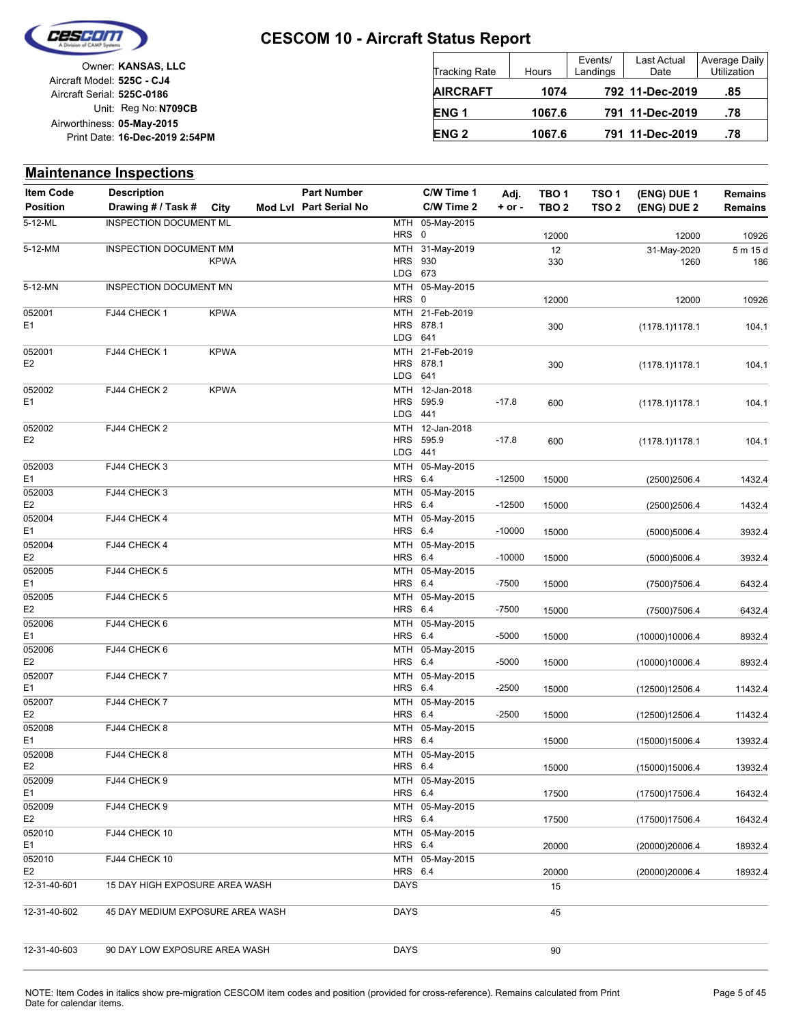

| Owner: KANSAS, LLC             |                            |
|--------------------------------|----------------------------|
|                                | Aircraft Model: 525C - CJ4 |
|                                | Aircraft Serial: 525C-0186 |
| Unit: Reg No: N709CB           |                            |
|                                | Airworthiness: 05-May-2015 |
| Print Date: 16-Dec-2019 2:54PM |                            |
|                                |                            |

| Tracking Rate    | Hours  | Events/<br>Landings | Last Actual<br>Date | Average Da<br>Utilization |
|------------------|--------|---------------------|---------------------|---------------------------|
| <b>AIRCRAFT</b>  | 1074   |                     | 792 11-Dec-2019     | .85                       |
| ENG <sub>1</sub> | 1067.6 |                     | 791 11-Dec-2019     | .78                       |
| <b>ENG 2</b>     | 1067.6 |                     | 791 11-Dec-2019     | .78                       |

ily

#### **(ENG) DUE 2 (ENG) DUE 1 Maintenance Inspections** City **Mod Lvl Part Serial No Part Number C/W Time 1 C/W Time 2 + or - Adj. TBO 1 TBO 2 TSO 2 TSO 1 Remains** Description Part Number C/W Time 1 Adj. TBO 1 TSO 1 (ENG) DUE 1 Remains **Position Drawing # / Task # Item Code** HRS MTH 0 05-May-2015 12000 12000 10926 5-12-ML INSPECTION DOCUMENT ML LDG HRS 930 MTH 673 31-May-2019 330 12 1260 31-May-2020 186 5-12-MM INSPECTION DOCUMENT MM MTH 31-May-2019 12 31-May-2020 5 m 15 d KPWA HRS MTH 0 05-May-2015 12000 12000 10926 5-12-MN INSPECTION DOCUMENT MN LDG HRS 878.1 MTH 641 21-Feb-2019 E1 300 (1178.1)1178.1 104.1 052001 FJ44 CHECK 1 KPWA LDG HRS MTH 641 878.1 21-Feb-2019 E2 300 (1178.1)1178.1 104.1 052001 FJ44 CHECK 1 KPWA LDG HRS **MTH** 441 595.9 12-Jan-2018 E1 600 (1178.1)1178.1 104.1 052002 KPWA FJ44 CHECK 2 -17.8 LDG HRS 595.9 MTH 441 12-Jan-2018 E2 600 (1178.1)1178.1 104.1 052002 -17.8 FJ44 CHECK 2 HRS MTH 6.4 05-May-2015 E1 15000 (2500)2506.4 1432.4 052003 -12500 FJ44 CHECK 3 **HRS** MTH 6.4 05-May-2015 E2 15000 (2500)2506.4 1432.4 052003 -12500 FJ44 CHECK 3 HRS MTH 6.4 05-May-2015 E1 15000 (5000)5006.4 3932.4 052004 -10000 FJ44 CHECK 4 **HRS** MTH 6.4 05-May-2015 E2 15000 (5000)5006.4 3932.4 052004 -10000 FJ44 CHECK 4 **HRS** MTH 6.4 05-May-2015 E1 15000 (7500)7506.4 6432.4 052005 -7500 FJ44 CHECK 5 **HRS** MTH 6.4 05-May-2015 E2 15000 (7500)7506.4 6432.4 052005 -7500 FJ44 CHECK 5 **HRS** MTH 6.4 05-May-2015 E1 15000 (10000)10006.4 8932.4 052006 -5000 FJ44 CHECK 6 HRS MTH 6.4 05-May-2015 E2 15000 (10000)10006.4 8932.4 052006 -5000 FJ44 CHECK 6 HRS **MTH** 6.4 05-May-2015 E1 15000 (12500)12506.4 11432.4 052007 -2500 FJ44 CHECK 7 HRS 6.4 MTH 05-May-2015 E2 15000 (12500)12506.4 11432.4 052007 -2500 FJ44 CHECK 7 HRS MTH 05-May-2015 6.4 E1 15000 (15000)15006.4 13932.4 052008 FJ44 CHECK 8 HRS 6.4 MTH 05-May-2015 E2 15000 (15000)15006.4 13932.4 052008 FJ44 CHECK 8 HRS MTH 05-May-2015 6.4 E1 17500 (17500)17506.4 16432.4 052009 FJ44 CHECK 9 HRS MTH 05-May-2015 6.4 E2 17500 (17500)17506.4 16432.4 052009 FJ44 CHECK 9 HRS MTH 6.4 05-May-2015 E1 20000 (20000)20006.4 18932.4 052010 FJ44 CHECK 10 HRS MTH 6.4 05-May-2015 E2 20000 (20000)20006.4 18932.4 052010 **FJ44 CHECK 10** 12-31-40-601 15 DAY HIGH EXPOSURE AREA WASH DAYS DAYS 15 12-31-40-602 45 DAY MEDIUM EXPOSURE AREA WASH DAYS 45 12-31-40-603 90 DAY LOW EXPOSURE AREA WASH DAYS DAYS DAYS 90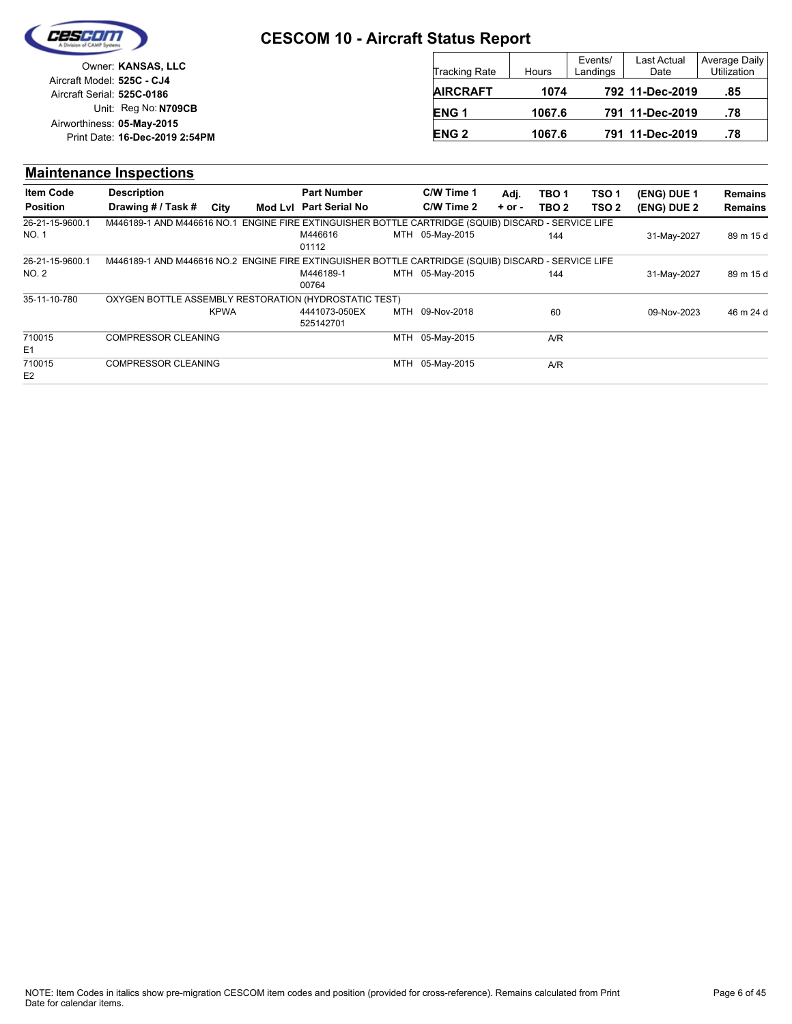

## **CESCOM 10 - Aircraft Status Report**

| Owner: KANSAS, LLC                                              | <b>Tracking Rate</b> | Hours  | Events/<br>Landings | <b>Last Actual</b><br>Date | Average Daily<br>Utilization |
|-----------------------------------------------------------------|----------------------|--------|---------------------|----------------------------|------------------------------|
| Aircraft Model: <b>525C - CJ4</b><br>Aircraft Serial: 525C-0186 | <b>AIRCRAFT</b>      | 1074   |                     | 792 11-Dec-2019            | .85                          |
| Unit: Reg No: N709CB                                            | <b>ENG1</b>          | 1067.6 |                     | 791 11-Dec-2019            | .78                          |
| Airworthiness: 05-May-2015<br>Print Date: 16-Dec-2019 2:54PM    | <b>ENG 2</b>         | 1067.6 |                     | 791 11-Dec-2019            | .78                          |

#### **(ENG) DUE 2 (ENG) DUE 1 Maintenance Inspections** City **Mod Lvl Part Serial No Part Number C/W Time 1 C/W Time 2 + or - Adj. TBO 1 TBO 2 TSO 2 TSO 1 Remains** Description Part Number C/W Time 1 Adj. TBO 1 TSO 1 (ENG) DUE 1 Remains **Position Drawing # / Task # Item Code** MTH 05-May-2015 144 NO. 1 M446616 31-May-2027 89 m 15 d 01112 26-21-15-9600.1 M446189-1 AND M446616 NO.1 ENGINE FIRE EXTINGUISHER BOTTLE CARTRIDGE (SQUIB) DISCARD - SERVICE LIFE MTH 05-May-2015 144 00764 NO. 2 M446189-1 MTH 05-May-2015 144 31-May-2027 89 m 15 d 26-21-15-9600.1 M446189-1 AND M446616 NO.2 ENGINE FIRE EXTINGUISHER BOTTLE CARTRIDGE (SQUIB) DISCARD - SERVICE LIFE MTH 09-Nov-2018 60 4441073-050EX 09-Nov-2023 46 m 24 d 525142701 35-11-10-780 KPWA OXYGEN BOTTLE ASSEMBLY RESTORATION (HYDROSTATIC TEST) MTH 05-May-2015 A/R E1 710015 COMPRESSOR CLEANING MTH 05-May-2015 A/R E2 710015 COMPRESSOR CLEANING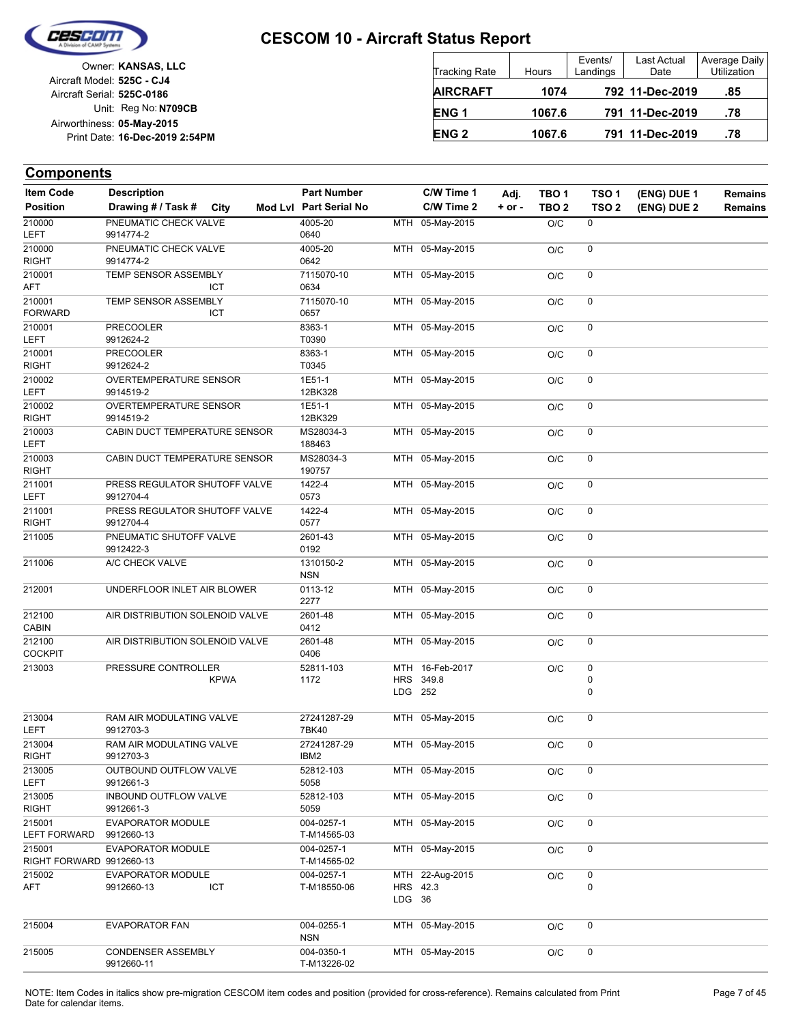

| Owner: KANSAS, LLC             |                            |
|--------------------------------|----------------------------|
|                                | Aircraft Model: 525C - CJ4 |
|                                | Aircraft Serial: 525C-0186 |
| Unit: Reg No: N709CB           |                            |
|                                | Airworthiness: 05-May-2015 |
| Print Date: 16-Dec-2019 2:54PM |                            |
|                                |                            |

| <b>Tracking Rate</b> | Hours  | Events/<br>Landings | Last Actual<br>Date | Average Daily<br>Utilization |
|----------------------|--------|---------------------|---------------------|------------------------------|
| <b>AIRCRAFT</b>      | 1074   |                     | 792 11-Dec-2019     | .85                          |
| ENG <sub>1</sub>     | 1067.6 |                     | 791 11-Dec-2019     | .78                          |
| <b>ENG 2</b>         | 1067.6 |                     | 791 11-Dec-2019     | .78                          |

| <b>Item Code</b>         | <b>Description</b>                    | <b>Part Number</b>        |            | C/W Time 1      | Adj.     | TBO <sub>1</sub> | TSO 1            | (ENG) DUE 1 | <b>Remains</b> |
|--------------------------|---------------------------------------|---------------------------|------------|-----------------|----------|------------------|------------------|-------------|----------------|
| <b>Position</b>          | Drawing # / Task #<br>City            | Mod Lvl Part Serial No    |            | C/W Time 2      | $+ or -$ | TBO <sub>2</sub> | TSO <sub>2</sub> | (ENG) DUE 2 | <b>Remains</b> |
| 210000                   | PNEUMATIC CHECK VALVE                 | 4005-20                   |            | MTH 05-May-2015 |          | O/C              | 0                |             |                |
| LEFT                     | 9914774-2                             | 0640                      |            |                 |          |                  |                  |             |                |
| 210000                   | PNEUMATIC CHECK VALVE                 | 4005-20                   |            | MTH 05-May-2015 |          | O/C              | 0                |             |                |
| <b>RIGHT</b>             | 9914774-2                             | 0642                      |            |                 |          |                  |                  |             |                |
| 210001                   | TEMP SENSOR ASSEMBLY                  | 7115070-10                |            | MTH 05-May-2015 |          | O/C              | 0                |             |                |
| <b>AFT</b>               | <b>ICT</b>                            | 0634                      |            |                 |          |                  |                  |             |                |
| 210001<br><b>FORWARD</b> | TEMP SENSOR ASSEMBLY<br><b>ICT</b>    | 7115070-10<br>0657        |            | MTH 05-May-2015 |          | O/C              | 0                |             |                |
| 210001                   | <b>PRECOOLER</b>                      | 8363-1                    |            | MTH 05-May-2015 |          | O/C              | 0                |             |                |
| LEFT                     | 9912624-2                             | T0390                     |            |                 |          |                  |                  |             |                |
| 210001                   | <b>PRECOOLER</b>                      | 8363-1                    |            | MTH 05-May-2015 |          | O/C              | 0                |             |                |
| <b>RIGHT</b>             | 9912624-2                             | T0345                     |            |                 |          |                  |                  |             |                |
| 210002                   | OVERTEMPERATURE SENSOR                | 1E51-1                    |            | MTH 05-May-2015 |          | O/C              | 0                |             |                |
| <b>LEFT</b>              | 9914519-2                             | 12BK328                   |            |                 |          |                  |                  |             |                |
| 210002                   | OVERTEMPERATURE SENSOR                | 1E51-1                    |            | MTH 05-May-2015 |          | O/C              | $\mathbf 0$      |             |                |
| <b>RIGHT</b>             | 9914519-2                             | 12BK329                   |            |                 |          |                  |                  |             |                |
| 210003<br><b>LEFT</b>    | CABIN DUCT TEMPERATURE SENSOR         | MS28034-3<br>188463       |            | MTH 05-May-2015 |          | O/C              | 0                |             |                |
| 210003                   | CABIN DUCT TEMPERATURE SENSOR         | MS28034-3                 |            | MTH 05-May-2015 |          | O/C              | 0                |             |                |
| <b>RIGHT</b>             |                                       | 190757                    |            |                 |          |                  |                  |             |                |
| 211001                   | PRESS REGULATOR SHUTOFF VALVE         | 1422-4                    |            | MTH 05-May-2015 |          | O/C              | 0                |             |                |
| <b>LEFT</b>              | 9912704-4                             | 0573                      |            |                 |          |                  |                  |             |                |
| 211001                   | PRESS REGULATOR SHUTOFF VALVE         | 1422-4                    |            | MTH 05-May-2015 |          | O/C              | 0                |             |                |
| <b>RIGHT</b>             | 9912704-4                             | 0577                      |            |                 |          |                  |                  |             |                |
| 211005                   | PNEUMATIC SHUTOFF VALVE<br>9912422-3  | 2601-43<br>0192           |            | MTH 05-May-2015 |          | O/C              | 0                |             |                |
| 211006                   | A/C CHECK VALVE                       | 1310150-2                 |            | MTH 05-May-2015 |          |                  | 0                |             |                |
|                          |                                       | <b>NSN</b>                |            |                 |          | O/C              |                  |             |                |
| 212001                   | UNDERFLOOR INLET AIR BLOWER           | 0113-12<br>2277           |            | MTH 05-May-2015 |          | O/C              | 0                |             |                |
| 212100<br><b>CABIN</b>   | AIR DISTRIBUTION SOLENOID VALVE       | 2601-48<br>0412           |            | MTH 05-May-2015 |          | O/C              | 0                |             |                |
| 212100<br><b>COCKPIT</b> | AIR DISTRIBUTION SOLENOID VALVE       | 2601-48<br>0406           |            | MTH 05-May-2015 |          | O/C              | 0                |             |                |
| 213003                   | PRESSURE CONTROLLER                   | 52811-103                 |            | MTH 16-Feb-2017 |          | O/C              | 0                |             |                |
|                          | <b>KPWA</b>                           | 1172                      | <b>HRS</b> | 349.8           |          |                  | 0                |             |                |
|                          |                                       |                           | LDG 252    |                 |          |                  | $\mathbf 0$      |             |                |
|                          |                                       |                           |            |                 |          |                  |                  |             |                |
| 213004<br><b>LEFT</b>    | RAM AIR MODULATING VALVE<br>9912703-3 | 27241287-29<br>7BK40      |            | MTH 05-May-2015 |          | O/C              | 0                |             |                |
| 213004                   | RAM AIR MODULATING VALVE              | 27241287-29               |            | MTH 05-May-2015 |          | O/C              | 0                |             |                |
| RIGHT                    | 9912703-3                             | IBM2                      |            |                 |          |                  |                  |             |                |
| 213005                   | OUTBOUND OUTFLOW VALVE                | 52812-103                 |            | MTH 05-May-2015 |          | O/C              | 0                |             |                |
| LEFT                     | 9912661-3                             | 5058                      |            |                 |          |                  |                  |             |                |
| 213005                   | INBOUND OUTFLOW VALVE                 | 52812-103                 |            | MTH 05-May-2015 |          | O/C              | 0                |             |                |
| <b>RIGHT</b>             | 9912661-3                             | 5059                      |            |                 |          |                  |                  |             |                |
| 215001                   | EVAPORATOR MODULE                     | 004-0257-1                |            | MTH 05-May-2015 |          | O/C              | 0                |             |                |
| <b>LEFT FORWARD</b>      | 9912660-13                            | T-M14565-03               |            |                 |          |                  |                  |             |                |
| 215001                   | EVAPORATOR MODULE                     | 004-0257-1                |            | MTH 05-May-2015 |          | O/C              | 0                |             |                |
| RIGHT FORWARD 9912660-13 |                                       | T-M14565-02               |            |                 |          |                  |                  |             |                |
| 215002                   | <b>EVAPORATOR MODULE</b>              | 004-0257-1                |            | MTH 22-Aug-2015 |          | O/C              | 0                |             |                |
| AFT                      | ICT<br>9912660-13                     | T-M18550-06               |            | HRS 42.3        |          |                  | 0                |             |                |
|                          |                                       |                           | LDG 36     |                 |          |                  |                  |             |                |
| 215004                   | <b>EVAPORATOR FAN</b>                 | 004-0255-1                |            | MTH 05-May-2015 |          | O/C              | 0                |             |                |
|                          |                                       | <b>NSN</b>                |            |                 |          |                  |                  |             |                |
| 215005                   | CONDENSER ASSEMBLY<br>9912660-11      | 004-0350-1<br>T-M13226-02 |            | MTH 05-May-2015 |          | O/C              | 0                |             |                |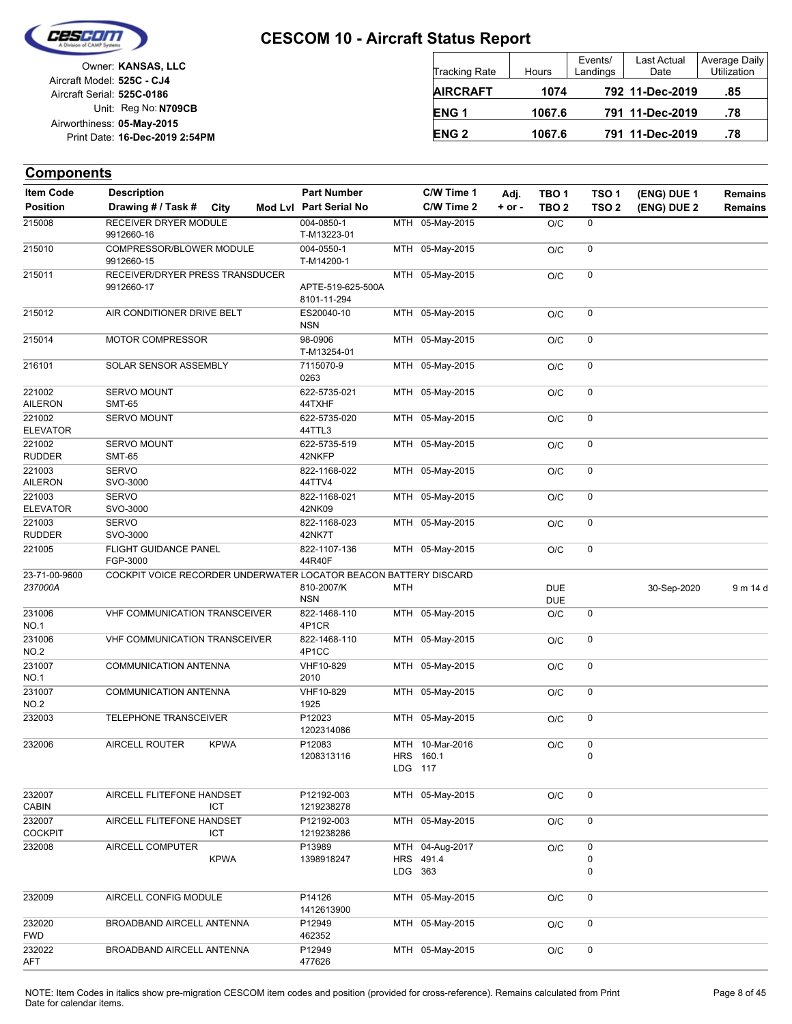

| Owner: KANSAS, LLC             |                            |
|--------------------------------|----------------------------|
|                                | Aircraft Model: 525C - CJ4 |
|                                | Aircraft Serial: 525C-0186 |
| Unit: Reg No: N709CB           |                            |
|                                | Airworthiness: 05-May-2015 |
| Print Date: 16-Dec-2019 2:54PM |                            |
|                                |                            |

| <b>Tracking Rate</b> | Hours  | Events/<br>Landings | Last Actual<br>Date | Average Daily<br>Utilization |
|----------------------|--------|---------------------|---------------------|------------------------------|
| <b>AIRCRAFT</b>      | 1074   |                     | 792 11-Dec-2019     | .85                          |
| <b>ENG1</b>          | 1067.6 |                     | 791 11-Dec-2019     | .78                          |
| <b>ENG 2</b>         | 1067.6 |                     | 791 11-Dec-2019     | .78                          |

| <b>Item Code</b>          | <b>Description</b>                                               | <b>Part Number</b><br>Mod Lvl Part Serial No |         | C/W Time 1<br>C/W Time 2                | Adj.       | TBO <sub>1</sub>         | TSO <sub>1</sub> | (ENG) DUE 1 | <b>Remains</b> |
|---------------------------|------------------------------------------------------------------|----------------------------------------------|---------|-----------------------------------------|------------|--------------------------|------------------|-------------|----------------|
| <b>Position</b>           | Drawing # / Task #<br>City                                       |                                              |         |                                         | $+$ or $-$ | TBO <sub>2</sub>         | TSO <sub>2</sub> | (ENG) DUE 2 | <b>Remains</b> |
| 215008                    | RECEIVER DRYER MODULE<br>9912660-16                              | 004-0850-1<br>T-M13223-01                    |         | MTH 05-May-2015                         |            | O/C                      | 0                |             |                |
| 215010                    | COMPRESSOR/BLOWER MODULE<br>9912660-15                           | 004-0550-1<br>T-M14200-1                     |         | MTH 05-May-2015                         |            | O/C                      | 0                |             |                |
| 215011                    | RECEIVER/DRYER PRESS TRANSDUCER<br>9912660-17                    | APTE-519-625-500A<br>8101-11-294             |         | MTH 05-May-2015                         |            | O/C                      | 0                |             |                |
| 215012                    | AIR CONDITIONER DRIVE BELT                                       | ES20040-10<br><b>NSN</b>                     |         | MTH 05-May-2015                         |            | O/C                      | 0                |             |                |
| 215014                    | <b>MOTOR COMPRESSOR</b>                                          | 98-0906<br>T-M13254-01                       |         | MTH 05-May-2015                         |            | O/C                      | 0                |             |                |
| 216101                    | SOLAR SENSOR ASSEMBLY                                            | 7115070-9<br>0263                            |         | MTH 05-May-2015                         |            | O/C                      | 0                |             |                |
| 221002<br><b>AILERON</b>  | <b>SERVO MOUNT</b><br><b>SMT-65</b>                              | 622-5735-021<br>44TXHF                       |         | MTH 05-May-2015                         |            | O/C                      | 0                |             |                |
| 221002<br><b>ELEVATOR</b> | <b>SERVO MOUNT</b>                                               | 622-5735-020<br>44TTL3                       |         | MTH 05-May-2015                         |            | O/C                      | 0                |             |                |
| 221002<br><b>RUDDER</b>   | <b>SERVO MOUNT</b><br><b>SMT-65</b>                              | 622-5735-519<br>42NKFP                       |         | MTH 05-May-2015                         |            | O/C                      | 0                |             |                |
| 221003<br><b>AILERON</b>  | <b>SERVO</b><br>SVO-3000                                         | 822-1168-022<br>44TTV4                       |         | MTH 05-May-2015                         |            | O/C                      | 0                |             |                |
| 221003<br><b>ELEVATOR</b> | <b>SERVO</b><br>SVO-3000                                         | 822-1168-021<br>42NK09                       |         | MTH 05-May-2015                         |            | O/C                      | 0                |             |                |
| 221003<br><b>RUDDER</b>   | <b>SERVO</b><br>SVO-3000                                         | 822-1168-023<br>42NK7T                       |         | MTH 05-May-2015                         |            | O/C                      | 0                |             |                |
| 221005                    | FLIGHT GUIDANCE PANEL<br>FGP-3000                                | 822-1107-136<br>44R40F                       |         | MTH 05-May-2015                         |            | O/C                      | 0                |             |                |
| 23-71-00-9600<br>237000A  | COCKPIT VOICE RECORDER UNDERWATER LOCATOR BEACON BATTERY DISCARD | 810-2007/K<br><b>NSN</b>                     | MTH     |                                         |            | <b>DUE</b><br><b>DUE</b> |                  | 30-Sep-2020 | 9 m 14 d       |
| 231006<br><b>NO.1</b>     | <b>VHF COMMUNICATION TRANSCEIVER</b>                             | 822-1468-110<br>4P1CR                        |         | MTH 05-May-2015                         |            | O/C                      | 0                |             |                |
| 231006<br>NO.2            | <b>VHF COMMUNICATION TRANSCEIVER</b>                             | 822-1468-110<br>4P1CC                        |         | MTH 05-May-2015                         |            | O/C                      | 0                |             |                |
| 231007<br><b>NO.1</b>     | <b>COMMUNICATION ANTENNA</b>                                     | VHF10-829<br>2010                            |         | MTH 05-May-2015                         |            | O/C                      | 0                |             |                |
| 231007<br>NO.2            | COMMUNICATION ANTENNA                                            | VHF10-829<br>1925                            |         | MTH 05-May-2015                         |            | O/C                      | 0                |             |                |
| 232003                    | TELEPHONE TRANSCEIVER                                            | P12023<br>1202314086                         |         | MTH 05-May-2015                         |            | O/C                      | 0                |             |                |
| 232006                    | AIRCELL ROUTER<br><b>KPWA</b>                                    | P12083<br>1208313116                         | LDG 117 | MTH 10-Mar-2016<br>HRS 160.1            |            | O/C                      | 0<br>$\mathbf 0$ |             |                |
| 232007<br><b>CABIN</b>    | AIRCELL FLITEFONE HANDSET<br>ICT                                 | P12192-003<br>1219238278                     |         | MTH 05-May-2015                         |            | O/C                      | 0                |             |                |
| 232007<br><b>COCKPIT</b>  | AIRCELL FLITEFONE HANDSET<br>ICT                                 | P12192-003<br>1219238286                     |         | MTH 05-May-2015                         |            | O/C                      | 0                |             |                |
| 232008                    | AIRCELL COMPUTER<br><b>KPWA</b>                                  | P13989<br>1398918247                         |         | MTH 04-Aug-2017<br>HRS 491.4<br>LDG 363 |            | O/C                      | 0<br>0<br>0      |             |                |
| 232009                    | AIRCELL CONFIG MODULE                                            | P14126<br>1412613900                         |         | MTH 05-May-2015                         |            | O/C                      | 0                |             |                |
| 232020<br><b>FWD</b>      | BROADBAND AIRCELL ANTENNA                                        | P12949<br>462352                             |         | MTH 05-May-2015                         |            | O/C                      | 0                |             |                |
| 232022<br>AFT             | BROADBAND AIRCELL ANTENNA                                        | P12949<br>477626                             |         | MTH 05-May-2015                         |            | O/C                      | 0                |             |                |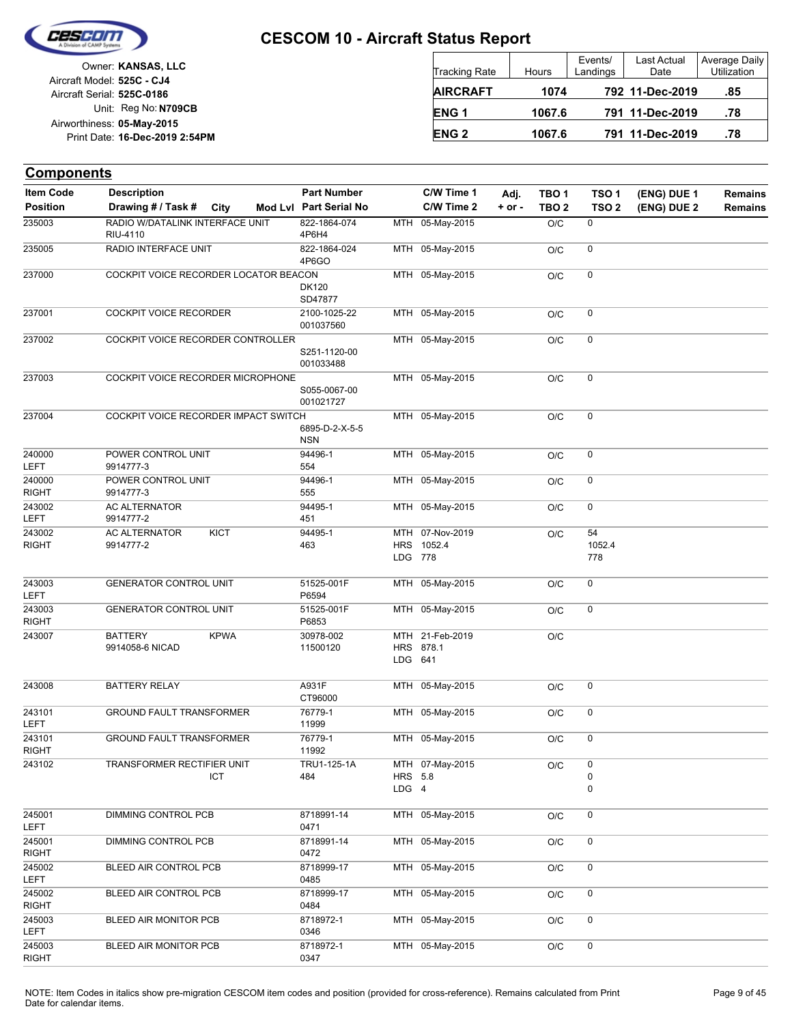

Unit: Reg No: N709CB Print Date: 16-Dec-2019 2:54PM **05-May-2015** Airworthiness: Owner: **KANSAS, LLC** Aircraft Serial: **525C-0186** Aircraft Model: **525C - CJ4**

| <b>Tracking Rate</b> | <b>Hours</b> | Events/<br>Landings | Last Actual<br>Date | Average Daily<br>Utilization |
|----------------------|--------------|---------------------|---------------------|------------------------------|
| <b>AIRCRAFT</b>      | 1074         |                     | 792 11-Dec-2019     | .85                          |
| ENG <sub>1</sub>     | 1067.6       |                     | 791 11-Dec-2019     | .78                          |
| <b>ENG 2</b>         | 1067.6       |                     | 791 11-Dec-2019     | .78                          |

| <b>Components</b>                   |                                                         |                                              |                         |                              |                    |                                      |                                      |                            |                           |
|-------------------------------------|---------------------------------------------------------|----------------------------------------------|-------------------------|------------------------------|--------------------|--------------------------------------|--------------------------------------|----------------------------|---------------------------|
| <b>Item Code</b><br><b>Position</b> | <b>Description</b><br>Drawing # / Task #<br><b>City</b> | <b>Part Number</b><br>Mod Lvl Part Serial No |                         | C/W Time 1<br>C/W Time 2     | Adj.<br>$+$ or $-$ | TBO <sub>1</sub><br>TBO <sub>2</sub> | TSO <sub>1</sub><br>TSO <sub>2</sub> | (ENG) DUE 1<br>(ENG) DUE 2 | <b>Remains</b><br>Remains |
| 235003                              | RADIO W/DATALINK INTERFACE UNIT<br>RIU-4110             | 822-1864-074<br>4P6H4                        |                         | MTH 05-May-2015              |                    | O/C                                  | 0                                    |                            |                           |
| 235005                              | RADIO INTERFACE UNIT                                    | 822-1864-024<br>4P6GO                        |                         | MTH 05-May-2015              |                    | O/C                                  | 0                                    |                            |                           |
| 237000                              | COCKPIT VOICE RECORDER LOCATOR BEACON                   | DK120<br>SD47877                             |                         | MTH 05-May-2015              |                    | O/C                                  | 0                                    |                            |                           |
| 237001                              | <b>COCKPIT VOICE RECORDER</b>                           | 2100-1025-22<br>001037560                    |                         | MTH 05-May-2015              |                    | O/C                                  | 0                                    |                            |                           |
| 237002                              | COCKPIT VOICE RECORDER CONTROLLER                       | S251-1120-00<br>001033488                    |                         | MTH 05-May-2015              |                    | O/C                                  | 0                                    |                            |                           |
| 237003                              | COCKPIT VOICE RECORDER MICROPHONE                       | S055-0067-00<br>001021727                    |                         | MTH 05-May-2015              |                    | O/C                                  | $\pmb{0}$                            |                            |                           |
| 237004                              | COCKPIT VOICE RECORDER IMPACT SWITCH                    | 6895-D-2-X-5-5<br>NSN                        |                         | MTH 05-May-2015              |                    | O/C                                  | 0                                    |                            |                           |
| 240000<br>LEFT                      | POWER CONTROL UNIT<br>9914777-3                         | 94496-1<br>554                               |                         | MTH 05-May-2015              |                    | O/C                                  | $\pmb{0}$                            |                            |                           |
| 240000<br><b>RIGHT</b>              | POWER CONTROL UNIT<br>9914777-3                         | 94496-1<br>555                               |                         | MTH 05-May-2015              |                    | O/C                                  | 0                                    |                            |                           |
| 243002<br>LEFT                      | <b>AC ALTERNATOR</b><br>9914777-2                       | 94495-1<br>451                               |                         | MTH 05-May-2015              |                    | O/C                                  | 0                                    |                            |                           |
| 243002<br><b>RIGHT</b>              | <b>AC ALTERNATOR</b><br><b>KICT</b><br>9914777-2        | 94495-1<br>463                               | MTH<br>LDG 778          | 07-Nov-2019<br>HRS 1052.4    |                    | O/C                                  | 54<br>1052.4<br>778                  |                            |                           |
| 243003<br>LEFT                      | <b>GENERATOR CONTROL UNIT</b>                           | 51525-001F<br>P6594                          |                         | MTH 05-May-2015              |                    | O/C                                  | 0                                    |                            |                           |
| 243003<br><b>RIGHT</b>              | <b>GENERATOR CONTROL UNIT</b>                           | 51525-001F<br>P6853                          |                         | MTH 05-May-2015              |                    | O/C                                  | 0                                    |                            |                           |
| 243007                              | <b>KPWA</b><br><b>BATTERY</b><br>9914058-6 NICAD        | 30978-002<br>11500120                        | LDG 641                 | MTH 21-Feb-2019<br>HRS 878.1 |                    | O/C                                  |                                      |                            |                           |
| 243008                              | <b>BATTERY RELAY</b>                                    | A931F<br>CT96000                             |                         | MTH 05-May-2015              |                    | O/C                                  | 0                                    |                            |                           |
| 243101<br>LEFT                      | <b>GROUND FAULT TRANSFORMER</b>                         | 76779-1<br>11999                             |                         | MTH 05-May-2015              |                    | O/C                                  | 0                                    |                            |                           |
| 243101<br><b>RIGHT</b>              | GROUND FAULT TRANSFORMER                                | 76779-1<br>11992                             |                         | MTH 05-May-2015              |                    | O/C                                  | 0                                    |                            |                           |
| 243102                              | TRANSFORMER RECTIFIER UNIT<br>ICT                       | TRU1-125-1A<br>484                           | <b>HRS</b> 5.8<br>LDG 4 | MTH 07-May-2015              |                    | O/C                                  | 0<br>0<br>0                          |                            |                           |
| 245001<br>LEFT                      | DIMMING CONTROL PCB                                     | 8718991-14<br>0471                           |                         | MTH 05-May-2015              |                    | O/C                                  | 0                                    |                            |                           |
| 245001<br><b>RIGHT</b>              | DIMMING CONTROL PCB                                     | 8718991-14<br>0472                           |                         | MTH 05-May-2015              |                    | O/C                                  | 0                                    |                            |                           |
| 245002<br>LEFT                      | BLEED AIR CONTROL PCB                                   | 8718999-17<br>0485                           |                         | MTH 05-May-2015              |                    | O/C                                  | 0                                    |                            |                           |
| 245002<br>RIGHT                     | BLEED AIR CONTROL PCB                                   | 8718999-17<br>0484                           |                         | MTH 05-May-2015              |                    | O/C                                  | 0                                    |                            |                           |
| 245003<br>LEFT                      | <b>BLEED AIR MONITOR PCB</b>                            | 8718972-1<br>0346                            |                         | MTH 05-May-2015              |                    | O/C                                  | 0                                    |                            |                           |
| 245003<br><b>RIGHT</b>              | <b>BLEED AIR MONITOR PCB</b>                            | 8718972-1<br>0347                            |                         | MTH 05-May-2015              |                    | O/C                                  | 0                                    |                            |                           |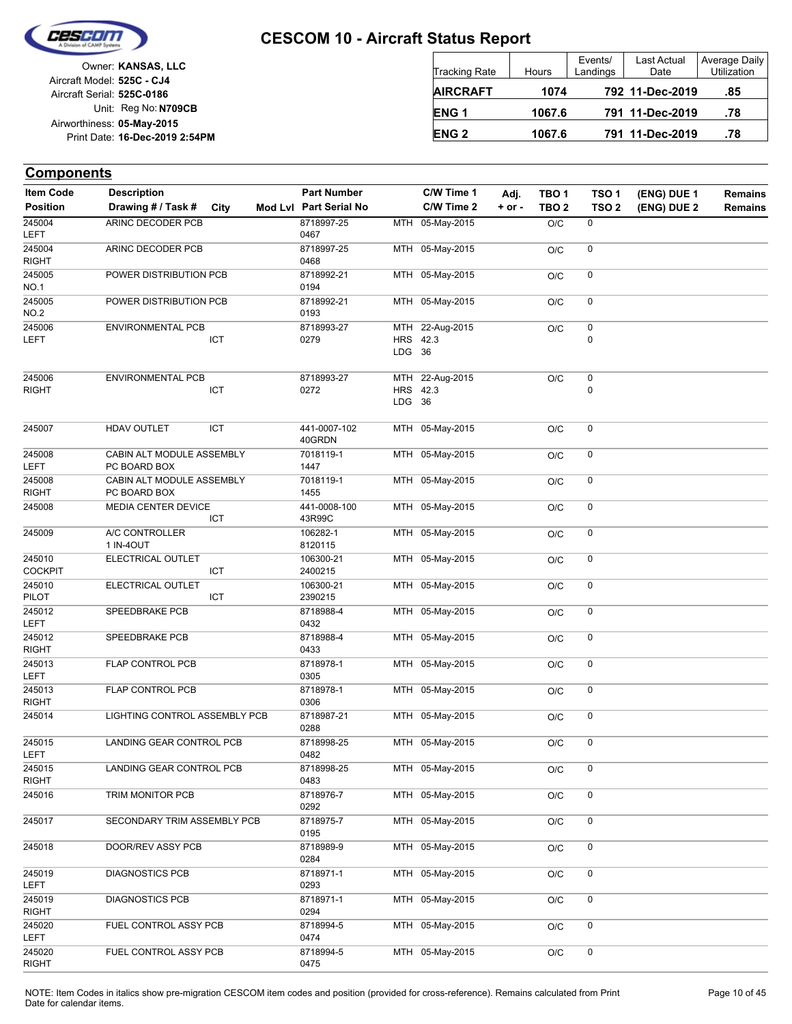

| Owner: KANSAS, LLC             |                            |
|--------------------------------|----------------------------|
|                                | Aircraft Model: 525C - CJ4 |
|                                | Aircraft Serial: 525C-0186 |
| Unit: Reg No: N709CB           |                            |
|                                | Airworthiness: 05-May-2015 |
| Print Date: 16-Dec-2019 2:54PM |                            |
|                                |                            |

| <b>Tracking Rate</b> | Hours  | Events/<br>Landings | Last Actual<br>Date | Average Daily<br><b>Utilization</b> |
|----------------------|--------|---------------------|---------------------|-------------------------------------|
| <b>AIRCRAFT</b>      | 1074   |                     | 792 11-Dec-2019     | .85                                 |
| ENG <sub>1</sub>     | 1067.6 |                     | 791 11-Dec-2019     | .78                                 |
| <b>ENG 2</b>         | 1067.6 |                     | 791 11-Dec-2019     | .78                                 |

| <b>Item Code</b>         | <b>Description</b>                        |      | <b>Part Number</b>     |                    | C/W Time 1      | Adj.       | TBO <sub>1</sub> | TSO <sub>1</sub> | (ENG) DUE 1 | <b>Remains</b> |
|--------------------------|-------------------------------------------|------|------------------------|--------------------|-----------------|------------|------------------|------------------|-------------|----------------|
| <b>Position</b>          | Drawing # / Task #                        | City | Mod Lvl Part Serial No |                    | C/W Time 2      | $+$ or $-$ | TBO <sub>2</sub> | TSO <sub>2</sub> | (ENG) DUE 2 | Remains        |
| 245004<br>LEFT           | ARINC DECODER PCB                         |      | 8718997-25<br>0467     |                    | MTH 05-May-2015 |            | O/C              | 0                |             |                |
| 245004<br><b>RIGHT</b>   | ARINC DECODER PCB                         |      | 8718997-25<br>0468     |                    | MTH 05-May-2015 |            | O/C              | 0                |             |                |
| 245005<br><b>NO.1</b>    | POWER DISTRIBUTION PCB                    |      | 8718992-21<br>0194     |                    | MTH 05-May-2015 |            | O/C              | 0                |             |                |
| 245005<br><b>NO.2</b>    | POWER DISTRIBUTION PCB                    |      | 8718992-21<br>0193     |                    | MTH 05-May-2015 |            | O/C              | 0                |             |                |
| 245006                   | <b>ENVIRONMENTAL PCB</b>                  |      | 8718993-27             |                    | MTH 22-Aug-2015 |            | O/C              | $\pmb{0}$        |             |                |
| LEFT                     |                                           | ICT  | 0279                   | HRS 42.3<br>LDG 36 |                 |            |                  | 0                |             |                |
| 245006                   | <b>ENVIRONMENTAL PCB</b>                  |      | 8718993-27             |                    | MTH 22-Aug-2015 |            | O/C              | $\pmb{0}$        |             |                |
| <b>RIGHT</b>             |                                           | ICT  | 0272                   | HRS 42.3<br>LDG 36 |                 |            |                  | 0                |             |                |
| 245007                   | HDAV OUTLET                               | ICT  | 441-0007-102<br>40GRDN |                    | MTH 05-May-2015 |            | O/C              | 0                |             |                |
| 245008<br>LEFT           | CABIN ALT MODULE ASSEMBLY<br>PC BOARD BOX |      | 7018119-1<br>1447      |                    | MTH 05-May-2015 |            | O/C              | 0                |             |                |
| 245008<br><b>RIGHT</b>   | CABIN ALT MODULE ASSEMBLY<br>PC BOARD BOX |      | 7018119-1<br>1455      |                    | MTH 05-May-2015 |            | O/C              | 0                |             |                |
| 245008                   | MEDIA CENTER DEVICE                       | ICT  | 441-0008-100<br>43R99C |                    | MTH 05-May-2015 |            | O/C              | 0                |             |                |
| 245009                   | A/C CONTROLLER<br>1 IN-40UT               |      | 106282-1<br>8120115    |                    | MTH 05-May-2015 |            | O/C              | 0                |             |                |
| 245010<br><b>COCKPIT</b> | ELECTRICAL OUTLET                         | ICT  | 106300-21<br>2400215   |                    | MTH 05-May-2015 |            | O/C              | 0                |             |                |
| 245010<br>PILOT          | ELECTRICAL OUTLET                         | ICT  | 106300-21<br>2390215   |                    | MTH 05-May-2015 |            | O/C              | 0                |             |                |
| 245012<br>LEFT           | SPEEDBRAKE PCB                            |      | 8718988-4<br>0432      |                    | MTH 05-May-2015 |            | O/C              | 0                |             |                |
| 245012<br><b>RIGHT</b>   | SPEEDBRAKE PCB                            |      | 8718988-4<br>0433      |                    | MTH 05-May-2015 |            | O/C              | 0                |             |                |
| 245013<br>LEFT           | FLAP CONTROL PCB                          |      | 8718978-1<br>0305      | MTH                | 05-May-2015     |            | O/C              | 0                |             |                |
| 245013<br><b>RIGHT</b>   | FLAP CONTROL PCB                          |      | 8718978-1<br>0306      |                    | MTH 05-May-2015 |            | O/C              | 0                |             |                |
| 245014                   | LIGHTING CONTROL ASSEMBLY PCB             |      | 8718987-21<br>0288     |                    | MTH 05-May-2015 |            | O/C              | 0                |             |                |
| 245015<br>LEFT           | LANDING GEAR CONTROL PCB                  |      | 8718998-25<br>0482     |                    | MTH 05-May-2015 |            | O/C              | 0                |             |                |
| 245015<br><b>RIGHT</b>   | LANDING GEAR CONTROL PCB                  |      | 8718998-25<br>0483     |                    | MTH 05-May-2015 |            | O/C              | 0                |             |                |
| 245016                   | TRIM MONITOR PCB                          |      | 8718976-7<br>0292      |                    | MTH 05-May-2015 |            | O/C              | 0                |             |                |
| 245017                   | SECONDARY TRIM ASSEMBLY PCB               |      | 8718975-7<br>0195      |                    | MTH 05-May-2015 |            | O/C              | 0                |             |                |
| 245018                   | DOOR/REV ASSY PCB                         |      | 8718989-9<br>0284      |                    | MTH 05-May-2015 |            | O/C              | 0                |             |                |
| 245019<br><b>LEFT</b>    | <b>DIAGNOSTICS PCB</b>                    |      | 8718971-1<br>0293      |                    | MTH 05-May-2015 |            | O/C              | 0                |             |                |
| 245019<br><b>RIGHT</b>   | <b>DIAGNOSTICS PCB</b>                    |      | 8718971-1<br>0294      |                    | MTH 05-May-2015 |            | O/C              | 0                |             |                |
| 245020<br><b>LEFT</b>    | FUEL CONTROL ASSY PCB                     |      | 8718994-5<br>0474      |                    | MTH 05-May-2015 |            | O/C              | $\mathsf 0$      |             |                |
| 245020<br><b>RIGHT</b>   | FUEL CONTROL ASSY PCB                     |      | 8718994-5<br>0475      |                    | MTH 05-May-2015 |            | $\rm O/C$        | 0                |             |                |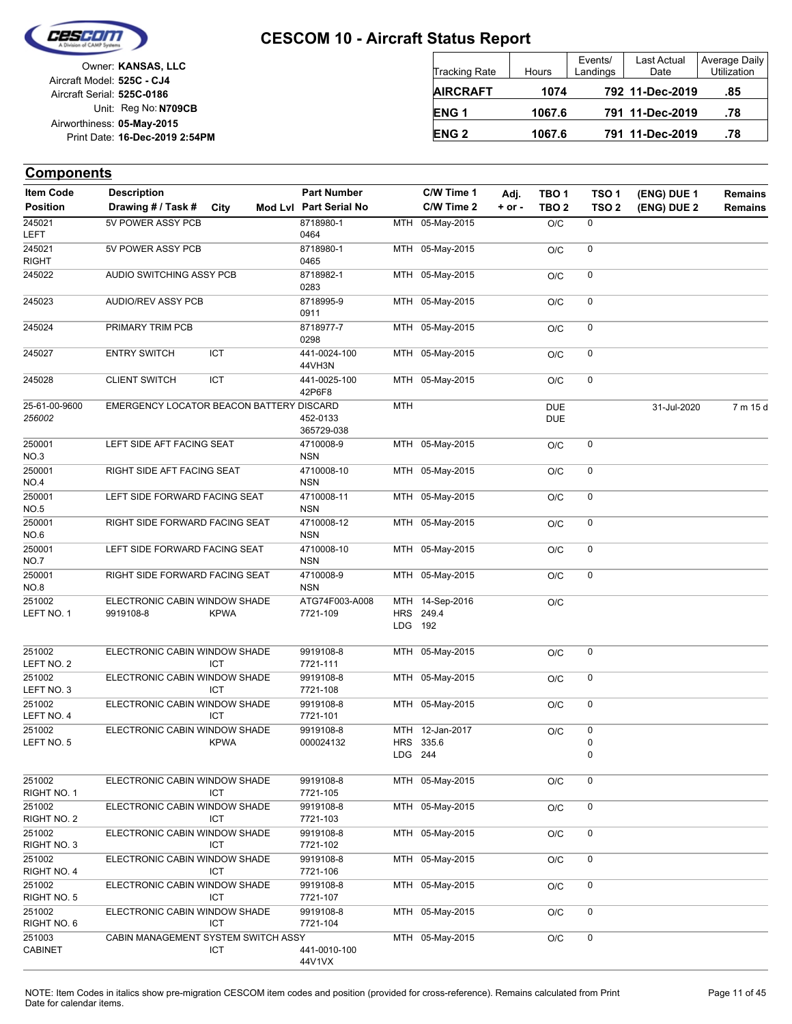

|                            | Owner: KANSAS, LLC             |
|----------------------------|--------------------------------|
| Aircraft Model: 525C - CJ4 |                                |
| Aircraft Serial: 525C-0186 |                                |
|                            | Unit: Reg No: N709CB           |
|                            | Airworthiness: 05-May-2015     |
|                            | Print Date: 16-Dec-2019 2:54PM |
|                            |                                |

| <b>Tracking Rate</b> | Hours  | Events/<br>Landings | Last Actual<br>Date | Average Daily<br>Utilization |
|----------------------|--------|---------------------|---------------------|------------------------------|
| <b>AIRCRAFT</b>      | 1074   |                     | 792 11-Dec-2019     | .85                          |
| ENG <sub>1</sub>     | 1067.6 |                     | 791 11-Dec-2019     | .78                          |
| <b>ENG 2</b>         | 1067.6 |                     | 791 11-Dec-2019     | .78                          |

| <b>Item Code</b>         | <b>Description</b>                         |             | <b>Part Number</b>         |                       | C/W Time 1                   | Adj.     | TBO <sub>1</sub>         | TSO <sub>1</sub> | (ENG) DUE 1 | Remains        |
|--------------------------|--------------------------------------------|-------------|----------------------------|-----------------------|------------------------------|----------|--------------------------|------------------|-------------|----------------|
| <b>Position</b>          | Drawing # / Task #                         | City        | Mod Lvl Part Serial No     |                       | C/W Time 2                   | $+ or -$ | TBO <sub>2</sub>         | TSO <sub>2</sub> | (ENG) DUE 2 | <b>Remains</b> |
| 245021<br><b>LEFT</b>    | 5V POWER ASSY PCB                          |             | 8718980-1<br>0464          |                       | MTH 05-May-2015              |          | O/C                      | 0                |             |                |
| 245021<br><b>RIGHT</b>   | 5V POWER ASSY PCB                          |             | 8718980-1<br>0465          |                       | MTH 05-May-2015              |          | O/C                      | 0                |             |                |
| 245022                   | AUDIO SWITCHING ASSY PCB                   |             | 8718982-1<br>0283          |                       | MTH 05-May-2015              |          | O/C                      | 0                |             |                |
| 245023                   | AUDIO/REV ASSY PCB                         |             | 8718995-9<br>0911          |                       | MTH 05-May-2015              |          | O/C                      | 0                |             |                |
| 245024                   | PRIMARY TRIM PCB                           |             | 8718977-7<br>0298          |                       | MTH 05-May-2015              |          | O/C                      | 0                |             |                |
| 245027                   | <b>ENTRY SWITCH</b>                        | ICT         | 441-0024-100<br>44VH3N     |                       | MTH 05-May-2015              |          | O/C                      | 0                |             |                |
| 245028                   | <b>CLIENT SWITCH</b>                       | ICT         | 441-0025-100<br>42P6F8     |                       | MTH 05-May-2015              |          | O/C                      | 0                |             |                |
| 25-61-00-9600<br>256002  | EMERGENCY LOCATOR BEACON BATTERY DISCARD   |             | 452-0133<br>365729-038     | <b>MTH</b>            |                              |          | <b>DUE</b><br><b>DUE</b> |                  | 31-Jul-2020 | 7 m 15 d       |
| 250001<br>NO.3           | LEFT SIDE AFT FACING SEAT                  |             | 4710008-9<br><b>NSN</b>    |                       | MTH 05-May-2015              |          | O/C                      | 0                |             |                |
| 250001<br><b>NO.4</b>    | RIGHT SIDE AFT FACING SEAT                 |             | 4710008-10<br><b>NSN</b>   |                       | MTH 05-May-2015              |          | O/C                      | 0                |             |                |
| 250001<br><b>NO.5</b>    | LEFT SIDE FORWARD FACING SEAT              |             | 4710008-11<br><b>NSN</b>   |                       | MTH 05-May-2015              |          | O/C                      | 0                |             |                |
| 250001<br>NO.6           | RIGHT SIDE FORWARD FACING SEAT             |             | 4710008-12<br><b>NSN</b>   | MTH                   | 05-May-2015                  |          | O/C                      | 0                |             |                |
| 250001<br><b>NO.7</b>    | LEFT SIDE FORWARD FACING SEAT              |             | 4710008-10<br><b>NSN</b>   |                       | MTH 05-May-2015              |          | O/C                      | 0                |             |                |
| 250001<br>NO.8           | RIGHT SIDE FORWARD FACING SEAT             |             | 4710008-9<br><b>NSN</b>    |                       | MTH 05-May-2015              |          | O/C                      | 0                |             |                |
| 251002<br>LEFT NO. 1     | ELECTRONIC CABIN WINDOW SHADE<br>9919108-8 | <b>KPWA</b> | ATG74F003-A008<br>7721-109 | LDG 192               | MTH 14-Sep-2016<br>HRS 249.4 |          | O/C                      |                  |             |                |
| 251002<br>LEFT NO. 2     | ELECTRONIC CABIN WINDOW SHADE              | <b>ICT</b>  | 9919108-8<br>7721-111      |                       | MTH 05-May-2015              |          | O/C                      | 0                |             |                |
| 251002<br>LEFT NO. 3     | ELECTRONIC CABIN WINDOW SHADE              | ICT         | 9919108-8<br>7721-108      | MTH                   | 05-May-2015                  |          | O/C                      | 0                |             |                |
| 251002<br>LEFT NO. 4     | ELECTRONIC CABIN WINDOW SHADE              | <b>ICT</b>  | 9919108-8<br>7721-101      |                       | MTH 05-May-2015              |          | O/C                      | 0                |             |                |
| 251002<br>LEFT NO. 5     | ELECTRONIC CABIN WINDOW SHADE              | <b>KPWA</b> | 9919108-8<br>000024132     | <b>HRS</b><br>LDG 244 | MTH 12-Jan-2017<br>335.6     |          | O/C                      | 0<br>0<br>0      |             |                |
| 251002<br>RIGHT NO. 1    | ELECTRONIC CABIN WINDOW SHADE              | ICT         | 9919108-8<br>7721-105      |                       | MTH 05-May-2015              |          | O/C                      | 0                |             |                |
| 251002<br>RIGHT NO. 2    | ELECTRONIC CABIN WINDOW SHADE              | <b>ICT</b>  | 9919108-8<br>7721-103      |                       | MTH 05-May-2015              |          | O/C                      | 0                |             |                |
| 251002<br>RIGHT NO. 3    | ELECTRONIC CABIN WINDOW SHADE              | ICT         | 9919108-8<br>7721-102      |                       | MTH 05-May-2015              |          | O/C                      | $\mathsf 0$      |             |                |
| 251002<br>RIGHT NO. 4    | ELECTRONIC CABIN WINDOW SHADE              | ICT         | 9919108-8<br>7721-106      |                       | MTH 05-May-2015              |          | O/C                      | 0                |             |                |
| 251002<br>RIGHT NO. 5    | ELECTRONIC CABIN WINDOW SHADE              | <b>ICT</b>  | 9919108-8<br>7721-107      |                       | MTH 05-May-2015              |          | O/C                      | 0                |             |                |
| 251002<br>RIGHT NO. 6    | ELECTRONIC CABIN WINDOW SHADE              | ICT         | 9919108-8<br>7721-104      |                       | MTH 05-May-2015              |          | O/C                      | 0                |             |                |
| 251003<br><b>CABINET</b> | CABIN MANAGEMENT SYSTEM SWITCH ASSY        | ICT         | 441-0010-100<br>44V1VX     |                       | MTH 05-May-2015              |          | O/C                      | 0                |             |                |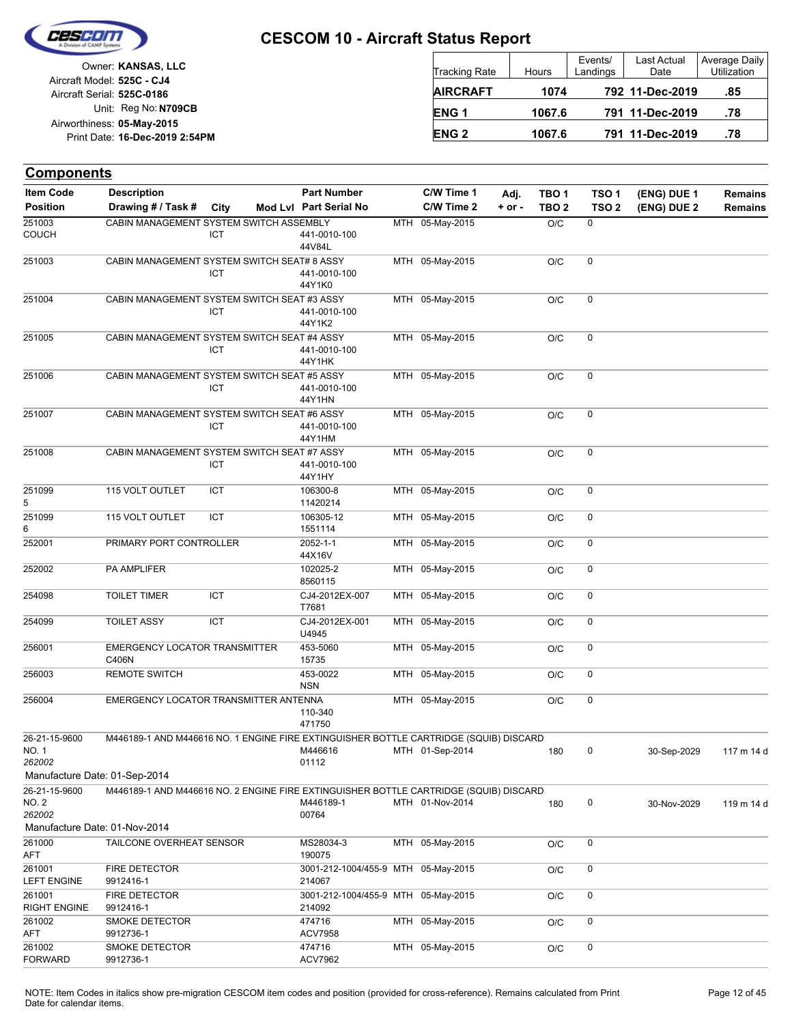

Unit: Reg No: N709CB Print Date: 16-Dec-2019 2:54PM **05-May-2015** Airworthiness: Owner: **KANSAS, LLC** Aircraft Serial: **525C-0186** Aircraft Model: **525C - CJ4**

| Tracking Rate   | Hours  | Events/<br>Landings | Last Actual<br>Date | Average Daily<br>Utilization |
|-----------------|--------|---------------------|---------------------|------------------------------|
| <b>AIRCRAFT</b> | 1074   |                     | 792 11-Dec-2019     | .85                          |
| <b>ENG1</b>     | 1067.6 |                     | 791 11-Dec-2019     | .78                          |
| <b>ENG 2</b>    | 1067.6 |                     | 791 11-Dec-2019     | .78                          |

| <b>Components</b>                |                                                                                                                        |            |                                               |                 |            |                  |                  |             |                |
|----------------------------------|------------------------------------------------------------------------------------------------------------------------|------------|-----------------------------------------------|-----------------|------------|------------------|------------------|-------------|----------------|
| <b>Item Code</b>                 | <b>Description</b>                                                                                                     |            | <b>Part Number</b>                            | C/W Time 1      | Adj.       | TBO <sub>1</sub> | TSO <sub>1</sub> | (ENG) DUE 1 | <b>Remains</b> |
| <b>Position</b>                  | Drawing # / Task #                                                                                                     | City       | Mod Lvl Part Serial No                        | C/W Time 2      | $+$ or $-$ | TBO <sub>2</sub> | TSO <sub>2</sub> | (ENG) DUE 2 | <b>Remains</b> |
| 251003<br><b>COUCH</b>           | CABIN MANAGEMENT SYSTEM SWITCH ASSEMBLY                                                                                | ICT        | 441-0010-100<br>44V84L                        | MTH 05-May-2015 |            | O/C              | 0                |             |                |
| 251003                           | CABIN MANAGEMENT SYSTEM SWITCH SEAT# 8 ASSY                                                                            | ICT        | 441-0010-100<br>44Y1K0                        | MTH 05-May-2015 |            | O/C              | 0                |             |                |
| 251004                           | CABIN MANAGEMENT SYSTEM SWITCH SEAT #3 ASSY                                                                            | ICT        | 441-0010-100<br>44Y1K2                        | MTH 05-May-2015 |            | O/C              | $\pmb{0}$        |             |                |
| 251005                           | CABIN MANAGEMENT SYSTEM SWITCH SEAT #4 ASSY                                                                            | <b>ICT</b> | 441-0010-100<br>44Y1HK                        | MTH 05-May-2015 |            | O/C              | 0                |             |                |
| 251006                           | CABIN MANAGEMENT SYSTEM SWITCH SEAT #5 ASSY                                                                            | <b>ICT</b> | 441-0010-100<br>44Y1HN                        | MTH 05-May-2015 |            | O/C              | 0                |             |                |
| 251007                           | CABIN MANAGEMENT SYSTEM SWITCH SEAT #6 ASSY                                                                            | ICT        | 441-0010-100<br>44Y1HM                        | MTH 05-May-2015 |            | O/C              | 0                |             |                |
| 251008                           | CABIN MANAGEMENT SYSTEM SWITCH SEAT #7 ASSY                                                                            | ICT        | 441-0010-100<br>44Y1HY                        | MTH 05-May-2015 |            | O/C              | $\mathbf 0$      |             |                |
| 251099<br>5                      | 115 VOLT OUTLET                                                                                                        | ICT        | 106300-8<br>11420214                          | MTH 05-May-2015 |            | O/C              | 0                |             |                |
| 251099<br>6                      | 115 VOLT OUTLET                                                                                                        | <b>ICT</b> | 106305-12<br>1551114                          | MTH 05-May-2015 |            | O/C              | $\mathbf 0$      |             |                |
| 252001                           | PRIMARY PORT CONTROLLER                                                                                                |            | 2052-1-1<br>44X16V                            | MTH 05-May-2015 |            | O/C              | $\mathbf 0$      |             |                |
| 252002                           | PA AMPLIFER                                                                                                            |            | 102025-2<br>8560115                           | MTH 05-May-2015 |            | O/C              | 0                |             |                |
| 254098                           | <b>TOILET TIMER</b>                                                                                                    | <b>ICT</b> | CJ4-2012EX-007<br>T7681                       | MTH 05-May-2015 |            | O/C              | $\mathbf 0$      |             |                |
| 254099                           | <b>TOILET ASSY</b>                                                                                                     | ICT        | CJ4-2012EX-001<br>U4945                       | MTH 05-May-2015 |            | O/C              | 0                |             |                |
| 256001                           | <b>EMERGENCY LOCATOR TRANSMITTER</b><br>C406N                                                                          |            | 453-5060<br>15735                             | MTH 05-May-2015 |            | O/C              | $\pmb{0}$        |             |                |
| 256003                           | <b>REMOTE SWITCH</b>                                                                                                   |            | 453-0022<br><b>NSN</b>                        | MTH 05-May-2015 |            | O/C              | 0                |             |                |
| 256004                           | EMERGENCY LOCATOR TRANSMITTER ANTENNA                                                                                  |            | 110-340<br>471750                             | MTH 05-May-2015 |            | O/C              | 0                |             |                |
| 26-21-15-9600<br>NO. 1<br>262002 | M446189-1 AND M446616 NO. 1 ENGINE FIRE EXTINGUISHER BOTTLE CARTRIDGE (SQUIB) DISCARD<br>Manufacture Date: 01-Sep-2014 |            | M446616<br>01112                              | MTH 01-Sep-2014 |            | 180              | 0                | 30-Sep-2029 | 117 m 14 d     |
| 26-21-15-9600<br>NO. 2<br>262002 | M446189-1 AND M446616 NO. 2 ENGINE FIRE EXTINGUISHER BOTTLE CARTRIDGE (SQUIB) DISCARD                                  |            | M446189-1<br>00764                            | MTH 01-Nov-2014 |            | 180              | $\pmb{0}$        | 30-Nov-2029 | 119 m 14 d     |
| 261000                           | Manufacture Date: 01-Nov-2014<br>TAILCONE OVERHEAT SENSOR                                                              |            | MS28034-3                                     | MTH 05-May-2015 |            | O/C              | 0                |             |                |
| AFT                              |                                                                                                                        |            | 190075                                        |                 |            |                  |                  |             |                |
| 261001<br><b>LEFT ENGINE</b>     | <b>FIRE DETECTOR</b><br>9912416-1                                                                                      |            | 3001-212-1004/455-9 MTH 05-May-2015<br>214067 |                 |            | O/C              | 0                |             |                |
| 261001<br><b>RIGHT ENGINE</b>    | FIRE DETECTOR<br>9912416-1                                                                                             |            | 3001-212-1004/455-9 MTH 05-May-2015<br>214092 |                 |            | O/C              | 0                |             |                |
| 261002<br>AFT                    | SMOKE DETECTOR<br>9912736-1                                                                                            |            | 474716<br>ACV7958                             | MTH 05-May-2015 |            | O/C              | 0                |             |                |
| 261002<br><b>FORWARD</b>         | SMOKE DETECTOR<br>9912736-1                                                                                            |            | 474716<br><b>ACV7962</b>                      | MTH 05-May-2015 |            | O/C              | 0                |             |                |

NOTE: Item Codes in italics show pre-migration CESCOM item codes and position (provided for cross-reference). Remains calculated from Print Page 12 of 45 Date for calendar items.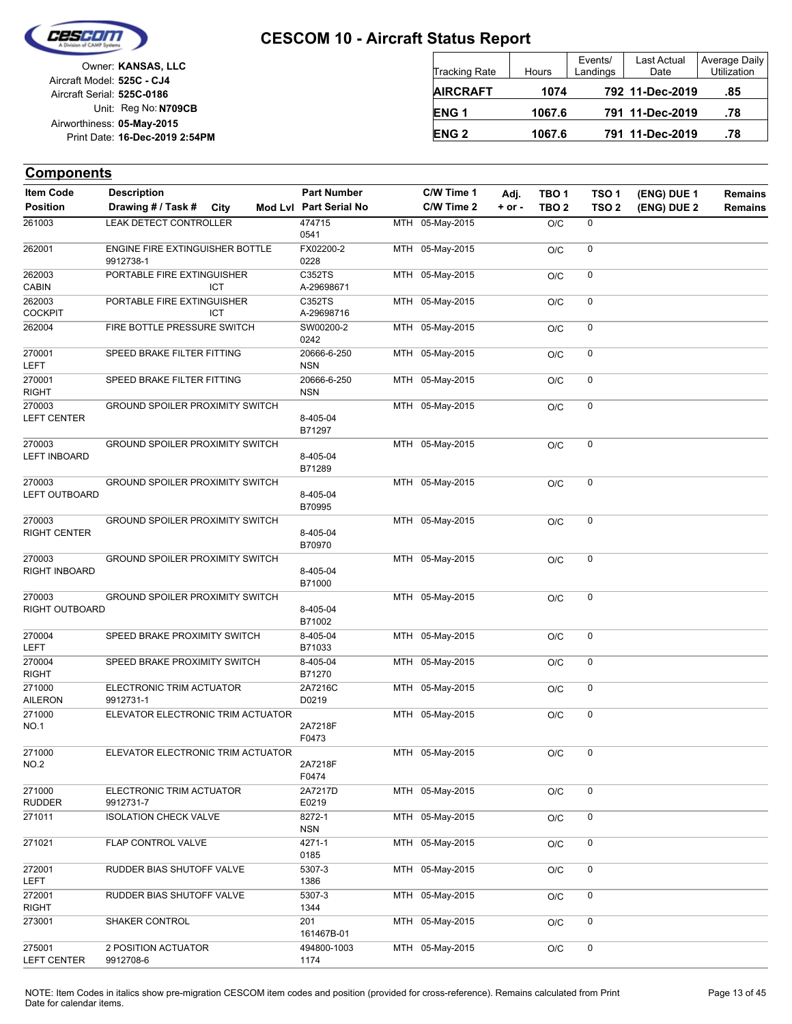

Unit: Reg No: N709CB Print Date: 16-Dec-2019 2:54PM **05-May-2015** Airworthiness: Owner: **KANSAS, LLC** Aircraft Serial: **525C-0186** Aircraft Model: **525C - CJ4**

| <b>Tracking Rate</b> | <b>Hours</b> | Events/<br>Landings | Last Actual<br>Date | Average Daily<br>Utilization |
|----------------------|--------------|---------------------|---------------------|------------------------------|
| <b>AIRCRAFT</b>      | 1074         |                     | 792 11-Dec-2019     | .85                          |
| ENG <sub>1</sub>     | 1067.6       |                     | 791 11-Dec-2019     | .78                          |
| <b>ENG 2</b>         | 1067.6       |                     | 791 11-Dec-2019     | .78                          |

| <b>Item Code</b>               | <b>Description</b>                           |            |                    | <b>Part Number</b>        | C/W Time 1      | Adj.     | TBO <sub>1</sub> | TSO <sub>1</sub> | (ENG) DUE 1 | <b>Remains</b> |
|--------------------------------|----------------------------------------------|------------|--------------------|---------------------------|-----------------|----------|------------------|------------------|-------------|----------------|
| <b>Position</b>                | Drawing # / Task #                           | City       |                    | Mod Lvl Part Serial No    | C/W Time 2      | $+ or -$ | TBO <sub>2</sub> | TSO <sub>2</sub> | (ENG) DUE 2 | Remains        |
| 261003                         | <b>LEAK DETECT CONTROLLER</b>                |            |                    | 474715<br>0541            | MTH 05-May-2015 |          | O/C              | 0                |             |                |
| 262001                         | ENGINE FIRE EXTINGUISHER BOTTLE<br>9912738-1 |            |                    | FX02200-2<br>0228         | MTH 05-May-2015 |          | O/C              | 0                |             |                |
| 262003<br><b>CABIN</b>         | PORTABLE FIRE EXTINGUISHER                   | <b>ICT</b> |                    | C352TS<br>A-29698671      | MTH 05-May-2015 |          | O/C              | 0                |             |                |
| 262003<br><b>COCKPIT</b>       | PORTABLE FIRE EXTINGUISHER                   | ICT        |                    | C352TS<br>A-29698716      | MTH 05-May-2015 |          | O/C              | 0                |             |                |
| 262004                         | FIRE BOTTLE PRESSURE SWITCH                  |            |                    | SW00200-2<br>0242         | MTH 05-May-2015 |          | O/C              | 0                |             |                |
| 270001<br>LEFT                 | SPEED BRAKE FILTER FITTING                   |            |                    | 20666-6-250<br><b>NSN</b> | MTH 05-May-2015 |          | O/C              | 0                |             |                |
| 270001<br><b>RIGHT</b>         | SPEED BRAKE FILTER FITTING                   |            |                    | 20666-6-250<br><b>NSN</b> | MTH 05-May-2015 |          | O/C              | 0                |             |                |
| 270003<br><b>LEFT CENTER</b>   | GROUND SPOILER PROXIMITY SWITCH              |            | 8-405-04<br>B71297 | MTH 05-May-2015           |                 | O/C      | 0                |                  |             |                |
| 270003<br><b>LEFT INBOARD</b>  | <b>GROUND SPOILER PROXIMITY SWITCH</b>       |            |                    | 8-405-04<br>B71289        | MTH 05-May-2015 |          | O/C              | 0                |             |                |
| 270003<br><b>LEFT OUTBOARD</b> | GROUND SPOILER PROXIMITY SWITCH              |            |                    | 8-405-04<br>B70995        | MTH 05-May-2015 |          | O/C              | 0                |             |                |
| 270003<br>RIGHT CENTER         | <b>GROUND SPOILER PROXIMITY SWITCH</b>       |            |                    | 8-405-04<br>B70970        | MTH 05-May-2015 |          | O/C              | 0                |             |                |
| 270003<br>RIGHT INBOARD        | <b>GROUND SPOILER PROXIMITY SWITCH</b>       |            |                    | 8-405-04<br>B71000        | MTH 05-May-2015 |          | O/C              | 0                |             |                |
| 270003<br>RIGHT OUTBOARD       | <b>GROUND SPOILER PROXIMITY SWITCH</b>       |            |                    | 8-405-04<br>B71002        | MTH 05-May-2015 |          | O/C              | 0                |             |                |
| 270004<br><b>LEFT</b>          | SPEED BRAKE PROXIMITY SWITCH                 |            |                    | 8-405-04<br>B71033        | MTH 05-May-2015 |          | O/C              | 0                |             |                |
| 270004<br><b>RIGHT</b>         | SPEED BRAKE PROXIMITY SWITCH                 |            |                    | 8-405-04<br>B71270        | MTH 05-May-2015 |          | O/C              | 0                |             |                |
| 271000<br><b>AILERON</b>       | ELECTRONIC TRIM ACTUATOR<br>9912731-1        |            |                    | 2A7216C<br>D0219          | MTH 05-May-2015 |          | O/C              | 0                |             |                |
| 271000<br><b>NO.1</b>          | ELEVATOR ELECTRONIC TRIM ACTUATOR            |            |                    | 2A7218F<br>F0473          | MTH 05-May-2015 |          | O/C              | 0                |             |                |
| 271000<br><b>NO.2</b>          | ELEVATOR ELECTRONIC TRIM ACTUATOR            |            |                    | 2A7218F<br>F0474          | MTH 05-May-2015 |          | O/C              | 0                |             |                |
| 271000<br><b>RUDDER</b>        | ELECTRONIC TRIM ACTUATOR<br>9912731-7        |            |                    | 2A7217D<br>E0219          | MTH 05-May-2015 |          | O/C              | 0                |             |                |
| 271011                         | <b>ISOLATION CHECK VALVE</b>                 |            |                    | 8272-1<br><b>NSN</b>      | MTH 05-May-2015 |          | O/C              | 0                |             |                |
| 271021                         | FLAP CONTROL VALVE                           |            |                    | 4271-1<br>0185            | MTH 05-May-2015 |          | O/C              | 0                |             |                |
| 272001<br><b>LEFT</b>          | RUDDER BIAS SHUTOFF VALVE                    |            |                    | 5307-3<br>1386            | MTH 05-May-2015 |          | O/C              | 0                |             |                |
| 272001<br><b>RIGHT</b>         | RUDDER BIAS SHUTOFF VALVE                    |            |                    | 5307-3<br>1344            | MTH 05-May-2015 |          | O/C              | 0                |             |                |
| 273001                         | SHAKER CONTROL                               |            |                    | 201<br>161467B-01         | MTH 05-May-2015 |          | O/C              | 0                |             |                |
| 275001<br><b>LEFT CENTER</b>   | 2 POSITION ACTUATOR<br>9912708-6             |            |                    | 494800-1003<br>1174       | MTH 05-May-2015 |          | O/C              | 0                |             |                |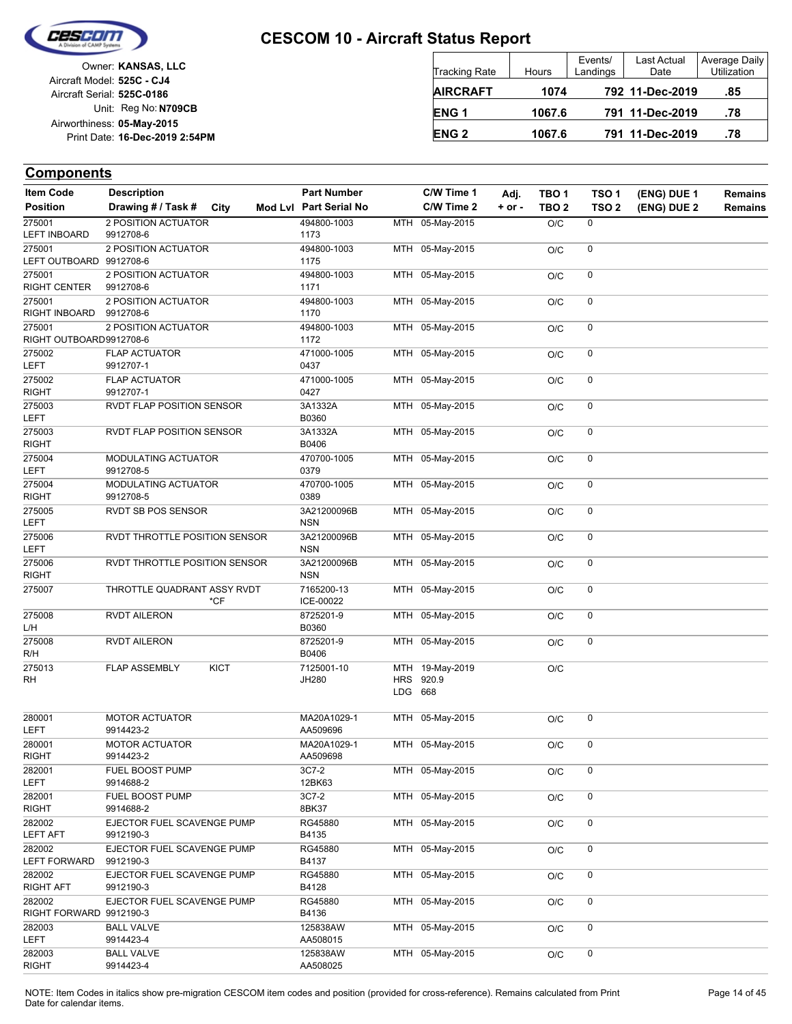

| Owner: KANSAS, LLC             |                            |
|--------------------------------|----------------------------|
|                                | Aircraft Model: 525C - CJ4 |
|                                | Aircraft Serial: 525C-0186 |
| Unit: Reg No: N709CB           |                            |
|                                | Airworthiness: 05-May-2015 |
| Print Date: 16-Dec-2019 2:54PM |                            |
|                                |                            |

| <b>Tracking Rate</b> | Hours  | Events/<br>Landings | Last Actual<br>Date | Average Daily<br><b>Utilization</b> |
|----------------------|--------|---------------------|---------------------|-------------------------------------|
| <b>AIRCRAFT</b>      | 1074   |                     | 792 11-Dec-2019     | .85                                 |
| ENG <sub>1</sub>     | 1067.6 |                     | 791 11-Dec-2019     | .78                                 |
| <b>ENG 2</b>         | 1067.6 |                     | 791 11-Dec-2019     | .78                                 |

| <b>Item Code</b>                  | <b>Description</b>                      | <b>Part Number</b>        |            | C/W Time 1      | Adj.       | TBO <sub>1</sub> | TSO <sub>1</sub> | (ENG) DUE 1 | <b>Remains</b> |
|-----------------------------------|-----------------------------------------|---------------------------|------------|-----------------|------------|------------------|------------------|-------------|----------------|
| <b>Position</b>                   | Drawing # / Task #<br>City              | Mod Lvl Part Serial No    |            | C/W Time 2      | $+$ or $-$ | TBO <sub>2</sub> | TSO <sub>2</sub> | (ENG) DUE 2 | <b>Remains</b> |
| 275001                            | 2 POSITION ACTUATOR                     | 494800-1003               |            | MTH 05-May-2015 |            | O/C              | $\mathbf 0$      |             |                |
| <b>LEFT INBOARD</b>               | 9912708-6                               | 1173                      |            |                 |            |                  |                  |             |                |
| 275001                            | 2 POSITION ACTUATOR                     | 494800-1003               |            | MTH 05-May-2015 |            | O/C              | 0                |             |                |
| LEFT OUTBOARD 9912708-6           |                                         | 1175                      |            |                 |            |                  |                  |             |                |
| 275001                            | 2 POSITION ACTUATOR                     | 494800-1003               |            | MTH 05-May-2015 |            | O/C              | 0                |             |                |
| RIGHT CENTER                      | 9912708-6                               | 1171                      |            |                 |            |                  |                  |             |                |
| 275001<br>RIGHT INBOARD           | 2 POSITION ACTUATOR<br>9912708-6        | 494800-1003<br>1170       |            | MTH 05-May-2015 |            | O/C              | 0                |             |                |
| 275001                            | 2 POSITION ACTUATOR                     | 494800-1003               |            | MTH 05-May-2015 |            | O/C              | 0                |             |                |
| RIGHT OUTBOARD9912708-6           |                                         | 1172                      |            |                 |            |                  |                  |             |                |
| 275002                            | <b>FLAP ACTUATOR</b>                    | 471000-1005               |            | MTH 05-May-2015 |            | O/C              | 0                |             |                |
| <b>LEFT</b>                       | 9912707-1                               | 0437                      |            |                 |            |                  |                  |             |                |
| 275002                            | <b>FLAP ACTUATOR</b>                    | 471000-1005               |            | MTH 05-May-2015 |            | O/C              | 0                |             |                |
| <b>RIGHT</b>                      | 9912707-1                               | 0427                      |            |                 |            |                  |                  |             |                |
| 275003<br><b>LEFT</b>             | RVDT FLAP POSITION SENSOR               | 3A1332A<br>B0360          |            | MTH 05-May-2015 |            | O/C              | 0                |             |                |
| 275003                            | RVDT FLAP POSITION SENSOR               | 3A1332A                   |            | MTH 05-May-2015 |            | O/C              | 0                |             |                |
| <b>RIGHT</b>                      |                                         | B0406                     |            |                 |            |                  |                  |             |                |
| 275004                            | MODULATING ACTUATOR                     | 470700-1005               |            | MTH 05-May-2015 |            | O/C              | 0                |             |                |
| LEFT                              | 9912708-5                               | 0379                      |            |                 |            |                  |                  |             |                |
| 275004                            | MODULATING ACTUATOR                     | 470700-1005               |            | MTH 05-May-2015 |            | O/C              | 0                |             |                |
| <b>RIGHT</b>                      | 9912708-5                               | 0389                      |            |                 |            |                  |                  |             |                |
| 275005                            | RVDT SB POS SENSOR                      | 3A21200096B<br><b>NSN</b> |            | MTH 05-May-2015 |            | O/C              | 0                |             |                |
| LEFT                              |                                         |                           |            |                 |            |                  | 0                |             |                |
| 275006<br><b>LEFT</b>             | RVDT THROTTLE POSITION SENSOR           | 3A21200096B<br><b>NSN</b> |            | MTH 05-May-2015 |            | O/C              |                  |             |                |
| 275006                            | RVDT THROTTLE POSITION SENSOR           | 3A21200096B               |            | MTH 05-May-2015 |            | O/C              | 0                |             |                |
| <b>RIGHT</b>                      |                                         | <b>NSN</b>                |            |                 |            |                  |                  |             |                |
| 275007                            | THROTTLE QUADRANT ASSY RVDT<br>$*$ CF   | 7165200-13<br>ICE-00022   |            | MTH 05-May-2015 |            | O/C              | 0                |             |                |
| 275008                            | <b>RVDT AILERON</b>                     | 8725201-9                 |            | MTH 05-May-2015 |            | O/C              | 0                |             |                |
| L/H                               |                                         | B0360                     |            |                 |            |                  |                  |             |                |
| 275008                            | <b>RVDT AILERON</b>                     | 8725201-9                 |            | MTH 05-May-2015 |            | O/C              | 0                |             |                |
| R/H                               |                                         | B0406                     |            |                 |            |                  |                  |             |                |
| 275013                            | <b>FLAP ASSEMBLY</b><br><b>KICT</b>     | 7125001-10                |            | MTH 19-May-2019 |            | O/C              |                  |             |                |
| RH                                |                                         | JH280                     | <b>HRS</b> | 920.9           |            |                  |                  |             |                |
|                                   |                                         |                           | LDG 668    |                 |            |                  |                  |             |                |
|                                   |                                         |                           |            |                 |            |                  |                  |             |                |
| 280001<br><b>LEFT</b>             | <b>MOTOR ACTUATOR</b><br>9914423-2      | MA20A1029-1<br>AA509696   |            | MTH 05-May-2015 |            | O/C              | 0                |             |                |
| 280001                            | <b>MOTOR ACTUATOR</b>                   | MA20A1029-1               |            | MTH 05-May-2015 |            | O/C              | 0                |             |                |
| <b>RIGHT</b>                      | 9914423-2                               | AA509698                  |            |                 |            |                  |                  |             |                |
| 282001                            | FUEL BOOST PUMP                         | 3C7-2                     |            | MTH 05-May-2015 |            | O/C              | 0                |             |                |
| LEFT                              | 9914688-2                               | 12BK63                    |            |                 |            |                  |                  |             |                |
| 282001                            | FUEL BOOST PUMP                         | 3C7-2                     |            | MTH 05-May-2015 |            | O/C              | 0                |             |                |
| RIGHT                             | 9914688-2                               | 8BK37                     |            |                 |            |                  |                  |             |                |
| 282002                            | EJECTOR FUEL SCAVENGE PUMP              | RG45880                   |            | MTH 05-May-2015 |            | O/C              | 0                |             |                |
| <b>LEFT AFT</b>                   | 9912190-3                               | B4135                     |            |                 |            |                  |                  |             |                |
| 282002                            | EJECTOR FUEL SCAVENGE PUMP              | RG45880                   |            | MTH 05-May-2015 |            | O/C              | 0                |             |                |
| <b>LEFT FORWARD</b>               | 9912190-3                               | B4137                     |            |                 |            |                  |                  |             |                |
| 282002                            | EJECTOR FUEL SCAVENGE PUMP<br>9912190-3 | RG45880                   |            | MTH 05-May-2015 |            | O/C              | 0                |             |                |
| RIGHT AFT                         |                                         | B4128                     |            |                 |            |                  |                  |             |                |
| 282002<br>RIGHT FORWARD 9912190-3 | EJECTOR FUEL SCAVENGE PUMP              | RG45880<br>B4136          |            | MTH 05-May-2015 |            | O/C              | 0                |             |                |
| 282003                            | <b>BALL VALVE</b>                       | 125838AW                  |            | MTH 05-May-2015 |            | O/C              | 0                |             |                |
| LEFT                              | 9914423-4                               | AA508015                  |            |                 |            |                  |                  |             |                |
| 282003                            | <b>BALL VALVE</b>                       | 125838AW                  |            | MTH 05-May-2015 |            | O/C              | 0                |             |                |
| RIGHT                             | 9914423-4                               | AA508025                  |            |                 |            |                  |                  |             |                |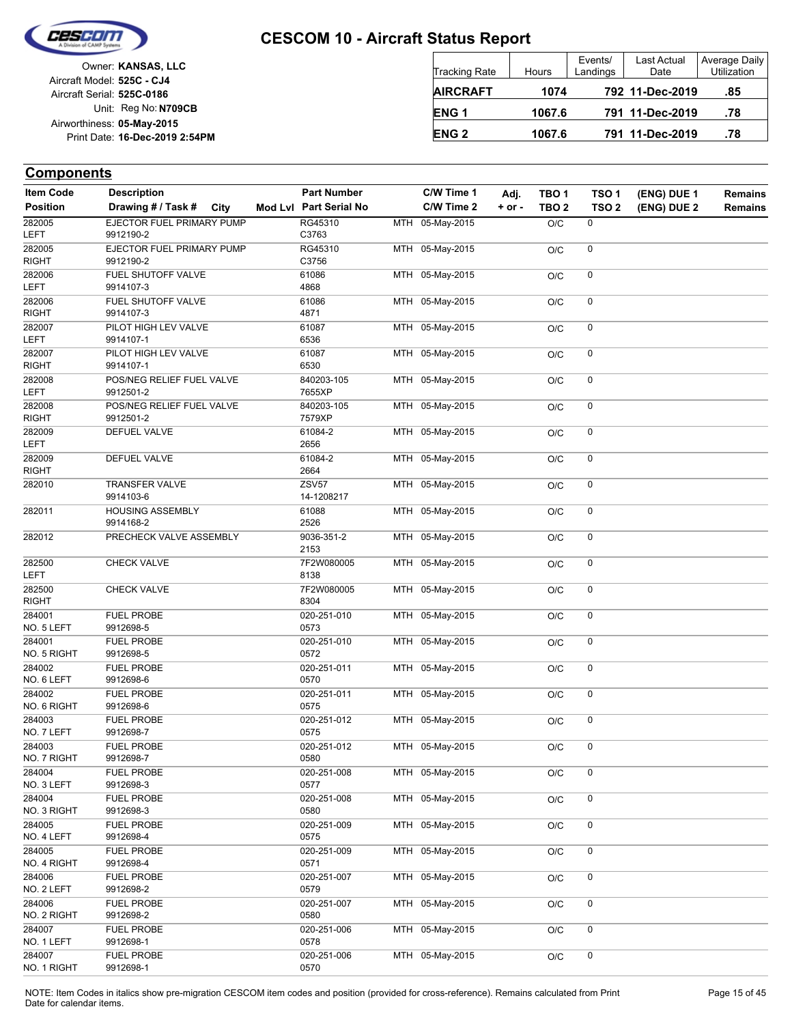

Unit: Reg No: N709CB Print Date: 16-Dec-2019 2:54PM **05-May-2015** Airworthiness: Owner: **KANSAS, LLC** Aircraft Serial: **525C-0186** Aircraft Model: **525C - CJ4**

| <b>Tracking Rate</b> | Hours  | Events/<br>Landings | Last Actual<br>Date | Average Daily<br><b>Utilization</b> |
|----------------------|--------|---------------------|---------------------|-------------------------------------|
| <b>AIRCRAFT</b>      | 1074   |                     | 792 11-Dec-2019     | .85                                 |
| ENG <sub>1</sub>     | 1067.6 |                     | 791 11-Dec-2019     | .78                                 |
| <b>ENG 2</b>         | 1067.6 |                     | 791 11-Dec-2019     | .78                                 |

### **Components**

| <b>Item Code</b>       | <b>Description</b>                     |      | <b>Part Number</b>         | C/W Time 1      | Adj.       | TBO <sub>1</sub> | TSO <sub>1</sub> | (ENG) DUE 1 | <b>Remains</b> |
|------------------------|----------------------------------------|------|----------------------------|-----------------|------------|------------------|------------------|-------------|----------------|
| <b>Position</b>        | Drawing # / Task #                     | City | Mod Lvl Part Serial No     | C/W Time 2      | $+$ or $-$ | TBO <sub>2</sub> | TSO <sub>2</sub> | (ENG) DUE 2 | Remains        |
| 282005<br>LEFT         | EJECTOR FUEL PRIMARY PUMP<br>9912190-2 |      | RG45310<br>C3763           | MTH 05-May-2015 |            | O/C              | 0                |             |                |
| 282005<br>RIGHT        | EJECTOR FUEL PRIMARY PUMP<br>9912190-2 |      | RG45310<br>C3756           | MTH 05-May-2015 |            | O/C              | 0                |             |                |
| 282006                 | FUEL SHUTOFF VALVE                     |      | 61086                      | MTH 05-May-2015 |            | O/C              | 0                |             |                |
| LEFT                   | 9914107-3                              |      | 4868                       |                 |            |                  |                  |             |                |
| 282006<br><b>RIGHT</b> | FUEL SHUTOFF VALVE<br>9914107-3        |      | 61086<br>4871              | MTH 05-May-2015 |            | O/C              | 0                |             |                |
| 282007<br>LEFT         | PILOT HIGH LEV VALVE<br>9914107-1      |      | 61087<br>6536              | MTH 05-May-2015 |            | O/C              | 0                |             |                |
| 282007<br><b>RIGHT</b> | PILOT HIGH LEV VALVE<br>9914107-1      |      | 61087<br>6530              | MTH 05-May-2015 |            | O/C              | 0                |             |                |
| 282008                 | POS/NEG RELIEF FUEL VALVE              |      | 840203-105                 | MTH 05-May-2015 |            | O/C              | 0                |             |                |
| LEFT                   | 9912501-2                              |      | 7655XP                     |                 |            |                  |                  |             |                |
| 282008<br><b>RIGHT</b> | POS/NEG RELIEF FUEL VALVE<br>9912501-2 |      | 840203-105<br>7579XP       | MTH 05-May-2015 |            | O/C              | 0                |             |                |
| 282009<br><b>LEFT</b>  | DEFUEL VALVE                           |      | 61084-2<br>2656            | MTH 05-May-2015 |            | O/C              | 0                |             |                |
| 282009<br><b>RIGHT</b> | DEFUEL VALVE                           |      | 61084-2<br>2664            | MTH 05-May-2015 |            | O/C              | 0                |             |                |
| 282010                 | <b>TRANSFER VALVE</b><br>9914103-6     |      | <b>ZSV57</b><br>14-1208217 | MTH 05-May-2015 |            | O/C              | 0                |             |                |
| 282011                 | <b>HOUSING ASSEMBLY</b><br>9914168-2   |      | 61088<br>2526              | MTH 05-May-2015 |            | O/C              | 0                |             |                |
| 282012                 | PRECHECK VALVE ASSEMBLY                |      | 9036-351-2<br>2153         | MTH 05-May-2015 |            | O/C              | 0                |             |                |
| 282500<br>LEFT         | <b>CHECK VALVE</b>                     |      | 7F2W080005<br>8138         | MTH 05-May-2015 |            | O/C              | 0                |             |                |
| 282500<br><b>RIGHT</b> | <b>CHECK VALVE</b>                     |      | 7F2W080005<br>8304         | MTH 05-May-2015 |            | O/C              | 0                |             |                |
| 284001<br>NO. 5 LEFT   | <b>FUEL PROBE</b><br>9912698-5         |      | 020-251-010<br>0573        | MTH 05-May-2015 |            | O/C              | 0                |             |                |
| 284001<br>NO. 5 RIGHT  | <b>FUEL PROBE</b><br>9912698-5         |      | 020-251-010<br>0572        | MTH 05-May-2015 |            | O/C              | 0                |             |                |
| 284002                 | <b>FUEL PROBE</b>                      |      | 020-251-011                | MTH 05-May-2015 |            | O/C              | 0                |             |                |
| NO. 6 LEFT<br>284002   | 9912698-6<br><b>FUEL PROBE</b>         |      | 0570<br>020-251-011        | MTH 05-May-2015 |            | O/C              | 0                |             |                |
| NO. 6 RIGHT            | 9912698-6                              |      | 0575                       |                 |            |                  |                  |             |                |
| 284003<br>NO. 7 LEFT   | <b>FUEL PROBE</b><br>9912698-7         |      | 020-251-012<br>0575        | MTH 05-May-2015 |            | O/C              | 0                |             |                |
| 284003<br>NO. 7 RIGHT  | <b>FUEL PROBE</b><br>9912698-7         |      | 020-251-012<br>0580        | MTH 05-May-2015 |            | O/C              | 0                |             |                |
| 284004                 | <b>FUEL PROBE</b>                      |      | 020-251-008                | MTH 05-May-2015 |            | O/C              | 0                |             |                |
| NO. 3 LEFT             | 9912698-3                              |      | 0577                       |                 |            |                  |                  |             |                |
| 284004<br>NO. 3 RIGHT  | <b>FUEL PROBE</b><br>9912698-3         |      | 020-251-008<br>0580        | MTH 05-May-2015 |            | O/C              | 0                |             |                |
| 284005                 | <b>FUEL PROBE</b>                      |      | 020-251-009                | MTH 05-May-2015 |            | O/C              | 0                |             |                |
| NO. 4 LEFT             | 9912698-4                              |      | 0575                       |                 |            |                  |                  |             |                |
| 284005<br>NO. 4 RIGHT  | <b>FUEL PROBE</b><br>9912698-4         |      | 020-251-009<br>0571        | MTH 05-May-2015 |            | O/C              | 0                |             |                |
| 284006<br>NO. 2 LEFT   | <b>FUEL PROBE</b><br>9912698-2         |      | 020-251-007<br>0579        | MTH 05-May-2015 |            | O/C              | 0                |             |                |
| 284006                 | <b>FUEL PROBE</b>                      |      | 020-251-007                | MTH 05-May-2015 |            | O/C              | 0                |             |                |
| NO. 2 RIGHT            | 9912698-2                              |      | 0580                       |                 |            |                  |                  |             |                |
| 284007<br>NO. 1 LEFT   | <b>FUEL PROBE</b><br>9912698-1         |      | 020-251-006<br>0578        | MTH 05-May-2015 |            | O/C              | 0                |             |                |
| 284007                 | <b>FUEL PROBE</b>                      |      | 020-251-006                | MTH 05-May-2015 |            | O/C              | 0                |             |                |
| NO. 1 RIGHT            | 9912698-1                              |      | 0570                       |                 |            |                  |                  |             |                |

NOTE: Item Codes in italics show pre-migration CESCOM item codes and position (provided for cross-reference). Remains calculated from Print Page 15 of 45 Date for calendar items.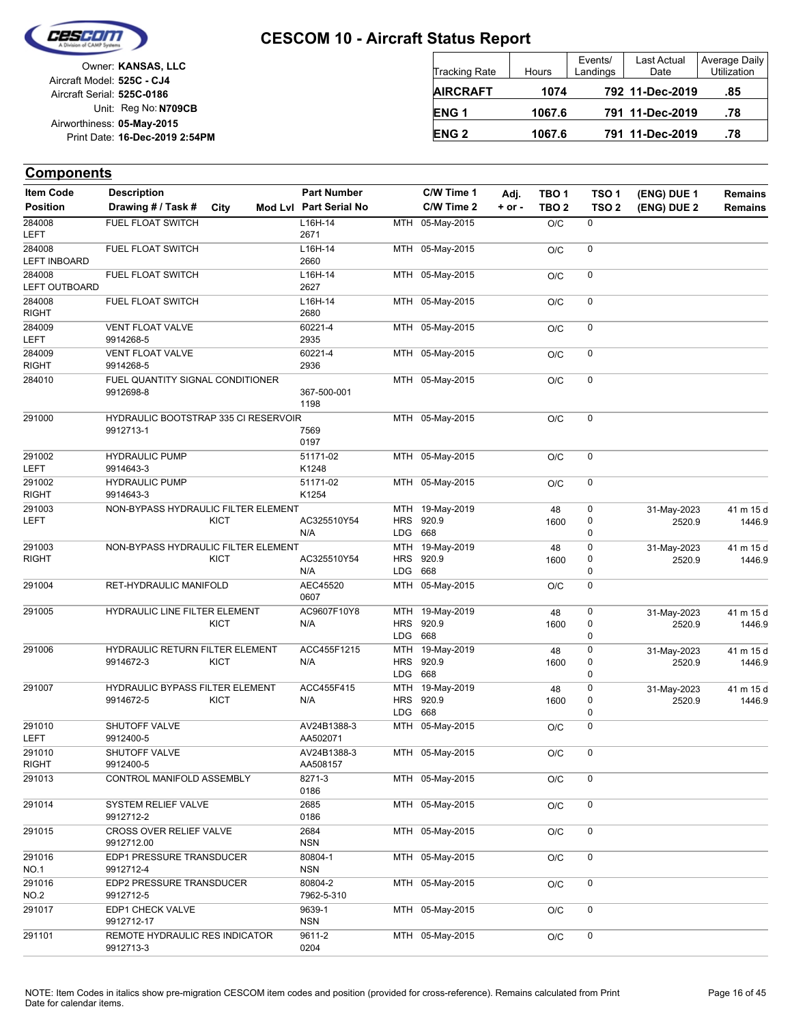

Unit: Reg No: N709CB Print Date: 16-Dec-2019 2:54PM **05-May-2015** Airworthiness: Owner: **KANSAS, LLC** Aircraft Serial: **525C-0186** Aircraft Model: **525C - CJ4**

| <b>Tracking Rate</b> | <b>Hours</b> | Events/<br>Landings | Last Actual<br>Date | Average Daily<br>Utilization |
|----------------------|--------------|---------------------|---------------------|------------------------------|
| <b>AIRCRAFT</b>      | 1074         |                     | 792 11-Dec-2019     | .85                          |
| ENG <sub>1</sub>     | 1067.6       |                     | 791 11-Dec-2019     | .78                          |
| <b>ENG 2</b>         | 1067.6       |                     | 791 11-Dec-2019     | .78                          |

| <b>Item Code</b>              | <b>Description</b>                                       |             | <b>Part Number</b>      |                          | C/W Time 1                          | Adj.     | TBO <sub>1</sub> | TSO <sub>1</sub> | (ENG) DUE 1           | <b>Remains</b>      |
|-------------------------------|----------------------------------------------------------|-------------|-------------------------|--------------------------|-------------------------------------|----------|------------------|------------------|-----------------------|---------------------|
| <b>Position</b>               | Drawing # / Task #                                       | City        | Mod Lvl Part Serial No  |                          | C/W Time 2                          | $+ or -$ | TBO <sub>2</sub> | TSO <sub>2</sub> | (ENG) DUE 2           | <b>Remains</b>      |
| 284008<br><b>LEFT</b>         | <b>FUEL FLOAT SWITCH</b>                                 |             | L16H-14<br>2671         |                          | MTH 05-May-2015                     |          | O/C              | 0                |                       |                     |
| 284008<br><b>LEFT INBOARD</b> | FUEL FLOAT SWITCH                                        |             | L16H-14<br>2660         |                          | MTH 05-May-2015                     |          | O/C              | $\mathbf 0$      |                       |                     |
| 284008<br>LEFT OUTBOARD       | FUEL FLOAT SWITCH                                        |             | L16H-14<br>2627         |                          | MTH 05-May-2015                     |          | O/C              | 0                |                       |                     |
| 284008<br><b>RIGHT</b>        | FUEL FLOAT SWITCH                                        |             | L16H-14<br>2680         |                          | MTH 05-May-2015                     |          | O/C              | 0                |                       |                     |
| 284009<br>LEFT                | VENT FLOAT VALVE<br>9914268-5                            |             | 60221-4<br>2935         |                          | MTH 05-May-2015                     |          | O/C              | $\mathbf 0$      |                       |                     |
| 284009<br><b>RIGHT</b>        | <b>VENT FLOAT VALVE</b><br>9914268-5                     |             | 60221-4<br>2936         |                          | MTH 05-May-2015                     |          | O/C              | 0                |                       |                     |
| 284010                        | FUEL QUANTITY SIGNAL CONDITIONER<br>9912698-8            |             | 367-500-001<br>1198     |                          | MTH 05-May-2015                     |          | O/C              | 0                |                       |                     |
| 291000                        | <b>HYDRAULIC BOOTSTRAP 335 CI RESERVOIR</b><br>9912713-1 |             | 7569<br>0197            |                          | MTH 05-May-2015                     |          | O/C              | 0                |                       |                     |
| 291002<br>LEFT                | <b>HYDRAULIC PUMP</b><br>9914643-3                       |             | 51171-02<br>K1248       |                          | MTH 05-May-2015                     |          | O/C              | 0                |                       |                     |
| 291002<br><b>RIGHT</b>        | <b>HYDRAULIC PUMP</b><br>9914643-3                       |             | 51171-02<br>K1254       |                          | MTH 05-May-2015                     |          | O/C              | 0                |                       |                     |
| 291003<br>LEFT                | NON-BYPASS HYDRAULIC FILTER ELEMENT                      | <b>KICT</b> | AC325510Y54<br>N/A      | LDG 668                  | MTH 19-May-2019<br>HRS 920.9        |          | 48<br>1600       | 0<br>0<br>0      | 31-May-2023<br>2520.9 | 41 m 15 d<br>1446.9 |
| 291003                        | NON-BYPASS HYDRAULIC FILTER ELEMENT                      |             |                         |                          | MTH 19-May-2019                     |          | 48               | 0                | 31-May-2023           | 41 m 15 d           |
| <b>RIGHT</b>                  |                                                          | <b>KICT</b> | AC325510Y54<br>N/A      | LDG 668                  | HRS 920.9                           |          | 1600             | 0<br>0           | 2520.9                | 1446.9              |
| 291004                        | RET-HYDRAULIC MANIFOLD                                   |             | AEC45520<br>0607        |                          | MTH 05-May-2015                     |          | O/C              | 0                |                       |                     |
| 291005                        | HYDRAULIC LINE FILTER ELEMENT                            | <b>KICT</b> | AC9607F10Y8<br>N/A      | <b>HRS</b><br><b>LDG</b> | MTH 19-May-2019<br>920.9<br>668     |          | 48<br>1600       | 0<br>0<br>0      | 31-May-2023<br>2520.9 | 41 m 15 d<br>1446.9 |
| 291006                        | HYDRAULIC RETURN FILTER ELEMENT<br>9914672-3             | <b>KICT</b> | ACC455F1215<br>N/A      | <b>LDG</b>               | MTH 19-May-2019<br>HRS 920.9<br>668 |          | 48<br>1600       | 0<br>0<br>0      | 31-May-2023<br>2520.9 | 41 m 15 d<br>1446.9 |
| 291007                        | <b>HYDRAULIC BYPASS FILTER ELEMENT</b><br>9914672-5      | KICT        | ACC455F415<br>N/A       | <b>HRS</b>               | MTH 19-May-2019<br>920.9            |          | 48<br>1600       | 0<br>0           | 31-May-2023<br>2520.9 | 41 m 15 d<br>1446.9 |
| 291010                        | SHUTOFF VALVE                                            |             | AV24B1388-3             | <b>LDG</b>               | 668<br>MTH 05-May-2015              |          | O/C              | 0<br>0           |                       |                     |
| LEFT<br>291010                | 9912400-5<br>SHUTOFF VALVE                               |             | AA502071<br>AV24B1388-3 |                          | MTH 05-May-2015                     |          | O/C              | 0                |                       |                     |
| <b>RIGHT</b><br>291013        | 9912400-5<br>CONTROL MANIFOLD ASSEMBLY                   |             | AA508157<br>8271-3      |                          | MTH 05-May-2015                     |          | O/C              | 0                |                       |                     |
|                               |                                                          |             | 0186                    |                          | MTH 05-May-2015                     |          |                  |                  |                       |                     |
| 291014                        | SYSTEM RELIEF VALVE<br>9912712-2                         |             | 2685<br>0186            |                          |                                     |          | O/C              | 0                |                       |                     |
| 291015                        | CROSS OVER RELIEF VALVE<br>9912712.00                    |             | 2684<br><b>NSN</b>      |                          | MTH 05-May-2015                     |          | O/C              | 0                |                       |                     |
| 291016<br><b>NO.1</b>         | EDP1 PRESSURE TRANSDUCER<br>9912712-4                    |             | 80804-1<br><b>NSN</b>   |                          | MTH 05-May-2015                     |          | O/C              | 0                |                       |                     |
| 291016<br>NO.2                | EDP2 PRESSURE TRANSDUCER<br>9912712-5                    |             | 80804-2<br>7962-5-310   |                          | MTH 05-May-2015                     |          | O/C              | 0                |                       |                     |
| 291017                        | EDP1 CHECK VALVE<br>9912712-17                           |             | 9639-1<br><b>NSN</b>    |                          | MTH 05-May-2015                     |          | O/C              | 0                |                       |                     |
| 291101                        | REMOTE HYDRAULIC RES INDICATOR<br>9912713-3              |             | 9611-2<br>0204          |                          | MTH 05-May-2015                     |          | O/C              | 0                |                       |                     |
|                               |                                                          |             |                         |                          |                                     |          |                  |                  |                       |                     |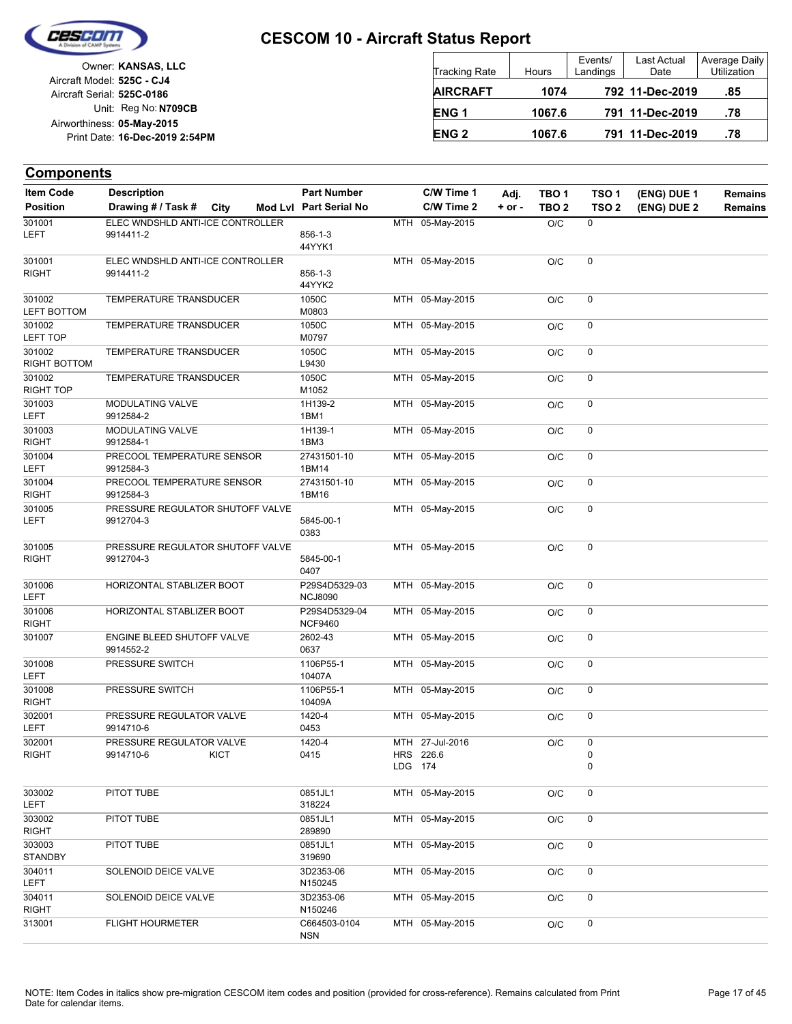

Unit: Reg No: N709CB Print Date: 16-Dec-2019 2:54PM **05-May-2015** Airworthiness: Owner: **KANSAS, LLC** Aircraft Serial: **525C-0186** Aircraft Model: **525C - CJ4**

| <b>Tracking Rate</b> | Hours  | Events/<br>Landings | Last Actual<br>Date | Average Daily<br>Utilization |
|----------------------|--------|---------------------|---------------------|------------------------------|
| <b>AIRCRAFT</b>      | 1074   |                     | 792 11-Dec-2019     | .85                          |
| ENG <sub>1</sub>     | 1067.6 |                     | 791 11-Dec-2019     | .78                          |
| <b>ENG 2</b>         | 1067.6 |                     | 791 11-Dec-2019     | .78                          |

| <b>Item Code</b>       | <b>Description</b>                      |             | <b>Part Number</b>              |         | C/W Time 1      | Adj.       | TBO <sub>1</sub> | TSO <sub>1</sub> | (ENG) DUE 1 | Remains        |
|------------------------|-----------------------------------------|-------------|---------------------------------|---------|-----------------|------------|------------------|------------------|-------------|----------------|
| <b>Position</b>        | Drawing # / Task # City                 |             | Mod Lvl Part Serial No          |         | C/W Time 2      | $+$ or $-$ | TBO <sub>2</sub> | TSO <sub>2</sub> | (ENG) DUE 2 | <b>Remains</b> |
| 301001                 | ELEC WNDSHLD ANTI-ICE CONTROLLER        |             |                                 |         | MTH 05-May-2015 |            | O/C              | 0                |             |                |
| <b>LEFT</b>            | 9914411-2                               |             | $856 - 1 - 3$                   |         |                 |            |                  |                  |             |                |
| 301001                 | ELEC WNDSHLD ANTI-ICE CONTROLLER        |             | 44YYK1                          |         | MTH 05-May-2015 |            |                  | 0                |             |                |
| <b>RIGHT</b>           | 9914411-2                               |             | $856 - 1 - 3$                   |         |                 |            | O/C              |                  |             |                |
|                        |                                         |             | 44YYK2                          |         |                 |            |                  |                  |             |                |
| 301002                 | TEMPERATURE TRANSDUCER                  |             | 1050C                           |         | MTH 05-May-2015 |            | O/C              | 0                |             |                |
| <b>LEFT BOTTOM</b>     |                                         |             | M0803                           |         |                 |            |                  |                  |             |                |
| 301002                 | TEMPERATURE TRANSDUCER                  |             | 1050C                           |         | MTH 05-May-2015 |            | O/C              | 0                |             |                |
| LEFT TOP               |                                         |             | M0797                           |         |                 |            |                  |                  |             |                |
| 301002<br>RIGHT BOTTOM | TEMPERATURE TRANSDUCER                  |             | 1050C<br>L9430                  |         | MTH 05-May-2015 |            | O/C              | 0                |             |                |
| 301002                 | TEMPERATURE TRANSDUCER                  |             | 1050C                           |         | MTH 05-May-2015 |            | O/C              | 0                |             |                |
| RIGHT TOP              |                                         |             | M1052                           |         |                 |            |                  |                  |             |                |
| 301003                 | MODULATING VALVE                        |             | 1H139-2                         |         | MTH 05-May-2015 |            | O/C              | 0                |             |                |
| LEFT                   | 9912584-2                               |             | 1BM1                            |         |                 |            |                  |                  |             |                |
| 301003                 | MODULATING VALVE                        |             | 1H139-1                         |         | MTH 05-May-2015 |            | O/C              | 0                |             |                |
| <b>RIGHT</b>           | 9912584-1                               |             | 1BM3                            |         |                 |            |                  |                  |             |                |
| 301004                 | PRECOOL TEMPERATURE SENSOR              |             | 27431501-10                     |         | MTH 05-May-2015 |            | O/C              | $\mathbf 0$      |             |                |
| LEFT<br>301004         | 9912584-3                               |             | 1BM14                           |         |                 |            |                  |                  |             |                |
| <b>RIGHT</b>           | PRECOOL TEMPERATURE SENSOR<br>9912584-3 |             | 27431501-10<br>1BM16            |         | MTH 05-May-2015 |            | O/C              | 0                |             |                |
| 301005                 | PRESSURE REGULATOR SHUTOFF VALVE        |             |                                 |         | MTH 05-May-2015 |            | O/C              | 0                |             |                |
| LEFT                   | 9912704-3                               |             | 5845-00-1                       |         |                 |            |                  |                  |             |                |
|                        |                                         |             | 0383                            |         |                 |            |                  |                  |             |                |
| 301005                 | PRESSURE REGULATOR SHUTOFF VALVE        |             |                                 |         | MTH 05-May-2015 |            | O/C              | $\mathbf 0$      |             |                |
| <b>RIGHT</b>           | 9912704-3                               |             | 5845-00-1                       |         |                 |            |                  |                  |             |                |
|                        |                                         |             | 0407                            |         |                 |            |                  | 0                |             |                |
| 301006<br>LEFT         | HORIZONTAL STABLIZER BOOT               |             | P29S4D5329-03<br><b>NCJ8090</b> |         | MTH 05-May-2015 |            | O/C              |                  |             |                |
| 301006                 | HORIZONTAL STABLIZER BOOT               |             | P29S4D5329-04                   |         | MTH 05-May-2015 |            | O/C              | $\mathbf 0$      |             |                |
| <b>RIGHT</b>           |                                         |             | <b>NCF9460</b>                  |         |                 |            |                  |                  |             |                |
| 301007                 | ENGINE BLEED SHUTOFF VALVE              |             | 2602-43                         |         | MTH 05-May-2015 |            | O/C              | 0                |             |                |
|                        | 9914552-2                               |             | 0637                            |         |                 |            |                  |                  |             |                |
| 301008                 | PRESSURE SWITCH                         |             | 1106P55-1                       |         | MTH 05-May-2015 |            | O/C              | 0                |             |                |
| <b>LEFT</b>            |                                         |             | 10407A                          |         |                 |            |                  |                  |             |                |
| 301008<br><b>RIGHT</b> | PRESSURE SWITCH                         |             | 1106P55-1<br>10409A             |         | MTH 05-May-2015 |            | O/C              | 0                |             |                |
| 302001                 | PRESSURE REGULATOR VALVE                |             | 1420-4                          |         | MTH 05-May-2015 |            | O/C              | 0                |             |                |
| <b>LEFT</b>            | 9914710-6                               |             | 0453                            |         |                 |            |                  |                  |             |                |
| 302001                 | PRESSURE REGULATOR VALVE                |             | 1420-4                          |         | MTH 27-Jul-2016 |            | O/C              | 0                |             |                |
| <b>RIGHT</b>           | 9914710-6                               | <b>KICT</b> | 0415                            |         | HRS 226.6       |            |                  | 0                |             |                |
|                        |                                         |             |                                 | LDG 174 |                 |            |                  | 0                |             |                |
| 303002                 | PITOT TUBE                              |             | 0851JL1                         |         | MTH 05-May-2015 |            | O/C              | 0                |             |                |
| LEFT                   |                                         |             | 318224                          |         |                 |            |                  |                  |             |                |
| 303002                 | PITOT TUBE                              |             | 0851JL1                         |         | MTH 05-May-2015 |            | O/C              | 0                |             |                |
| <b>RIGHT</b>           |                                         |             | 289890                          |         |                 |            |                  |                  |             |                |
| 303003                 | PITOT TUBE                              |             | 0851JL1                         |         | MTH 05-May-2015 |            | O/C              | 0                |             |                |
| <b>STANDBY</b>         |                                         |             | 319690                          |         |                 |            |                  |                  |             |                |
| 304011                 | SOLENOID DEICE VALVE                    |             | 3D2353-06                       |         | MTH 05-May-2015 |            | O/C              | 0                |             |                |
| <b>LEFT</b>            |                                         |             | N150245                         |         |                 |            |                  |                  |             |                |
| 304011<br><b>RIGHT</b> | SOLENOID DEICE VALVE                    |             | 3D2353-06<br>N150246            |         | MTH 05-May-2015 |            | O/C              | 0                |             |                |
| 313001                 | <b>FLIGHT HOURMETER</b>                 |             | C664503-0104                    |         | MTH 05-May-2015 |            | O/C              | 0                |             |                |
|                        |                                         |             | <b>NSN</b>                      |         |                 |            |                  |                  |             |                |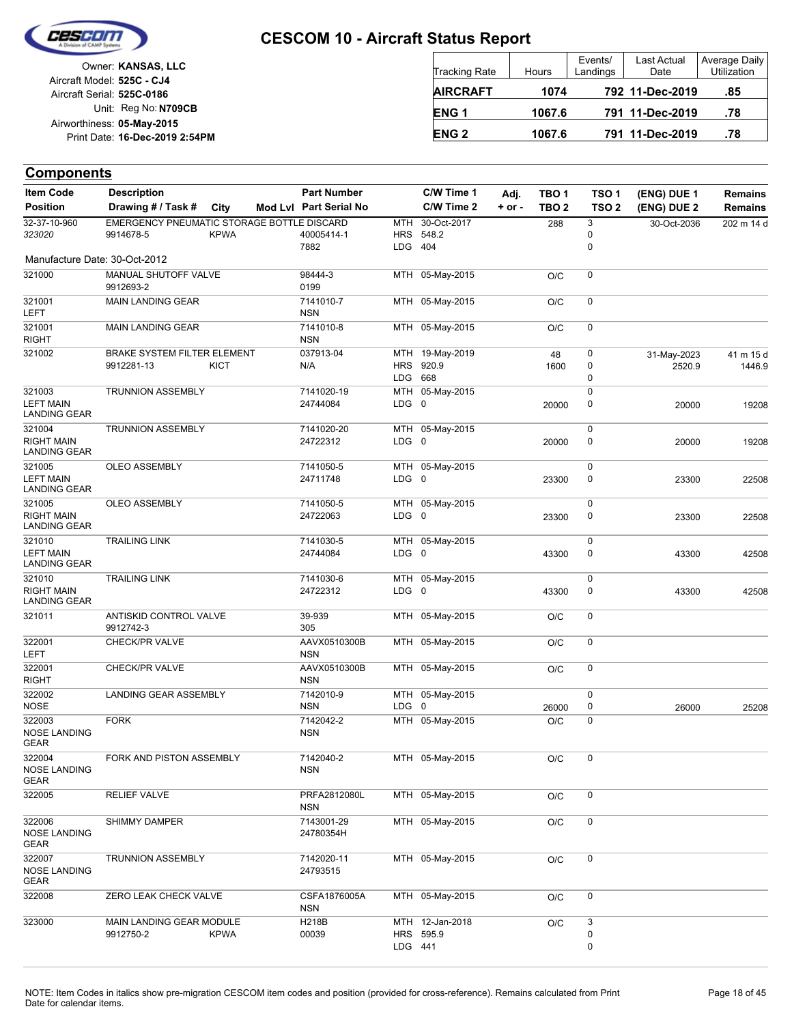

Unit: Reg No: N709CB Print Date: 16-Dec-2019 2:54PM **05-May-2015** Airworthiness: Owner: **KANSAS, LLC** Aircraft Serial: **525C-0186** Aircraft Model: **525C - CJ4**

| <b>Tracking Rate</b> | Hours  | Events/<br>Landings | Last Actual<br>Date | Average Daily<br><b>Utilization</b> |
|----------------------|--------|---------------------|---------------------|-------------------------------------|
| <b>AIRCRAFT</b>      | 1074   |                     | 792 11-Dec-2019     | .85                                 |
| ENG <sub>1</sub>     | 1067.6 |                     | 791 11-Dec-2019     | .78                                 |
| <b>ENG 2</b>         | 1067.6 |                     | 791 11-Dec-2019     | .78                                 |

| <b>Item Code</b>                                   | <b>Description</b>                                      |             | <b>Part Number</b>         |                         | C/W Time 1                   | Adj.     | TBO 1            | TSO <sub>1</sub> | (ENG) DUE 1           | Remains             |
|----------------------------------------------------|---------------------------------------------------------|-------------|----------------------------|-------------------------|------------------------------|----------|------------------|------------------|-----------------------|---------------------|
| <b>Position</b>                                    | Drawing # / Task #                                      | City        | Mod Lvl Part Serial No     |                         | C/W Time 2                   | $+ or -$ | TBO <sub>2</sub> | TSO <sub>2</sub> | (ENG) DUE 2           | Remains             |
| 32-37-10-960<br>323020                             | EMERGENCY PNEUMATIC STORAGE BOTTLE DISCARD<br>9914678-5 | <b>KPWA</b> | 40005414-1                 | MTH                     | 30-Oct-2017<br>HRS 548.2     |          | 288              | 3<br>0           | 30-Oct-2036           | 202 m 14 d          |
| Manufacture Date: 30-Oct-2012                      |                                                         |             | 7882                       | LDG 404                 |                              |          |                  | 0                |                       |                     |
| 321000                                             | MANUAL SHUTOFF VALVE<br>9912693-2                       |             | 98444-3<br>0199            |                         | MTH 05-May-2015              |          | O/C              | 0                |                       |                     |
| 321001<br>LEFT                                     | MAIN LANDING GEAR                                       |             | 7141010-7<br><b>NSN</b>    |                         | MTH 05-May-2015              |          | O/C              | 0                |                       |                     |
| 321001<br><b>RIGHT</b>                             | <b>MAIN LANDING GEAR</b>                                |             | 7141010-8<br><b>NSN</b>    |                         | MTH 05-May-2015              |          | O/C              | 0                |                       |                     |
| 321002                                             | BRAKE SYSTEM FILTER ELEMENT<br>9912281-13               | <b>KICT</b> | 037913-04<br>N/A           |                         | MTH 19-May-2019<br>HRS 920.9 |          | 48<br>1600       | 0<br>0           | 31-May-2023<br>2520.9 | 41 m 15 d<br>1446.9 |
| 321003<br><b>LEFT MAIN</b><br>LANDING GEAR         | <b>TRUNNION ASSEMBLY</b>                                |             | 7141020-19<br>24744084     | LDG 668<br>$LDG \t0$    | MTH 05-May-2015              |          | 20000            | 0<br>0<br>0      | 20000                 | 19208               |
| 321004<br><b>RIGHT MAIN</b><br><b>LANDING GEAR</b> | <b>TRUNNION ASSEMBLY</b>                                |             | 7141020-20<br>24722312     | LDG 0                   | MTH 05-May-2015              |          | 20000            | 0<br>0           | 20000                 | 19208               |
| 321005<br><b>LEFT MAIN</b><br><b>LANDING GEAR</b>  | OLEO ASSEMBLY                                           |             | 7141050-5<br>24711748      | $LDG \t0$               | MTH 05-May-2015              |          | 23300            | 0<br>0           | 23300                 | 22508               |
| 321005<br><b>RIGHT MAIN</b><br><b>LANDING GEAR</b> | OLEO ASSEMBLY                                           |             | 7141050-5<br>24722063      | LDG 0                   | MTH 05-May-2015              |          | 23300            | 0<br>0           | 23300                 | 22508               |
| 321010<br><b>LEFT MAIN</b><br><b>LANDING GEAR</b>  | <b>TRAILING LINK</b>                                    |             | 7141030-5<br>24744084      | LDG 0                   | MTH 05-May-2015              |          | 43300            | 0<br>0           | 43300                 | 42508               |
| 321010<br><b>RIGHT MAIN</b><br>LANDING GEAR        | <b>TRAILING LINK</b>                                    |             | 7141030-6<br>24722312      | LDG 0                   | MTH 05-May-2015              |          | 43300            | 0<br>0           | 43300                 | 42508               |
| 321011                                             | ANTISKID CONTROL VALVE<br>9912742-3                     |             | 39-939<br>305              |                         | MTH 05-May-2015              |          | O/C              | 0                |                       |                     |
| 322001<br><b>LEFT</b>                              | CHECK/PR VALVE                                          |             | AAVX0510300B<br><b>NSN</b> |                         | MTH 05-May-2015              |          | O/C              | 0                |                       |                     |
| 322001<br><b>RIGHT</b>                             | CHECK/PR VALVE                                          |             | AAVX0510300B<br><b>NSN</b> |                         | MTH 05-May-2015              |          | O/C              | 0                |                       |                     |
| 322002<br><b>NOSE</b>                              | LANDING GEAR ASSEMBLY                                   |             | 7142010-9<br><b>NSN</b>    | MTH<br>LDG <sub>0</sub> | 05-May-2015                  |          | 26000            | 0<br>0           | 26000                 | 25208               |
| 322003<br><b>NOSE LANDING</b><br><b>GEAR</b>       | <b>FORK</b>                                             |             | 7142042-2<br><b>NSN</b>    |                         | MTH 05-May-2015              |          | O/C              | 0                |                       |                     |
| 322004<br><b>NOSE LANDING</b><br>GEAR              | FORK AND PISTON ASSEMBLY                                |             | 7142040-2<br><b>NSN</b>    |                         | MTH 05-May-2015              |          | O/C              | 0                |                       |                     |
| 322005                                             | <b>RELIEF VALVE</b>                                     |             | PRFA2812080L<br>NSN        |                         | MTH 05-May-2015              |          | O/C              | 0                |                       |                     |
| 322006<br><b>NOSE LANDING</b><br>GEAR              | SHIMMY DAMPER                                           |             | 7143001-29<br>24780354H    |                         | MTH 05-May-2015              |          | O/C              | 0                |                       |                     |
| 322007<br><b>NOSE LANDING</b><br>GEAR              | <b>TRUNNION ASSEMBLY</b>                                |             | 7142020-11<br>24793515     |                         | MTH 05-May-2015              |          | O/C              | 0                |                       |                     |
| 322008                                             | ZERO LEAK CHECK VALVE                                   |             | CSFA1876005A<br><b>NSN</b> |                         | MTH 05-May-2015              |          | O/C              | 0                |                       |                     |
| 323000                                             | MAIN LANDING GEAR MODULE<br>9912750-2                   | <b>KPWA</b> | H218B<br>00039             | LDG 441                 | MTH 12-Jan-2018<br>HRS 595.9 |          | O/C              | 3<br>0<br>0      |                       |                     |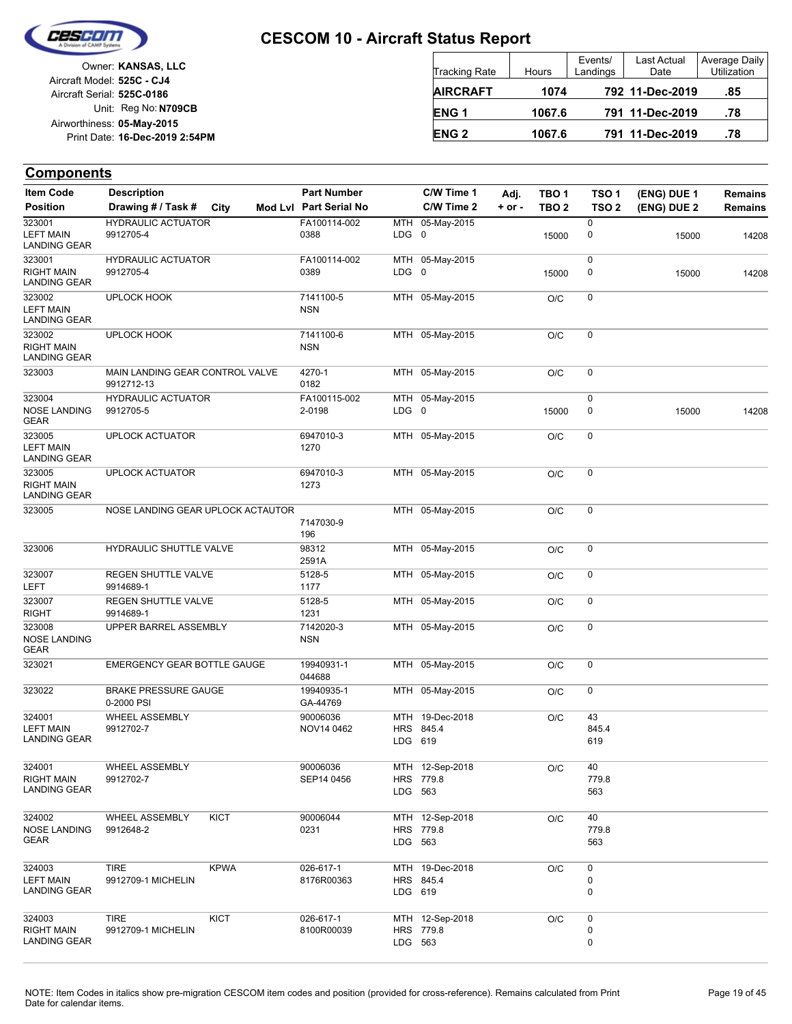

Unit: Reg No: N709CB Print Date: 16-Dec-2019 2:54PM **05-May-2015** Airworthiness: Owner: **KANSAS, LLC** Aircraft Serial: **525C-0186** Aircraft Model: **525C - CJ4**

| <b>Tracking Rate</b> | Hours  | Events/<br>Landings | Last Actual<br>Date | Average Daily<br>Utilization |
|----------------------|--------|---------------------|---------------------|------------------------------|
| <b>AIRCRAFT</b>      | 1074   |                     | 792 11-Dec-2019     | .85                          |
| ENG <sub>1</sub>     | 1067.6 |                     | 791 11-Dec-2019     | .78                          |
| <b>ENG 2</b>         | 1067.6 |                     | 791 11-Dec-2019     | .78                          |

| <b>Item Code</b>                                   | <b>Description</b>                            |             | <b>Part Number</b>      |         | C/W Time 1                   | Adj.       | TBO <sub>1</sub> | TSO 1              | (ENG) DUE 1 | Remains |
|----------------------------------------------------|-----------------------------------------------|-------------|-------------------------|---------|------------------------------|------------|------------------|--------------------|-------------|---------|
| <b>Position</b>                                    | Drawing # / Task #                            | City        | Mod Lvl Part Serial No  |         | C/W Time 2                   | $+$ or $-$ | TBO <sub>2</sub> | TSO <sub>2</sub>   | (ENG) DUE 2 | Remains |
| 323001<br><b>LEFT MAIN</b><br><b>LANDING GEAR</b>  | <b>HYDRAULIC ACTUATOR</b><br>9912705-4        |             | FA100114-002<br>0388    | LDG 0   | MTH 05-May-2015              |            | 15000            | 0<br>0             | 15000       | 14208   |
| 323001<br><b>RIGHT MAIN</b><br><b>LANDING GEAR</b> | <b>HYDRAULIC ACTUATOR</b><br>9912705-4        |             | FA100114-002<br>0389    | LDG 0   | MTH 05-May-2015              |            | 15000            | 0<br>0             | 15000       | 14208   |
| 323002<br><b>LEFT MAIN</b><br><b>LANDING GEAR</b>  | UPLOCK HOOK                                   |             | 7141100-5<br><b>NSN</b> |         | MTH 05-May-2015              |            | O/C              | 0                  |             |         |
| 323002<br><b>RIGHT MAIN</b><br><b>LANDING GEAR</b> | <b>UPLOCK HOOK</b>                            |             | 7141100-6<br><b>NSN</b> |         | MTH 05-May-2015              |            | O/C              | 0                  |             |         |
| 323003                                             | MAIN LANDING GEAR CONTROL VALVE<br>9912712-13 |             | 4270-1<br>0182          |         | MTH 05-May-2015              |            | O/C              | 0                  |             |         |
| 323004<br><b>NOSE LANDING</b><br><b>GEAR</b>       | <b>HYDRAULIC ACTUATOR</b><br>9912705-5        |             | FA100115-002<br>2-0198  | LDG 0   | MTH 05-May-2015              |            | 15000            | 0<br>0             | 15000       | 14208   |
| 323005<br><b>LEFT MAIN</b><br><b>LANDING GEAR</b>  | <b>UPLOCK ACTUATOR</b>                        |             | 6947010-3<br>1270       |         | MTH 05-May-2015              |            | O/C              | 0                  |             |         |
| 323005<br><b>RIGHT MAIN</b><br><b>LANDING GEAR</b> | <b>UPLOCK ACTUATOR</b>                        |             | 6947010-3<br>1273       |         | MTH 05-May-2015              |            | O/C              | 0                  |             |         |
| 323005                                             | NOSE LANDING GEAR UPLOCK ACTAUTOR             |             | 7147030-9<br>196        |         | MTH 05-May-2015              |            | O/C              | 0                  |             |         |
| 323006                                             | HYDRAULIC SHUTTLE VALVE                       |             | 98312<br>2591A          |         | MTH 05-May-2015              |            | O/C              | 0                  |             |         |
| 323007<br>LEFT                                     | REGEN SHUTTLE VALVE<br>9914689-1              |             | 5128-5<br>1177          |         | MTH 05-May-2015              |            | O/C              | 0                  |             |         |
| 323007<br><b>RIGHT</b>                             | REGEN SHUTTLE VALVE<br>9914689-1              |             | 5128-5<br>1231          |         | MTH 05-May-2015              |            | O/C              | 0                  |             |         |
| 323008<br><b>NOSE LANDING</b><br><b>GEAR</b>       | UPPER BARREL ASSEMBLY                         |             | 7142020-3<br><b>NSN</b> |         | MTH 05-May-2015              |            | O/C              | 0                  |             |         |
| 323021                                             | EMERGENCY GEAR BOTTLE GAUGE                   |             | 19940931-1<br>044688    |         | MTH 05-May-2015              |            | O/C              | 0                  |             |         |
| 323022                                             | <b>BRAKE PRESSURE GAUGE</b><br>0-2000 PSI     |             | 19940935-1<br>GA-44769  |         | MTH 05-May-2015              |            | O/C              | 0                  |             |         |
| 324001<br><b>LEFT MAIN</b><br><b>LANDING GEAR</b>  | WHEEL ASSEMBLY<br>9912702-7                   |             | 90006036<br>NOV14 0462  | LDG 619 | MTH 19-Dec-2018<br>HRS 845.4 |            | O/C              | 43<br>845.4<br>619 |             |         |
| 324001<br><b>RIGHT MAIN</b><br><b>LANDING GEAR</b> | <b>WHEEL ASSEMBLY</b><br>9912702-7            |             | 90006036<br>SEP14 0456  | LDG 563 | MTH 12-Sep-2018<br>HRS 779.8 |            | O/C              | 40<br>779.8<br>563 |             |         |
| 324002<br><b>NOSE LANDING</b><br>GEAR              | WHEEL ASSEMBLY<br>9912648-2                   | <b>KICT</b> | 90006044<br>0231        | LDG 563 | MTH 12-Sep-2018<br>HRS 779.8 |            | O/C              | 40<br>779.8<br>563 |             |         |
| 324003<br><b>LEFT MAIN</b><br><b>LANDING GEAR</b>  | <b>TIRE</b><br>9912709-1 MICHELIN             | <b>KPWA</b> | 026-617-1<br>8176R00363 | LDG 619 | MTH 19-Dec-2018<br>HRS 845.4 |            | O/C              | 0<br>0<br>0        |             |         |
| 324003<br><b>RIGHT MAIN</b><br><b>LANDING GEAR</b> | <b>TIRE</b><br>9912709-1 MICHELIN             | <b>KICT</b> | 026-617-1<br>8100R00039 | LDG 563 | MTH 12-Sep-2018<br>HRS 779.8 |            | O/C              | 0<br>0<br>0        |             |         |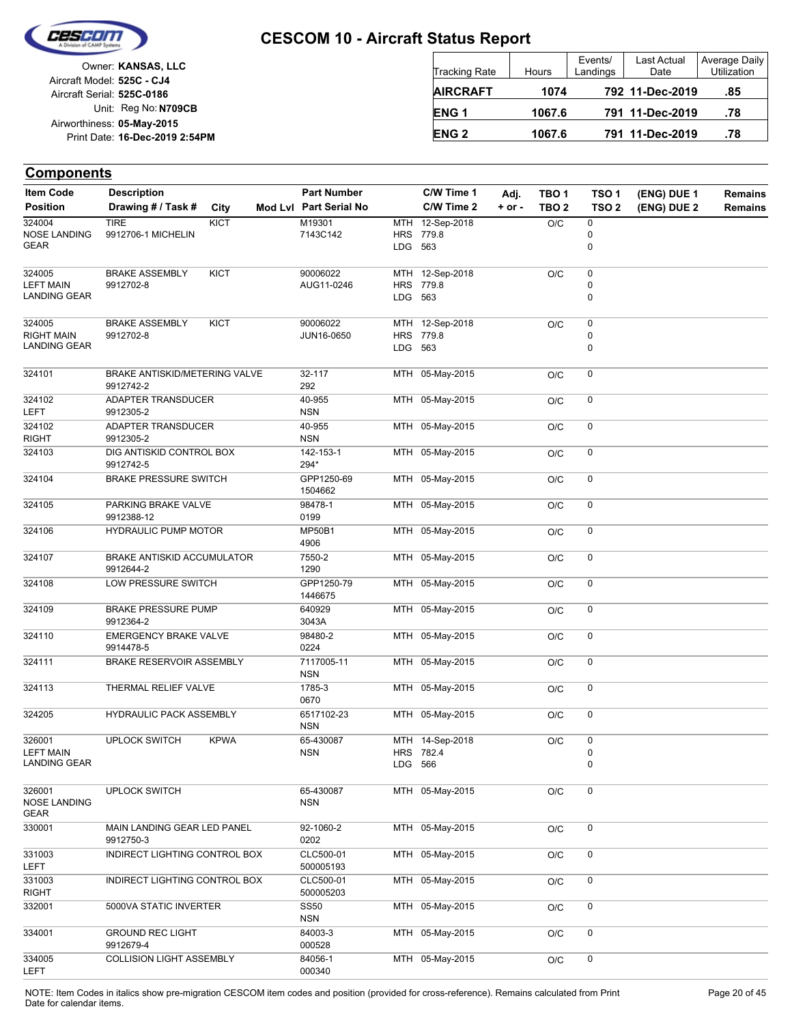

Unit: Reg No: N709CB Print Date: 16-Dec-2019 2:54PM **05-May-2015** Airworthiness: Owner: **KANSAS, LLC** Aircraft Serial: **525C-0186** Aircraft Model: **525C - CJ4**

| <b>Tracking Rate</b> | Hours  | Events/<br>Landings | <b>Last Actual</b><br>Date | Average Daily<br><b>Utilization</b> |
|----------------------|--------|---------------------|----------------------------|-------------------------------------|
| <b>AIRCRAFT</b>      | 1074   |                     | 792 11-Dec-2019            | .85                                 |
| <b>ENG1</b>          | 1067.6 |                     | 791 11-Dec-2019            | .78                                 |
| <b>ENG 2</b>         | 1067.6 |                     | 791 11-Dec-2019            | .78                                 |

| <b>Item Code</b>            | <b>Description</b>                           |             | <b>Part Number</b>        |         | C/W Time 1      | Adj.       | TBO <sub>1</sub> | TSO <sub>1</sub> | (ENG) DUE 1 | <b>Remains</b> |
|-----------------------------|----------------------------------------------|-------------|---------------------------|---------|-----------------|------------|------------------|------------------|-------------|----------------|
| <b>Position</b>             | Drawing # / Task #                           | City        | Mod Lvl Part Serial No    |         | C/W Time 2      | $+$ or $-$ | TBO <sub>2</sub> | TSO <sub>2</sub> | (ENG) DUE 2 | <b>Remains</b> |
| 324004                      | <b>TIRE</b>                                  | <b>KICT</b> | M19301                    |         | MTH 12-Sep-2018 |            | O/C              | 0                |             |                |
| <b>NOSE LANDING</b>         | 9912706-1 MICHELIN                           |             | 7143C142                  |         | HRS 779.8       |            |                  | 0                |             |                |
| <b>GEAR</b>                 |                                              |             |                           | LDG 563 |                 |            |                  | 0                |             |                |
| 324005                      | <b>BRAKE ASSEMBLY</b>                        | <b>KICT</b> | 90006022                  |         | MTH 12-Sep-2018 |            | O/C              | 0                |             |                |
| <b>LEFT MAIN</b>            | 9912702-8                                    |             | AUG11-0246                |         | HRS 779.8       |            |                  | 0                |             |                |
| LANDING GEAR                |                                              |             |                           | LDG 563 |                 |            |                  | 0                |             |                |
| 324005                      | <b>BRAKE ASSEMBLY</b>                        | KICT        | 90006022                  |         | MTH 12-Sep-2018 |            | O/C              | 0                |             |                |
| <b>RIGHT MAIN</b>           | 9912702-8                                    |             | JUN16-0650                |         | HRS 779.8       |            |                  | 0                |             |                |
| <b>LANDING GEAR</b>         |                                              |             |                           | LDG 563 |                 |            |                  | $\mathbf 0$      |             |                |
| 324101                      | BRAKE ANTISKID/METERING VALVE                |             | 32-117                    |         | MTH 05-May-2015 |            | O/C              | 0                |             |                |
|                             | 9912742-2                                    |             | 292                       |         |                 |            |                  |                  |             |                |
| 324102                      | ADAPTER TRANSDUCER                           |             | 40-955                    |         | MTH 05-May-2015 |            | O/C              | 0                |             |                |
| LEFT                        | 9912305-2                                    |             | <b>NSN</b>                |         |                 |            |                  |                  |             |                |
| 324102<br><b>RIGHT</b>      | ADAPTER TRANSDUCER<br>9912305-2              |             | 40-955<br><b>NSN</b>      |         | MTH 05-May-2015 |            | O/C              | 0                |             |                |
| 324103                      | DIG ANTISKID CONTROL BOX                     |             | 142-153-1                 |         | MTH 05-May-2015 |            | O/C              | 0                |             |                |
|                             | 9912742-5                                    |             | 294*                      |         |                 |            |                  |                  |             |                |
| 324104                      | <b>BRAKE PRESSURE SWITCH</b>                 |             | GPP1250-69<br>1504662     |         | MTH 05-May-2015 |            | O/C              | 0                |             |                |
| 324105                      | PARKING BRAKE VALVE<br>9912388-12            |             | 98478-1<br>0199           |         | MTH 05-May-2015 |            | O/C              | 0                |             |                |
| 324106                      | <b>HYDRAULIC PUMP MOTOR</b>                  |             | <b>MP50B1</b><br>4906     |         | MTH 05-May-2015 |            | O/C              | 0                |             |                |
| 324107                      | BRAKE ANTISKID ACCUMULATOR                   |             | 7550-2                    |         | MTH 05-May-2015 |            | O/C              | 0                |             |                |
|                             | 9912644-2                                    |             | 1290                      |         |                 |            |                  |                  |             |                |
| 324108                      | LOW PRESSURE SWITCH                          |             | GPP1250-79<br>1446675     |         | MTH 05-May-2015 |            | O/C              | 0                |             |                |
| 324109                      | <b>BRAKE PRESSURE PUMP</b><br>9912364-2      |             | 640929<br>3043A           |         | MTH 05-May-2015 |            | O/C              | 0                |             |                |
| 324110                      | <b>EMERGENCY BRAKE VALVE</b>                 |             | 98480-2                   |         | MTH 05-May-2015 |            | O/C              | 0                |             |                |
| 324111                      | 9914478-5<br><b>BRAKE RESERVOIR ASSEMBLY</b> |             | 0224<br>7117005-11        |         | MTH 05-May-2015 |            | O/C              | 0                |             |                |
|                             |                                              |             | <b>NSN</b>                |         |                 |            |                  |                  |             |                |
| 324113                      | THERMAL RELIEF VALVE                         |             | 1785-3<br>0670            |         | MTH 05-May-2015 |            | O/C              | 0                |             |                |
| 324205                      | <b>HYDRAULIC PACK ASSEMBLY</b>               |             | 6517102-23<br><b>NSN</b>  |         | MTH 05-May-2015 |            | O/C              | 0                |             |                |
| 326001                      | <b>UPLOCK SWITCH</b>                         | <b>KPWA</b> | 65-430087                 |         | MTH 14-Sep-2018 |            | O/C              | 0                |             |                |
| <b>LEFT MAIN</b>            |                                              |             | <b>NSN</b>                |         | HRS 782.4       |            |                  | 0                |             |                |
| <b>LANDING GEAR</b>         |                                              |             |                           | LDG 566 |                 |            |                  | 0                |             |                |
| 326001                      | <b>UPLOCK SWITCH</b>                         |             | 65-430087                 |         | MTH 05-May-2015 |            | O/C              | 0                |             |                |
| <b>NOSE LANDING</b><br>GEAR |                                              |             | <b>NSN</b>                |         |                 |            |                  |                  |             |                |
| 330001                      | MAIN LANDING GEAR LED PANEL                  |             | 92-1060-2                 |         | MTH 05-May-2015 |            | O/C              | 0                |             |                |
|                             | 9912750-3<br>INDIRECT LIGHTING CONTROL BOX   |             | 0202<br>CLC500-01         |         |                 |            |                  |                  |             |                |
| 331003<br><b>LEFT</b>       |                                              |             | 500005193                 |         | MTH 05-May-2015 |            | O/C              | 0                |             |                |
| 331003<br><b>RIGHT</b>      | INDIRECT LIGHTING CONTROL BOX                |             | CLC500-01<br>500005203    |         | MTH 05-May-2015 |            | O/C              | 0                |             |                |
| 332001                      | 5000VA STATIC INVERTER                       |             | <b>SS50</b><br><b>NSN</b> |         | MTH 05-May-2015 |            | O/C              | 0                |             |                |
| 334001                      | <b>GROUND REC LIGHT</b>                      |             | 84003-3                   |         | MTH 05-May-2015 |            | O/C              | 0                |             |                |
| 334005                      | 9912679-4<br><b>COLLISION LIGHT ASSEMBLY</b> |             | 000528<br>84056-1         |         | MTH 05-May-2015 |            | O/C              | 0                |             |                |
| <b>LEFT</b>                 |                                              |             | 000340                    |         |                 |            |                  |                  |             |                |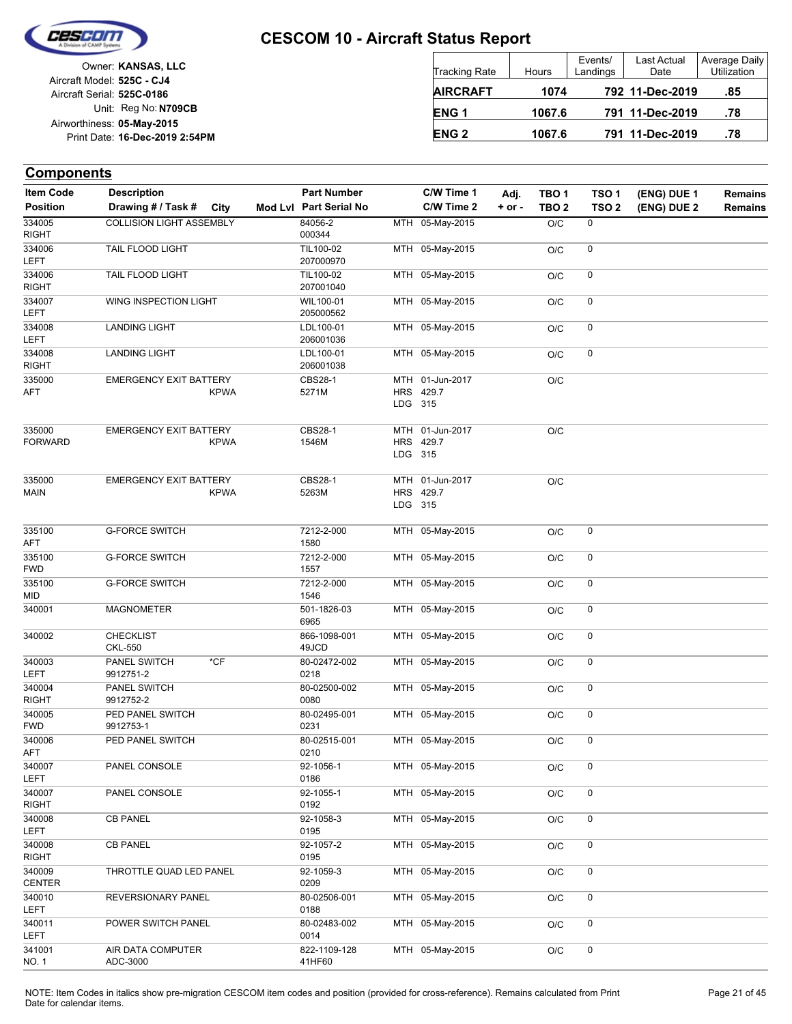

| Owner: KANSAS, LLC             |
|--------------------------------|
| Aircraft Model: 525C - CJ4     |
| Aircraft Serial: 525C-0186     |
| Unit: Reg No: N709CB           |
| Airworthiness: 05-May-2015     |
| Print Date: 16-Dec-2019 2:54PM |
|                                |

| <b>Tracking Rate</b> | Hours  | Events/<br>Landings | Last Actual<br>Date | Average Daily<br><b>Utilization</b> |
|----------------------|--------|---------------------|---------------------|-------------------------------------|
| <b>AIRCRAFT</b>      | 1074   |                     | 792 11-Dec-2019     | .85                                 |
| ENG <sub>1</sub>     | 1067.6 |                     | 791 11-Dec-2019     | .78                                 |
| <b>ENG 2</b>         | 1067.6 |                     | 791 11-Dec-2019     | .78                                 |

| <b>Item Code</b>         | <b>Description</b>                  |             | <b>Part Number</b>     |         | C/W Time 1                   | Adj.       | TBO <sub>1</sub> | TSO <sub>1</sub> | (ENG) DUE 1 | <b>Remains</b> |
|--------------------------|-------------------------------------|-------------|------------------------|---------|------------------------------|------------|------------------|------------------|-------------|----------------|
| <b>Position</b>          | Drawing # / Task #                  | City        | Mod Lvl Part Serial No |         | C/W Time 2                   | $+$ or $-$ | TBO <sub>2</sub> | TSO <sub>2</sub> | (ENG) DUE 2 | <b>Remains</b> |
| 334005<br><b>RIGHT</b>   | <b>COLLISION LIGHT ASSEMBLY</b>     |             | 84056-2<br>000344      |         | MTH 05-May-2015              |            | O/C              | 0                |             |                |
| 334006<br><b>LEFT</b>    | TAIL FLOOD LIGHT                    |             | TIL100-02<br>207000970 |         | MTH 05-May-2015              |            | O/C              | 0                |             |                |
| 334006<br><b>RIGHT</b>   | TAIL FLOOD LIGHT                    |             | TIL100-02<br>207001040 |         | MTH 05-May-2015              |            | O/C              | 0                |             |                |
| 334007<br><b>LEFT</b>    | WING INSPECTION LIGHT               |             | WIL100-01<br>205000562 |         | MTH 05-May-2015              |            | O/C              | 0                |             |                |
| 334008<br>LEFT           | <b>LANDING LIGHT</b>                |             | LDL100-01<br>206001036 |         | MTH 05-May-2015              |            | O/C              | 0                |             |                |
| 334008<br><b>RIGHT</b>   | <b>LANDING LIGHT</b>                |             | LDL100-01<br>206001038 |         | MTH 05-May-2015              |            | O/C              | 0                |             |                |
| 335000<br>AFT            | <b>EMERGENCY EXIT BATTERY</b>       | <b>KPWA</b> | CBS28-1<br>5271M       | LDG 315 | MTH 01-Jun-2017<br>HRS 429.7 |            | O/C              |                  |             |                |
| 335000<br><b>FORWARD</b> | <b>EMERGENCY EXIT BATTERY</b>       | <b>KPWA</b> | CBS28-1<br>1546M       | LDG 315 | MTH 01-Jun-2017<br>HRS 429.7 |            | O/C              |                  |             |                |
| 335000<br>MAIN           | <b>EMERGENCY EXIT BATTERY</b>       | <b>KPWA</b> | CBS28-1<br>5263M       | LDG 315 | MTH 01-Jun-2017<br>HRS 429.7 |            | O/C              |                  |             |                |
| 335100<br>AFT            | <b>G-FORCE SWITCH</b>               |             | 7212-2-000<br>1580     |         | MTH 05-May-2015              |            | O/C              | 0                |             |                |
| 335100<br><b>FWD</b>     | <b>G-FORCE SWITCH</b>               |             | 7212-2-000<br>1557     |         | MTH 05-May-2015              |            | O/C              | 0                |             |                |
| 335100<br>MID            | <b>G-FORCE SWITCH</b>               |             | 7212-2-000<br>1546     |         | MTH 05-May-2015              |            | O/C              | 0                |             |                |
| 340001                   | <b>MAGNOMETER</b>                   |             | 501-1826-03<br>6965    |         | MTH 05-May-2015              |            | O/C              | 0                |             |                |
| 340002                   | <b>CHECKLIST</b><br><b>CKL-550</b>  |             | 866-1098-001<br>49JCD  |         | MTH 05-May-2015              |            | O/C              | 0                |             |                |
| 340003<br><b>LEFT</b>    | $*$ CF<br>PANEL SWITCH<br>9912751-2 |             | 80-02472-002<br>0218   |         | MTH 05-May-2015              |            | O/C              | 0                |             |                |
| 340004<br><b>RIGHT</b>   | PANEL SWITCH<br>9912752-2           |             | 80-02500-002<br>0080   |         | MTH 05-May-2015              |            | O/C              | 0                |             |                |
| 340005<br><b>FWD</b>     | PED PANEL SWITCH<br>9912753-1       |             | 80-02495-001<br>0231   |         | MTH 05-May-2015              |            | O/C              | 0                |             |                |
| 340006<br>AFT            | PED PANEL SWITCH                    |             | 80-02515-001<br>0210   |         | MTH 05-May-2015              |            | O/C              | $\mathbf 0$      |             |                |
| 340007<br><b>LEFT</b>    | PANEL CONSOLE                       |             | 92-1056-1<br>0186      |         | MTH 05-May-2015              |            | $\rm O/C$        | 0                |             |                |
| 340007<br><b>RIGHT</b>   | PANEL CONSOLE                       |             | 92-1055-1<br>0192      |         | MTH 05-May-2015              |            | O/C              | 0                |             |                |
| 340008<br><b>LEFT</b>    | <b>CB PANEL</b>                     |             | 92-1058-3<br>0195      |         | MTH 05-May-2015              |            | O/C              | 0                |             |                |
| 340008<br><b>RIGHT</b>   | <b>CB PANEL</b>                     |             | 92-1057-2<br>0195      |         | MTH 05-May-2015              |            | O/C              | 0                |             |                |
| 340009<br><b>CENTER</b>  | THROTTLE QUAD LED PANEL             |             | 92-1059-3<br>0209      |         | MTH 05-May-2015              |            | O/C              | 0                |             |                |
| 340010<br><b>LEFT</b>    | REVERSIONARY PANEL                  |             | 80-02506-001<br>0188   |         | MTH 05-May-2015              |            | O/C              | 0                |             |                |
| 340011<br><b>LEFT</b>    | POWER SWITCH PANEL                  |             | 80-02483-002<br>0014   |         | MTH 05-May-2015              |            | O/C              | 0                |             |                |
| 341001<br>NO. 1          | AIR DATA COMPUTER<br>ADC-3000       |             | 822-1109-128<br>41HF60 |         | MTH 05-May-2015              |            | O/C              | 0                |             |                |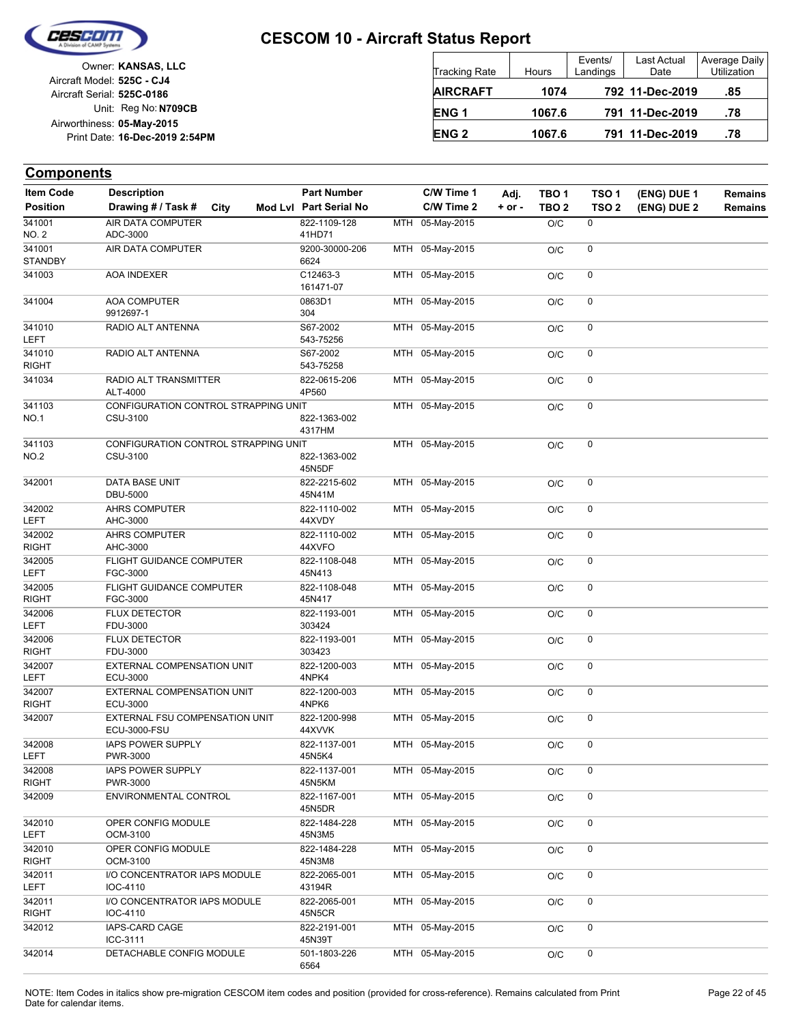

|                            | Owner: KANSAS, LLC             |
|----------------------------|--------------------------------|
| Aircraft Model: 525C - CJ4 |                                |
| Aircraft Serial: 525C-0186 |                                |
|                            | Unit: Reg No: N709CB           |
| Airworthiness: 05-May-2015 |                                |
|                            | Print Date: 16-Dec-2019 2:54PM |
|                            |                                |

| <b>Tracking Rate</b> | Hours  | Events/<br>Landings | Last Actual<br>Date | Average Daily<br><b>Utilization</b> |
|----------------------|--------|---------------------|---------------------|-------------------------------------|
| <b>AIRCRAFT</b>      | 1074   |                     | 792 11-Dec-2019     | .85                                 |
| ENG <sub>1</sub>     | 1067.6 |                     | 791 11-Dec-2019     | .78                                 |
| <b>ENG 2</b>         | 1067.6 |                     | 791 11-Dec-2019     | .78                                 |

| <b>Item Code</b>         | <b>Description</b>                             |      | <b>Part Number</b>     | C/W Time 1      | Adj.       | TBO <sub>1</sub> | TSO <sub>1</sub> | (ENG) DUE 1 | <b>Remains</b> |
|--------------------------|------------------------------------------------|------|------------------------|-----------------|------------|------------------|------------------|-------------|----------------|
| <b>Position</b>          | Drawing # / Task #                             | City | Mod Lvl Part Serial No | C/W Time 2      | $+$ or $-$ | TBO <sub>2</sub> | TSO <sub>2</sub> | (ENG) DUE 2 | <b>Remains</b> |
| 341001                   | <b>AIR DATA COMPUTER</b>                       |      | 822-1109-128           | MTH 05-May-2015 |            | O/C              | 0                |             |                |
| <b>NO. 2</b>             | ADC-3000                                       |      | 41HD71                 |                 |            |                  |                  |             |                |
| 341001<br><b>STANDBY</b> | AIR DATA COMPUTER                              |      | 9200-30000-206<br>6624 | MTH 05-May-2015 |            | O/C              | 0                |             |                |
| 341003                   | AOA INDEXER                                    |      | C12463-3<br>161471-07  | MTH 05-May-2015 |            | O/C              | $\mathbf 0$      |             |                |
| 341004                   | <b>AOA COMPUTER</b><br>9912697-1               |      | 0863D1<br>304          | MTH 05-May-2015 |            | O/C              | 0                |             |                |
| 341010<br>LEFT           | RADIO ALT ANTENNA                              |      | S67-2002<br>543-75256  | MTH 05-May-2015 |            | O/C              | 0                |             |                |
| 341010<br><b>RIGHT</b>   | RADIO ALT ANTENNA                              |      | S67-2002<br>543-75258  | MTH 05-May-2015 |            | O/C              | 0                |             |                |
| 341034                   | RADIO ALT TRANSMITTER<br>ALT-4000              |      | 822-0615-206<br>4P560  | MTH 05-May-2015 |            | O/C              | $\mathbf 0$      |             |                |
| 341103                   | CONFIGURATION CONTROL STRAPPING UNIT           |      |                        | MTH 05-May-2015 |            | O/C              | 0                |             |                |
| NO.1                     | CSU-3100                                       |      | 822-1363-002<br>4317HM |                 |            |                  |                  |             |                |
| 341103                   | CONFIGURATION CONTROL STRAPPING UNIT           |      |                        | MTH 05-May-2015 |            | O/C              | 0                |             |                |
| <b>NO.2</b>              | CSU-3100                                       |      | 822-1363-002<br>45N5DF |                 |            |                  |                  |             |                |
| 342001                   | <b>DATA BASE UNIT</b><br><b>DBU-5000</b>       |      | 822-2215-602<br>45N41M | MTH 05-May-2015 |            | O/C              | 0                |             |                |
| 342002                   | <b>AHRS COMPUTER</b>                           |      | 822-1110-002           | MTH 05-May-2015 |            | O/C              | 0                |             |                |
| <b>LEFT</b>              | AHC-3000                                       |      | 44XVDY                 |                 |            |                  |                  |             |                |
| 342002<br><b>RIGHT</b>   | <b>AHRS COMPUTER</b><br>AHC-3000               |      | 822-1110-002<br>44XVFO | MTH 05-May-2015 |            | O/C              | $\mathbf 0$      |             |                |
| 342005<br><b>LEFT</b>    | <b>FLIGHT GUIDANCE COMPUTER</b><br>FGC-3000    |      | 822-1108-048<br>45N413 | MTH 05-May-2015 |            | O/C              | 0                |             |                |
| 342005                   | FLIGHT GUIDANCE COMPUTER                       |      | 822-1108-048           | MTH 05-May-2015 |            |                  | $\pmb{0}$        |             |                |
| <b>RIGHT</b>             | FGC-3000                                       |      | 45N417                 |                 |            | O/C              |                  |             |                |
| 342006<br><b>LEFT</b>    | <b>FLUX DETECTOR</b><br>FDU-3000               |      | 822-1193-001<br>303424 | MTH 05-May-2015 |            | O/C              | 0                |             |                |
| 342006                   | <b>FLUX DETECTOR</b>                           |      | 822-1193-001           | MTH 05-May-2015 |            | O/C              | $\pmb{0}$        |             |                |
| <b>RIGHT</b><br>342007   | FDU-3000<br>EXTERNAL COMPENSATION UNIT         |      | 303423<br>822-1200-003 | MTH 05-May-2015 |            |                  | 0                |             |                |
| <b>LEFT</b>              | ECU-3000                                       |      | 4NPK4                  |                 |            | O/C              |                  |             |                |
| 342007<br><b>RIGHT</b>   | EXTERNAL COMPENSATION UNIT<br>ECU-3000         |      | 822-1200-003<br>4NPK6  | MTH 05-May-2015 |            | O/C              | 0                |             |                |
| 342007                   | EXTERNAL FSU COMPENSATION UNIT<br>ECU-3000-FSU |      | 822-1200-998<br>44XVVK | MTH 05-May-2015 |            | O/C              | 0                |             |                |
| 342008<br>LEFT           | IAPS POWER SUPPLY<br>PWR-3000                  |      | 822-1137-001<br>45N5K4 | MTH 05-May-2015 |            | O/C              | 0                |             |                |
| 342008<br><b>RIGHT</b>   | IAPS POWER SUPPLY<br>PWR-3000                  |      | 822-1137-001<br>45N5KM | MTH 05-May-2015 |            | O/C              | 0                |             |                |
| 342009                   | ENVIRONMENTAL CONTROL                          |      | 822-1167-001<br>45N5DR | MTH 05-May-2015 |            | O/C              | $\mathsf 0$      |             |                |
| 342010                   | OPER CONFIG MODULE                             |      | 822-1484-228           | MTH 05-May-2015 |            | O/C              | 0                |             |                |
| LEFT                     | OCM-3100                                       |      | 45N3M5                 |                 |            |                  |                  |             |                |
| 342010<br><b>RIGHT</b>   | OPER CONFIG MODULE<br>OCM-3100                 |      | 822-1484-228<br>45N3M8 | MTH 05-May-2015 |            | O/C              | 0                |             |                |
| 342011<br>LEFT           | I/O CONCENTRATOR IAPS MODULE<br>IOC-4110       |      | 822-2065-001<br>43194R | MTH 05-May-2015 |            | O/C              | 0                |             |                |
| 342011                   | I/O CONCENTRATOR IAPS MODULE                   |      | 822-2065-001           | MTH 05-May-2015 |            | O/C              | 0                |             |                |
| <b>RIGHT</b>             | IOC-4110                                       |      | 45N5CR                 |                 |            |                  |                  |             |                |
| 342012                   | IAPS-CARD CAGE<br>ICC-3111                     |      | 822-2191-001<br>45N39T | MTH 05-May-2015 |            | O/C              | 0                |             |                |
| 342014                   | DETACHABLE CONFIG MODULE                       |      | 501-1803-226<br>6564   | MTH 05-May-2015 |            | O/C              | 0                |             |                |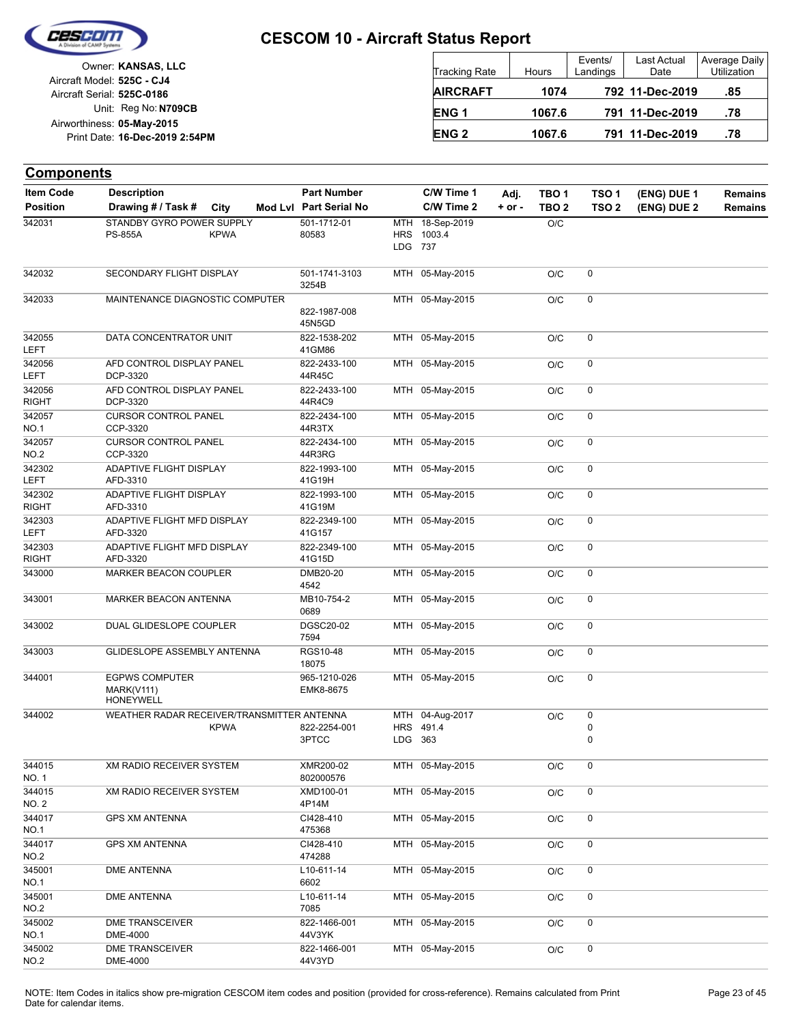

Unit: Reg No: N709CB Print Date: 16-Dec-2019 2:54PM **05-May-2015** Airworthiness: Owner: **KANSAS, LLC** Aircraft Serial: **525C-0186** Aircraft Model: **525C - CJ4**

| Tracking Rate    | Hours  | Events/<br>Landings | Last Actual<br>Date | Average Daily<br>Utilization |
|------------------|--------|---------------------|---------------------|------------------------------|
| <b>AIRCRAFT</b>  | 1074   |                     | 792 11-Dec-2019     | .85                          |
| ENG <sub>1</sub> | 1067.6 |                     | 791 11-Dec-2019     | .78                          |
| <b>ENG 2</b>     | 1067.6 |                     | 791 11-Dec-2019     | .78                          |

| <b>Components</b>                   |                                                         |             |                                              |                                 |                              |                    |                                      |                                      |                            |                                  |
|-------------------------------------|---------------------------------------------------------|-------------|----------------------------------------------|---------------------------------|------------------------------|--------------------|--------------------------------------|--------------------------------------|----------------------------|----------------------------------|
| <b>Item Code</b><br><b>Position</b> | <b>Description</b><br>Drawing # / Task #                | City        | <b>Part Number</b><br>Mod Lvl Part Serial No |                                 | C/W Time 1<br>C/W Time 2     | Adj.<br>$+$ or $-$ | TBO <sub>1</sub><br>TBO <sub>2</sub> | TSO <sub>1</sub><br>TSO <sub>2</sub> | (ENG) DUE 1<br>(ENG) DUE 2 | <b>Remains</b><br><b>Remains</b> |
| 342031                              | STANDBY GYRO POWER SUPPLY<br><b>PS-855A</b>             | <b>KPWA</b> | 501-1712-01<br>80583                         | <b>MTH</b><br><b>HRS</b><br>LDG | 18-Sep-2019<br>1003.4<br>737 |                    | O/C                                  |                                      |                            |                                  |
| 342032                              | SECONDARY FLIGHT DISPLAY                                |             | 501-1741-3103<br>3254B                       | MTH                             | 05-May-2015                  |                    | O/C                                  | 0                                    |                            |                                  |
| 342033                              | MAINTENANCE DIAGNOSTIC COMPUTER                         |             | 822-1987-008<br>45N5GD                       |                                 | MTH 05-May-2015              |                    | O/C                                  | 0                                    |                            |                                  |
| 342055<br>LEFT                      | DATA CONCENTRATOR UNIT                                  |             | 822-1538-202<br>41GM86                       |                                 | MTH 05-May-2015              |                    | O/C                                  | 0                                    |                            |                                  |
| 342056<br>LEFT                      | AFD CONTROL DISPLAY PANEL<br>DCP-3320                   |             | 822-2433-100<br>44R45C                       | MTH                             | 05-May-2015                  |                    | O/C                                  | 0                                    |                            |                                  |
| 342056<br><b>RIGHT</b>              | AFD CONTROL DISPLAY PANEL<br>DCP-3320                   |             | 822-2433-100<br>44R4C9                       | MTH                             | 05-May-2015                  |                    | O/C                                  | 0                                    |                            |                                  |
| 342057<br><b>NO.1</b>               | <b>CURSOR CONTROL PANEL</b><br>CCP-3320                 |             | 822-2434-100<br>44R3TX                       | MTH                             | 05-May-2015                  |                    | O/C                                  | $\mathbf 0$                          |                            |                                  |
| 342057<br><b>NO.2</b>               | <b>CURSOR CONTROL PANEL</b><br>CCP-3320                 |             | 822-2434-100<br>44R3RG                       | MTH                             | 05-May-2015                  |                    | O/C                                  | 0                                    |                            |                                  |
| 342302<br>LEFT                      | ADAPTIVE FLIGHT DISPLAY<br>AFD-3310                     |             | 822-1993-100<br>41G19H                       |                                 | MTH 05-May-2015              |                    | O/C                                  | 0                                    |                            |                                  |
| 342302<br><b>RIGHT</b>              | <b>ADAPTIVE FLIGHT DISPLAY</b><br>AFD-3310              |             | 822-1993-100<br>41G19M                       | MTH                             | 05-May-2015                  |                    | O/C                                  | 0                                    |                            |                                  |
| 342303<br>LEFT                      | ADAPTIVE FLIGHT MFD DISPLAY<br>AFD-3320                 |             | 822-2349-100<br>41G157                       | MTH                             | 05-May-2015                  |                    | O/C                                  | 0                                    |                            |                                  |
| 342303<br><b>RIGHT</b>              | ADAPTIVE FLIGHT MFD DISPLAY<br>AFD-3320                 |             | 822-2349-100<br>41G15D                       |                                 | MTH 05-May-2015              |                    | O/C                                  | 0                                    |                            |                                  |
| 343000                              | <b>MARKER BEACON COUPLER</b>                            |             | DMB20-20<br>4542                             | MTH                             | 05-May-2015                  |                    | O/C                                  | 0                                    |                            |                                  |
| 343001                              | MARKER BEACON ANTENNA                                   |             | MB10-754-2<br>0689                           | MTH                             | 05-May-2015                  |                    | O/C                                  | 0                                    |                            |                                  |
| 343002                              | DUAL GLIDESLOPE COUPLER                                 |             | <b>DGSC20-02</b><br>7594                     | MTH                             | 05-May-2015                  |                    | O/C                                  | $\pmb{0}$                            |                            |                                  |
| 343003                              | GLIDESLOPE ASSEMBLY ANTENNA                             |             | RGS10-48<br>18075                            | MTH                             | 05-May-2015                  |                    | O/C                                  | 0                                    |                            |                                  |
| 344001                              | <b>EGPWS COMPUTER</b><br><b>MARK(V111)</b><br>HONEYWELL |             | 965-1210-026<br>EMK8-8675                    |                                 | MTH 05-May-2015              |                    | O/C                                  | 0                                    |                            |                                  |
| 344002                              | WEATHER RADAR RECEIVER/TRANSMITTER ANTENNA              |             |                                              | MTH                             | 04-Aug-2017                  |                    | O/C                                  | $\pmb{0}$                            |                            |                                  |
|                                     |                                                         | <b>KPWA</b> | 822-2254-001<br>3PTCC                        | HRS<br>LDG                      | 491.4<br>- 363               |                    |                                      | 0<br>$\mathbf 0$                     |                            |                                  |
| 344015<br>NO. 1                     | <b>XM RADIO RECEIVER SYSTEM</b>                         |             | XMR200-02<br>802000576                       |                                 | MTH 05-May-2015              |                    | O/C                                  | 0                                    |                            |                                  |
| 344015<br>NO. 2                     | XM RADIO RECEIVER SYSTEM                                |             | XMD100-01<br>4P14M                           |                                 | MTH 05-May-2015              |                    | O/C                                  | $\pmb{0}$                            |                            |                                  |
| 344017<br>NO.1                      | <b>GPS XM ANTENNA</b>                                   |             | CI428-410<br>475368                          |                                 | MTH 05-May-2015              |                    | O/C                                  | 0                                    |                            |                                  |
| 344017<br>NO.2                      | <b>GPS XM ANTENNA</b>                                   |             | CI428-410<br>474288                          |                                 | MTH 05-May-2015              |                    | O/C                                  | 0                                    |                            |                                  |
| 345001<br>NO.1                      | <b>DME ANTENNA</b>                                      |             | L10-611-14<br>6602                           |                                 | MTH 05-May-2015              |                    | O/C                                  | 0                                    |                            |                                  |
| 345001<br><b>NO.2</b>               | <b>DME ANTENNA</b>                                      |             | L10-611-14<br>7085                           |                                 | MTH 05-May-2015              |                    | O/C                                  | $\pmb{0}$                            |                            |                                  |
| 345002<br>NO.1                      | <b>DME TRANSCEIVER</b><br>DME-4000                      |             | 822-1466-001<br>44V3YK                       |                                 | MTH 05-May-2015              |                    | O/C                                  | $\pmb{0}$                            |                            |                                  |
| 345002<br>NO.2                      | <b>DME TRANSCEIVER</b><br>DME-4000                      |             | 822-1466-001<br>44V3YD                       |                                 | MTH 05-May-2015              |                    | O/C                                  | 0                                    |                            |                                  |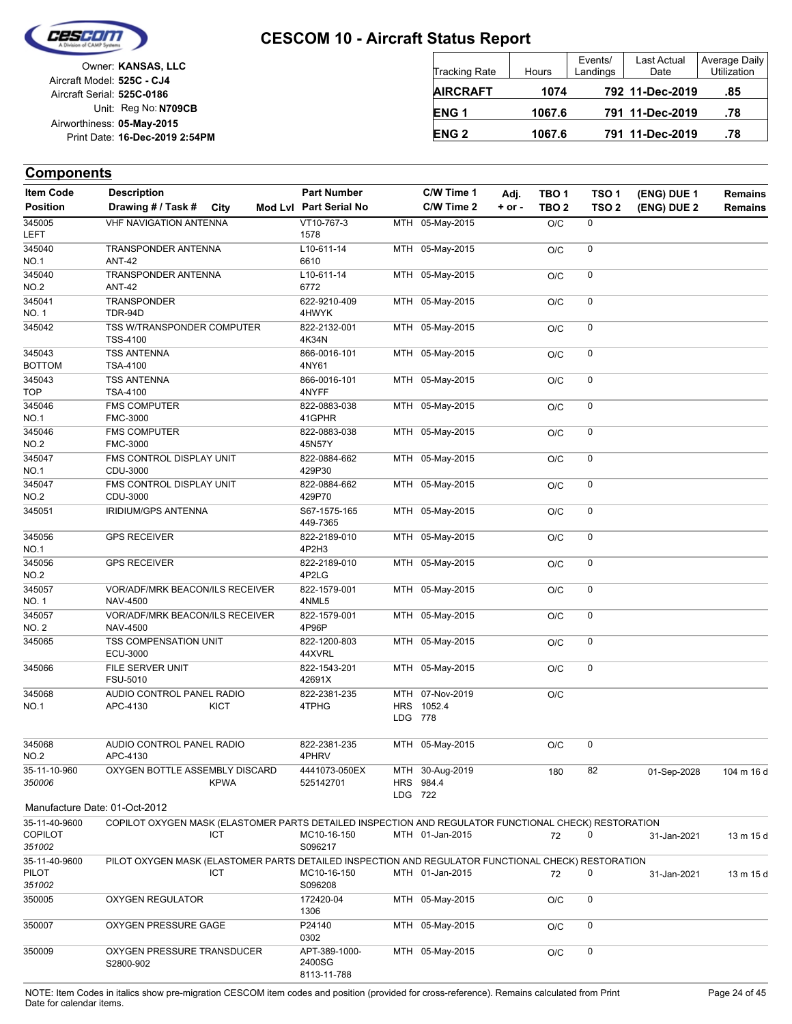

Unit: Reg No: N709CB Print Date: 16-Dec-2019 2:54PM **05-May-2015** Airworthiness: Owner: **KANSAS, LLC** Aircraft Serial: **525C-0186** Aircraft Model: **525C - CJ4**

| <b>Tracking Rate</b> | Hours  | Events/<br>Landings | Last Actual<br>Date | Average Daily<br><b>Utilization</b> |
|----------------------|--------|---------------------|---------------------|-------------------------------------|
| <b>AIRCRAFT</b>      | 1074   |                     | 792 11-Dec-2019     | .85                                 |
| <b>ENG1</b>          | 1067.6 |                     | 791 11-Dec-2019     | .78                                 |
| <b>ENG 2</b>         | 1067.6 |                     | 791 11-Dec-2019     | .78                                 |

### **Components**

| <b>Item Code</b>        | <b>Description</b>                                                                                   | <b>Part Number</b>                     | C/W Time 1                   | Adj.       | TBO <sub>1</sub> | TSO <sub>1</sub> | (ENG) DUE 1 | <b>Remains</b> |
|-------------------------|------------------------------------------------------------------------------------------------------|----------------------------------------|------------------------------|------------|------------------|------------------|-------------|----------------|
| <b>Position</b>         | Drawing # / Task #<br>City                                                                           | Mod Lvl Part Serial No                 | C/W Time 2                   | $+$ or $-$ | TBO <sub>2</sub> | TSO <sub>2</sub> | (ENG) DUE 2 | <b>Remains</b> |
| 345005<br><b>LEFT</b>   | <b>VHF NAVIGATION ANTENNA</b>                                                                        | VT10-767-3<br>1578                     | MTH 05-May-2015              |            | O/C              | 0                |             |                |
| 345040                  | TRANSPONDER ANTENNA                                                                                  | L10-611-14                             | MTH 05-May-2015              |            | O/C              | 0                |             |                |
| <b>NO.1</b>             | <b>ANT-42</b>                                                                                        | 6610                                   |                              |            |                  |                  |             |                |
| 345040                  | TRANSPONDER ANTENNA                                                                                  | L10-611-14                             | MTH 05-May-2015              |            | O/C              | 0                |             |                |
| <b>NO.2</b>             | <b>ANT-42</b>                                                                                        | 6772                                   |                              |            |                  |                  |             |                |
| 345041                  | <b>TRANSPONDER</b>                                                                                   | 622-9210-409                           | MTH 05-May-2015              |            | O/C              | 0                |             |                |
| <b>NO.1</b>             | TDR-94D                                                                                              | 4HWYK                                  |                              |            |                  |                  |             |                |
| 345042                  | TSS W/TRANSPONDER COMPUTER<br><b>TSS-4100</b>                                                        | 822-2132-001<br>4K34N                  | MTH 05-May-2015              |            | O/C              | 0                |             |                |
| 345043<br><b>BOTTOM</b> | <b>TSS ANTENNA</b><br><b>TSA-4100</b>                                                                | 866-0016-101<br>4NY61                  | MTH 05-May-2015              |            | O/C              | 0                |             |                |
| 345043<br><b>TOP</b>    | <b>TSS ANTENNA</b><br>TSA-4100                                                                       | 866-0016-101<br>4NYFF                  | MTH 05-May-2015              |            | O/C              | 0                |             |                |
| 345046                  | <b>FMS COMPUTER</b>                                                                                  | 822-0883-038                           | MTH 05-May-2015              |            | O/C              | 0                |             |                |
| <b>NO.1</b>             | <b>FMC-3000</b>                                                                                      | 41GPHR                                 |                              |            |                  |                  |             |                |
| 345046                  | <b>FMS COMPUTER</b>                                                                                  | 822-0883-038                           | MTH 05-May-2015              |            | O/C              | 0                |             |                |
| <b>NO.2</b>             | FMC-3000                                                                                             | 45N57Y                                 |                              |            |                  |                  |             |                |
| 345047                  | FMS CONTROL DISPLAY UNIT                                                                             | 822-0884-662                           | MTH 05-May-2015              |            | O/C              | 0                |             |                |
| <b>NO.1</b>             | CDU-3000                                                                                             | 429P30                                 |                              |            |                  |                  |             |                |
| 345047<br><b>NO.2</b>   | FMS CONTROL DISPLAY UNIT<br>CDU-3000                                                                 | 822-0884-662<br>429P70                 | MTH 05-May-2015              |            | O/C              | 0                |             |                |
| 345051                  | IRIDIUM/GPS ANTENNA                                                                                  | S67-1575-165<br>449-7365               | MTH 05-May-2015              |            | O/C              | 0                |             |                |
| 345056<br><b>NO.1</b>   | <b>GPS RECEIVER</b>                                                                                  | 822-2189-010<br>4P2H3                  | MTH 05-May-2015              |            | O/C              | 0                |             |                |
| 345056<br><b>NO.2</b>   | <b>GPS RECEIVER</b>                                                                                  | 822-2189-010<br>4P2LG                  | MTH 05-May-2015              |            | O/C              | 0                |             |                |
| 345057                  | VOR/ADF/MRK BEACON/ILS RECEIVER                                                                      | 822-1579-001                           | MTH 05-May-2015              |            | O/C              | 0                |             |                |
| <b>NO.1</b>             | <b>NAV-4500</b>                                                                                      | 4NML5                                  |                              |            |                  |                  |             |                |
| 345057                  | VOR/ADF/MRK BEACON/ILS RECEIVER                                                                      | 822-1579-001                           | MTH 05-May-2015              |            | O/C              | 0                |             |                |
| <b>NO. 2</b>            | <b>NAV-4500</b>                                                                                      | 4P96P                                  |                              |            |                  |                  |             |                |
| 345065                  | TSS COMPENSATION UNIT<br>ECU-3000                                                                    | 822-1200-803<br>44XVRL                 | MTH 05-May-2015              |            | O/C              | 0                |             |                |
| 345066                  | FILE SERVER UNIT<br>FSU-5010                                                                         | 822-1543-201<br>42691X                 | MTH 05-May-2015              |            | O/C              | 0                |             |                |
| 345068                  | AUDIO CONTROL PANEL RADIO                                                                            | 822-2381-235                           | MTH 07-Nov-2019              |            | O/C              |                  |             |                |
| <b>NO.1</b>             | APC-4130<br><b>KICT</b>                                                                              | 4TPHG                                  | HRS 1052.4                   |            |                  |                  |             |                |
|                         |                                                                                                      |                                        | LDG 778                      |            |                  |                  |             |                |
|                         |                                                                                                      |                                        |                              |            |                  |                  |             |                |
| 345068                  | AUDIO CONTROL PANEL RADIO                                                                            | 822-2381-235                           | MTH 05-May-2015              |            | O/C              | 0                |             |                |
| <b>NO.2</b>             | APC-4130                                                                                             | 4PHRV                                  |                              |            |                  |                  |             |                |
| 35-11-10-960<br>350006  | OXYGEN BOTTLE ASSEMBLY DISCARD<br><b>KPWA</b>                                                        | 4441073-050EX<br>525142701             | MTH 30-Aug-2019<br>HRS 984.4 |            | 180              | 82               | 01-Sep-2028 | 104 m 16 d     |
|                         | Manufacture Date: 01-Oct-2012                                                                        |                                        | LDG 722                      |            |                  |                  |             |                |
| 35-11-40-9600           | COPILOT OXYGEN MASK (ELASTOMER PARTS DETAILED INSPECTION AND REGULATOR FUNCTIONAL CHECK) RESTORATION |                                        |                              |            |                  |                  |             |                |
| <b>COPILOT</b>          | ICT                                                                                                  | MC10-16-150                            | MTH 01-Jan-2015              |            | 72               | 0                | 31-Jan-2021 | 13 m 15 d      |
| 351002                  |                                                                                                      | S096217                                |                              |            |                  |                  |             |                |
| 35-11-40-9600           | PILOT OXYGEN MASK (ELASTOMER PARTS DETAILED INSPECTION AND REGULATOR FUNCTIONAL CHECK) RESTORATION   |                                        |                              |            |                  |                  |             |                |
| PILOT                   | ICT                                                                                                  | MC10-16-150                            | MTH 01-Jan-2015              |            | 72               | 0                | 31-Jan-2021 | 13 m 15 d      |
| 351002                  |                                                                                                      | S096208                                |                              |            |                  |                  |             |                |
| 350005                  | <b>OXYGEN REGULATOR</b>                                                                              | 172420-04<br>1306                      | MTH 05-May-2015              |            | O/C              | 0                |             |                |
| 350007                  | OXYGEN PRESSURE GAGE                                                                                 | P24140<br>0302                         | MTH 05-May-2015              |            | O/C              | 0                |             |                |
| 350009                  | OXYGEN PRESSURE TRANSDUCER<br>S2800-902                                                              | APT-389-1000-<br>2400SG<br>8113-11-788 | MTH 05-May-2015              |            | O/C              | 0                |             |                |

NOTE: Item Codes in italics show pre-migration CESCOM item codes and position (provided for cross-reference). Remains calculated from Print Page 24 of 45 Date for calendar items.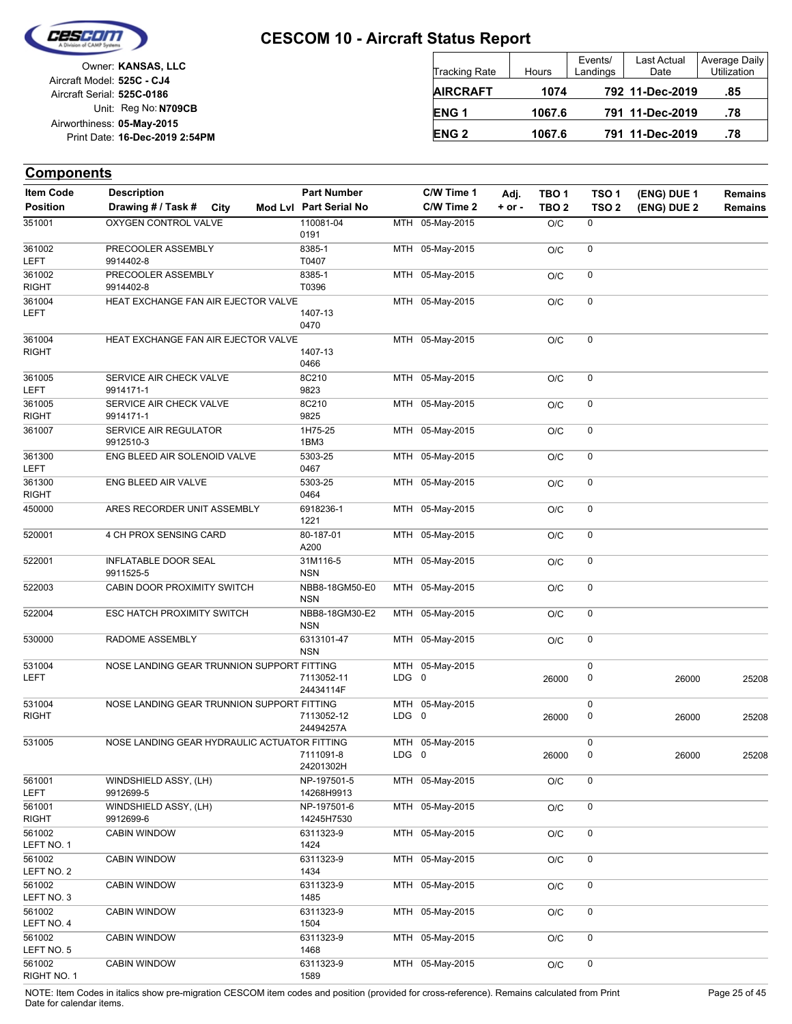

RIGHT NO. 1

## **CESCOM 10 - Aircraft Status Report**

Unit: Reg No: N709CB Print Date: 16-Dec-2019 2:54PM **05-May-2015** Airworthiness: Owner: **KANSAS, LLC** Aircraft Serial: **525C-0186** Aircraft Model: **525C - CJ4**

| <b>Tracking Rate</b> | <b>Hours</b> | Events/<br>Landings | Last Actual<br>Date | Average Daily<br>Utilization |
|----------------------|--------------|---------------------|---------------------|------------------------------|
| <b>AIRCRAFT</b>      | 1074         |                     | 792 11-Dec-2019     | .85                          |
| <b>ENG1</b>          | 1067.6       |                     | 791 11-Dec-2019     | .78                          |
| <b>ENG 2</b>         | 1067.6       |                     | 791 11-Dec-2019     | .78                          |

#### **(ENG) DUE 2 (ENG) DUE 1 Components** City **Mod Lvl Part Serial No Part Number C/W Time 1 C/W Time 2 + or - Adj. TBO 1 TBO 2 TSO 2 TSO 1 Remains** Description Part Number C/W Time 1 Adj. TBO 1 TSO 1 (ENG) DUE 1 Remains **Position Drawing # / Task # Item Code** MTH 05-May-2015 O/C 0 0191 351001 QXYGEN CONTROL VALVE 110081-04 MTH 05-May-2015 O/C 0 T0407 8385-1 LEFT 361002 9914402-8 PRECOOLER ASSEMBLY MTH 05-May-2015 O/C 0 T0396 8385-1 RIGHT 361002 9914402-8 PRECOOLER ASSEMBLY MTH 05-May-2015 O/C 0 0470 LEFT 1407-13 361004 HEAT EXCHANGE FAN AIR EJECTOR VALVE MTH 05-May-2015 O/C 0 0466 RIGHT 1407-13 361004 HEAT EXCHANGE FAN AIR EJECTOR VALVE MTH 05-May-2015 O/C 0 9823 8C210 LEFT 361005 9914171-1 SERVICE AIR CHECK VALVE MTH 05-May-2015 O/C 0 9825 8C210 RIGHT 361005 9914171-1 SERVICE AIR CHECK VALVE MTH 05-May-2015 O/C 0 1BM3 361007 1H75-25 SERVICE AIR REGULATOR 9912510-3 MTH 05-May-2015 O/C 0 0467 5303-25 LEFT 361300 ENG BLEED AIR SOLENOID VALVE MTH 05-May-2015 O/C 0 0464 5303-25 RIGHT 361300 ENG BLEED AIR VALVE MTH 05-May-2015 O/C 0 1221 450000 ARES RECORDER UNIT ASSEMBLY 6918236-1 MTH 05-May-2015 O/C 0 A200 520001 4 CH PROX SENSING CARD 80-187-01 MTH 05-May-2015 O/C 0 **NSN** 522001 31M116-5 INFLATABLE DOOR SEAL 9911525-5 MTH 05-May-2015 O/C 0 NSN 522003 CABIN DOOR PROXIMITY SWITCH NBB8-18GM50-E0 MTH 05-May-2015 0/C 0 **NSN** 522004 ESC HATCH PROXIMITY SWITCH NBB8-18GM30-E2 MTH 05-May-2015 O/C 0 **NSN** 530000 RADOME ASSEMBLY 6313101-47 LDG 0 MTH 05-May-2015 0  $\Omega$ 26000 24434114F LEFT 7113052-11 26000 25208 531004 NOSE LANDING GEAR TRUNNION SUPPORT FITTING LDG 0 MTH 05-May-2015 0  $\overline{0}$ 26000 24494257A RIGHT 7113052-12 LDG 0 26000 0 26000 25208 531004 NOSE LANDING GEAR TRUNNION SUPPORT FITTING LDG 0 MTH 05-May-2015 0  $\Omega$ 26000 24201302H 7111091-8 26000 25208 531005 NOSE LANDING GEAR HYDRAULIC ACTUATOR FITTING MTH 05-May-2015 0/C 0 14268H9913 NP-197501-5 LEFT 561001 9912699-5 WINDSHIELD ASSY, (LH) MTH 05-May-2015 0/C 0 14245H7530 NP-197501-6 RIGHT 561001 9912699-6 WINDSHIELD ASSY, (LH) MTH 05-May-2015 O/C 0 1424 6311323-9 LEFT NO. 1 561002 CABIN WINDOW MTH 05-May-2015 O/C 0 1434 6311323-9 LEFT NO. 2 561002 CABIN WINDOW MTH 05-May-2015 0/C 0 1485 6311323-9 LEFT NO. 3 561002 CABIN WINDOW MTH 05-May-2015 O/C 0 1504 6311323-9 LEFT NO. 4 561002 CABIN WINDOW MTH 05-May-2015 O/C 0 1468 6311323-9 LEFT NO. 5 561002 CABIN WINDOW MTH  $05$ -May-2015  $0/C = 0$ 6311323-9 561002 CABIN WINDOW

NOTE: Item Codes in italics show pre-migration CESCOM item codes and position (provided for cross-reference). Remains calculated from Print Page 25 of 45 Date for calendar items.

1589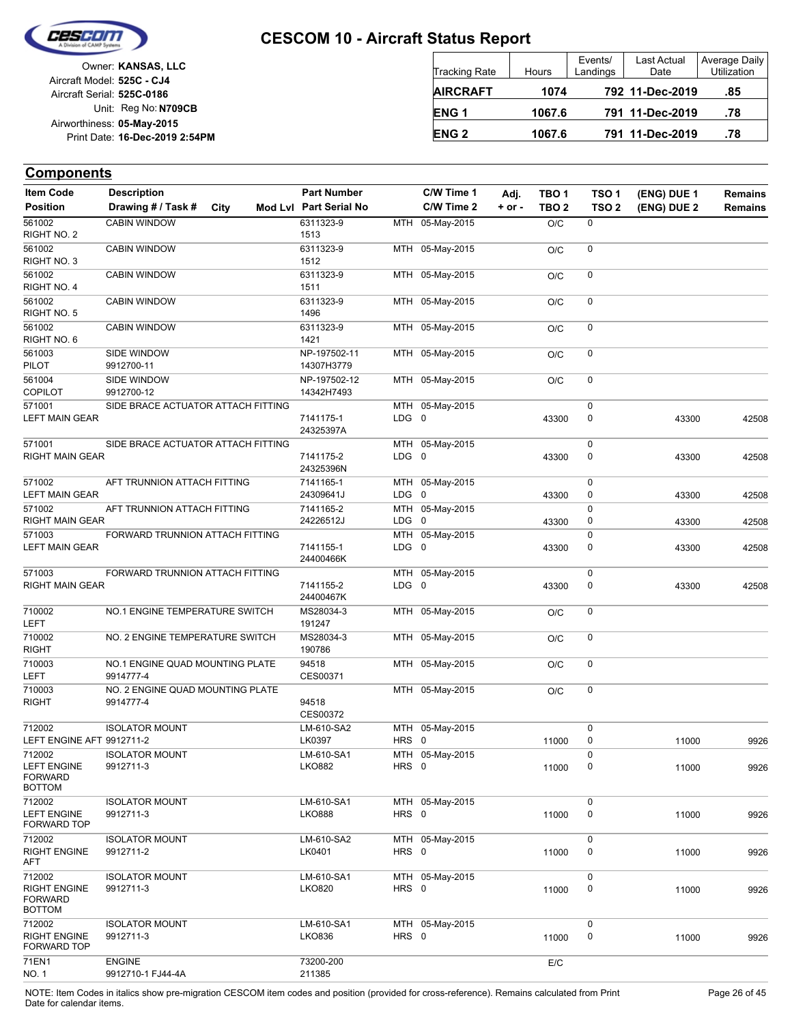

| Owner: KANSAS, LLC             |                            |
|--------------------------------|----------------------------|
|                                | Aircraft Model: 525C - CJ4 |
|                                | Aircraft Serial: 525C-0186 |
| Unit: Reg No: N709CB           |                            |
|                                | Airworthiness: 05-May-2015 |
| Print Date: 16-Dec-2019 2:54PM |                            |
|                                |                            |

| <b>Tracking Rate</b> | Hours  | Events/<br>Landings | Last Actual<br>Date | Average Daily<br><b>Utilization</b> |
|----------------------|--------|---------------------|---------------------|-------------------------------------|
| <b>AIRCRAFT</b>      | 1074   |                     | 792 11-Dec-2019     | .85                                 |
| ENG <sub>1</sub>     | 1067.6 |                     | 791 11-Dec-2019     | .78                                 |
| <b>ENG 2</b>         | 1067.6 |                     | 791 11-Dec-2019     | .78                                 |

## **Components**

| <b>Item Code</b>                                       | <b>Description</b>                            |      | <b>Part Number</b>         |                  | C/W Time 1      | Adj.       | TBO <sub>1</sub> | TSO <sub>1</sub> | (ENG) DUE 1 | Remains |
|--------------------------------------------------------|-----------------------------------------------|------|----------------------------|------------------|-----------------|------------|------------------|------------------|-------------|---------|
| <b>Position</b>                                        | Drawing # / Task #                            | City | Mod Lvl Part Serial No     |                  | C/W Time 2      | $+$ or $-$ | TBO <sub>2</sub> | TSO <sub>2</sub> | (ENG) DUE 2 | Remains |
| 561002<br>RIGHT NO. 2                                  | <b>CABIN WINDOW</b>                           |      | 6311323-9<br>1513          |                  | MTH 05-May-2015 |            | O/C              | 0                |             |         |
| 561002<br>RIGHT NO. 3                                  | <b>CABIN WINDOW</b>                           |      | 6311323-9<br>1512          |                  | MTH 05-May-2015 |            | O/C              | 0                |             |         |
| 561002<br>RIGHT NO. 4                                  | <b>CABIN WINDOW</b>                           |      | 6311323-9<br>1511          |                  | MTH 05-May-2015 |            | O/C              | 0                |             |         |
| 561002<br>RIGHT NO. 5                                  | <b>CABIN WINDOW</b>                           |      | 6311323-9<br>1496          |                  | MTH 05-May-2015 |            | O/C              | 0                |             |         |
| 561002<br>RIGHT NO. 6                                  | <b>CABIN WINDOW</b>                           |      | 6311323-9<br>1421          |                  | MTH 05-May-2015 |            | O/C              | 0                |             |         |
| 561003<br><b>PILOT</b>                                 | SIDE WINDOW<br>9912700-11                     |      | NP-197502-11<br>14307H3779 |                  | MTH 05-May-2015 |            | O/C              | 0                |             |         |
| 561004                                                 | SIDE WINDOW                                   |      | NP-197502-12               |                  | MTH 05-May-2015 |            | O/C              | 0                |             |         |
| <b>COPILOT</b>                                         | 9912700-12                                    |      | 14342H7493                 |                  |                 |            |                  |                  |             |         |
| 571001<br><b>LEFT MAIN GEAR</b>                        | SIDE BRACE ACTUATOR ATTACH FITTING            |      | 7141175-1<br>24325397A     | LDG <sub>0</sub> | MTH 05-May-2015 |            | 43300            | 0<br>0           | 43300       | 42508   |
| 571001                                                 | SIDE BRACE ACTUATOR ATTACH FITTING            |      |                            |                  | MTH 05-May-2015 |            |                  | 0                |             |         |
| <b>RIGHT MAIN GEAR</b>                                 |                                               |      | 7141175-2<br>24325396N     | LDG <sub>0</sub> |                 |            | 43300            | 0                | 43300       | 42508   |
| 571002                                                 | AFT TRUNNION ATTACH FITTING                   |      | 7141165-1                  |                  | MTH 05-May-2015 |            |                  | 0                |             |         |
| <b>LEFT MAIN GEAR</b>                                  |                                               |      | 24309641J                  | LDG              | 0               |            | 43300            | 0                | 43300       | 42508   |
| 571002<br>RIGHT MAIN GEAR                              | AFT TRUNNION ATTACH FITTING                   |      | 7141165-2<br>24226512J     | LDG 0            | MTH 05-May-2015 |            | 43300            | 0<br>0           | 43300       | 42508   |
| 571003                                                 | FORWARD TRUNNION ATTACH FITTING               |      |                            |                  | MTH 05-May-2015 |            |                  | 0                |             |         |
| <b>LEFT MAIN GEAR</b>                                  |                                               |      | 7141155-1<br>24400466K     | LDG 0            |                 |            | 43300            | 0                | 43300       | 42508   |
| 571003                                                 | FORWARD TRUNNION ATTACH FITTING               |      |                            |                  | MTH 05-May-2015 |            |                  | 0                |             |         |
| <b>RIGHT MAIN GEAR</b>                                 |                                               |      | 7141155-2<br>24400467K     | LDG 0            |                 |            | 43300            | 0                | 43300       | 42508   |
| 710002<br>LEFT                                         | NO.1 ENGINE TEMPERATURE SWITCH                |      | MS28034-3<br>191247        |                  | MTH 05-May-2015 |            | O/C              | 0                |             |         |
| 710002<br><b>RIGHT</b>                                 | NO. 2 ENGINE TEMPERATURE SWITCH               |      | MS28034-3<br>190786        |                  | MTH 05-May-2015 |            | O/C              | 0                |             |         |
| 710003<br>LEFT                                         | NO.1 ENGINE QUAD MOUNTING PLATE<br>9914777-4  |      | 94518<br>CES00371          |                  | MTH 05-May-2015 |            | O/C              | 0                |             |         |
| 710003<br>RIGHT                                        | NO. 2 ENGINE QUAD MOUNTING PLATE<br>9914777-4 |      | 94518<br>CES00372          |                  | MTH 05-May-2015 |            | O/C              | 0                |             |         |
| 712002<br>LEFT ENGINE AFT 9912711-2                    | <b>ISOLATOR MOUNT</b>                         |      | LM-610-SA2<br>LK0397       | HRS 0            | MTH 05-May-2015 |            | 11000            | 0<br>0           | 11000       | 9926    |
| 712002                                                 | <b>ISOLATOR MOUNT</b>                         |      | LM-610-SA1                 |                  | MTH 05-May-2015 |            |                  | $\mathbf 0$      |             |         |
| <b>LEFT ENGINE</b><br><b>FORWARD</b><br><b>BOTTOM</b>  | 9912711-3                                     |      | <b>LKO882</b>              | HRS 0            |                 |            | 11000            |                  | 11000       | 9926    |
| 712002                                                 | <b>ISOLATOR MOUNT</b>                         |      | LM-610-SA1                 |                  | MTH 05-May-2015 |            |                  | 0                |             |         |
| <b>LEFT ENGINE</b><br>FORWARD TOP                      | 9912711-3                                     |      | <b>LKO888</b>              | HRS 0            |                 |            | 11000            | 0                | 11000       | 9926    |
| 712002                                                 | <b>ISOLATOR MOUNT</b>                         |      | LM-610-SA2                 |                  | MTH 05-May-2015 |            |                  | 0                |             |         |
| <b>RIGHT ENGINE</b><br>AFT                             | 9912711-2                                     |      | LK0401                     | HRS 0            |                 |            | 11000            | 0                | 11000       | 9926    |
| 712002                                                 | <b>ISOLATOR MOUNT</b>                         |      | LM-610-SA1                 |                  | MTH 05-May-2015 |            |                  | 0                |             |         |
| <b>RIGHT ENGINE</b><br><b>FORWARD</b><br><b>BOTTOM</b> | 9912711-3                                     |      | <b>LKO820</b>              | HRS 0            |                 |            | 11000            | 0                | 11000       | 9926    |
| 712002                                                 | <b>ISOLATOR MOUNT</b>                         |      | LM-610-SA1                 |                  | MTH 05-May-2015 |            |                  | 0                |             |         |
| <b>RIGHT ENGINE</b><br>FORWARD TOP                     | 9912711-3                                     |      | <b>LKO836</b>              | HRS 0            |                 |            | 11000            | 0                | 11000       | 9926    |
| 71EN1                                                  | <b>ENGINE</b>                                 |      | 73200-200                  |                  |                 |            | E/C              |                  |             |         |
| <b>NO. 1</b>                                           | 9912710-1 FJ44-4A                             |      | 211385                     |                  |                 |            |                  |                  |             |         |

NOTE: Item Codes in italics show pre-migration CESCOM item codes and position (provided for cross-reference). Remains calculated from Print Page 26 of 45 Date for calendar items.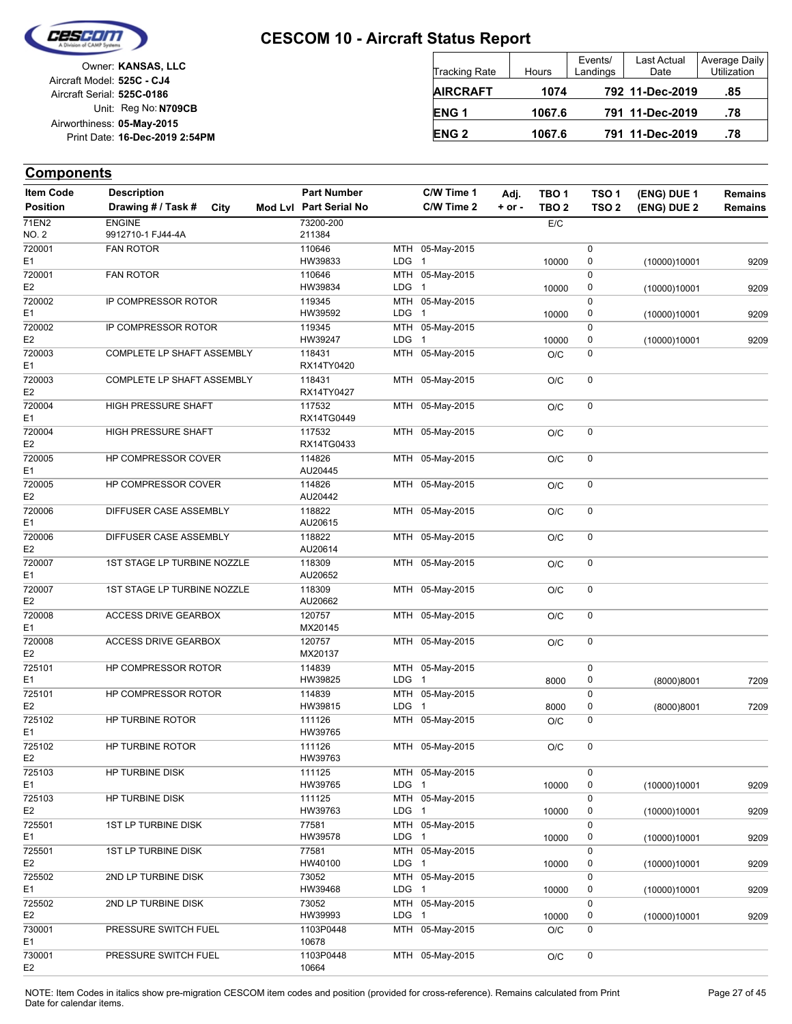

| Owner: KANSAS, LLC             |
|--------------------------------|
| Aircraft Model: 525C - CJ4     |
| Aircraft Serial: 525C-0186     |
| Unit: Reg No: N709CB           |
| Airworthiness: 05-May-2015     |
| Print Date: 16-Dec-2019 2:54PM |
|                                |

| <b>Tracking Rate</b> | Hours  | Events/<br>Landings | Last Actual<br>Date | Average Daily<br><b>Utilization</b> |
|----------------------|--------|---------------------|---------------------|-------------------------------------|
| <b>AIRCRAFT</b>      | 1074   |                     | 792 11-Dec-2019     | .85                                 |
| <b>ENG1</b>          | 1067.6 |                     | 791 11-Dec-2019     | .78                                 |
| <b>ENG2</b>          | 1067.6 |                     | 791 11-Dec-2019     | .78                                 |

## **Components**

| <b>Item Code</b> | <b>Description</b>          |      | <b>Part Number</b>     |                  | C/W Time 1      | Adj.       | TBO <sub>1</sub> | TSO <sub>1</sub> | (ENG) DUE 1  | <b>Remains</b> |
|------------------|-----------------------------|------|------------------------|------------------|-----------------|------------|------------------|------------------|--------------|----------------|
| <b>Position</b>  | Drawing # / Task #          | City | Mod Lvl Part Serial No |                  | C/W Time 2      | $+$ or $-$ | TBO <sub>2</sub> | TSO <sub>2</sub> | (ENG) DUE 2  | <b>Remains</b> |
| 71EN2            | <b>ENGINE</b>               |      | 73200-200              |                  |                 |            | E/C              |                  |              |                |
| NO. 2            | 9912710-1 FJ44-4A           |      | 211384                 |                  |                 |            |                  |                  |              |                |
| 720001           | <b>FAN ROTOR</b>            |      | 110646                 |                  | MTH 05-May-2015 |            |                  | 0                |              |                |
| E1               |                             |      | HW39833                | LDG 1            |                 |            | 10000            | 0                | (10000)10001 | 9209           |
| 720001           | <b>FAN ROTOR</b>            |      | 110646                 |                  | MTH 05-May-2015 |            |                  | 0                |              |                |
| E <sub>2</sub>   |                             |      | HW39834                | LDG <sub>1</sub> |                 |            | 10000            | 0                | (10000)10001 | 9209           |
| 720002           | IP COMPRESSOR ROTOR         |      | 119345                 |                  | MTH 05-May-2015 |            |                  | 0                |              |                |
| E1               |                             |      | HW39592                | LDG 1            |                 |            | 10000            | 0                | (10000)10001 | 9209           |
| 720002           | IP COMPRESSOR ROTOR         |      | 119345                 |                  | MTH 05-May-2015 |            |                  | 0                |              |                |
| E2               |                             |      | HW39247                | LDG              | $\mathbf 1$     |            | 10000            | 0                | (10000)10001 | 9209           |
| 720003           | COMPLETE LP SHAFT ASSEMBLY  |      | 118431                 |                  | MTH 05-May-2015 |            | O/C              | 0                |              |                |
| Ε1               |                             |      | RX14TY0420             |                  |                 |            |                  |                  |              |                |
| 720003           | COMPLETE LP SHAFT ASSEMBLY  |      | 118431                 |                  | MTH 05-May-2015 |            | O/C              | 0                |              |                |
| E <sub>2</sub>   |                             |      | RX14TY0427             |                  |                 |            |                  |                  |              |                |
| 720004           | HIGH PRESSURE SHAFT         |      | 117532                 |                  | MTH 05-May-2015 |            | O/C              | 0                |              |                |
| E <sub>1</sub>   |                             |      | RX14TG0449             |                  |                 |            |                  |                  |              |                |
| 720004           | HIGH PRESSURE SHAFT         |      | 117532                 |                  | MTH 05-May-2015 |            | O/C              | 0                |              |                |
| E2               |                             |      | RX14TG0433             |                  |                 |            |                  |                  |              |                |
| 720005           | HP COMPRESSOR COVER         |      | 114826                 |                  | MTH 05-May-2015 |            | O/C              | 0                |              |                |
| E1               |                             |      | AU20445                |                  |                 |            |                  |                  |              |                |
| 720005           | HP COMPRESSOR COVER         |      | 114826                 |                  | MTH 05-May-2015 |            | O/C              | 0                |              |                |
| E <sub>2</sub>   |                             |      | AU20442                |                  |                 |            |                  |                  |              |                |
| 720006           | DIFFUSER CASE ASSEMBLY      |      | 118822                 |                  | MTH 05-May-2015 |            | O/C              | 0                |              |                |
| E1               |                             |      | AU20615                |                  |                 |            |                  |                  |              |                |
| 720006           | DIFFUSER CASE ASSEMBLY      |      | 118822                 |                  | MTH 05-May-2015 |            | O/C              | 0                |              |                |
| E2               |                             |      | AU20614                |                  |                 |            |                  |                  |              |                |
| 720007           | 1ST STAGE LP TURBINE NOZZLE |      | 118309                 |                  | MTH 05-May-2015 |            | O/C              | 0                |              |                |
| Ε1               |                             |      | AU20652                |                  |                 |            |                  |                  |              |                |
| 720007           | 1ST STAGE LP TURBINE NOZZLE |      | 118309                 |                  | MTH 05-May-2015 |            | O/C              | 0                |              |                |
| E <sub>2</sub>   |                             |      | AU20662                |                  |                 |            |                  |                  |              |                |
| 720008           | <b>ACCESS DRIVE GEARBOX</b> |      | 120757                 |                  | MTH 05-May-2015 |            | O/C              | 0                |              |                |
| E <sub>1</sub>   |                             |      | MX20145                |                  |                 |            |                  |                  |              |                |
| 720008           | ACCESS DRIVE GEARBOX        |      | 120757                 |                  | MTH 05-May-2015 |            | O/C              | 0                |              |                |
| E <sub>2</sub>   |                             |      | MX20137                |                  |                 |            |                  |                  |              |                |
| 725101           | HP COMPRESSOR ROTOR         |      | 114839                 |                  | MTH 05-May-2015 |            |                  | 0                |              |                |
| E1               |                             |      | HW39825                | LDG 1            |                 |            | 8000             | 0                | (8000)8001   | 7209           |
| 725101           | HP COMPRESSOR ROTOR         |      | 114839                 |                  | MTH 05-May-2015 |            |                  | 0                |              |                |
| E <sub>2</sub>   |                             |      | HW39815                | LDG <sub>1</sub> |                 |            | 8000             | 0                | (8000)8001   | 7209           |
| 725102           | HP TURBINE ROTOR            |      | 111126                 |                  | MTH 05-May-2015 |            | O/C              | 0                |              |                |
| E <sub>1</sub>   |                             |      | HW39765                |                  |                 |            |                  |                  |              |                |
| 725102           | HP TURBINE ROTOR            |      | 111126                 |                  | MTH 05-May-2015 |            | O/C              | 0                |              |                |
| E <sub>2</sub>   |                             |      | HW39763                |                  |                 |            |                  |                  |              |                |
| 725103           | HP TURBINE DISK             |      | 111125                 |                  | MTH 05-May-2015 |            |                  | 0                |              |                |
| E1               |                             |      | HW39765                | LDG <sub>1</sub> |                 |            | 10000            | 0                | (10000)10001 | 9209           |
| 725103           | HP TURBINE DISK             |      | 111125                 |                  | MTH 05-May-2015 |            |                  | 0                |              |                |
| E2               |                             |      | HW39763                | LDG 1            |                 |            | 10000            | 0                | (10000)10001 | 9209           |
| 725501           | <b>1ST LP TURBINE DISK</b>  |      | 77581                  |                  | MTH 05-May-2015 |            |                  | 0                |              |                |
| E1               |                             |      | HW39578                | LDG 1            |                 |            | 10000            | 0                | (10000)10001 | 9209           |
| 725501           | 1ST LP TURBINE DISK         |      | 77581                  |                  | MTH 05-May-2015 |            |                  | 0                |              |                |
| E2               |                             |      | HW40100                | LDG <sub>1</sub> |                 |            | 10000            | 0                | (10000)10001 | 9209           |
| 725502           | 2ND LP TURBINE DISK         |      | 73052                  |                  | MTH 05-May-2015 |            |                  | 0                |              |                |
| E1               |                             |      | HW39468                | LDG 1            |                 |            | 10000            | 0                | (10000)10001 | 9209           |
| 725502           | 2ND LP TURBINE DISK         |      | 73052                  |                  | MTH 05-May-2015 |            |                  | 0                |              |                |
| E2               |                             |      | HW39993                | LDG 1            |                 |            | 10000            | 0                | (10000)10001 | 9209           |
| 730001           | PRESSURE SWITCH FUEL        |      | 1103P0448              |                  | MTH 05-May-2015 |            | O/C              | 0                |              |                |
| E1               |                             |      | 10678                  |                  |                 |            |                  |                  |              |                |
| 730001           | PRESSURE SWITCH FUEL        |      | 1103P0448              |                  | MTH 05-May-2015 |            | O/C              | 0                |              |                |
| E <sub>2</sub>   |                             |      | 10664                  |                  |                 |            |                  |                  |              |                |

NOTE: Item Codes in italics show pre-migration CESCOM item codes and position (provided for cross-reference). Remains calculated from Print Page 27 of 45 Date for calendar items.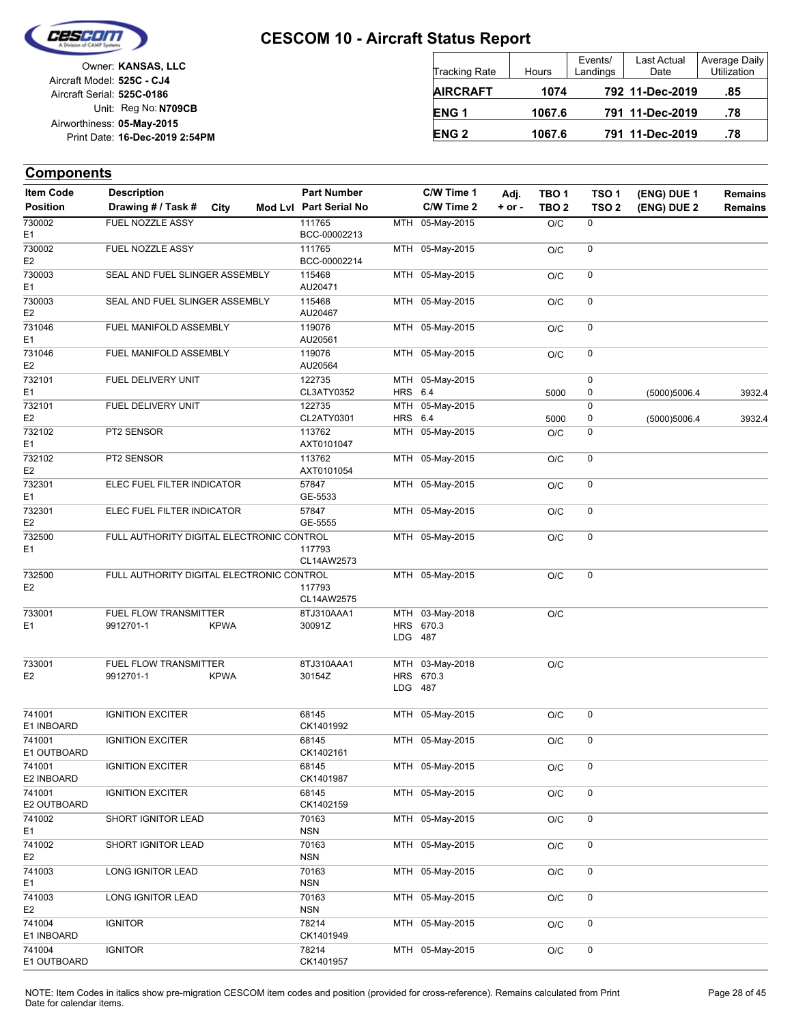

|                            | Owner: KANSAS, LLC             |
|----------------------------|--------------------------------|
| Aircraft Model: 525C - CJ4 |                                |
| Aircraft Serial: 525C-0186 |                                |
|                            | Unit: Reg No: N709CB           |
| Airworthiness: 05-May-2015 |                                |
|                            | Print Date: 16-Dec-2019 2:54PM |
|                            |                                |

| <b>Tracking Rate</b> | Hours  | Events/<br>Landings | Last Actual<br>Date | Average Daily<br>Utilization |
|----------------------|--------|---------------------|---------------------|------------------------------|
| <b>AIRCRAFT</b>      | 1074   |                     | 792 11-Dec-2019     | .85                          |
| ENG <sub>1</sub>     | 1067.6 |                     | 791 11-Dec-2019     | .78                          |
| <b>ENG 2</b>         | 1067.6 |                     | 791 11-Dec-2019     | .78                          |

| <b>Item Code</b>         | <b>Description</b>                        |             | <b>Part Number</b>     |         | C/W Time 1                   | Adj.       | TBO 1            | TSO 1            | (ENG) DUE 1  | <b>Remains</b> |
|--------------------------|-------------------------------------------|-------------|------------------------|---------|------------------------------|------------|------------------|------------------|--------------|----------------|
| <b>Position</b>          | Drawing # / Task #                        | City        | Mod Lvl Part Serial No |         | C/W Time 2                   | $+$ or $-$ | TBO <sub>2</sub> | TSO <sub>2</sub> | (ENG) DUE 2  | <b>Remains</b> |
| 730002<br>E <sub>1</sub> | FUEL NOZZLE ASSY                          |             | 111765<br>BCC-00002213 |         | MTH 05-May-2015              |            | O/C              | 0                |              |                |
| 730002<br>E <sub>2</sub> | FUEL NOZZLE ASSY                          |             | 111765<br>BCC-00002214 |         | MTH 05-May-2015              |            | O/C              | 0                |              |                |
| 730003<br>E <sub>1</sub> | SEAL AND FUEL SLINGER ASSEMBLY            |             | 115468<br>AU20471      |         | MTH 05-May-2015              |            | O/C              | 0                |              |                |
| 730003<br>E <sub>2</sub> | SEAL AND FUEL SLINGER ASSEMBLY            |             | 115468<br>AU20467      |         | MTH 05-May-2015              |            | O/C              | 0                |              |                |
| 731046<br>E <sub>1</sub> | FUEL MANIFOLD ASSEMBLY                    |             | 119076<br>AU20561      |         | MTH 05-May-2015              |            | O/C              | 0                |              |                |
| 731046<br>E <sub>2</sub> | FUEL MANIFOLD ASSEMBLY                    |             | 119076<br>AU20564      |         | MTH 05-May-2015              |            | O/C              | 0                |              |                |
| 732101                   | FUEL DELIVERY UNIT                        |             | 122735                 |         | MTH 05-May-2015              |            |                  | 0                |              |                |
| E <sub>1</sub>           |                                           |             | CL3ATY0352             | HRS 6.4 |                              |            | 5000             | 0                | (5000)5006.4 | 3932.4         |
| 732101<br>E <sub>2</sub> | FUEL DELIVERY UNIT                        |             | 122735<br>CL2ATY0301   | HRS 6.4 | MTH 05-May-2015              |            | 5000             | 0<br>0           | (5000)5006.4 | 3932.4         |
| 732102<br>E <sub>1</sub> | PT2 SENSOR                                |             | 113762<br>AXT0101047   |         | MTH 05-May-2015              |            | O/C              | 0                |              |                |
| 732102<br>E <sub>2</sub> | PT2 SENSOR                                |             | 113762<br>AXT0101054   |         | MTH 05-May-2015              |            | O/C              | 0                |              |                |
| 732301<br>E <sub>1</sub> | ELEC FUEL FILTER INDICATOR                |             | 57847<br>GE-5533       |         | MTH 05-May-2015              |            | O/C              | 0                |              |                |
| 732301<br>E <sub>2</sub> | ELEC FUEL FILTER INDICATOR                |             | 57847<br>GE-5555       |         | MTH 05-May-2015              |            | O/C              | 0                |              |                |
| 732500<br>E <sub>1</sub> | FULL AUTHORITY DIGITAL ELECTRONIC CONTROL |             | 117793<br>CL14AW2573   |         | MTH 05-May-2015              |            | O/C              | 0                |              |                |
| 732500<br>E <sub>2</sub> | FULL AUTHORITY DIGITAL ELECTRONIC CONTROL |             | 117793<br>CL14AW2575   |         | MTH 05-May-2015              |            | O/C              | 0                |              |                |
| 733001<br>E <sub>1</sub> | FUEL FLOW TRANSMITTER<br>9912701-1        | <b>KPWA</b> | 8TJ310AAA1<br>30091Z   | LDG 487 | MTH 03-May-2018<br>HRS 670.3 |            | O/C              |                  |              |                |
| 733001<br>E <sub>2</sub> | FUEL FLOW TRANSMITTER<br>9912701-1        | <b>KPWA</b> | 8TJ310AAA1<br>30154Z   | LDG 487 | MTH 03-May-2018<br>HRS 670.3 |            | O/C              |                  |              |                |
| 741001<br>E1 INBOARD     | <b>IGNITION EXCITER</b>                   |             | 68145<br>CK1401992     |         | MTH 05-May-2015              |            | O/C              | 0                |              |                |
| 741001<br>E1 OUTBOARD    | <b>IGNITION EXCITER</b>                   |             | 68145<br>CK1402161     |         | MTH 05-May-2015              |            | O/C              | 0                |              |                |
| 741001<br>E2 INBOARD     | <b>IGNITION EXCITER</b>                   |             | 68145<br>CK1401987     |         | MTH 05-May-2015              |            | O/C              |                  |              |                |
| 741001<br>E2 OUTBOARD    | <b>IGNITION EXCITER</b>                   |             | 68145<br>CK1402159     |         | MTH 05-May-2015              |            | O/C              | 0                |              |                |
| 741002<br>E1             | SHORT IGNITOR LEAD                        |             | 70163<br><b>NSN</b>    |         | MTH 05-May-2015              |            | O/C              | 0                |              |                |
| 741002<br>E <sub>2</sub> | SHORT IGNITOR LEAD                        |             | 70163<br><b>NSN</b>    |         | MTH 05-May-2015              |            | O/C              | 0                |              |                |
| 741003<br>E <sub>1</sub> | LONG IGNITOR LEAD                         |             | 70163<br><b>NSN</b>    |         | MTH 05-May-2015              |            | O/C              | 0                |              |                |
| 741003<br>E <sub>2</sub> | LONG IGNITOR LEAD                         |             | 70163<br><b>NSN</b>    |         | MTH 05-May-2015              |            | O/C              | 0                |              |                |
| 741004<br>E1 INBOARD     | <b>IGNITOR</b>                            |             | 78214<br>CK1401949     |         | MTH 05-May-2015              |            | O/C              | 0                |              |                |
| 741004<br>E1 OUTBOARD    | <b>IGNITOR</b>                            |             | 78214<br>CK1401957     |         | MTH 05-May-2015              |            | O/C              | 0                |              |                |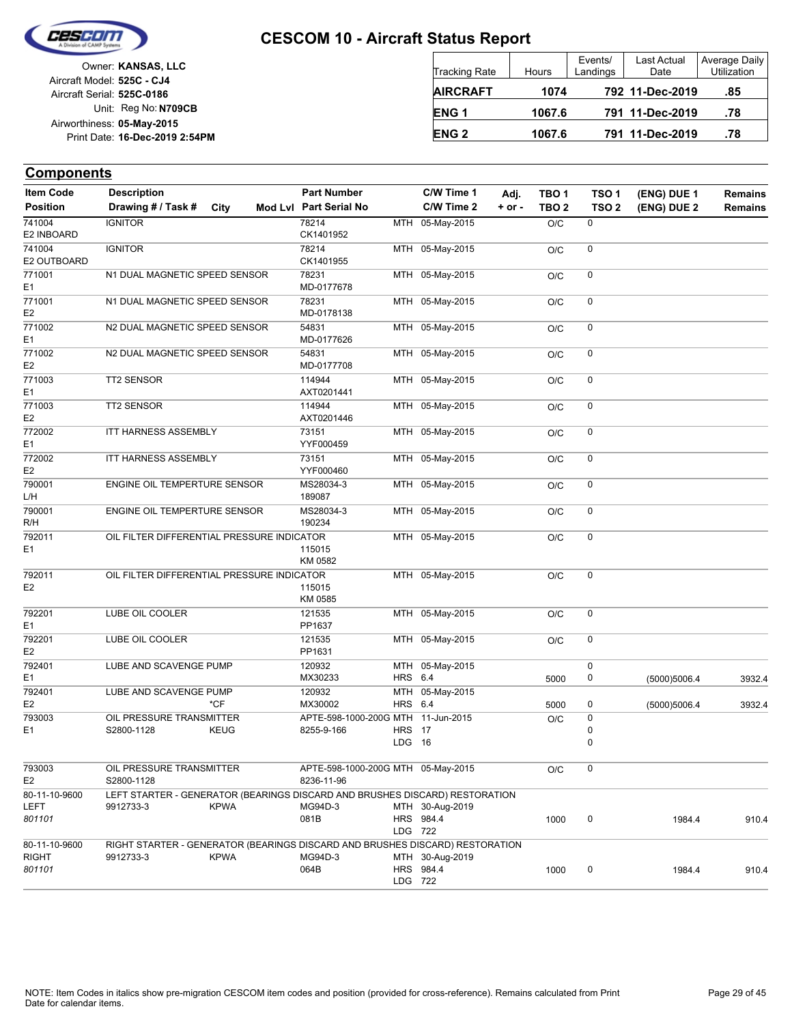

| Owner: KANSAS, LLC             |  |
|--------------------------------|--|
| Aircraft Model: 525C - CJ4     |  |
| Aircraft Serial: 525C-0186     |  |
| Unit: Reg No: N709CB           |  |
| Airworthiness: 05-May-2015     |  |
| Print Date: 16-Dec-2019 2:54PM |  |
|                                |  |

| <b>Tracking Rate</b> | Hours  | Events/<br>Landings | Last Actual<br>Date | Average Daily<br>Utilization |
|----------------------|--------|---------------------|---------------------|------------------------------|
| <b>AIRCRAFT</b>      | 1074   |                     | 792 11-Dec-2019     | .85                          |
| ENG <sub>1</sub>     | 1067.6 |                     | 791 11-Dec-2019     | .78                          |
| <b>ENG 2</b>         | 1067.6 |                     | 791 11-Dec-2019     | .78                          |

| <b>Item Code</b>                 | <b>Description</b>                                                                        |             | <b>Part Number</b>                               |                         | C/W Time 1                   | Adj.       | TBO <sub>1</sub> | TSO <sub>1</sub>    | (ENG) DUE 1  | <b>Remains</b> |
|----------------------------------|-------------------------------------------------------------------------------------------|-------------|--------------------------------------------------|-------------------------|------------------------------|------------|------------------|---------------------|--------------|----------------|
| <b>Position</b>                  | Drawing # / Task #                                                                        | City        | Mod Lvl Part Serial No                           |                         | C/W Time 2                   | $+$ or $-$ | TBO <sub>2</sub> | TSO <sub>2</sub>    | (ENG) DUE 2  | <b>Remains</b> |
| 741004<br>E2 INBOARD             | <b>IGNITOR</b>                                                                            |             | 78214<br>CK1401952                               |                         | MTH 05-May-2015              |            | O/C              | 0                   |              |                |
| 741004<br>E2 OUTBOARD            | <b>IGNITOR</b>                                                                            |             | 78214<br>CK1401955                               |                         | MTH 05-May-2015              |            | O/C              | 0                   |              |                |
| 771001<br>E1                     | N1 DUAL MAGNETIC SPEED SENSOR                                                             |             | 78231<br>MD-0177678                              |                         | MTH 05-May-2015              |            | O/C              | 0                   |              |                |
| 771001<br>E <sub>2</sub>         | N1 DUAL MAGNETIC SPEED SENSOR                                                             |             | 78231<br>MD-0178138                              |                         | MTH 05-May-2015              |            | O/C              | 0                   |              |                |
| 771002<br>E1                     | N2 DUAL MAGNETIC SPEED SENSOR                                                             |             | 54831<br>MD-0177626                              |                         | MTH 05-May-2015              |            | O/C              | $\pmb{0}$           |              |                |
| 771002<br>E2                     | N2 DUAL MAGNETIC SPEED SENSOR                                                             |             | 54831<br>MD-0177708                              |                         | MTH 05-May-2015              |            | O/C              | $\pmb{0}$           |              |                |
| 771003<br>E1                     | TT2 SENSOR                                                                                |             | 114944<br>AXT0201441                             |                         | MTH 05-May-2015              |            | O/C              | 0                   |              |                |
| 771003<br>E2                     | <b>TT2 SENSOR</b>                                                                         |             | 114944<br>AXT0201446                             |                         | MTH 05-May-2015              |            | O/C              | 0                   |              |                |
| 772002<br>E1                     | <b>ITT HARNESS ASSEMBLY</b>                                                               |             | 73151<br>YYF000459                               |                         | MTH 05-May-2015              |            | O/C              | 0                   |              |                |
| 772002<br>E2                     | <b>ITT HARNESS ASSEMBLY</b>                                                               |             | 73151<br>YYF000460                               |                         | MTH 05-May-2015              |            | O/C              | 0                   |              |                |
| 790001<br>L/H                    | ENGINE OIL TEMPERTURE SENSOR                                                              |             | MS28034-3<br>189087                              |                         | MTH 05-May-2015              |            | O/C              | 0                   |              |                |
| 790001<br>R/H                    | ENGINE OIL TEMPERTURE SENSOR                                                              |             | MS28034-3<br>190234                              |                         | MTH 05-May-2015              |            | O/C              | 0                   |              |                |
| 792011<br>E1                     | OIL FILTER DIFFERENTIAL PRESSURE INDICATOR                                                |             | 115015<br>KM 0582                                |                         | MTH 05-May-2015              |            | O/C              | $\pmb{0}$           |              |                |
| 792011<br>E2                     | OIL FILTER DIFFERENTIAL PRESSURE INDICATOR                                                |             | 115015<br>KM 0585                                |                         | MTH 05-May-2015              |            | O/C              | 0                   |              |                |
| 792201<br>E1                     | LUBE OIL COOLER                                                                           |             | 121535<br>PP1637                                 |                         | MTH 05-May-2015              |            | O/C              | 0                   |              |                |
| 792201<br>E2                     | LUBE OIL COOLER                                                                           |             | 121535<br>PP1631                                 |                         | MTH 05-May-2015              |            | O/C              | 0                   |              |                |
| 792401<br>E1                     | LUBE AND SCAVENGE PUMP                                                                    |             | 120932<br>MX30233                                | HRS 6.4                 | MTH 05-May-2015              |            | 5000             | 0<br>0              | (5000)5006.4 | 3932.4         |
| 792401<br>E2                     | LUBE AND SCAVENGE PUMP                                                                    | *CF         | 120932<br>MX30002                                | MTH<br>HRS 6.4          | 05-May-2015                  |            | 5000             | 0                   | (5000)5006.4 | 3932.4         |
| 793003<br>E1                     | OIL PRESSURE TRANSMITTER<br>S2800-1128                                                    | <b>KEUG</b> | APTE-598-1000-200G MTH 11-Jun-2015<br>8255-9-166 | <b>HRS</b> 17<br>LDG 16 |                              |            | O/C              | $\pmb{0}$<br>0<br>0 |              |                |
| 793003<br>E2                     | OIL PRESSURE TRANSMITTER<br>S2800-1128                                                    |             | APTE-598-1000-200G MTH 05-May-2015<br>8236-11-96 |                         |                              |            | O/C              | $\pmb{0}$           |              |                |
| 80-11-10-9600<br>LEFT<br>801101  | LEFT STARTER - GENERATOR (BEARINGS DISCARD AND BRUSHES DISCARD) RESTORATION<br>9912733-3  | <b>KPWA</b> | MG94D-3<br>081B                                  | LDG 722                 | MTH 30-Aug-2019<br>HRS 984.4 |            | 1000             | 0                   | 1984.4       | 910.4          |
| 80-11-10-9600<br>RIGHT<br>801101 | RIGHT STARTER - GENERATOR (BEARINGS DISCARD AND BRUSHES DISCARD) RESTORATION<br>9912733-3 | <b>KPWA</b> | MG94D-3<br>064B                                  | LDG 722                 | MTH 30-Aug-2019<br>HRS 984.4 |            | 1000             | 0                   | 1984.4       | 910.4          |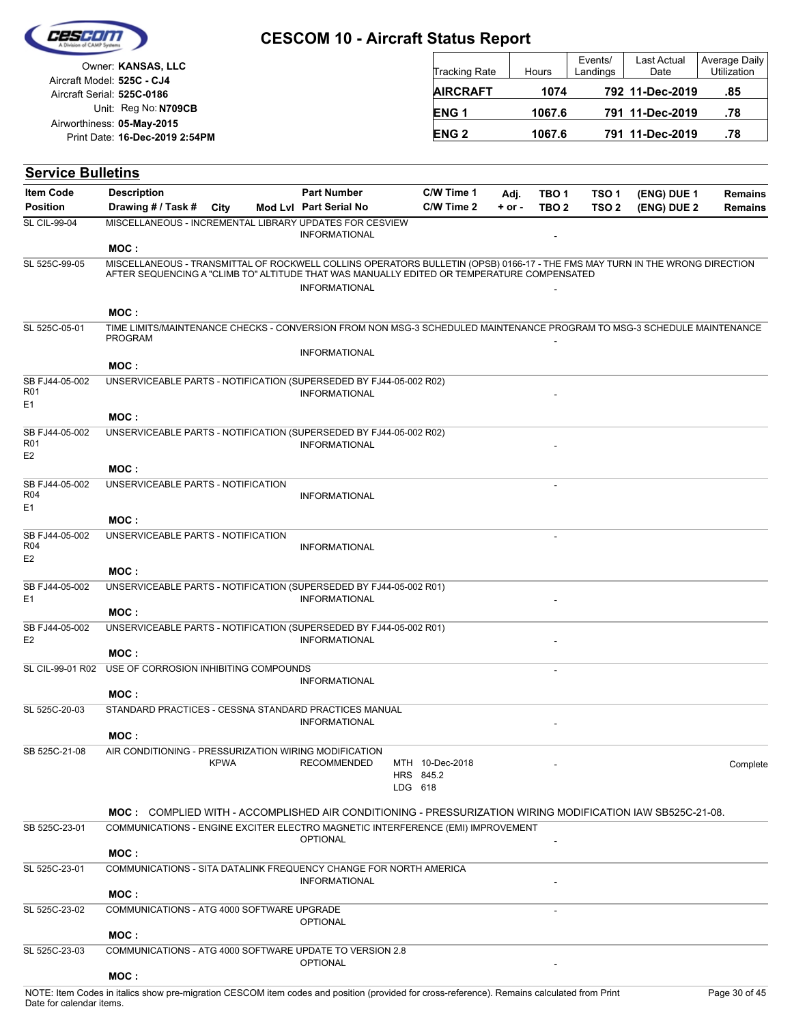| Cescom |  |
|--------|--|
|        |  |
|        |  |

| as mountain as masses, absent  |                        |        |                     |                     |                              |
|--------------------------------|------------------------|--------|---------------------|---------------------|------------------------------|
| Owner: KANSAS, LLC             | Tracking Rate          | Hours  | Events/<br>Landings | Last Actual<br>Date | Average Daily<br>Utilization |
| Aircraft Model: 525C - CJ4     |                        |        |                     |                     |                              |
| Aircraft Serial: 525C-0186     | <b>AIRCRAFT</b>        | 1074   |                     | 792 11-Dec-2019     | .85                          |
| Unit: Reg No: N709CB           | ENG <sub>1</sub>       | 1067.6 |                     | 791 11-Dec-2019     | .78                          |
| Airworthiness: 05-May-2015     |                        |        |                     |                     |                              |
| Print Date: 16-Dec-2019 2:54PM | <b>ENG<sub>2</sub></b> | 1067.6 |                     | 791 11-Dec-2019     | .78                          |

## **Service Bulletins**

| <b>Item Code</b>                  | <b>Description</b>                                                                                                                                                                                                        |             | <b>Part Number</b>     | C/W Time 1           | Adj.     | TBO 1            | TSO <sub>1</sub> | (ENG) DUE 1 | <b>Remains</b> |
|-----------------------------------|---------------------------------------------------------------------------------------------------------------------------------------------------------------------------------------------------------------------------|-------------|------------------------|----------------------|----------|------------------|------------------|-------------|----------------|
| <b>Position</b>                   | Drawing # / Task # City                                                                                                                                                                                                   |             | Mod Lvl Part Serial No | C/W Time 2           | $+ or -$ | TBO <sub>2</sub> | TSO <sub>2</sub> | (ENG) DUE 2 | <b>Remains</b> |
| <b>SL CIL-99-04</b>               | MISCELLANEOUS - INCREMENTAL LIBRARY UPDATES FOR CESVIEW                                                                                                                                                                   |             |                        |                      |          |                  |                  |             |                |
|                                   |                                                                                                                                                                                                                           |             | <b>INFORMATIONAL</b>   |                      |          |                  |                  |             |                |
|                                   | MOC:                                                                                                                                                                                                                      |             |                        |                      |          |                  |                  |             |                |
| SL 525C-99-05                     | MISCELLANEOUS - TRANSMITTAL OF ROCKWELL COLLINS OPERATORS BULLETIN (OPSB) 0166-17 - THE FMS MAY TURN IN THE WRONG DIRECTION<br>AFTER SEQUENCING A "CLIMB TO" ALTITUDE THAT WAS MANUALLY EDITED OR TEMPERATURE COMPENSATED |             |                        |                      |          |                  |                  |             |                |
|                                   |                                                                                                                                                                                                                           |             | <b>INFORMATIONAL</b>   |                      |          |                  |                  |             |                |
|                                   |                                                                                                                                                                                                                           |             |                        |                      |          |                  |                  |             |                |
|                                   | MOC:                                                                                                                                                                                                                      |             |                        |                      |          |                  |                  |             |                |
| SL 525C-05-01                     | TIME LIMITS/MAINTENANCE CHECKS - CONVERSION FROM NON MSG-3 SCHEDULED MAINTENANCE PROGRAM TO MSG-3 SCHEDULE MAINTENANCE<br><b>PROGRAM</b>                                                                                  |             |                        |                      |          |                  |                  |             |                |
|                                   |                                                                                                                                                                                                                           |             | <b>INFORMATIONAL</b>   |                      |          |                  |                  |             |                |
|                                   | MOC:                                                                                                                                                                                                                      |             |                        |                      |          |                  |                  |             |                |
| SB FJ44-05-002<br>R01             | UNSERVICEABLE PARTS - NOTIFICATION (SUPERSEDED BY FJ44-05-002 R02)                                                                                                                                                        |             |                        |                      |          |                  |                  |             |                |
| E <sub>1</sub>                    |                                                                                                                                                                                                                           |             | <b>INFORMATIONAL</b>   |                      |          |                  |                  |             |                |
|                                   | MOC:                                                                                                                                                                                                                      |             |                        |                      |          |                  |                  |             |                |
| SB FJ44-05-002                    | UNSERVICEABLE PARTS - NOTIFICATION (SUPERSEDED BY FJ44-05-002 R02)                                                                                                                                                        |             |                        |                      |          |                  |                  |             |                |
| R <sub>01</sub><br>E <sub>2</sub> |                                                                                                                                                                                                                           |             | <b>INFORMATIONAL</b>   |                      |          |                  |                  |             |                |
|                                   | MOC:                                                                                                                                                                                                                      |             |                        |                      |          |                  |                  |             |                |
| SB FJ44-05-002                    | UNSERVICEABLE PARTS - NOTIFICATION                                                                                                                                                                                        |             |                        |                      |          |                  |                  |             |                |
| R <sub>04</sub><br>E1             |                                                                                                                                                                                                                           |             | <b>INFORMATIONAL</b>   |                      |          |                  |                  |             |                |
|                                   | MOC:                                                                                                                                                                                                                      |             |                        |                      |          |                  |                  |             |                |
| SB FJ44-05-002                    | UNSERVICEABLE PARTS - NOTIFICATION                                                                                                                                                                                        |             |                        |                      |          |                  |                  |             |                |
| <b>R04</b>                        |                                                                                                                                                                                                                           |             | <b>INFORMATIONAL</b>   |                      |          |                  |                  |             |                |
| E <sub>2</sub>                    | MOC:                                                                                                                                                                                                                      |             |                        |                      |          |                  |                  |             |                |
| SB FJ44-05-002                    | UNSERVICEABLE PARTS - NOTIFICATION (SUPERSEDED BY FJ44-05-002 R01)                                                                                                                                                        |             |                        |                      |          |                  |                  |             |                |
| E1                                |                                                                                                                                                                                                                           |             | <b>INFORMATIONAL</b>   |                      |          |                  |                  |             |                |
|                                   | MOC:                                                                                                                                                                                                                      |             |                        |                      |          |                  |                  |             |                |
| SB FJ44-05-002<br>E <sub>2</sub>  | UNSERVICEABLE PARTS - NOTIFICATION (SUPERSEDED BY FJ44-05-002 R01)                                                                                                                                                        |             | <b>INFORMATIONAL</b>   |                      |          |                  |                  |             |                |
|                                   | MOC:                                                                                                                                                                                                                      |             |                        |                      |          |                  |                  |             |                |
| SL CIL-99-01 R02                  | USE OF CORROSION INHIBITING COMPOUNDS                                                                                                                                                                                     |             |                        |                      |          |                  |                  |             |                |
|                                   |                                                                                                                                                                                                                           |             | <b>INFORMATIONAL</b>   |                      |          |                  |                  |             |                |
|                                   | MOC:                                                                                                                                                                                                                      |             |                        |                      |          |                  |                  |             |                |
| SL 525C-20-03                     | STANDARD PRACTICES - CESSNA STANDARD PRACTICES MANUAL                                                                                                                                                                     |             | <b>INFORMATIONAL</b>   |                      |          |                  |                  |             |                |
|                                   | MOC:                                                                                                                                                                                                                      |             |                        |                      |          |                  |                  |             |                |
| SB 525C-21-08                     | AIR CONDITIONING - PRESSURIZATION WIRING MODIFICATION                                                                                                                                                                     |             |                        |                      |          |                  |                  |             |                |
|                                   |                                                                                                                                                                                                                           | <b>KPWA</b> | <b>RECOMMENDED</b>     | MTH 10-Dec-2018      |          |                  |                  |             | Complete       |
|                                   |                                                                                                                                                                                                                           |             |                        | HRS 845.2<br>LDG 618 |          |                  |                  |             |                |
|                                   |                                                                                                                                                                                                                           |             |                        |                      |          |                  |                  |             |                |
|                                   | MOC: COMPLIED WITH - ACCOMPLISHED AIR CONDITIONING - PRESSURIZATION WIRING MODIFICATION IAW SB525C-21-08.                                                                                                                 |             |                        |                      |          |                  |                  |             |                |
| SB 525C-23-01                     | COMMUNICATIONS - ENGINE EXCITER ELECTRO MAGNETIC INTERFERENCE (EMI) IMPROVEMENT                                                                                                                                           |             | <b>OPTIONAL</b>        |                      |          |                  |                  |             |                |
|                                   | MOC:                                                                                                                                                                                                                      |             |                        |                      |          |                  |                  |             |                |
| SL 525C-23-01                     | COMMUNICATIONS - SITA DATALINK FREQUENCY CHANGE FOR NORTH AMERICA                                                                                                                                                         |             |                        |                      |          |                  |                  |             |                |
|                                   |                                                                                                                                                                                                                           |             | <b>INFORMATIONAL</b>   |                      |          |                  |                  |             |                |
|                                   | MOC:                                                                                                                                                                                                                      |             |                        |                      |          |                  |                  |             |                |
| SL 525C-23-02                     | COMMUNICATIONS - ATG 4000 SOFTWARE UPGRADE                                                                                                                                                                                |             | <b>OPTIONAL</b>        |                      |          |                  |                  |             |                |
|                                   | MOC:                                                                                                                                                                                                                      |             |                        |                      |          |                  |                  |             |                |
| SL 525C-23-03                     | COMMUNICATIONS - ATG 4000 SOFTWARE UPDATE TO VERSION 2.8                                                                                                                                                                  |             |                        |                      |          |                  |                  |             |                |
|                                   |                                                                                                                                                                                                                           |             | <b>OPTIONAL</b>        |                      |          |                  |                  |             |                |
|                                   | MOC:                                                                                                                                                                                                                      |             |                        |                      |          |                  |                  |             |                |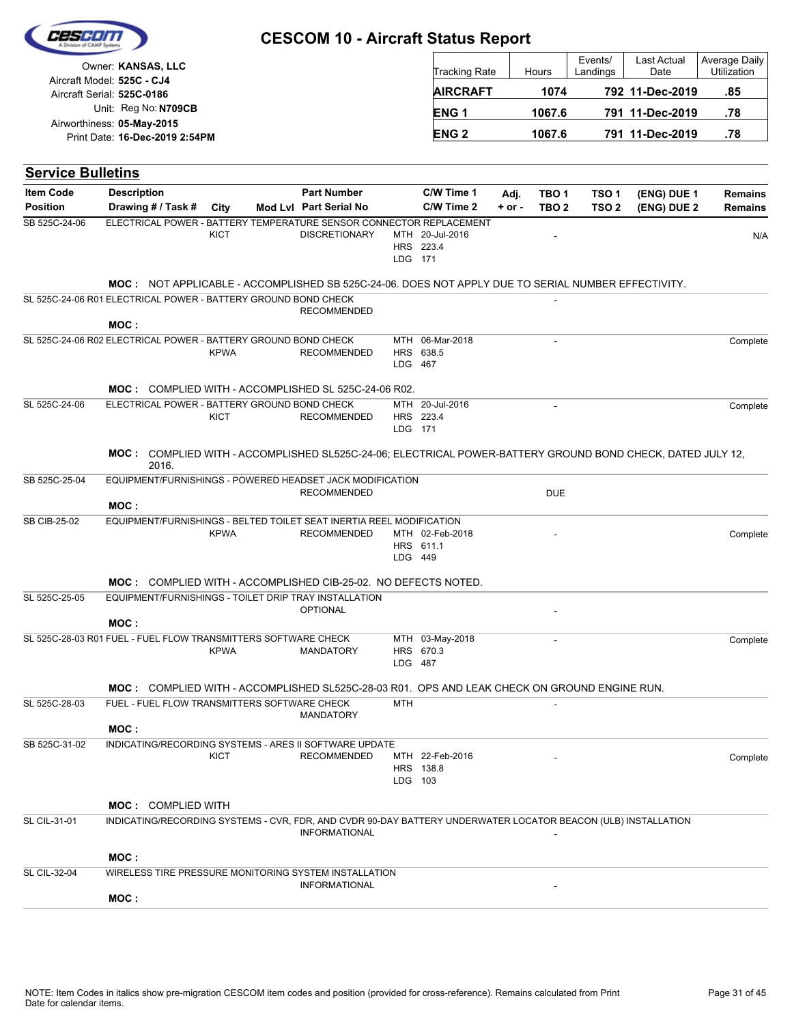|                                  | Owner: KANSAS, LLC                                                                                                  |             |                        |            | <b>Tracking Rate</b>         |            | Hours            | Events/<br>Landings | Last Actual<br>Date | <b>Average Daily</b><br>Utilization |
|----------------------------------|---------------------------------------------------------------------------------------------------------------------|-------------|------------------------|------------|------------------------------|------------|------------------|---------------------|---------------------|-------------------------------------|
|                                  | Aircraft Model: 525C - CJ4<br>Aircraft Serial: 525C-0186                                                            |             |                        |            | <b>AIRCRAFT</b>              |            | 1074             |                     | 792 11-Dec-2019     | .85                                 |
|                                  | Unit: Reg No: N709CB                                                                                                |             |                        |            | ENG <sub>1</sub>             |            | 1067.6           |                     | 791 11-Dec-2019     | .78                                 |
|                                  | Airworthiness: 05-May-2015<br>Print Date: 16-Dec-2019 2:54PM                                                        |             |                        |            | <b>ENG2</b>                  |            | 1067.6           |                     | 791 11-Dec-2019     | .78                                 |
|                                  |                                                                                                                     |             |                        |            |                              |            |                  |                     |                     |                                     |
| <b>Service Bulletins</b>         |                                                                                                                     |             |                        |            |                              |            |                  |                     |                     |                                     |
| <b>Item Code</b>                 | <b>Description</b>                                                                                                  |             | <b>Part Number</b>     |            | C/W Time 1                   | Adj.       | TBO <sub>1</sub> | TSO <sub>1</sub>    | (ENG) DUE 1         | <b>Remains</b>                      |
| <b>Position</b><br>SB 525C-24-06 | Drawing # / Task #<br>ELECTRICAL POWER - BATTERY TEMPERATURE SENSOR CONNECTOR REPLACEMENT                           | City        | Mod Lvl Part Serial No |            | C/W Time 2                   | $+$ or $-$ | TBO <sub>2</sub> | TSO <sub>2</sub>    | (ENG) DUE 2         | <b>Remains</b>                      |
|                                  |                                                                                                                     | KICT        | <b>DISCRETIONARY</b>   | LDG 171    | MTH 20-Jul-2016<br>HRS 223.4 |            |                  |                     |                     | N/A                                 |
|                                  | MOC: NOT APPLICABLE - ACCOMPLISHED SB 525C-24-06. DOES NOT APPLY DUE TO SERIAL NUMBER EFFECTIVITY.                  |             |                        |            |                              |            |                  |                     |                     |                                     |
|                                  | SL 525C-24-06 R01 ELECTRICAL POWER - BATTERY GROUND BOND CHECK                                                      |             | <b>RECOMMENDED</b>     |            |                              |            |                  |                     |                     |                                     |
|                                  | MOC:                                                                                                                |             |                        |            |                              |            |                  |                     |                     |                                     |
|                                  | SL 525C-24-06 R02 ELECTRICAL POWER - BATTERY GROUND BOND CHECK                                                      |             |                        |            | MTH 06-Mar-2018              |            |                  |                     |                     | Complete                            |
|                                  |                                                                                                                     | <b>KPWA</b> | <b>RECOMMENDED</b>     | LDG 467    | HRS 638.5                    |            |                  |                     |                     |                                     |
|                                  | MOC: COMPLIED WITH - ACCOMPLISHED SL 525C-24-06 R02.                                                                |             |                        |            |                              |            |                  |                     |                     |                                     |
| SL 525C-24-06                    | ELECTRICAL POWER - BATTERY GROUND BOND CHECK                                                                        | <b>KICT</b> | <b>RECOMMENDED</b>     | LDG 171    | MTH 20-Jul-2016<br>HRS 223.4 |            |                  |                     |                     | Complete                            |
|                                  | MOC: COMPLIED WITH - ACCOMPLISHED SL525C-24-06; ELECTRICAL POWER-BATTERY GROUND BOND CHECK, DATED JULY 12,<br>2016. |             |                        |            |                              |            |                  |                     |                     |                                     |
| SB 525C-25-04                    | EQUIPMENT/FURNISHINGS - POWERED HEADSET JACK MODIFICATION                                                           |             |                        |            |                              |            |                  |                     |                     |                                     |
|                                  | MOC:                                                                                                                |             | <b>RECOMMENDED</b>     |            |                              |            | <b>DUE</b>       |                     |                     |                                     |
| <b>SB CIB-25-02</b>              | EQUIPMENT/FURNISHINGS - BELTED TOILET SEAT INERTIA REEL MODIFICATION                                                |             |                        |            |                              |            |                  |                     |                     |                                     |
|                                  |                                                                                                                     | <b>KPWA</b> | <b>RECOMMENDED</b>     |            | MTH 02-Feb-2018              |            |                  |                     |                     | Complete                            |
|                                  |                                                                                                                     |             |                        | LDG 449    | HRS 611.1                    |            |                  |                     |                     |                                     |
|                                  | <b>MOC: COMPLIED WITH - ACCOMPLISHED CIB-25-02. NO DEFECTS NOTED.</b>                                               |             |                        |            |                              |            |                  |                     |                     |                                     |
| SL 525C-25-05                    | EQUIPMENT/FURNISHINGS - TOILET DRIP TRAY INSTALLATION                                                               |             |                        |            |                              |            |                  |                     |                     |                                     |
|                                  |                                                                                                                     |             | <b>OPTIONAL</b>        |            |                              |            |                  |                     |                     |                                     |
|                                  | MOC:<br>SL 525C-28-03 R01 FUEL - FUEL FLOW TRANSMITTERS SOFTWARE CHECK                                              |             |                        |            | MTH 03-May-2018              |            |                  |                     |                     | Complete                            |
|                                  |                                                                                                                     | <b>KPWA</b> | <b>MANDATORY</b>       | LDG 487    | HRS 670.3                    |            |                  |                     |                     |                                     |
|                                  | MOC: COMPLIED WITH - ACCOMPLISHED SL525C-28-03 R01. OPS AND LEAK CHECK ON GROUND ENGINE RUN.                        |             |                        |            |                              |            |                  |                     |                     |                                     |
| SL 525C-28-03                    | FUEL - FUEL FLOW TRANSMITTERS SOFTWARE CHECK                                                                        |             | <b>MANDATORY</b>       | <b>MTH</b> |                              |            |                  |                     |                     |                                     |
|                                  | MOC:                                                                                                                |             |                        |            |                              |            |                  |                     |                     |                                     |
| SB 525C-31-02                    | INDICATING/RECORDING SYSTEMS - ARES II SOFTWARE UPDATE                                                              |             |                        |            |                              |            |                  |                     |                     |                                     |
|                                  |                                                                                                                     | KICT        | <b>RECOMMENDED</b>     | LDG 103    | MTH 22-Feb-2016<br>HRS 138.8 |            |                  |                     |                     | Complete                            |
|                                  | <b>MOC: COMPLIED WITH</b>                                                                                           |             |                        |            |                              |            |                  |                     |                     |                                     |
| SL CIL-31-01                     | INDICATING/RECORDING SYSTEMS - CVR, FDR, AND CVDR 90-DAY BATTERY UNDERWATER LOCATOR BEACON (ULB) INSTALLATION       |             |                        |            |                              |            |                  |                     |                     |                                     |
|                                  |                                                                                                                     |             | <b>INFORMATIONAL</b>   |            |                              |            |                  |                     |                     |                                     |
|                                  | MOC:                                                                                                                |             |                        |            |                              |            |                  |                     |                     |                                     |
| <b>SL CIL-32-04</b>              | WIRELESS TIRE PRESSURE MONITORING SYSTEM INSTALLATION                                                               |             |                        |            |                              |            |                  |                     |                     |                                     |
|                                  | MOC:                                                                                                                |             | <b>INFORMATIONAL</b>   |            |                              |            |                  |                     |                     |                                     |
|                                  |                                                                                                                     |             |                        |            |                              |            |                  |                     |                     |                                     |

 $\Gamma$ 

Τ

Ceseol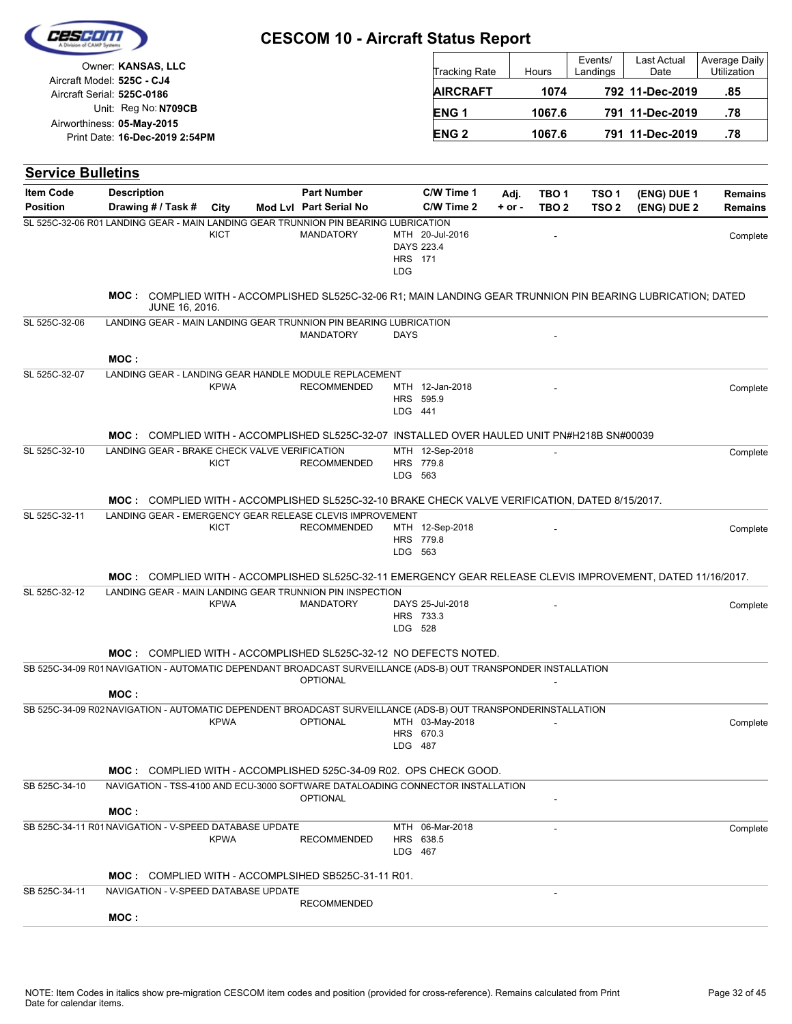|                          | Owner: KANSAS, LLC                                                                                                             |             |                        |             | Tracking Rate                                   |            | Hours            | Events/<br>Landings | Last Actual<br>Date | Average Daily<br>Utilization |
|--------------------------|--------------------------------------------------------------------------------------------------------------------------------|-------------|------------------------|-------------|-------------------------------------------------|------------|------------------|---------------------|---------------------|------------------------------|
|                          | Aircraft Model: 525C - CJ4<br>Aircraft Serial: 525C-0186                                                                       |             |                        |             | <b>AIRCRAFT</b>                                 |            | 1074             |                     | 792 11-Dec-2019     | .85                          |
|                          | Unit: Reg No: N709CB                                                                                                           |             |                        |             | <b>ENG1</b>                                     |            | 1067.6           |                     | 791 11-Dec-2019     | .78                          |
|                          | Airworthiness: 05-May-2015                                                                                                     |             |                        |             | <b>ENG2</b>                                     |            | 1067.6           |                     | 791 11-Dec-2019     | .78                          |
|                          | Print Date: 16-Dec-2019 2:54PM                                                                                                 |             |                        |             |                                                 |            |                  |                     |                     |                              |
| <b>Service Bulletins</b> |                                                                                                                                |             |                        |             |                                                 |            |                  |                     |                     |                              |
| <b>Item Code</b>         | <b>Description</b>                                                                                                             |             | <b>Part Number</b>     |             | C/W Time 1                                      | Adj.       | TBO <sub>1</sub> | TSO <sub>1</sub>    | (ENG) DUE 1         | <b>Remains</b>               |
| <b>Position</b>          | Drawing # / Task #                                                                                                             | City        | Mod Lvl Part Serial No |             | C/W Time 2                                      | $+$ or $-$ | TBO <sub>2</sub> | TSO <sub>2</sub>    | (ENG) DUE 2         | <b>Remains</b>               |
|                          | SL 525C-32-06 R01 LANDING GEAR - MAIN LANDING GEAR TRUNNION PIN BEARING LUBRICATION                                            | <b>KICT</b> | <b>MANDATORY</b>       | <b>LDG</b>  | MTH 20-Jul-2016<br>DAYS 223.4<br><b>HRS</b> 171 |            |                  |                     |                     | Complete                     |
|                          | MOC: COMPLIED WITH - ACCOMPLISHED SL525C-32-06 R1; MAIN LANDING GEAR TRUNNION PIN BEARING LUBRICATION; DATED<br>JUNE 16, 2016. |             |                        |             |                                                 |            |                  |                     |                     |                              |
| SL 525C-32-06            | LANDING GEAR - MAIN LANDING GEAR TRUNNION PIN BEARING LUBRICATION                                                              |             | <b>MANDATORY</b>       | <b>DAYS</b> |                                                 |            |                  |                     |                     |                              |
|                          | MOC:                                                                                                                           |             |                        |             |                                                 |            |                  |                     |                     |                              |
| SL 525C-32-07            | LANDING GEAR - LANDING GEAR HANDLE MODULE REPLACEMENT                                                                          | <b>KPWA</b> | <b>RECOMMENDED</b>     | LDG 441     | MTH 12-Jan-2018<br>HRS 595.9                    |            |                  |                     |                     | Complete                     |
|                          | MOC: COMPLIED WITH - ACCOMPLISHED SL525C-32-07 INSTALLED OVER HAULED UNIT PN#H218B SN#00039                                    |             |                        |             |                                                 |            |                  |                     |                     |                              |
| SL 525C-32-10            | LANDING GEAR - BRAKE CHECK VALVE VERIFICATION                                                                                  | KICT        | <b>RECOMMENDED</b>     | LDG 563     | MTH 12-Sep-2018<br>HRS 779.8                    |            |                  |                     |                     | Complete                     |
|                          | MOC: COMPLIED WITH - ACCOMPLISHED SL525C-32-10 BRAKE CHECK VALVE VERIFICATION, DATED 8/15/2017.                                |             |                        |             |                                                 |            |                  |                     |                     |                              |
| SL 525C-32-11            | LANDING GEAR - EMERGENCY GEAR RELEASE CLEVIS IMPROVEMENT                                                                       | KICT        | <b>RECOMMENDED</b>     |             | MTH 12-Sep-2018                                 |            |                  |                     |                     | Complete                     |
|                          |                                                                                                                                |             |                        |             | HRS 779.8<br>LDG 563                            |            |                  |                     |                     |                              |
|                          | MOC: COMPLIED WITH - ACCOMPLISHED SL525C-32-11 EMERGENCY GEAR RELEASE CLEVIS IMPROVEMENT, DATED 11/16/2017.                    |             |                        |             |                                                 |            |                  |                     |                     |                              |
| SL 525C-32-12            | LANDING GEAR - MAIN LANDING GEAR TRUNNION PIN INSPECTION                                                                       | <b>KPWA</b> | <b>MANDATORY</b>       |             | DAYS 25-Jul-2018<br>HRS 733.3<br>LDG 528        |            |                  |                     |                     | Complete                     |
|                          | <b>MOC: COMPLIED WITH - ACCOMPLISHED SL525C-32-12 NO DEFECTS NOTED.</b>                                                        |             |                        |             |                                                 |            |                  |                     |                     |                              |
|                          | SB 525C-34-09 R01 NAVIGATION - AUTOMATIC DEPENDANT BROADCAST SURVEILLANCE (ADS-B) OUT TRANSPONDER INSTALLATION<br>MOC:         |             | <b>OPTIONAL</b>        |             |                                                 |            |                  |                     |                     |                              |
|                          | SB 525C-34-09 R02 NAVIGATION - AUTOMATIC DEPENDENT BROADCAST SURVEILLANCE (ADS-B) OUT TRANSPONDERINSTALLATION                  |             |                        |             |                                                 |            |                  |                     |                     |                              |
|                          |                                                                                                                                | <b>KPWA</b> | <b>OPTIONAL</b>        |             | MTH 03-May-2018<br>HRS 670.3<br>LDG 487         |            |                  |                     |                     | Complete                     |
|                          | <b>MOC: COMPLIED WITH - ACCOMPLISHED 525C-34-09 R02. OPS CHECK GOOD.</b>                                                       |             |                        |             |                                                 |            |                  |                     |                     |                              |
| SB 525C-34-10            | NAVIGATION - TSS-4100 AND ECU-3000 SOFTWARE DATALOADING CONNECTOR INSTALLATION                                                 |             | <b>OPTIONAL</b>        |             |                                                 |            |                  |                     |                     |                              |
|                          | MOC:<br>SB 525C-34-11 R01 NAVIGATION - V-SPEED DATABASE UPDATE                                                                 |             |                        |             | MTH 06-Mar-2018                                 |            | $\overline{a}$   |                     |                     |                              |
|                          |                                                                                                                                | <b>KPWA</b> | <b>RECOMMENDED</b>     | LDG 467     | HRS 638.5                                       |            |                  |                     |                     | Complete                     |
|                          | MOC: COMPLIED WITH - ACCOMPLSIHED SB525C-31-11 R01.                                                                            |             |                        |             |                                                 |            |                  |                     |                     |                              |
| SB 525C-34-11            | NAVIGATION - V-SPEED DATABASE UPDATE                                                                                           |             |                        |             |                                                 |            |                  |                     |                     |                              |
|                          | MOC:                                                                                                                           |             | <b>RECOMMENDED</b>     |             |                                                 |            |                  |                     |                     |                              |

 $\Gamma$ 

Τ

Cescor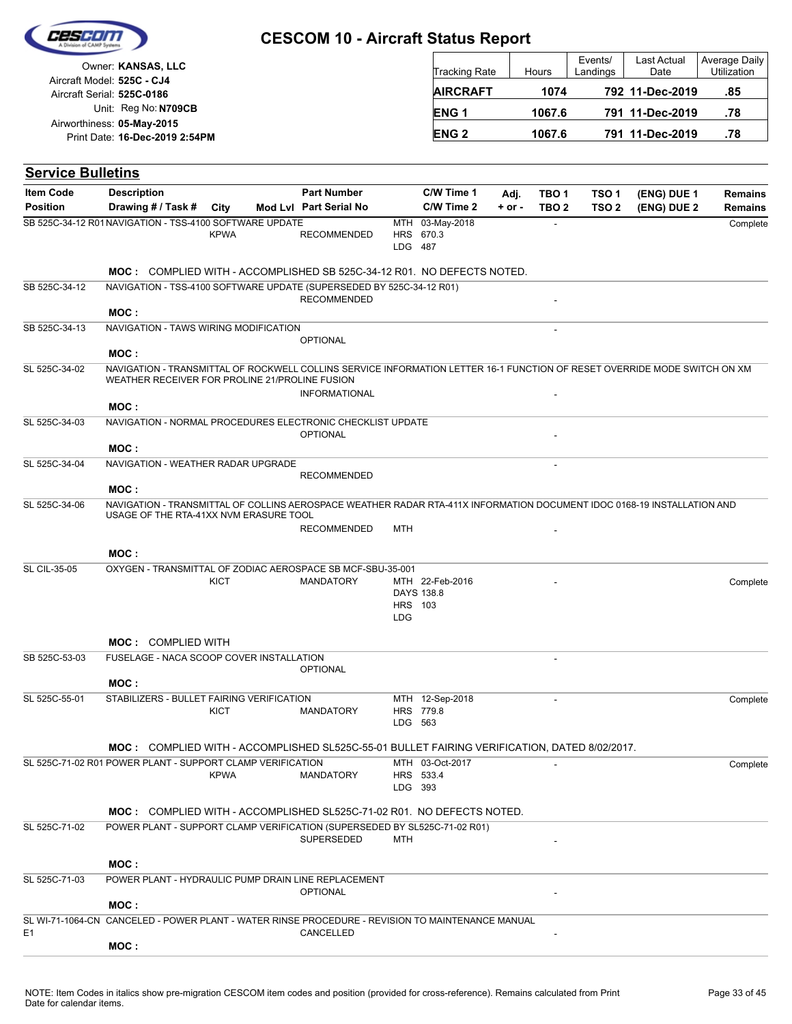

| and the continuous data discussions. And the development |                      |        |                     |                     |                              |
|----------------------------------------------------------|----------------------|--------|---------------------|---------------------|------------------------------|
| Owner: KANSAS, LLC                                       | <b>Tracking Rate</b> | Hours  | Events/<br>Landings | Last Actual<br>Date | Average Daily<br>Utilization |
| Aircraft Model: 525C - CJ4                               |                      |        |                     |                     |                              |
| Aircraft Serial: 525C-0186                               | <b>AIRCRAFT</b>      | 1074   |                     | 792 11-Dec-2019     | .85                          |
| Unit: Reg No: N709CB                                     | <b>ENG1</b>          | 1067.6 |                     | 791 11-Dec-2019     | .78                          |
| Airworthiness: 05-May-2015                               |                      |        |                     |                     |                              |
| Print Date: 16-Dec-2019 2:54PM                           | <b>ENG 2</b>         | 1067.6 |                     | 791 11-Dec-2019     | .78                          |

| <b>Service Bulletins</b> |                                                                                                                                                                             |             |                        |                       |                               |          |                  |                  |             |                |
|--------------------------|-----------------------------------------------------------------------------------------------------------------------------------------------------------------------------|-------------|------------------------|-----------------------|-------------------------------|----------|------------------|------------------|-------------|----------------|
| <b>Item Code</b>         | <b>Description</b>                                                                                                                                                          |             | <b>Part Number</b>     |                       | C/W Time 1                    | Adj.     | TBO <sub>1</sub> | TSO <sub>1</sub> | (ENG) DUE 1 | <b>Remains</b> |
| <b>Position</b>          | Drawing # / Task #                                                                                                                                                          | City        | Mod Lvl Part Serial No |                       | C/W Time 2                    | $+ or -$ | TBO <sub>2</sub> | TSO <sub>2</sub> | (ENG) DUE 2 | Remains        |
|                          | SB 525C-34-12 R01 NAVIGATION - TSS-4100 SOFTWARE UPDATE                                                                                                                     | <b>KPWA</b> | <b>RECOMMENDED</b>     | LDG 487               | MTH 03-May-2018<br>HRS 670.3  |          |                  |                  |             | Complete       |
|                          | <b>MOC: COMPLIED WITH - ACCOMPLISHED SB 525C-34-12 R01. NO DEFECTS NOTED.</b>                                                                                               |             |                        |                       |                               |          |                  |                  |             |                |
| SB 525C-34-12            | NAVIGATION - TSS-4100 SOFTWARE UPDATE (SUPERSEDED BY 525C-34-12 R01)                                                                                                        |             | <b>RECOMMENDED</b>     |                       |                               |          |                  |                  |             |                |
|                          | MOC:                                                                                                                                                                        |             |                        |                       |                               |          |                  |                  |             |                |
| SB 525C-34-13            | NAVIGATION - TAWS WIRING MODIFICATION<br>MOC:                                                                                                                               |             | <b>OPTIONAL</b>        |                       |                               |          |                  |                  |             |                |
| SL 525C-34-02            | NAVIGATION - TRANSMITTAL OF ROCKWELL COLLINS SERVICE INFORMATION LETTER 16-1 FUNCTION OF RESET OVERRIDE MODE SWITCH ON XM<br>WEATHER RECEIVER FOR PROLINE 21/PROLINE FUSION |             |                        |                       |                               |          |                  |                  |             |                |
|                          |                                                                                                                                                                             |             | <b>INFORMATIONAL</b>   |                       |                               |          |                  |                  |             |                |
|                          | MOC:                                                                                                                                                                        |             |                        |                       |                               |          |                  |                  |             |                |
| SL 525C-34-03            | NAVIGATION - NORMAL PROCEDURES ELECTRONIC CHECKLIST UPDATE                                                                                                                  |             | <b>OPTIONAL</b>        |                       |                               |          |                  |                  |             |                |
| SL 525C-34-04            | MOC:<br>NAVIGATION - WEATHER RADAR UPGRADE                                                                                                                                  |             |                        |                       |                               |          |                  |                  |             |                |
|                          | MOC:                                                                                                                                                                        |             | <b>RECOMMENDED</b>     |                       |                               |          |                  |                  |             |                |
| SL 525C-34-06            | NAVIGATION - TRANSMITTAL OF COLLINS AEROSPACE WEATHER RADAR RTA-411X INFORMATION DOCUMENT IDOC 0168-19 INSTALLATION AND                                                     |             |                        |                       |                               |          |                  |                  |             |                |
|                          | USAGE OF THE RTA-41XX NVM ERASURE TOOL                                                                                                                                      |             | <b>RECOMMENDED</b>     | MTH                   |                               |          |                  |                  |             |                |
|                          | MOC:                                                                                                                                                                        |             |                        |                       |                               |          |                  |                  |             |                |
| <b>SL CIL-35-05</b>      | OXYGEN - TRANSMITTAL OF ZODIAC AEROSPACE SB MCF-SBU-35-001                                                                                                                  |             |                        |                       |                               |          |                  |                  |             |                |
|                          |                                                                                                                                                                             | <b>KICT</b> | <b>MANDATORY</b>       | <b>HRS</b> 103<br>LDG | MTH 22-Feb-2016<br>DAYS 138.8 |          |                  |                  |             | Complete       |
|                          | <b>MOC: COMPLIED WITH</b>                                                                                                                                                   |             |                        |                       |                               |          |                  |                  |             |                |
| SB 525C-53-03            | FUSELAGE - NACA SCOOP COVER INSTALLATION                                                                                                                                    |             | <b>OPTIONAL</b>        |                       |                               |          |                  |                  |             |                |
|                          | MOC:                                                                                                                                                                        |             |                        |                       |                               |          |                  |                  |             |                |
| SL 525C-55-01            | STABILIZERS - BULLET FAIRING VERIFICATION                                                                                                                                   | KICT        | <b>MANDATORY</b>       | LDG 563               | MTH 12-Sep-2018<br>HRS 779.8  |          | ÷,               |                  |             | Complete       |
|                          | MOC: COMPLIED WITH - ACCOMPLISHED SL525C-55-01 BULLET FAIRING VERIFICATION, DATED 8/02/2017.                                                                                |             |                        |                       |                               |          |                  |                  |             |                |
|                          | SL 525C-71-02 R01 POWER PLANT - SUPPORT CLAMP VERIFICATION                                                                                                                  | <b>KPWA</b> | <b>MANDATORY</b>       | LDG 393               | MTH 03-Oct-2017<br>HRS 533.4  |          |                  |                  |             | Complete       |
|                          | MOC: COMPLIED WITH - ACCOMPLISHED SL525C-71-02 R01. NO DEFECTS NOTED.                                                                                                       |             |                        |                       |                               |          |                  |                  |             |                |
| SL 525C-71-02            | POWER PLANT - SUPPORT CLAMP VERIFICATION (SUPERSEDED BY SL525C-71-02 R01)                                                                                                   |             | SUPERSEDED             | MTH                   |                               |          |                  |                  |             |                |
|                          |                                                                                                                                                                             |             |                        |                       |                               |          |                  |                  |             |                |
| SL 525C-71-03            | MOC:<br>POWER PLANT - HYDRAULIC PUMP DRAIN LINE REPLACEMENT                                                                                                                 |             |                        |                       |                               |          |                  |                  |             |                |
|                          |                                                                                                                                                                             |             | <b>OPTIONAL</b>        |                       |                               |          |                  |                  |             |                |
|                          | MOC:                                                                                                                                                                        |             |                        |                       |                               |          |                  |                  |             |                |
| E <sub>1</sub>           | SL WI-71-1064-CN CANCELED - POWER PLANT - WATER RINSE PROCEDURE - REVISION TO MAINTENANCE MANUAL                                                                            |             | CANCELLED              |                       |                               |          |                  |                  |             |                |
|                          | MOC:                                                                                                                                                                        |             |                        |                       |                               |          |                  |                  |             |                |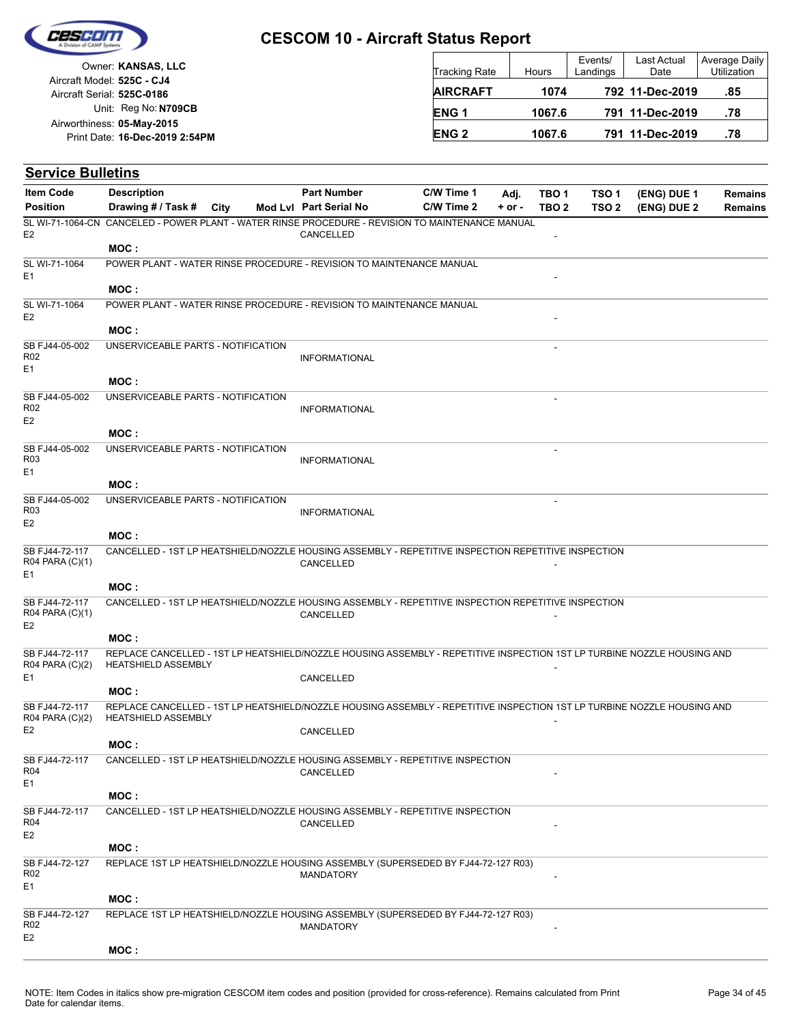

|                            | Owner: KANSAS, LLC             |  |
|----------------------------|--------------------------------|--|
| Aircraft Model: 525C - CJ4 |                                |  |
| Aircraft Serial: 525C-0186 |                                |  |
|                            | Unit: Reg No: N709CB           |  |
| Airworthiness: 05-May-2015 |                                |  |
|                            | Print Date: 16-Dec-2019 2:54PM |  |
|                            |                                |  |

| <b>Tracking Rate</b> | Hours  | Events/<br>Landings | Last Actual<br>Date | Average Daily<br>Utilization |
|----------------------|--------|---------------------|---------------------|------------------------------|
| <b>AIRCRAFT</b>      | 1074   |                     | 792 11-Dec-2019     | .85                          |
| <b>ENG1</b>          | 1067.6 |                     | 791 11-Dec-2019     | .78                          |
| <b>ENG 2</b>         | 1067.6 |                     | 791 11-Dec-2019     | .78                          |

| <b>Service Bulletins</b>                            |                                                                                                                                                       |      |                        |            |          |                  |                  |             |                |
|-----------------------------------------------------|-------------------------------------------------------------------------------------------------------------------------------------------------------|------|------------------------|------------|----------|------------------|------------------|-------------|----------------|
| <b>Item Code</b>                                    | <b>Description</b>                                                                                                                                    |      | <b>Part Number</b>     | C/W Time 1 | Adj.     | TBO <sub>1</sub> | TSO <sub>1</sub> | (ENG) DUE 1 | <b>Remains</b> |
| <b>Position</b>                                     | Drawing # / Task #                                                                                                                                    | City | Mod Lyl Part Serial No | C/W Time 2 | $+ or -$ | TBO <sub>2</sub> | TSO <sub>2</sub> | (ENG) DUE 2 | <b>Remains</b> |
| E <sub>2</sub>                                      | SL WI-71-1064-CN CANCELED - POWER PLANT - WATER RINSE PROCEDURE - REVISION TO MAINTENANCE MANUAL                                                      |      | CANCELLED              |            |          |                  |                  |             |                |
|                                                     | MOC:                                                                                                                                                  |      |                        |            |          |                  |                  |             |                |
| SL WI-71-1064<br>E1                                 | POWER PLANT - WATER RINSE PROCEDURE - REVISION TO MAINTENANCE MANUAL                                                                                  |      |                        |            |          |                  |                  |             |                |
|                                                     | MOC:                                                                                                                                                  |      |                        |            |          |                  |                  |             |                |
| SL WI-71-1064<br>E <sub>2</sub>                     | POWER PLANT - WATER RINSE PROCEDURE - REVISION TO MAINTENANCE MANUAL                                                                                  |      |                        |            |          |                  |                  |             |                |
|                                                     | MOC:                                                                                                                                                  |      |                        |            |          |                  |                  |             |                |
| SB FJ44-05-002<br>R <sub>02</sub><br>E1             | UNSERVICEABLE PARTS - NOTIFICATION                                                                                                                    |      | <b>INFORMATIONAL</b>   |            |          |                  |                  |             |                |
|                                                     | MOC:                                                                                                                                                  |      |                        |            |          |                  |                  |             |                |
| SB FJ44-05-002<br>R <sub>02</sub><br>E <sub>2</sub> | UNSERVICEABLE PARTS - NOTIFICATION                                                                                                                    |      | <b>INFORMATIONAL</b>   |            |          | ÷,               |                  |             |                |
|                                                     | MOC:                                                                                                                                                  |      |                        |            |          |                  |                  |             |                |
| SB FJ44-05-002<br>R03<br>E1                         | UNSERVICEABLE PARTS - NOTIFICATION                                                                                                                    |      | <b>INFORMATIONAL</b>   |            |          |                  |                  |             |                |
|                                                     | MOC:                                                                                                                                                  |      |                        |            |          |                  |                  |             |                |
| SB FJ44-05-002<br>R03                               | UNSERVICEABLE PARTS - NOTIFICATION                                                                                                                    |      | <b>INFORMATIONAL</b>   |            |          |                  |                  |             |                |
| E <sub>2</sub>                                      |                                                                                                                                                       |      |                        |            |          |                  |                  |             |                |
|                                                     | MOC:                                                                                                                                                  |      |                        |            |          |                  |                  |             |                |
| SB FJ44-72-117<br>R04 PARA (C)(1)<br>E1             | CANCELLED - 1ST LP HEATSHIELD/NOZZLE HOUSING ASSEMBLY - REPETITIVE INSPECTION REPETITIVE INSPECTION                                                   |      | CANCELLED              |            |          |                  |                  |             |                |
|                                                     | MOC:                                                                                                                                                  |      |                        |            |          |                  |                  |             |                |
| SB FJ44-72-117                                      | CANCELLED - 1ST LP HEATSHIELD/NOZZLE HOUSING ASSEMBLY - REPETITIVE INSPECTION REPETITIVE INSPECTION                                                   |      |                        |            |          |                  |                  |             |                |
| R04 PARA (C)(1)<br>E <sub>2</sub>                   |                                                                                                                                                       |      | CANCELLED              |            |          |                  |                  |             |                |
|                                                     | MOC:                                                                                                                                                  |      |                        |            |          |                  |                  |             |                |
| SB FJ44-72-117<br>R04 PARA (C)(2)                   | REPLACE CANCELLED - 1ST LP HEATSHIELD/NOZZLE HOUSING ASSEMBLY - REPETITIVE INSPECTION 1ST LP TURBINE NOZZLE HOUSING AND<br><b>HEATSHIELD ASSEMBLY</b> |      |                        |            |          |                  |                  |             |                |
| E1                                                  |                                                                                                                                                       |      | CANCELLED              |            |          |                  |                  |             |                |
|                                                     | MOC:                                                                                                                                                  |      |                        |            |          |                  |                  |             |                |
| SB FJ44-72-117<br>R04 PARA (C)(2)<br>E <sub>2</sub> | REPLACE CANCELLED - 1ST LP HEATSHIELD/NOZZLE HOUSING ASSEMBLY - REPETITIVE INSPECTION 1ST LP TURBINE NOZZLE HOUSING AND<br><b>HEATSHIELD ASSEMBLY</b> |      | CANCELLED              |            |          |                  |                  |             |                |
|                                                     | MOC:                                                                                                                                                  |      |                        |            |          |                  |                  |             |                |
| SB FJ44-72-117<br>R04<br>E1                         | CANCELLED - 1ST LP HEATSHIELD/NOZZLE HOUSING ASSEMBLY - REPETITIVE INSPECTION                                                                         |      | CANCELLED              |            |          |                  |                  |             |                |
|                                                     | MOC:                                                                                                                                                  |      |                        |            |          |                  |                  |             |                |
| SB FJ44-72-117<br>R04<br>E <sub>2</sub>             | CANCELLED - 1ST LP HEATSHIELD/NOZZLE HOUSING ASSEMBLY - REPETITIVE INSPECTION                                                                         |      | CANCELLED              |            |          |                  |                  |             |                |
|                                                     | MOC:                                                                                                                                                  |      |                        |            |          |                  |                  |             |                |
| SB FJ44-72-127<br>R <sub>02</sub>                   | REPLACE 1ST LP HEATSHIELD/NOZZLE HOUSING ASSEMBLY (SUPERSEDED BY FJ44-72-127 R03)                                                                     |      | <b>MANDATORY</b>       |            |          |                  |                  |             |                |
| E1                                                  |                                                                                                                                                       |      |                        |            |          |                  |                  |             |                |
|                                                     | MOC:                                                                                                                                                  |      |                        |            |          |                  |                  |             |                |
| SB FJ44-72-127<br>R02<br>E2                         | REPLACE 1ST LP HEATSHIELD/NOZZLE HOUSING ASSEMBLY (SUPERSEDED BY FJ44-72-127 R03)                                                                     |      | MANDATORY              |            |          |                  |                  |             |                |
|                                                     | MOC:                                                                                                                                                  |      |                        |            |          |                  |                  |             |                |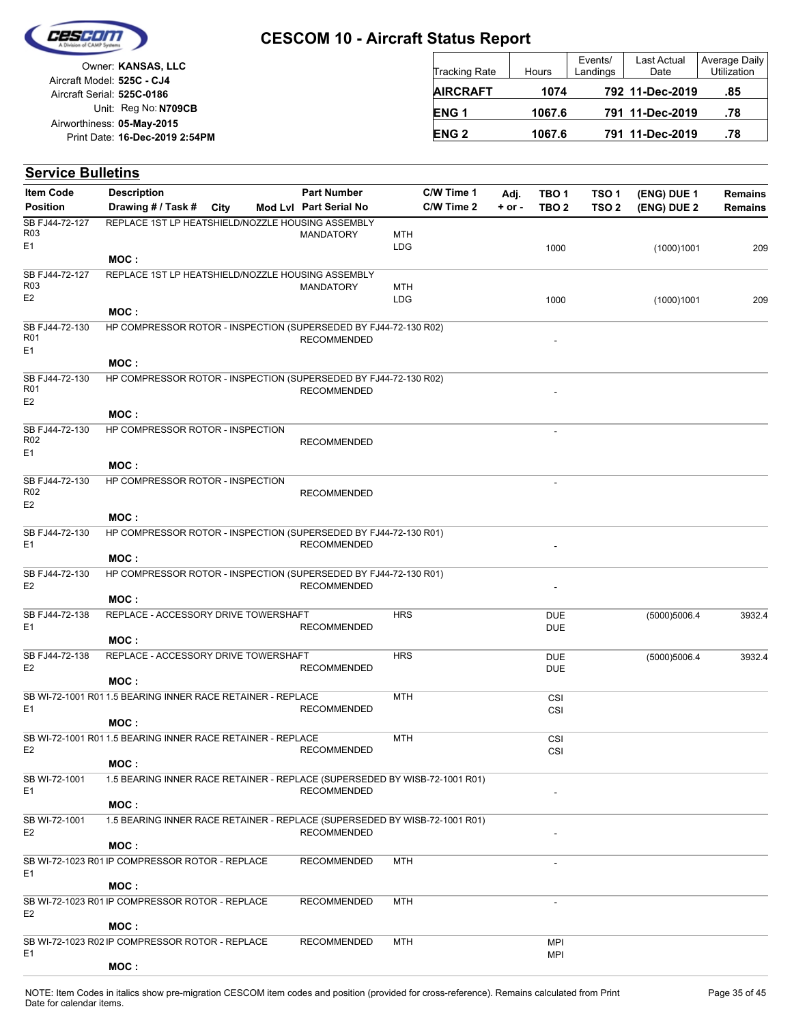

Unit: Reg No: N709CB Print Date: 16-Dec-2019 2:54PM **05-May-2015** Airworthiness: Owner: **KANSAS, LLC** Aircraft Serial: **525C-0186** Aircraft Model: **525C - CJ4**

| Tracking Rate   | Hours  | Events/<br>Landings | Last Actual<br>Date | Average Daily<br>Utilization |  |  |
|-----------------|--------|---------------------|---------------------|------------------------------|--|--|
| <b>AIRCRAFT</b> | 1074   |                     | 792 11-Dec-2019     | .85                          |  |  |
| <b>ENG1</b>     | 1067.6 |                     | 791 11-Dec-2019     | .78                          |  |  |
| <b>ENG 2</b>    | 1067.6 |                     | 791 11-Dec-2019     | .78                          |  |  |

| <b>Service Bulletins</b>                            |                                                                                     |  |                                              |                          |                          |                    |                           |                                      |                            |                                  |
|-----------------------------------------------------|-------------------------------------------------------------------------------------|--|----------------------------------------------|--------------------------|--------------------------|--------------------|---------------------------|--------------------------------------|----------------------------|----------------------------------|
| <b>Item Code</b><br><b>Position</b>                 | <b>Description</b><br>Drawing # / Task # City                                       |  | <b>Part Number</b><br>Mod Lvl Part Serial No |                          | C/W Time 1<br>C/W Time 2 | Adj.<br>$+$ or $-$ | TBO 1<br>TBO <sub>2</sub> | TSO <sub>1</sub><br>TSO <sub>2</sub> | (ENG) DUE 1<br>(ENG) DUE 2 | <b>Remains</b><br><b>Remains</b> |
| SB FJ44-72-127<br>R03<br>E1                         | REPLACE 1ST LP HEATSHIELD/NOZZLE HOUSING ASSEMBLY                                   |  | <b>MANDATORY</b>                             | MTH<br><b>LDG</b>        |                          |                    | 1000                      |                                      | (1000)1001                 | 209                              |
|                                                     | MOC:                                                                                |  |                                              |                          |                          |                    |                           |                                      |                            |                                  |
| SB FJ44-72-127<br>R <sub>03</sub><br>E <sub>2</sub> | REPLACE 1ST LP HEATSHIELD/NOZZLE HOUSING ASSEMBLY                                   |  | <b>MANDATORY</b>                             | <b>MTH</b><br><b>LDG</b> |                          |                    | 1000                      |                                      | (1000)1001                 | 209                              |
|                                                     | MOC :                                                                               |  |                                              |                          |                          |                    |                           |                                      |                            |                                  |
| SB FJ44-72-130<br>R01<br>E1                         | HP COMPRESSOR ROTOR - INSPECTION (SUPERSEDED BY FJ44-72-130 R02)                    |  | <b>RECOMMENDED</b>                           |                          |                          |                    |                           |                                      |                            |                                  |
|                                                     | MOC:                                                                                |  |                                              |                          |                          |                    |                           |                                      |                            |                                  |
| SB FJ44-72-130<br>R01<br>E <sub>2</sub>             | HP COMPRESSOR ROTOR - INSPECTION (SUPERSEDED BY FJ44-72-130 R02)                    |  | <b>RECOMMENDED</b>                           |                          |                          |                    |                           |                                      |                            |                                  |
|                                                     | MOC:                                                                                |  |                                              |                          |                          |                    |                           |                                      |                            |                                  |
| SB FJ44-72-130<br>R <sub>02</sub><br>E1             | HP COMPRESSOR ROTOR - INSPECTION                                                    |  | <b>RECOMMENDED</b>                           |                          |                          |                    |                           |                                      |                            |                                  |
|                                                     | MOC:                                                                                |  |                                              |                          |                          |                    |                           |                                      |                            |                                  |
| SB FJ44-72-130<br>R <sub>02</sub><br>E <sub>2</sub> | HP COMPRESSOR ROTOR - INSPECTION                                                    |  | <b>RECOMMENDED</b>                           |                          |                          |                    |                           |                                      |                            |                                  |
|                                                     | MOC:                                                                                |  |                                              |                          |                          |                    |                           |                                      |                            |                                  |
| SB FJ44-72-130<br>E1                                | HP COMPRESSOR ROTOR - INSPECTION (SUPERSEDED BY FJ44-72-130 R01)                    |  | <b>RECOMMENDED</b>                           |                          |                          |                    |                           |                                      |                            |                                  |
| SB FJ44-72-130                                      | MOC:<br>HP COMPRESSOR ROTOR - INSPECTION (SUPERSEDED BY FJ44-72-130 R01)            |  |                                              |                          |                          |                    |                           |                                      |                            |                                  |
| E <sub>2</sub>                                      | MOC:                                                                                |  | <b>RECOMMENDED</b>                           |                          |                          |                    |                           |                                      |                            |                                  |
| SB FJ44-72-138<br>E1                                | REPLACE - ACCESSORY DRIVE TOWERSHAFT                                                |  | <b>RECOMMENDED</b>                           | <b>HRS</b>               |                          |                    | <b>DUE</b><br><b>DUE</b>  |                                      | (5000)5006.4               | 3932.4                           |
|                                                     | MOC:                                                                                |  |                                              |                          |                          |                    |                           |                                      |                            |                                  |
| SB FJ44-72-138<br>E <sub>2</sub>                    | REPLACE - ACCESSORY DRIVE TOWERSHAFT<br>MOC:                                        |  | <b>RECOMMENDED</b>                           | <b>HRS</b>               |                          |                    | <b>DUE</b><br><b>DUE</b>  |                                      | (5000)5006.4               | 3932.4                           |
|                                                     | SB WI-72-1001 R01 1.5 BEARING INNER RACE RETAINER - REPLACE                         |  |                                              | <b>MTH</b>               |                          |                    | CSI                       |                                      |                            |                                  |
| E1                                                  | MOC :                                                                               |  | <b>RECOMMENDED</b>                           |                          |                          |                    | CSI                       |                                      |                            |                                  |
|                                                     | SB WI-72-1001 R01 1.5 BEARING INNER RACE RETAINER - REPLACE                         |  |                                              | MTH                      |                          |                    | CSI                       |                                      |                            |                                  |
| E <sub>2</sub>                                      | MOC:                                                                                |  | <b>RECOMMENDED</b>                           |                          |                          |                    | CSI                       |                                      |                            |                                  |
| SB WI-72-1001<br>E1                                 | 1.5 BEARING INNER RACE RETAINER - REPLACE (SUPERSEDED BY WISB-72-1001 R01)          |  | <b>RECOMMENDED</b>                           |                          |                          |                    |                           |                                      |                            |                                  |
|                                                     | MOC:                                                                                |  |                                              |                          |                          |                    |                           |                                      |                            |                                  |
| SB WI-72-1001<br>E <sub>2</sub>                     | 1.5 BEARING INNER RACE RETAINER - REPLACE (SUPERSEDED BY WISB-72-1001 R01)<br>MOC : |  | <b>RECOMMENDED</b>                           |                          |                          |                    |                           |                                      |                            |                                  |
|                                                     | SB WI-72-1023 R01 IP COMPRESSOR ROTOR - REPLACE                                     |  | <b>RECOMMENDED</b>                           | MTH                      |                          |                    |                           |                                      |                            |                                  |
| E1                                                  | MOC:                                                                                |  |                                              |                          |                          |                    |                           |                                      |                            |                                  |
| E <sub>2</sub>                                      | SB WI-72-1023 R01 IP COMPRESSOR ROTOR - REPLACE                                     |  | <b>RECOMMENDED</b>                           | MTH                      |                          |                    | $\overline{\phantom{a}}$  |                                      |                            |                                  |
|                                                     | MOC :                                                                               |  |                                              |                          |                          |                    |                           |                                      |                            |                                  |
| E1                                                  | SB WI-72-1023 R02 IP COMPRESSOR ROTOR - REPLACE<br>MOC:                             |  | <b>RECOMMENDED</b>                           | MTH                      |                          |                    | <b>MPI</b><br>MPI         |                                      |                            |                                  |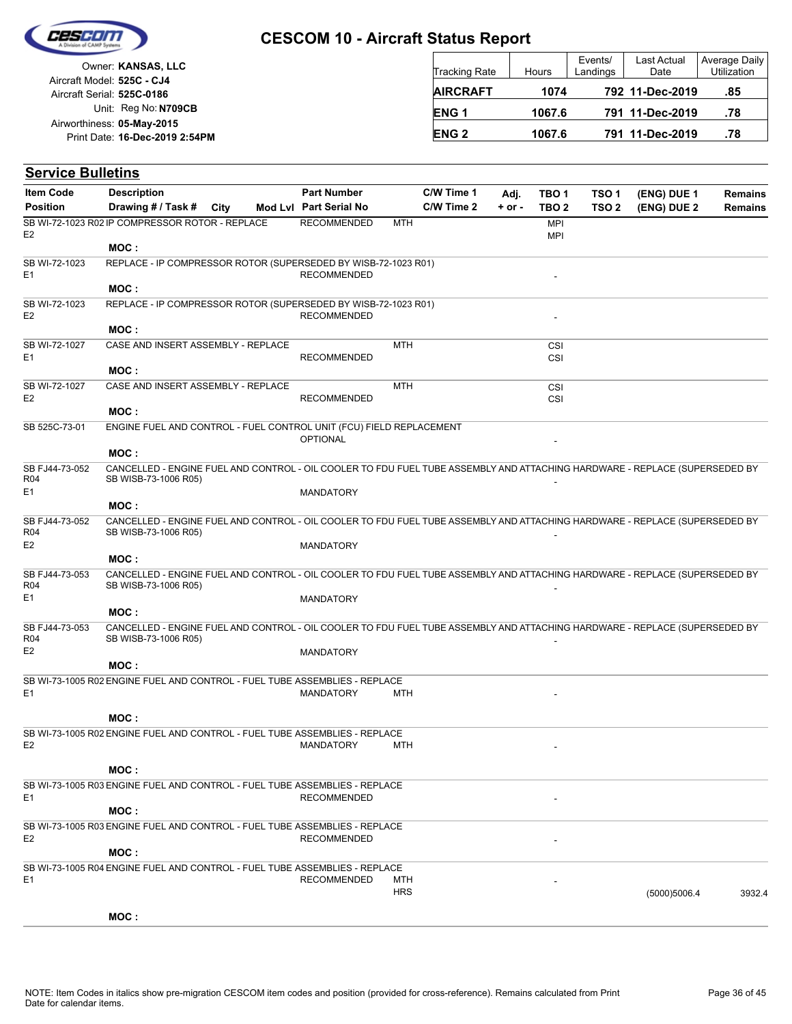

Unit: Reg No: N709CB Print Date: 16-Dec-2019 2:54PM **05-May-2015** Airworthiness: Owner: **KANSAS, LLC** Aircraft Serial: **525C-0186** Aircraft Model: **525C - CJ4**

| <b>Tracking Rate</b> | Hours  | Events/<br>Landings | Last Actual<br>Date | Average Daily<br>Utilization |
|----------------------|--------|---------------------|---------------------|------------------------------|
| <b>AIRCRAFT</b>      | 1074   |                     | 792 11-Dec-2019     | .85                          |
| ENG <sub>1</sub>     | 1067.6 |                     | 791 11-Dec-2019     | .78                          |
| <b>ENG 2</b>         | 1067.6 |                     | 791 11-Dec-2019     | .78                          |

| <b>Service Bulletins</b>                |                                                                                                                                                    |      |                                              |                   |                          |                  |                           |                                      |                            |                                  |
|-----------------------------------------|----------------------------------------------------------------------------------------------------------------------------------------------------|------|----------------------------------------------|-------------------|--------------------------|------------------|---------------------------|--------------------------------------|----------------------------|----------------------------------|
| <b>Item Code</b><br><b>Position</b>     | <b>Description</b><br>Drawing # / Task #                                                                                                           | City | <b>Part Number</b><br>Mod Lvl Part Serial No |                   | C/W Time 1<br>C/W Time 2 | Adj.<br>$+ or -$ | TBO 1<br>TBO <sub>2</sub> | TSO <sub>1</sub><br>TSO <sub>2</sub> | (ENG) DUE 1<br>(ENG) DUE 2 | <b>Remains</b><br><b>Remains</b> |
| E <sub>2</sub>                          | SB WI-72-1023 R02 IP COMPRESSOR ROTOR - REPLACE                                                                                                    |      | <b>RECOMMENDED</b>                           | MTH               |                          |                  | <b>MPI</b><br><b>MPI</b>  |                                      |                            |                                  |
|                                         | MOC:                                                                                                                                               |      |                                              |                   |                          |                  |                           |                                      |                            |                                  |
| SB WI-72-1023<br>E <sub>1</sub>         | REPLACE - IP COMPRESSOR ROTOR (SUPERSEDED BY WISB-72-1023 R01)                                                                                     |      | <b>RECOMMENDED</b>                           |                   |                          |                  |                           |                                      |                            |                                  |
|                                         | MOC:                                                                                                                                               |      |                                              |                   |                          |                  |                           |                                      |                            |                                  |
| SB WI-72-1023<br>E <sub>2</sub>         | REPLACE - IP COMPRESSOR ROTOR (SUPERSEDED BY WISB-72-1023 R01)                                                                                     |      | <b>RECOMMENDED</b>                           |                   |                          |                  |                           |                                      |                            |                                  |
|                                         | MOC:                                                                                                                                               |      |                                              |                   |                          |                  |                           |                                      |                            |                                  |
| SB WI-72-1027<br>E1                     | CASE AND INSERT ASSEMBLY - REPLACE<br>MOC:                                                                                                         |      | <b>RECOMMENDED</b>                           | <b>MTH</b>        |                          |                  | CSI<br>CSI                |                                      |                            |                                  |
|                                         |                                                                                                                                                    |      |                                              |                   |                          |                  |                           |                                      |                            |                                  |
| SB WI-72-1027<br>E <sub>2</sub>         | CASE AND INSERT ASSEMBLY - REPLACE<br>MOC :                                                                                                        |      | <b>RECOMMENDED</b>                           | <b>MTH</b>        |                          |                  | CSI<br>CSI                |                                      |                            |                                  |
|                                         |                                                                                                                                                    |      |                                              |                   |                          |                  |                           |                                      |                            |                                  |
| SB 525C-73-01                           | ENGINE FUEL AND CONTROL - FUEL CONTROL UNIT (FCU) FIELD REPLACEMENT<br>MOC:                                                                        |      | <b>OPTIONAL</b>                              |                   |                          |                  |                           |                                      |                            |                                  |
| SB FJ44-73-052<br>R04                   | CANCELLED - ENGINE FUEL AND CONTROL - OIL COOLER TO FDU FUEL TUBE ASSEMBLY AND ATTACHING HARDWARE - REPLACE (SUPERSEDED BY<br>SB WISB-73-1006 R05) |      |                                              |                   |                          |                  |                           |                                      |                            |                                  |
| E <sub>1</sub>                          |                                                                                                                                                    |      | <b>MANDATORY</b>                             |                   |                          |                  |                           |                                      |                            |                                  |
|                                         | MOC:                                                                                                                                               |      |                                              |                   |                          |                  |                           |                                      |                            |                                  |
| SB FJ44-73-052<br>R04                   | CANCELLED - ENGINE FUEL AND CONTROL - OIL COOLER TO FDU FUEL TUBE ASSEMBLY AND ATTACHING HARDWARE - REPLACE (SUPERSEDED BY<br>SB WISB-73-1006 R05) |      |                                              |                   |                          |                  |                           |                                      |                            |                                  |
| E <sub>2</sub>                          |                                                                                                                                                    |      | <b>MANDATORY</b>                             |                   |                          |                  |                           |                                      |                            |                                  |
|                                         | MOC :                                                                                                                                              |      |                                              |                   |                          |                  |                           |                                      |                            |                                  |
| SB FJ44-73-053<br>R <sub>04</sub><br>E1 | CANCELLED - ENGINE FUEL AND CONTROL - OIL COOLER TO FDU FUEL TUBE ASSEMBLY AND ATTACHING HARDWARE - REPLACE (SUPERSEDED BY<br>SB WISB-73-1006 R05) |      |                                              |                   |                          |                  |                           |                                      |                            |                                  |
|                                         | MOC:                                                                                                                                               |      | <b>MANDATORY</b>                             |                   |                          |                  |                           |                                      |                            |                                  |
| SB FJ44-73-053<br><b>R04</b>            | CANCELLED - ENGINE FUEL AND CONTROL - OIL COOLER TO FDU FUEL TUBE ASSEMBLY AND ATTACHING HARDWARE - REPLACE (SUPERSEDED BY<br>SB WISB-73-1006 R05) |      |                                              |                   |                          |                  |                           |                                      |                            |                                  |
| E <sub>2</sub>                          |                                                                                                                                                    |      | MANDATORY                                    |                   |                          |                  |                           |                                      |                            |                                  |
|                                         | MOC:                                                                                                                                               |      |                                              |                   |                          |                  |                           |                                      |                            |                                  |
| E <sub>1</sub>                          | SB WI-73-1005 R02 ENGINE FUEL AND CONTROL - FUEL TUBE ASSEMBLIES - REPLACE                                                                         |      | <b>MANDATORY</b>                             | MTH               |                          |                  |                           |                                      |                            |                                  |
|                                         | MOC:                                                                                                                                               |      |                                              |                   |                          |                  |                           |                                      |                            |                                  |
| E2                                      | SB WI-73-1005 R02 ENGINE FUEL AND CONTROL - FUEL TUBE ASSEMBLIES - REPLACE                                                                         |      | MANDATORY                                    | MTH               |                          |                  | $\sim$                    |                                      |                            |                                  |
|                                         | MOC:                                                                                                                                               |      |                                              |                   |                          |                  |                           |                                      |                            |                                  |
| E1                                      | SB WI-73-1005 R03 ENGINE FUEL AND CONTROL - FUEL TUBE ASSEMBLIES - REPLACE                                                                         |      | <b>RECOMMENDED</b>                           |                   |                          |                  |                           |                                      |                            |                                  |
|                                         | MOC:                                                                                                                                               |      |                                              |                   |                          |                  |                           |                                      |                            |                                  |
| E <sub>2</sub>                          | SB WI-73-1005 R03 ENGINE FUEL AND CONTROL - FUEL TUBE ASSEMBLIES - REPLACE                                                                         |      | <b>RECOMMENDED</b>                           |                   |                          |                  |                           |                                      |                            |                                  |
|                                         | MOC:                                                                                                                                               |      |                                              |                   |                          |                  |                           |                                      |                            |                                  |
|                                         | SB WI-73-1005 R04 ENGINE FUEL AND CONTROL - FUEL TUBE ASSEMBLIES - REPLACE                                                                         |      |                                              |                   |                          |                  |                           |                                      |                            |                                  |
| E <sub>1</sub>                          |                                                                                                                                                    |      | <b>RECOMMENDED</b>                           | MTH<br><b>HRS</b> |                          |                  |                           |                                      | (5000)5006.4               | 3932.4                           |
|                                         | MOC:                                                                                                                                               |      |                                              |                   |                          |                  |                           |                                      |                            |                                  |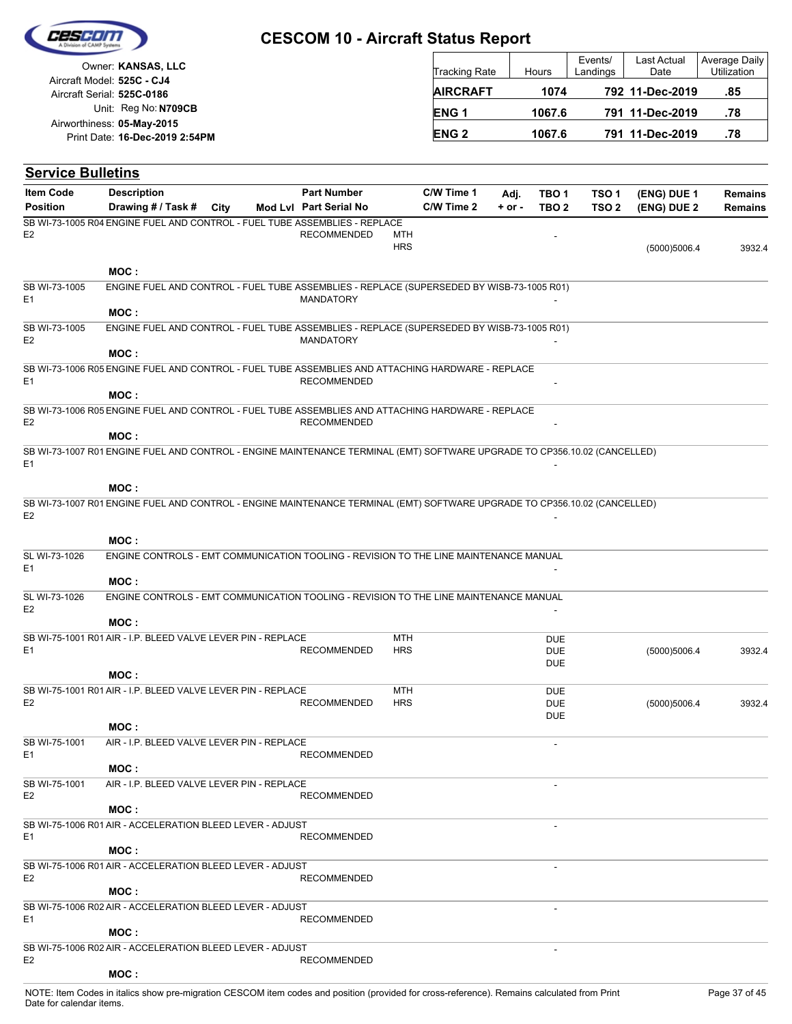

|                            | Owner: KANSAS, LLC             |
|----------------------------|--------------------------------|
| Aircraft Model: 525C - CJ4 |                                |
| Aircraft Serial: 525C-0186 |                                |
|                            | Unit: Reg No: N709CB           |
| Airworthiness: 05-May-2015 |                                |
|                            | Print Date: 16-Dec-2019 2:54PM |

| <b>Tracking Rate</b> | <b>Hours</b> | Events/<br>Landings | Last Actual<br>Date | Average Daily<br>Utilization |
|----------------------|--------------|---------------------|---------------------|------------------------------|
| <b>AIRCRAFT</b>      | 1074         |                     | 792 11-Dec-2019     | .85                          |
| <b>ENG1</b>          | 1067.6       |                     | 791 11-Dec-2019     | .78                          |
| <b>ENG 2</b>         | 1067.6       |                     | 791 11-Dec-2019     | .78                          |

| <b>Service Bulletins</b>        |                                                                                                                           |      |                        |                          |            |            |                                        |                  |              |                |
|---------------------------------|---------------------------------------------------------------------------------------------------------------------------|------|------------------------|--------------------------|------------|------------|----------------------------------------|------------------|--------------|----------------|
| <b>Item Code</b>                | <b>Description</b>                                                                                                        |      | <b>Part Number</b>     |                          | C/W Time 1 | Adj.       | TBO <sub>1</sub>                       | TSO <sub>1</sub> | (ENG) DUE 1  | <b>Remains</b> |
| <b>Position</b>                 | Drawing # / Task #                                                                                                        | City | Mod Lvl Part Serial No |                          | C/W Time 2 | $+$ or $-$ | TBO <sub>2</sub>                       | TSO <sub>2</sub> | (ENG) DUE 2  | <b>Remains</b> |
| E <sub>2</sub>                  | SB WI-73-1005 R04 ENGINE FUEL AND CONTROL - FUEL TUBE ASSEMBLIES - REPLACE                                                |      | <b>RECOMMENDED</b>     | MTH<br><b>HRS</b>        |            |            |                                        |                  | (5000)5006.4 | 3932.4         |
|                                 | MOC:                                                                                                                      |      |                        |                          |            |            |                                        |                  |              |                |
| SB WI-73-1005<br>E <sub>1</sub> | ENGINE FUEL AND CONTROL - FUEL TUBE ASSEMBLIES - REPLACE (SUPERSEDED BY WISB-73-1005 R01)<br>MOC:                         |      | <b>MANDATORY</b>       |                          |            |            |                                        |                  |              |                |
| SB WI-73-1005<br>E <sub>2</sub> | ENGINE FUEL AND CONTROL - FUEL TUBE ASSEMBLIES - REPLACE (SUPERSEDED BY WISB-73-1005 R01)<br>MOC:                         |      | <b>MANDATORY</b>       |                          |            |            |                                        |                  |              |                |
| E <sub>1</sub>                  | SB WI-73-1006 R05 ENGINE FUEL AND CONTROL - FUEL TUBE ASSEMBLIES AND ATTACHING HARDWARE - REPLACE                         |      | <b>RECOMMENDED</b>     |                          |            |            |                                        |                  |              |                |
|                                 | MOC:                                                                                                                      |      |                        |                          |            |            |                                        |                  |              |                |
| E <sub>2</sub>                  | SB WI-73-1006 R05 ENGINE FUEL AND CONTROL - FUEL TUBE ASSEMBLIES AND ATTACHING HARDWARE - REPLACE<br>MOC:                 |      | <b>RECOMMENDED</b>     |                          |            |            |                                        |                  |              |                |
| E <sub>1</sub>                  | SB WI-73-1007 R01 ENGINE FUEL AND CONTROL - ENGINE MAINTENANCE TERMINAL (EMT) SOFTWARE UPGRADE TO CP356.10.02 (CANCELLED) |      |                        |                          |            |            |                                        |                  |              |                |
|                                 | MOC:                                                                                                                      |      |                        |                          |            |            |                                        |                  |              |                |
| E <sub>2</sub>                  | SB WI-73-1007 R01 ENGINE FUEL AND CONTROL - ENGINE MAINTENANCE TERMINAL (EMT) SOFTWARE UPGRADE TO CP356.10.02 (CANCELLED) |      |                        |                          |            |            |                                        |                  |              |                |
|                                 | MOC:                                                                                                                      |      |                        |                          |            |            |                                        |                  |              |                |
| SL WI-73-1026<br>E <sub>1</sub> | ENGINE CONTROLS - EMT COMMUNICATION TOOLING - REVISION TO THE LINE MAINTENANCE MANUAL                                     |      |                        |                          |            |            |                                        |                  |              |                |
|                                 | MOC:                                                                                                                      |      |                        |                          |            |            |                                        |                  |              |                |
| SL WI-73-1026<br>E <sub>2</sub> | ENGINE CONTROLS - EMT COMMUNICATION TOOLING - REVISION TO THE LINE MAINTENANCE MANUAL<br>MOC:                             |      |                        |                          |            |            |                                        |                  |              |                |
|                                 | SB WI-75-1001 R01 AIR - I.P. BLEED VALVE LEVER PIN - REPLACE                                                              |      |                        | <b>MTH</b>               |            |            | <b>DUE</b>                             |                  |              |                |
| E <sub>1</sub>                  |                                                                                                                           |      | <b>RECOMMENDED</b>     | <b>HRS</b>               |            |            | <b>DUE</b><br><b>DUE</b>               |                  | (5000)5006.4 | 3932.4         |
|                                 | MOC:                                                                                                                      |      |                        |                          |            |            |                                        |                  |              |                |
| E <sub>2</sub>                  | SB WI-75-1001 R01 AIR - I.P. BLEED VALVE LEVER PIN - REPLACE                                                              |      | <b>RECOMMENDED</b>     | <b>MTH</b><br><b>HRS</b> |            |            | <b>DUE</b><br><b>DUE</b><br><b>DUE</b> |                  | (5000)5006.4 | 3932.4         |
|                                 | MOC:                                                                                                                      |      |                        |                          |            |            |                                        |                  |              |                |
| SB WI-75-1001<br>E <sub>1</sub> | AIR - I.P. BLEED VALVE LEVER PIN - REPLACE<br>MOC:                                                                        |      | <b>RECOMMENDED</b>     |                          |            |            |                                        |                  |              |                |
| SB WI-75-1001<br>E <sub>2</sub> | AIR - I.P. BLEED VALVE LEVER PIN - REPLACE                                                                                |      | <b>RECOMMENDED</b>     |                          |            |            |                                        |                  |              |                |
|                                 | MOC :                                                                                                                     |      |                        |                          |            |            |                                        |                  |              |                |
| E <sub>1</sub>                  | SB WI-75-1006 R01 AIR - ACCELERATION BLEED LEVER - ADJUST                                                                 |      | <b>RECOMMENDED</b>     |                          |            |            |                                        |                  |              |                |
|                                 | MOC:<br>SB WI-75-1006 R01 AIR - ACCELERATION BLEED LEVER - ADJUST                                                         |      |                        |                          |            |            |                                        |                  |              |                |
| E <sub>2</sub>                  | MOC:                                                                                                                      |      | <b>RECOMMENDED</b>     |                          |            |            |                                        |                  |              |                |
| E <sub>1</sub>                  | SB WI-75-1006 R02 AIR - ACCELERATION BLEED LEVER - ADJUST                                                                 |      | <b>RECOMMENDED</b>     |                          |            |            |                                        |                  |              |                |
|                                 | MOC:                                                                                                                      |      |                        |                          |            |            |                                        |                  |              |                |
| E <sub>2</sub>                  | SB WI-75-1006 R02 AIR - ACCELERATION BLEED LEVER - ADJUST<br>MOC:                                                         |      | <b>RECOMMENDED</b>     |                          |            |            |                                        |                  |              |                |
|                                 |                                                                                                                           |      |                        |                          |            |            |                                        |                  |              |                |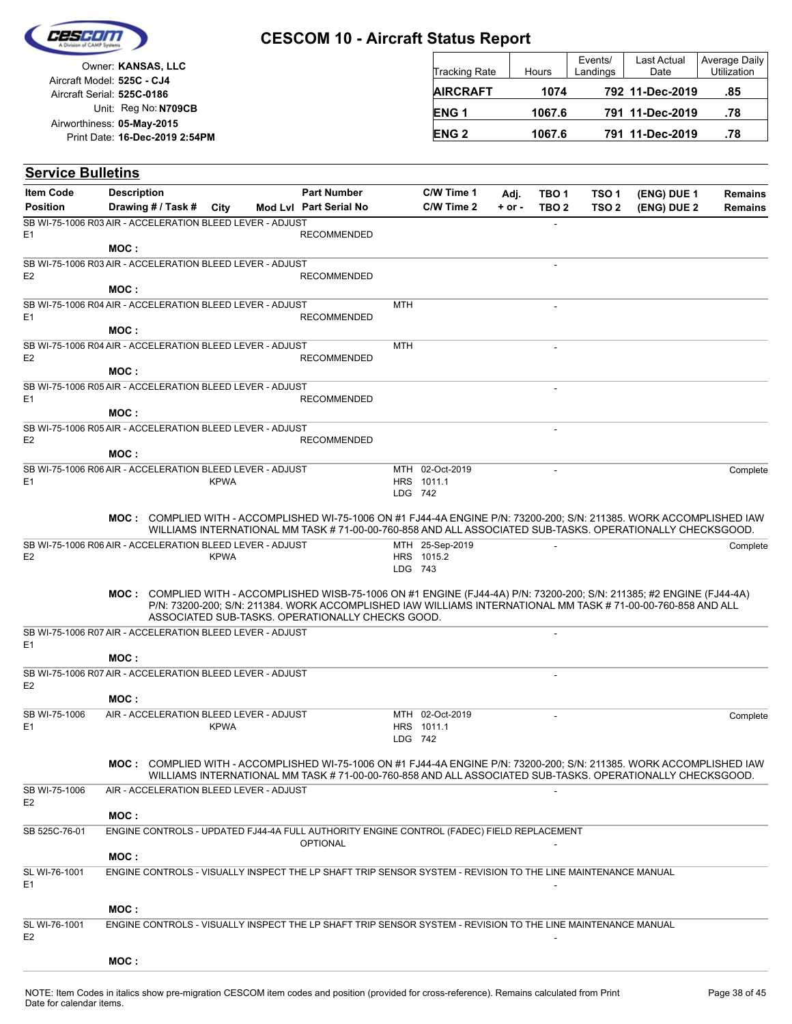

**Service Bulletins**

E1

E2

E1

E2

E1

E2

## **CESCOM 10 - Aircraft Status Report**

| Tracking Rate   | Hours  | Events/<br>Landings | Last Actual<br>Date | Average Daily<br>Utilization |
|-----------------|--------|---------------------|---------------------|------------------------------|
| <b>AIRCRAFT</b> | 1074   |                     | 792 11-Dec-2019     | .85                          |
| <b>ENG1</b>     | 1067.6 |                     | 791 11-Dec-2019     | .78                          |
| <b>ENG 2</b>    | 1067.6 |                     | 791 11-Dec-2019     | .78                          |

Unit: Reg No: N709CB Print Date: 16-Dec-2019 2:54PM **05-May-2015** Airworthiness: Owner: **KANSAS, LLC** Aircraft Serial: **525C-0186** Aircraft Model: **525C - CJ4**

#### **(ENG) DUE 2 (ENG) DUE 1** City **Mod Lvl Part Serial No Part Number C/W Time 1 C/W Time 2 + or - Adj. TBO 1 TBO 2 TSO 2 TSO 1** Description Part Number C/W Time 1 Adj. TBO 1 TSO 1 (ENG) DUE 1 Remains **Position Drawing # / Task # Item Code** - E1 RECOMMENDED SB WI-75-1006 R03 AIR - ACCELERATION BLEED LEVER - ADJUST **MOC :** - E2 RECOMMENDED SB WI-75-1006 R03 AIR - ACCELERATION BLEED LEVER - ADJUST **MOC :**  $MTH$  -E1 RECOMMENDED SB WI-75-1006 R04 AIR - ACCELERATION BLEED LEVER - ADJUST **MOC :**  $MTH$  -E2 RECOMMENDED SB WI-75-1006 R04 AIR - ACCELERATION BLEED LEVER - ADJUST **MOC :** - E1 RECOMMENDED SB WI-75-1006 R05 AIR - ACCELERATION BLEED LEVER - ADJUST **MOC :** - E2 RECOMMENDED SB WI-75-1006 R05 AIR - ACCELERATION BLEED LEVER - ADJUST **MOC :** LDG 742 HRS 1011.1 MTH 02-Oct-2019 SB WI-75-1006 R06 AIR - ACCELERATION BLEED LEVER - ADJUST KPWA **MOC: COMPLIED WITH - ACCOMPLISHED WI-75-1006 ON #1 FJ44-4A ENGINE P/N: 73200-200; S/N: 211385. WORK ACCOMPLISHED IAW** WILLIAMS INTERNATIONAL MM TASK # 71-00-00-760-858 AND ALL ASSOCIATED SUB-TASKS. OPERATIONALLY CHECKSGOOD. LDG 743 HRS 1015.2 MTH 25-Sep-2019 - Complete SB WI-75-1006 R06 AIR - ACCELERATION BLEED LEVER - ADJUST KPWA **MOC:** COMPLIED WITH - ACCOMPLISHED WISB-75-1006 ON #1 ENGINE (FJ44-4A) P/N: 73200-200; S/N: 211385; #2 ENGINE (FJ44-4A) P/N: 73200-200; S/N: 211384. WORK ACCOMPLISHED IAW WILLIAMS INTERNATIONAL MM TASK # 71-00-00-760-858 AND ALL ASSOCIATED SUB-TASKS. OPERATIONALLY CHECKS GOOD. - SB WI-75-1006 R07 AIR - ACCELERATION BLEED LEVER - ADJUST **MOC :** - SB WI-75-1006 R07 AIR - ACCELERATION BLEED LEVER - ADJUST **MOC :** LDG 742 HRS 1011.1 MTH 02-Oct-2019 02-Oct-2019 - Complete SB WI-75-1006 KPWA AIR - ACCELERATION BLEED LEVER - ADJUST **MOC: COMPLIED WITH - ACCOMPLISHED WI-75-1006 ON #1 FJ44-4A ENGINE P/N: 73200-200; S/N: 211385. WORK ACCOMPLISHED IAW** WILLIAMS INTERNATIONAL MM TASK # 71-00-00-760-858 AND ALL ASSOCIATED SUB-TASKS. OPERATIONALLY CHECKSGOOD. - SB WI-75-1006 AIR - ACCELERATION BLEED LEVER - ADJUST **MOC : OPTIONAL** SB 525C-76-01 ENGINE CONTROLS - UPDATED FJ44-4A FULL AUTHORITY ENGINE CONTROL (FADEC) FIELD REPLACEMENT

**MOC :** E1 de la contrada de la contrada de la contrada de la contrada de la contrada de la contrada de la contrada de SL WI-76-1001 ENGINE CONTROLS - VISUALLY INSPECT THE LP SHAFT TRIP SENSOR SYSTEM - REVISION TO THE LINE MAINTENANCE MANUAL **MOC :** E2 - SL WI-76-1001 ENGINE CONTROLS - VISUALLY INSPECT THE LP SHAFT TRIP SENSOR SYSTEM - REVISION TO THE LINE MAINTENANCE MANUAL **MOC :**

**Remains**

Complete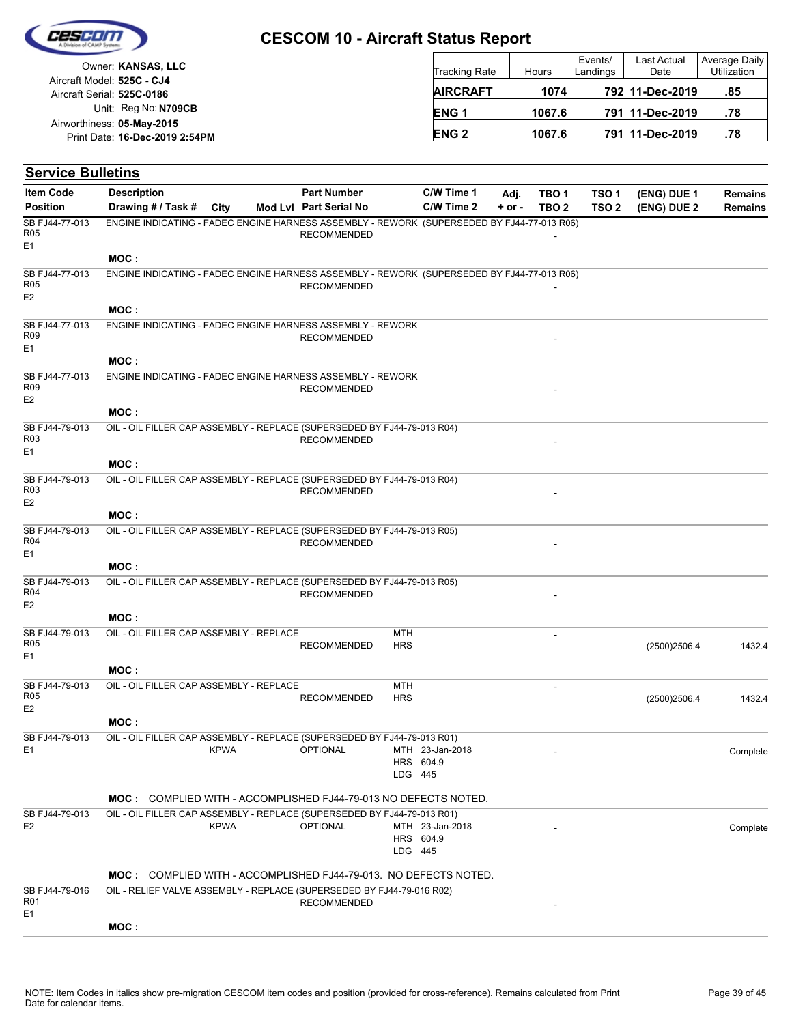

|                            | Owner: KANSAS, LLC             |
|----------------------------|--------------------------------|
| Aircraft Model: 525C - CJ4 |                                |
| Aircraft Serial: 525C-0186 |                                |
|                            | Unit: Reg No: N709CB           |
| Airworthiness: 05-May-2015 |                                |
|                            | Print Date: 16-Dec-2019 2:54PM |
|                            |                                |

| <b>Tracking Rate</b> | Hours  | Events/<br>Landings | Last Actual<br>Date | Average Daily<br><b>Utilization</b> |
|----------------------|--------|---------------------|---------------------|-------------------------------------|
| <b>AIRCRAFT</b>      | 1074   |                     | 792 11-Dec-2019     | .85                                 |
| ENG <sub>1</sub>     | 1067.6 |                     | 791 11-Dec-2019     | .78                                 |
| <b>ENG 2</b>         | 1067.6 |                     | 791 11-Dec-2019     | .78                                 |

| <b>Service Bulletins</b>                            |                                                                                            |             |                                              |                          |                              |                  |                                      |                                      |                            |                                  |
|-----------------------------------------------------|--------------------------------------------------------------------------------------------|-------------|----------------------------------------------|--------------------------|------------------------------|------------------|--------------------------------------|--------------------------------------|----------------------------|----------------------------------|
| <b>Item Code</b><br><b>Position</b>                 | <b>Description</b><br>Drawing # / Task #                                                   | City        | <b>Part Number</b><br>Mod Lvl Part Serial No |                          | C/W Time 1<br>C/W Time 2     | Adj.<br>$+ or -$ | TBO <sub>1</sub><br>TBO <sub>2</sub> | TSO <sub>1</sub><br>TSO <sub>2</sub> | (ENG) DUE 1<br>(ENG) DUE 2 | <b>Remains</b><br><b>Remains</b> |
| SB FJ44-77-013<br>R05<br>E1                         | ENGINE INDICATING - FADEC ENGINE HARNESS ASSEMBLY - REWORK (SUPERSEDED BY FJ44-77-013 R06) |             | <b>RECOMMENDED</b>                           |                          |                              |                  |                                      |                                      |                            |                                  |
|                                                     | MOC:                                                                                       |             |                                              |                          |                              |                  |                                      |                                      |                            |                                  |
| SB FJ44-77-013<br>R05<br>E <sub>2</sub>             | ENGINE INDICATING - FADEC ENGINE HARNESS ASSEMBLY - REWORK (SUPERSEDED BY FJ44-77-013 R06) |             | <b>RECOMMENDED</b>                           |                          |                              |                  |                                      |                                      |                            |                                  |
|                                                     | MOC:                                                                                       |             |                                              |                          |                              |                  |                                      |                                      |                            |                                  |
| SB FJ44-77-013<br>R <sub>09</sub><br>E1             | ENGINE INDICATING - FADEC ENGINE HARNESS ASSEMBLY - REWORK                                 |             | <b>RECOMMENDED</b>                           |                          |                              |                  |                                      |                                      |                            |                                  |
|                                                     | MOC:                                                                                       |             |                                              |                          |                              |                  |                                      |                                      |                            |                                  |
| SB FJ44-77-013<br>R <sub>09</sub><br>E <sub>2</sub> | ENGINE INDICATING - FADEC ENGINE HARNESS ASSEMBLY - REWORK                                 |             | <b>RECOMMENDED</b>                           |                          |                              |                  |                                      |                                      |                            |                                  |
|                                                     | MOC:                                                                                       |             |                                              |                          |                              |                  |                                      |                                      |                            |                                  |
| SB FJ44-79-013<br>R <sub>03</sub><br>E1             | OIL - OIL FILLER CAP ASSEMBLY - REPLACE (SUPERSEDED BY FJ44-79-013 R04)                    |             | <b>RECOMMENDED</b>                           |                          |                              |                  |                                      |                                      |                            |                                  |
|                                                     | MOC:                                                                                       |             |                                              |                          |                              |                  |                                      |                                      |                            |                                  |
| SB FJ44-79-013<br>R <sub>03</sub><br>E <sub>2</sub> | OIL - OIL FILLER CAP ASSEMBLY - REPLACE (SUPERSEDED BY FJ44-79-013 R04)                    |             | <b>RECOMMENDED</b>                           |                          |                              |                  |                                      |                                      |                            |                                  |
|                                                     | MOC :                                                                                      |             |                                              |                          |                              |                  |                                      |                                      |                            |                                  |
| SB FJ44-79-013<br>R04<br>E1                         | OIL - OIL FILLER CAP ASSEMBLY - REPLACE (SUPERSEDED BY FJ44-79-013 R05)                    |             | <b>RECOMMENDED</b>                           |                          |                              |                  |                                      |                                      |                            |                                  |
|                                                     | MOC:                                                                                       |             |                                              |                          |                              |                  |                                      |                                      |                            |                                  |
| SB FJ44-79-013<br>R <sub>04</sub><br>E2             | OIL - OIL FILLER CAP ASSEMBLY - REPLACE (SUPERSEDED BY FJ44-79-013 R05)                    |             | <b>RECOMMENDED</b>                           |                          |                              |                  |                                      |                                      |                            |                                  |
|                                                     | MOC:                                                                                       |             |                                              |                          |                              |                  |                                      |                                      |                            |                                  |
| SB FJ44-79-013<br>R05<br>E <sub>1</sub>             | OIL - OIL FILLER CAP ASSEMBLY - REPLACE                                                    |             | <b>RECOMMENDED</b>                           | <b>MTH</b><br><b>HRS</b> |                              |                  |                                      |                                      | (2500)2506.4               | 1432.4                           |
|                                                     | MOC :                                                                                      |             |                                              |                          |                              |                  |                                      |                                      |                            |                                  |
| SB FJ44-79-013<br>R05<br>E <sub>2</sub>             | OIL - OIL FILLER CAP ASSEMBLY - REPLACE                                                    |             | <b>RECOMMENDED</b>                           | MTH<br><b>HRS</b>        |                              |                  |                                      |                                      | (2500)2506.4               | 1432.4                           |
|                                                     | MOC:                                                                                       |             |                                              |                          |                              |                  |                                      |                                      |                            |                                  |
| SB FJ44-79-013<br>E <sub>1</sub>                    | OIL - OIL FILLER CAP ASSEMBLY - REPLACE (SUPERSEDED BY FJ44-79-013 R01)                    | <b>KPWA</b> | <b>OPTIONAL</b>                              | LDG 445                  | MTH 23-Jan-2018<br>HRS 604.9 |                  |                                      |                                      |                            | Complete                         |
|                                                     | <b>MOC: COMPLIED WITH - ACCOMPLISHED FJ44-79-013 NO DEFECTS NOTED.</b>                     |             |                                              |                          |                              |                  |                                      |                                      |                            |                                  |
| SB FJ44-79-013                                      | OIL - OIL FILLER CAP ASSEMBLY - REPLACE (SUPERSEDED BY FJ44-79-013 R01)                    |             |                                              |                          |                              |                  |                                      |                                      |                            |                                  |
| E <sub>2</sub>                                      |                                                                                            | <b>KPWA</b> | <b>OPTIONAL</b>                              | LDG 445                  | MTH 23-Jan-2018<br>HRS 604.9 |                  |                                      |                                      |                            | Complete                         |
|                                                     | <b>MOC:</b> COMPLIED WITH - ACCOMPLISHED FJ44-79-013. NO DEFECTS NOTED.                    |             |                                              |                          |                              |                  |                                      |                                      |                            |                                  |
| SB FJ44-79-016<br>R01<br>E <sub>1</sub>             | OIL - RELIEF VALVE ASSEMBLY - REPLACE (SUPERSEDED BY FJ44-79-016 R02)                      |             | <b>RECOMMENDED</b>                           |                          |                              |                  |                                      |                                      |                            |                                  |
|                                                     | MOC:                                                                                       |             |                                              |                          |                              |                  |                                      |                                      |                            |                                  |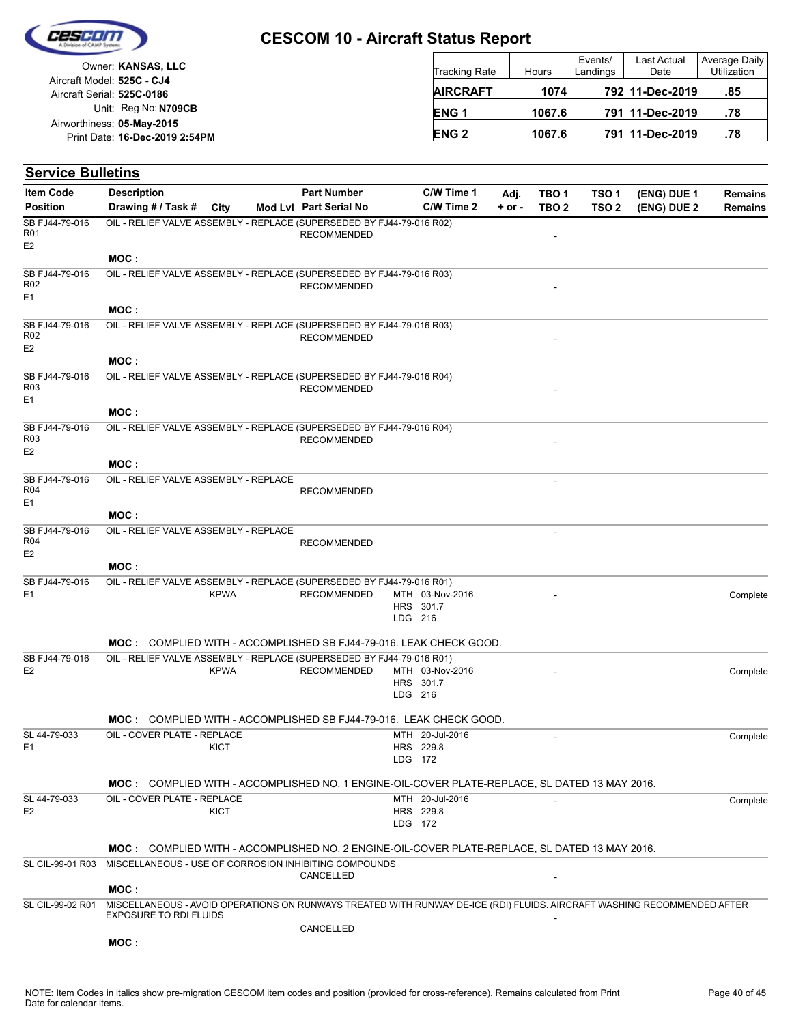

|                            | Owner: KANSAS, LLC             |
|----------------------------|--------------------------------|
| Aircraft Model: 525C - CJ4 |                                |
| Aircraft Serial: 525C-0186 |                                |
|                            | Unit: Reg No: N709CB           |
| Airworthiness: 05-May-2015 |                                |
|                            | Print Date: 16-Dec-2019 2:54PM |
|                            |                                |

| <b>Tracking Rate</b> | Hours  | Events/<br>Landings | Last Actual<br>Date | Average Daily<br>Utilization |
|----------------------|--------|---------------------|---------------------|------------------------------|
| <b>AIRCRAFT</b>      | 1074   |                     | 792 11-Dec-2019     | .85                          |
| ENG <sub>1</sub>     | 1067.6 |                     | 791 11-Dec-2019     | .78                          |
| <b>ENG 2</b>         | 1067.6 |                     | 791 11-Dec-2019     | .78                          |

| <b>Service Bulletins</b>                            |                                                                                                                                                          |             |                                              |         |                              |                  |                           |                                      |                            |                    |
|-----------------------------------------------------|----------------------------------------------------------------------------------------------------------------------------------------------------------|-------------|----------------------------------------------|---------|------------------------------|------------------|---------------------------|--------------------------------------|----------------------------|--------------------|
| <b>Item Code</b><br><b>Position</b>                 | <b>Description</b><br>Drawing # / Task # City                                                                                                            |             | <b>Part Number</b><br>Mod Lvl Part Serial No |         | C/W Time 1<br>C/W Time 2     | Adj.<br>$+ or -$ | TBO 1<br>TBO <sub>2</sub> | TSO <sub>1</sub><br>TSO <sub>2</sub> | (ENG) DUE 1<br>(ENG) DUE 2 | Remains<br>Remains |
| SB FJ44-79-016<br>R01<br>E <sub>2</sub>             | OIL - RELIEF VALVE ASSEMBLY - REPLACE (SUPERSEDED BY FJ44-79-016 R02)                                                                                    |             | <b>RECOMMENDED</b>                           |         |                              |                  | ٠                         |                                      |                            |                    |
|                                                     | MOC:                                                                                                                                                     |             |                                              |         |                              |                  |                           |                                      |                            |                    |
| SB FJ44-79-016<br>R <sub>02</sub><br>E1             | OIL - RELIEF VALVE ASSEMBLY - REPLACE (SUPERSEDED BY FJ44-79-016 R03)                                                                                    |             | <b>RECOMMENDED</b>                           |         |                              |                  |                           |                                      |                            |                    |
|                                                     | MOC:                                                                                                                                                     |             |                                              |         |                              |                  |                           |                                      |                            |                    |
| SB FJ44-79-016<br>R <sub>02</sub><br>E <sub>2</sub> | OIL - RELIEF VALVE ASSEMBLY - REPLACE (SUPERSEDED BY FJ44-79-016 R03)                                                                                    |             | <b>RECOMMENDED</b>                           |         |                              |                  |                           |                                      |                            |                    |
|                                                     | MOC:                                                                                                                                                     |             |                                              |         |                              |                  |                           |                                      |                            |                    |
| SB FJ44-79-016<br>R <sub>03</sub><br>E1             | OIL - RELIEF VALVE ASSEMBLY - REPLACE (SUPERSEDED BY FJ44-79-016 R04)                                                                                    |             | <b>RECOMMENDED</b>                           |         |                              |                  |                           |                                      |                            |                    |
|                                                     | MOC :                                                                                                                                                    |             |                                              |         |                              |                  |                           |                                      |                            |                    |
| SB FJ44-79-016<br>R <sub>03</sub><br>E <sub>2</sub> | OIL - RELIEF VALVE ASSEMBLY - REPLACE (SUPERSEDED BY FJ44-79-016 R04)                                                                                    |             | <b>RECOMMENDED</b>                           |         |                              |                  |                           |                                      |                            |                    |
|                                                     | MOC:                                                                                                                                                     |             |                                              |         |                              |                  |                           |                                      |                            |                    |
| SB FJ44-79-016<br>R04<br>E1                         | OIL - RELIEF VALVE ASSEMBLY - REPLACE                                                                                                                    |             | <b>RECOMMENDED</b>                           |         |                              |                  |                           |                                      |                            |                    |
|                                                     | MOC:                                                                                                                                                     |             |                                              |         |                              |                  |                           |                                      |                            |                    |
| SB FJ44-79-016                                      | OIL - RELIEF VALVE ASSEMBLY - REPLACE                                                                                                                    |             |                                              |         |                              |                  | $\overline{\phantom{a}}$  |                                      |                            |                    |
| R04                                                 |                                                                                                                                                          |             | <b>RECOMMENDED</b>                           |         |                              |                  |                           |                                      |                            |                    |
| E <sub>2</sub>                                      | MOC :                                                                                                                                                    |             |                                              |         |                              |                  |                           |                                      |                            |                    |
| SB FJ44-79-016                                      | OIL - RELIEF VALVE ASSEMBLY - REPLACE (SUPERSEDED BY FJ44-79-016 R01)                                                                                    |             |                                              |         |                              |                  |                           |                                      |                            |                    |
| E1                                                  |                                                                                                                                                          | <b>KPWA</b> | <b>RECOMMENDED</b>                           | LDG 216 | MTH 03-Nov-2016<br>HRS 301.7 |                  |                           |                                      |                            | Complete           |
|                                                     | <b>MOC: COMPLIED WITH - ACCOMPLISHED SB FJ44-79-016. LEAK CHECK GOOD.</b>                                                                                |             |                                              |         |                              |                  |                           |                                      |                            |                    |
| SB FJ44-79-016                                      | OIL - RELIEF VALVE ASSEMBLY - REPLACE (SUPERSEDED BY FJ44-79-016 R01)                                                                                    |             |                                              |         |                              |                  |                           |                                      |                            |                    |
| E <sub>2</sub>                                      |                                                                                                                                                          | <b>KPWA</b> | <b>RECOMMENDED</b>                           |         | MTH 03-Nov-2016              |                  |                           |                                      |                            | Complete           |
|                                                     |                                                                                                                                                          |             |                                              |         | HRS 301.7                    |                  |                           |                                      |                            |                    |
|                                                     |                                                                                                                                                          |             |                                              | LDG 216 |                              |                  |                           |                                      |                            |                    |
|                                                     | <b>MOC: COMPLIED WITH - ACCOMPLISHED SB FJ44-79-016. LEAK CHECK GOOD.</b>                                                                                |             |                                              |         |                              |                  |                           |                                      |                            |                    |
| SL 44-79-033                                        | OIL - COVER PLATE - REPLACE                                                                                                                              |             |                                              |         | MTH 20-Jul-2016              |                  | $\blacksquare$            |                                      |                            | Complete           |
| E1                                                  |                                                                                                                                                          | <b>KICT</b> |                                              |         | HRS 229.8                    |                  |                           |                                      |                            |                    |
|                                                     |                                                                                                                                                          |             |                                              |         | LDG 172                      |                  |                           |                                      |                            |                    |
|                                                     | MOC: COMPLIED WITH - ACCOMPLISHED NO. 1 ENGINE-OIL-COVER PLATE-REPLACE, SL DATED 13 MAY 2016.                                                            |             |                                              |         |                              |                  |                           |                                      |                            |                    |
| SL 44-79-033                                        | OIL - COVER PLATE - REPLACE                                                                                                                              |             |                                              |         | MTH 20-Jul-2016              |                  |                           |                                      |                            | Complete           |
| E <sub>2</sub>                                      |                                                                                                                                                          | KICT        |                                              |         | HRS 229.8<br>LDG 172         |                  |                           |                                      |                            |                    |
|                                                     |                                                                                                                                                          |             |                                              |         |                              |                  |                           |                                      |                            |                    |
|                                                     | MOC: COMPLIED WITH - ACCOMPLISHED NO. 2 ENGINE-OIL-COVER PLATE-REPLACE, SL DATED 13 MAY 2016.                                                            |             |                                              |         |                              |                  |                           |                                      |                            |                    |
| SL CIL-99-01 R03                                    | MISCELLANEOUS - USE OF CORROSION INHIBITING COMPOUNDS                                                                                                    |             | CANCELLED                                    |         |                              |                  |                           |                                      |                            |                    |
|                                                     | MOC:                                                                                                                                                     |             |                                              |         |                              |                  |                           |                                      |                            |                    |
| SL CIL-99-02 R01                                    | MISCELLANEOUS - AVOID OPERATIONS ON RUNWAYS TREATED WITH RUNWAY DE-ICE (RDI) FLUIDS. AIRCRAFT WASHING RECOMMENDED AFTER<br><b>EXPOSURE TO RDI FLUIDS</b> |             |                                              |         |                              |                  |                           |                                      |                            |                    |
|                                                     |                                                                                                                                                          |             | CANCELLED                                    |         |                              |                  |                           |                                      |                            |                    |
|                                                     | MOC:                                                                                                                                                     |             |                                              |         |                              |                  |                           |                                      |                            |                    |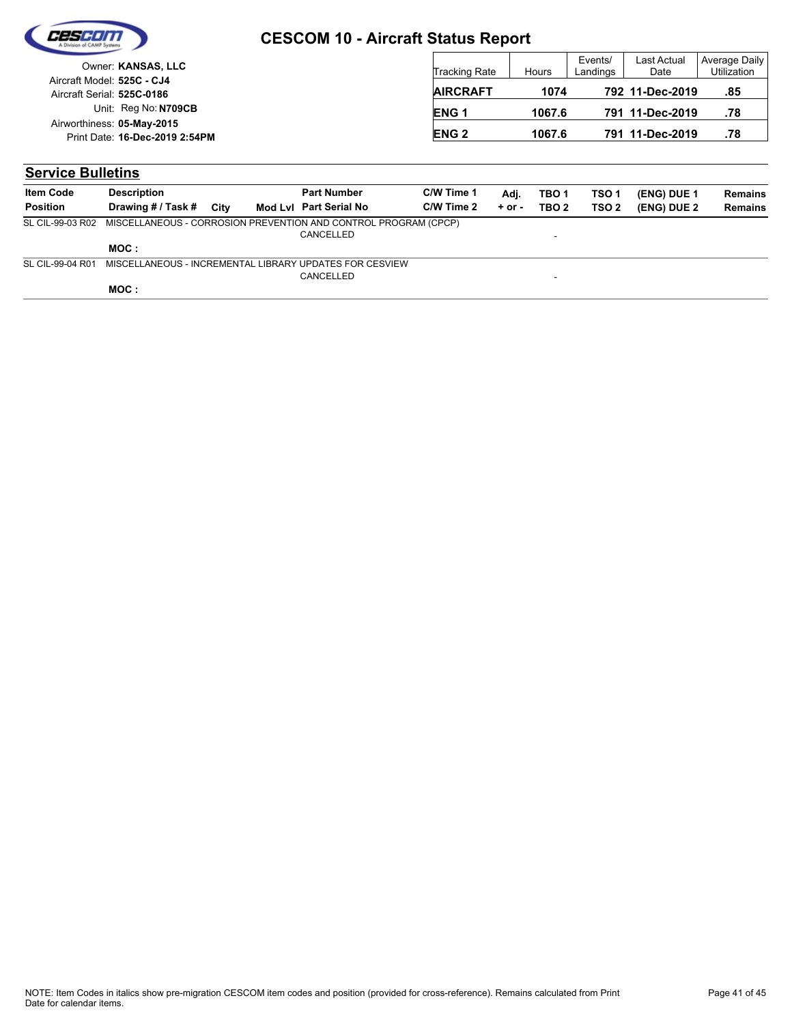

| Owner: KANSAS, LLC                                           | <b>Tracking Rate</b>   | Hours  | Events/<br>Landings | Last Actual<br>Date | Average Daily<br><b>Utilization</b> |
|--------------------------------------------------------------|------------------------|--------|---------------------|---------------------|-------------------------------------|
| Aircraft Model: 525C - CJ4<br>Aircraft Serial: 525C-0186     | <b>AIRCRAFT</b>        | 1074   |                     | 792 11-Dec-2019     | .85                                 |
| Unit: Reg No: N709CB                                         | <b>ENG1</b>            | 1067.6 |                     | 791 11-Dec-2019     | .78                                 |
| Airworthiness: 05-May-2015<br>Print Date: 16-Dec-2019 2:54PM | <b>ENG<sub>2</sub></b> | 1067.6 |                     | 791 11-Dec-2019     | .78                                 |

## **Service Bulletins**

| <b>Item Code</b> | <b>Description</b>                                              |      | <b>Part Number</b>     | C/W Time 1 | Adi.       | TBO <sub>1</sub> | TSO <sub>1</sub> | (ENG) DUE 1 | <b>Remains</b> |
|------------------|-----------------------------------------------------------------|------|------------------------|------------|------------|------------------|------------------|-------------|----------------|
| <b>Position</b>  | Drawing # / Task #                                              | City | Mod Lyl Part Serial No | C/W Time 2 | $+$ or $-$ | TBO 2            | TSO 2            | (ENG) DUE 2 | <b>Remains</b> |
| SL CIL-99-03 R02 | MISCELLANEOUS - CORROSION PREVENTION AND CONTROL PROGRAM (CPCP) |      |                        |            |            |                  |                  |             |                |
|                  |                                                                 |      | CANCELLED              |            |            | -                |                  |             |                |
|                  | MOC :                                                           |      |                        |            |            |                  |                  |             |                |
| SL CIL-99-04 R01 | MISCELLANEOUS - INCREMENTAL LIBRARY UPDATES FOR CESVIEW         |      |                        |            |            |                  |                  |             |                |
|                  |                                                                 |      | CANCELLED              |            |            | -                |                  |             |                |
|                  | MOC:                                                            |      |                        |            |            |                  |                  |             |                |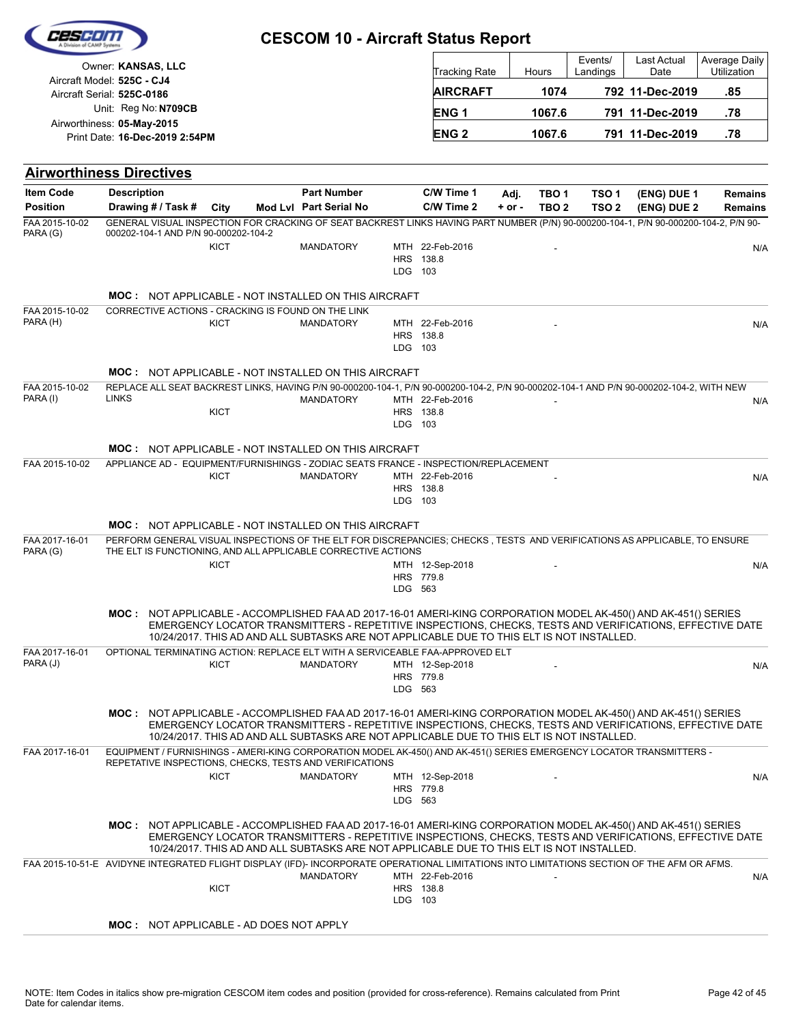| Owner: KANSAS, LLC<br>Aircraft Model: 525C - CJ4                                                                                           |                                                               |  |             |  |                                                             |  |         | Tracking Rate                                                                                                       |                    | Hours                     | Events/<br>Landings                  | Last Actual<br>Date                                                                                                                                                                                                        | Average Daily<br>Utilization     |     |
|--------------------------------------------------------------------------------------------------------------------------------------------|---------------------------------------------------------------|--|-------------|--|-------------------------------------------------------------|--|---------|---------------------------------------------------------------------------------------------------------------------|--------------------|---------------------------|--------------------------------------|----------------------------------------------------------------------------------------------------------------------------------------------------------------------------------------------------------------------------|----------------------------------|-----|
|                                                                                                                                            | Aircraft Serial: 525C-0186<br>Unit: Reg No: N709CB            |  |             |  |                                                             |  |         | <b>AIRCRAFT</b>                                                                                                     |                    | 1074                      |                                      | 792 11-Dec-2019                                                                                                                                                                                                            | .85                              |     |
|                                                                                                                                            | Airworthiness: 05-May-2015                                    |  |             |  |                                                             |  |         | ENG <sub>1</sub>                                                                                                    |                    | 1067.6                    |                                      | 791 11-Dec-2019                                                                                                                                                                                                            | .78                              |     |
|                                                                                                                                            | Print Date: 16-Dec-2019 2:54PM                                |  |             |  |                                                             |  |         | <b>ENG2</b>                                                                                                         |                    | 1067.6                    |                                      | 791 11-Dec-2019                                                                                                                                                                                                            | .78                              |     |
| <b>Airworthiness Directives</b>                                                                                                            |                                                               |  |             |  |                                                             |  |         |                                                                                                                     |                    |                           |                                      |                                                                                                                                                                                                                            |                                  |     |
| <b>Item Code</b><br><b>Position</b>                                                                                                        | <b>Description</b><br>Drawing # / Task #                      |  | City        |  | <b>Part Number</b><br>Mod Lvl Part Serial No                |  |         | C/W Time 1<br>C/W Time 2                                                                                            | Adj.<br>$+$ or $-$ | TBO 1<br>TBO <sub>2</sub> | TSO <sub>1</sub><br>TSO <sub>2</sub> | (ENG) DUE 1<br>(ENG) DUE 2                                                                                                                                                                                                 | <b>Remains</b><br><b>Remains</b> |     |
| FAA 2015-10-02                                                                                                                             |                                                               |  |             |  |                                                             |  |         |                                                                                                                     |                    |                           |                                      | GENERAL VISUAL INSPECTION FOR CRACKING OF SEAT BACKREST LINKS HAVING PART NUMBER (P/N) 90-000200-104-1, P/N 90-000200-104-2, P/N 90-                                                                                       |                                  |     |
| PARA (G)                                                                                                                                   | 000202-104-1 AND P/N 90-000202-104-2                          |  | KICT        |  | <b>MANDATORY</b>                                            |  | LDG 103 | MTH 22-Feb-2016<br>HRS 138.8                                                                                        |                    |                           |                                      |                                                                                                                                                                                                                            |                                  | N/A |
|                                                                                                                                            |                                                               |  |             |  | <b>MOC: NOT APPLICABLE - NOT INSTALLED ON THIS AIRCRAFT</b> |  |         |                                                                                                                     |                    |                           |                                      |                                                                                                                                                                                                                            |                                  |     |
| FAA 2015-10-02<br>PARA (H)                                                                                                                 | CORRECTIVE ACTIONS - CRACKING IS FOUND ON THE LINK            |  | KICT        |  | <b>MANDATORY</b>                                            |  | LDG 103 | MTH 22-Feb-2016<br>HRS 138.8                                                                                        |                    |                           |                                      |                                                                                                                                                                                                                            |                                  | N/A |
|                                                                                                                                            |                                                               |  |             |  | <b>MOC: NOT APPLICABLE - NOT INSTALLED ON THIS AIRCRAFT</b> |  |         |                                                                                                                     |                    |                           |                                      |                                                                                                                                                                                                                            |                                  |     |
| FAA 2015-10-02<br>PARA (I)                                                                                                                 | <b>LINKS</b>                                                  |  | <b>KICT</b> |  | <b>MANDATORY</b>                                            |  | LDG 103 | MTH 22-Feb-2016<br>HRS 138.8                                                                                        |                    |                           |                                      | REPLACE ALL SEAT BACKREST LINKS, HAVING P/N 90-000200-104-1, P/N 90-000200-104-2, P/N 90-000202-104-1 AND P/N 90-000202-104-2, WITH NEW                                                                                    |                                  | N/A |
|                                                                                                                                            |                                                               |  |             |  | <b>MOC: NOT APPLICABLE - NOT INSTALLED ON THIS AIRCRAFT</b> |  |         |                                                                                                                     |                    |                           |                                      |                                                                                                                                                                                                                            |                                  |     |
| FAA 2015-10-02                                                                                                                             |                                                               |  | KICT        |  | <b>MANDATORY</b>                                            |  | LDG 103 | APPLIANCE AD - EQUIPMENT/FURNISHINGS - ZODIAC SEATS FRANCE - INSPECTION/REPLACEMENT<br>MTH 22-Feb-2016<br>HRS 138.8 |                    |                           |                                      |                                                                                                                                                                                                                            |                                  | N/A |
|                                                                                                                                            |                                                               |  |             |  | <b>MOC: NOT APPLICABLE - NOT INSTALLED ON THIS AIRCRAFT</b> |  |         |                                                                                                                     |                    |                           |                                      |                                                                                                                                                                                                                            |                                  |     |
| FAA 2017-16-01<br>PARA (G)                                                                                                                 | THE ELT IS FUNCTIONING, AND ALL APPLICABLE CORRECTIVE ACTIONS |  |             |  |                                                             |  |         |                                                                                                                     |                    |                           |                                      | PERFORM GENERAL VISUAL INSPECTIONS OF THE ELT FOR DISCREPANCIES; CHECKS, TESTS AND VERIFICATIONS AS APPLICABLE, TO ENSURE                                                                                                  |                                  |     |
|                                                                                                                                            |                                                               |  | <b>KICT</b> |  |                                                             |  | LDG 563 | MTH 12-Sep-2018<br>HRS 779.8                                                                                        |                    |                           |                                      |                                                                                                                                                                                                                            |                                  | N/A |
|                                                                                                                                            |                                                               |  |             |  |                                                             |  |         | 10/24/2017. THIS AD AND ALL SUBTASKS ARE NOT APPLICABLE DUE TO THIS ELT IS NOT INSTALLED.                           |                    |                           |                                      | MOC: NOT APPLICABLE - ACCOMPLISHED FAA AD 2017-16-01 AMERI-KING CORPORATION MODEL AK-450() AND AK-451() SERIES<br>EMERGENCY LOCATOR TRANSMITTERS - REPETITIVE INSPECTIONS, CHECKS, TESTS AND VERIFICATIONS, EFFECTIVE DATE |                                  |     |
| FAA 2017-16-01<br>PARA (J)                                                                                                                 |                                                               |  | <b>KICT</b> |  | <b>MANDATORY</b>                                            |  | LDG 563 | OPTIONAL TERMINATING ACTION: REPLACE ELT WITH A SERVICEABLE FAA-APPROVED ELT<br>MTH 12-Sep-2018<br>HRS 779.8        |                    |                           |                                      |                                                                                                                                                                                                                            |                                  | N/A |
|                                                                                                                                            |                                                               |  |             |  |                                                             |  |         | 10/24/2017. THIS AD AND ALL SUBTASKS ARE NOT APPLICABLE DUE TO THIS ELT IS NOT INSTALLED.                           |                    |                           |                                      | MOC: NOT APPLICABLE - ACCOMPLISHED FAA AD 2017-16-01 AMERI-KING CORPORATION MODEL AK-450() AND AK-451() SERIES<br>EMERGENCY LOCATOR TRANSMITTERS - REPETITIVE INSPECTIONS, CHECKS, TESTS AND VERIFICATIONS, EFFECTIVE DATE |                                  |     |
| FAA 2017-16-01                                                                                                                             | REPETATIVE INSPECTIONS, CHECKS, TESTS AND VERIFICATIONS       |  | <b>KICT</b> |  |                                                             |  |         |                                                                                                                     |                    |                           |                                      | EQUIPMENT / FURNISHINGS - AMERI-KING CORPORATION MODEL AK-450() AND AK-451() SERIES EMERGENCY LOCATOR TRANSMITTERS -                                                                                                       |                                  |     |
|                                                                                                                                            |                                                               |  |             |  | <b>MANDATORY</b>                                            |  | LDG 563 | MTH 12-Sep-2018<br>HRS 779.8                                                                                        |                    |                           |                                      |                                                                                                                                                                                                                            |                                  | N/A |
|                                                                                                                                            |                                                               |  |             |  |                                                             |  |         | 10/24/2017. THIS AD AND ALL SUBTASKS ARE NOT APPLICABLE DUE TO THIS ELT IS NOT INSTALLED.                           |                    |                           |                                      | MOC: NOT APPLICABLE - ACCOMPLISHED FAA AD 2017-16-01 AMERI-KING CORPORATION MODEL AK-450() AND AK-451() SERIES<br>EMERGENCY LOCATOR TRANSMITTERS - REPETITIVE INSPECTIONS, CHECKS, TESTS AND VERIFICATIONS, EFFECTIVE DATE |                                  |     |
| FAA 2015-10-51-E AVIDYNE INTEGRATED FLIGHT DISPLAY (IFD)- INCORPORATE OPERATIONAL LIMITATIONS INTO LIMITATIONS SECTION OF THE AFM OR AFMS. |                                                               |  | <b>KICT</b> |  | <b>MANDATORY</b>                                            |  | LDG 103 | MTH 22-Feb-2016<br>HRS 138.8                                                                                        |                    |                           |                                      |                                                                                                                                                                                                                            |                                  | N/A |
|                                                                                                                                            | <b>MOC: NOT APPLICABLE - AD DOES NOT APPLY</b>                |  |             |  |                                                             |  |         |                                                                                                                     |                    |                           |                                      |                                                                                                                                                                                                                            |                                  |     |

Cescon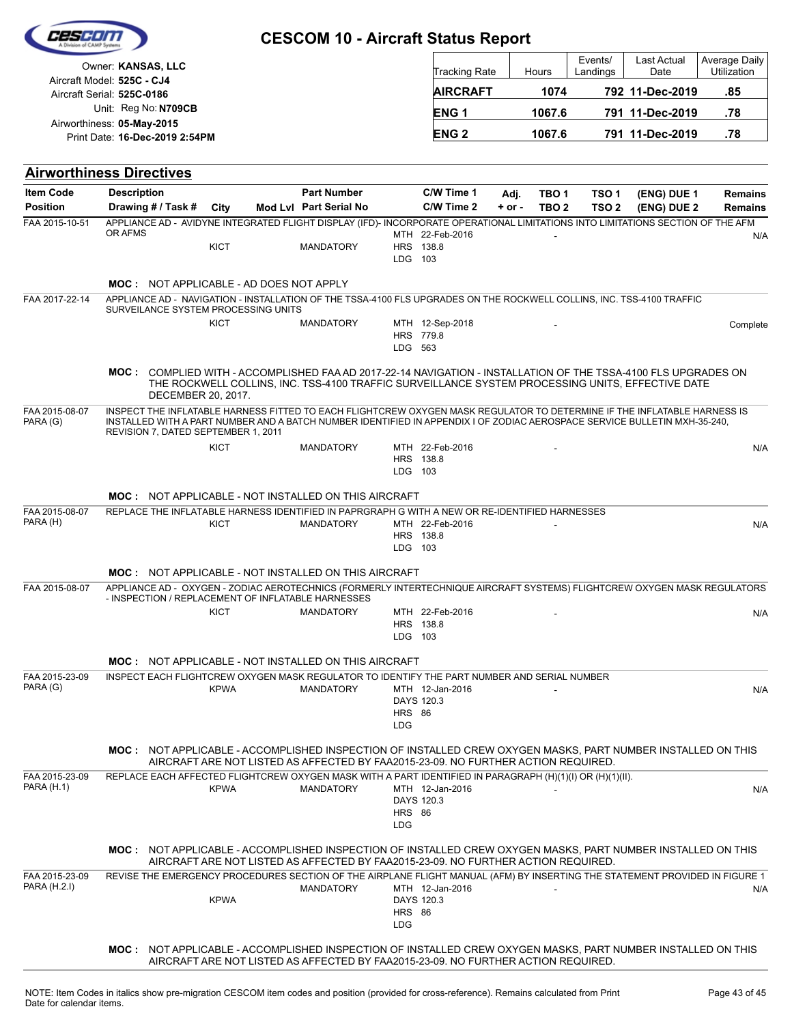| CESCIO |  |
|--------|--|
|        |  |
|        |  |

| Owner: KANSAS, LLC                                           | <b>Tracking Rate</b> | Hours  | Events/<br>Landings | <b>Last Actual</b><br>Date | Average Daily<br>Utilization |
|--------------------------------------------------------------|----------------------|--------|---------------------|----------------------------|------------------------------|
| Aircraft Model: 525C - CJ4<br>Aircraft Serial: 525C-0186     | <b>AIRCRAFT</b>      | 1074   |                     | 792 11-Dec-2019            | .85                          |
| Unit: Reg No: N709CB                                         | <b>ENG1</b>          | 1067.6 |                     | 791 11-Dec-2019            | .78                          |
| Airworthiness: 05-May-2015<br>Print Date: 16-Dec-2019 2:54PM | <b>ENG 2</b>         | 1067.6 |                     | 791 11-Dec-2019            | .78                          |

|                                                                                                                                                                                                                    |                  |                  |            |                               |                             |                                                                                   |  |             |                                                                                                                                                                  | <b>Airworthiness Directives</b> |  |
|--------------------------------------------------------------------------------------------------------------------------------------------------------------------------------------------------------------------|------------------|------------------|------------|-------------------------------|-----------------------------|-----------------------------------------------------------------------------------|--|-------------|------------------------------------------------------------------------------------------------------------------------------------------------------------------|---------------------------------|--|
| (ENG) DUE 1<br><b>Remains</b>                                                                                                                                                                                      | TSO <sub>1</sub> | TBO 1            | Adj.       | C/W Time 1                    |                             | <b>Part Number</b>                                                                |  |             | <b>Description</b>                                                                                                                                               | <b>Item Code</b>                |  |
| (ENG) DUE 2<br><b>Remains</b>                                                                                                                                                                                      | TSO <sub>2</sub> | TBO <sub>2</sub> | $+$ or $-$ | C/W Time 2                    |                             | Mod Lvl Part Serial No                                                            |  | City        | Drawing # / Task #                                                                                                                                               | <b>Position</b>                 |  |
| N/A                                                                                                                                                                                                                |                  |                  |            | MTH 22-Feb-2016               |                             |                                                                                   |  |             | APPLIANCE AD - AVIDYNE INTEGRATED FLIGHT DISPLAY (IFD)- INCORPORATE OPERATIONAL LIMITATIONS INTO LIMITATIONS SECTION OF THE AFM<br>OR AFMS                       | FAA 2015-10-51                  |  |
|                                                                                                                                                                                                                    |                  |                  |            | HRS 138.8                     |                             | <b>MANDATORY</b>                                                                  |  | <b>KICT</b> |                                                                                                                                                                  |                                 |  |
|                                                                                                                                                                                                                    |                  |                  |            |                               | LDG 103                     |                                                                                   |  |             |                                                                                                                                                                  |                                 |  |
|                                                                                                                                                                                                                    |                  |                  |            |                               |                             |                                                                                   |  |             | <b>MOC: NOT APPLICABLE - AD DOES NOT APPLY</b>                                                                                                                   |                                 |  |
|                                                                                                                                                                                                                    |                  |                  |            |                               |                             |                                                                                   |  |             | APPLIANCE AD - NAVIGATION - INSTALLATION OF THE TSSA-4100 FLS UPGRADES ON THE ROCKWELL COLLINS, INC. TSS-4100 TRAFFIC                                            | FAA 2017-22-14                  |  |
|                                                                                                                                                                                                                    |                  |                  |            |                               |                             |                                                                                   |  |             | SURVEILANCE SYSTEM PROCESSING UNITS                                                                                                                              |                                 |  |
| Complete                                                                                                                                                                                                           |                  |                  |            | MTH 12-Sep-2018               |                             | <b>MANDATORY</b>                                                                  |  | <b>KICT</b> |                                                                                                                                                                  |                                 |  |
|                                                                                                                                                                                                                    |                  |                  |            | HRS 779.8                     | LDG 563                     |                                                                                   |  |             |                                                                                                                                                                  |                                 |  |
|                                                                                                                                                                                                                    |                  |                  |            |                               |                             |                                                                                   |  |             |                                                                                                                                                                  |                                 |  |
| MOC: COMPLIED WITH - ACCOMPLISHED FAA AD 2017-22-14 NAVIGATION - INSTALLATION OF THE TSSA-4100 FLS UPGRADES ON<br>THE ROCKWELL COLLINS, INC. TSS-4100 TRAFFIC SURVEILLANCE SYSTEM PROCESSING UNITS, EFFECTIVE DATE |                  |                  |            |                               |                             |                                                                                   |  |             |                                                                                                                                                                  |                                 |  |
|                                                                                                                                                                                                                    |                  |                  |            |                               |                             |                                                                                   |  |             | DECEMBER 20, 2017.                                                                                                                                               |                                 |  |
|                                                                                                                                                                                                                    |                  |                  |            |                               |                             |                                                                                   |  |             | INSPECT THE INFLATABLE HARNESS FITTED TO EACH FLIGHTCREW OXYGEN MASK REGULATOR TO DETERMINE IF THE INFLATABLE HARNESS IS                                         | FAA 2015-08-07                  |  |
|                                                                                                                                                                                                                    |                  |                  |            |                               |                             |                                                                                   |  |             | INSTALLED WITH A PART NUMBER AND A BATCH NUMBER IDENTIFIED IN APPENDIX I OF ZODIAC AEROSPACE SERVICE BULLETIN MXH-35-240,<br>REVISION 7, DATED SEPTEMBER 1, 2011 | PARA (G)                        |  |
| N/A                                                                                                                                                                                                                |                  |                  |            | MTH 22-Feb-2016               |                             | <b>MANDATORY</b>                                                                  |  | <b>KICT</b> |                                                                                                                                                                  |                                 |  |
|                                                                                                                                                                                                                    |                  |                  |            | HRS 138.8                     |                             |                                                                                   |  |             |                                                                                                                                                                  |                                 |  |
|                                                                                                                                                                                                                    |                  |                  |            |                               | LDG 103                     |                                                                                   |  |             |                                                                                                                                                                  |                                 |  |
|                                                                                                                                                                                                                    |                  |                  |            |                               |                             |                                                                                   |  |             | <b>MOC: NOT APPLICABLE - NOT INSTALLED ON THIS AIRCRAFT</b>                                                                                                      |                                 |  |
|                                                                                                                                                                                                                    |                  |                  |            |                               |                             |                                                                                   |  |             | REPLACE THE INFLATABLE HARNESS IDENTIFIED IN PAPRGRAPH G WITH A NEW OR RE-IDENTIFIED HARNESSES                                                                   | FAA 2015-08-07                  |  |
| N/A                                                                                                                                                                                                                |                  |                  |            | MTH 22-Feb-2016               |                             | <b>MANDATORY</b>                                                                  |  | <b>KICT</b> |                                                                                                                                                                  | PARA (H)                        |  |
|                                                                                                                                                                                                                    |                  |                  |            | HRS 138.8                     |                             |                                                                                   |  |             |                                                                                                                                                                  |                                 |  |
|                                                                                                                                                                                                                    |                  |                  |            |                               |                             |                                                                                   |  |             |                                                                                                                                                                  |                                 |  |
|                                                                                                                                                                                                                    |                  |                  |            |                               | LDG 103                     |                                                                                   |  |             |                                                                                                                                                                  |                                 |  |
|                                                                                                                                                                                                                    |                  |                  |            |                               |                             |                                                                                   |  |             | MOC: NOT APPLICABLE - NOT INSTALLED ON THIS AIRCRAFT                                                                                                             |                                 |  |
|                                                                                                                                                                                                                    |                  |                  |            |                               |                             |                                                                                   |  |             |                                                                                                                                                                  | FAA 2015-08-07                  |  |
|                                                                                                                                                                                                                    |                  |                  |            |                               |                             |                                                                                   |  |             | - INSPECTION / REPLACEMENT OF INFLATABLE HARNESSES                                                                                                               |                                 |  |
| APPLIANCE AD - OXYGEN - ZODIAC AEROTECHNICS (FORMERLY INTERTECHNIQUE AIRCRAFT SYSTEMS) FLIGHTCREW OXYGEN MASK REGULATORS<br>N/A                                                                                    |                  |                  |            | MTH 22-Feb-2016               |                             | <b>MANDATORY</b>                                                                  |  | <b>KICT</b> |                                                                                                                                                                  |                                 |  |
|                                                                                                                                                                                                                    |                  |                  |            | HRS 138.8                     | LDG 103                     |                                                                                   |  |             |                                                                                                                                                                  |                                 |  |
|                                                                                                                                                                                                                    |                  |                  |            |                               |                             |                                                                                   |  |             |                                                                                                                                                                  |                                 |  |
|                                                                                                                                                                                                                    |                  |                  |            |                               |                             |                                                                                   |  |             | <b>MOC: NOT APPLICABLE - NOT INSTALLED ON THIS AIRCRAFT</b>                                                                                                      |                                 |  |
|                                                                                                                                                                                                                    |                  |                  |            |                               |                             |                                                                                   |  |             | INSPECT EACH FLIGHTCREW OXYGEN MASK REGULATOR TO IDENTIFY THE PART NUMBER AND SERIAL NUMBER                                                                      | FAA 2015-23-09<br>PARA (G)      |  |
|                                                                                                                                                                                                                    |                  |                  |            | MTH 12-Jan-2016<br>DAYS 120.3 |                             | <b>MANDATORY</b>                                                                  |  | <b>KPWA</b> |                                                                                                                                                                  |                                 |  |
| N/A                                                                                                                                                                                                                |                  |                  |            |                               | <b>HRS 86</b>               |                                                                                   |  |             |                                                                                                                                                                  |                                 |  |
|                                                                                                                                                                                                                    |                  |                  |            |                               | LDG                         |                                                                                   |  |             |                                                                                                                                                                  |                                 |  |
|                                                                                                                                                                                                                    |                  |                  |            |                               |                             |                                                                                   |  |             | MOC: NOT APPLICABLE - ACCOMPLISHED INSPECTION OF INSTALLED CREW OXYGEN MASKS, PART NUMBER INSTALLED ON THIS                                                      |                                 |  |
|                                                                                                                                                                                                                    |                  |                  |            |                               |                             | AIRCRAFT ARE NOT LISTED AS AFFECTED BY FAA2015-23-09. NO FURTHER ACTION REQUIRED. |  |             |                                                                                                                                                                  |                                 |  |
|                                                                                                                                                                                                                    |                  |                  |            |                               |                             |                                                                                   |  |             | REPLACE EACH AFFECTED FLIGHTCREW OXYGEN MASK WITH A PART IDENTIFIED IN PARAGRAPH (H)(1)(I) OR (H)(1)(II).                                                        | FAA 2015-23-09                  |  |
| N/A                                                                                                                                                                                                                |                  |                  |            | MTH 12-Jan-2016<br>DAYS 120.3 |                             | <b>MANDATORY</b>                                                                  |  | <b>KPWA</b> |                                                                                                                                                                  | <b>PARA (H.1)</b>               |  |
|                                                                                                                                                                                                                    |                  |                  |            |                               | <b>HRS 86</b>               |                                                                                   |  |             |                                                                                                                                                                  |                                 |  |
|                                                                                                                                                                                                                    |                  |                  |            |                               | <b>LDG</b>                  |                                                                                   |  |             |                                                                                                                                                                  |                                 |  |
|                                                                                                                                                                                                                    |                  |                  |            |                               |                             | AIRCRAFT ARE NOT LISTED AS AFFECTED BY FAA2015-23-09. NO FURTHER ACTION REQUIRED. |  |             | MOC: NOT APPLICABLE - ACCOMPLISHED INSPECTION OF INSTALLED CREW OXYGEN MASKS. PART NUMBER INSTALLED ON THIS                                                      |                                 |  |
|                                                                                                                                                                                                                    |                  |                  |            |                               |                             |                                                                                   |  |             |                                                                                                                                                                  | FAA 2015-23-09                  |  |
|                                                                                                                                                                                                                    |                  |                  |            | MTH 12-Jan-2016               |                             | <b>MANDATORY</b>                                                                  |  |             |                                                                                                                                                                  | PARA (H.2.I)                    |  |
| REVISE THE EMERGENCY PROCEDURES SECTION OF THE AIRPLANE FLIGHT MANUAL (AFM) BY INSERTING THE STATEMENT PROVIDED IN FIGURE 1<br>N/A                                                                                 |                  |                  |            | DAYS 120.3                    |                             |                                                                                   |  | <b>KPWA</b> |                                                                                                                                                                  |                                 |  |
|                                                                                                                                                                                                                    |                  |                  |            |                               | <b>HRS 86</b><br><b>LDG</b> |                                                                                   |  |             |                                                                                                                                                                  |                                 |  |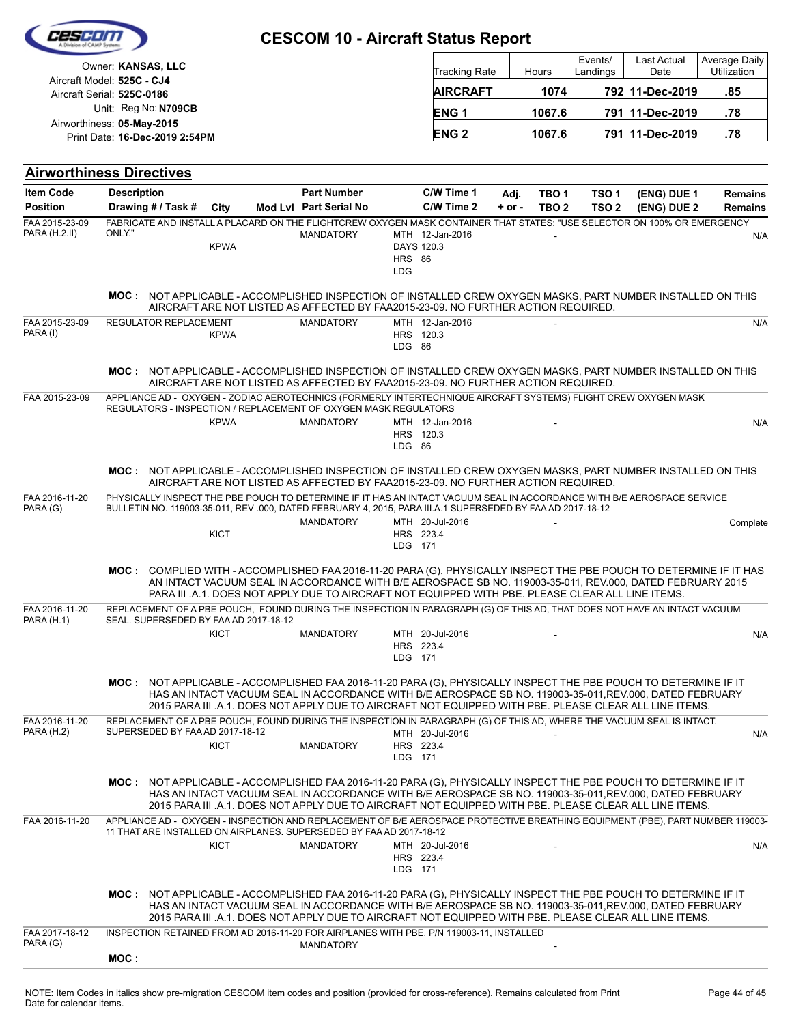| C25 F1                                           |                                                                                                                                                                                                                                    |             | <b>CESCOM 10 - Aircraft Status Report</b>                                                                                                                                                                          |                                           |                          |                    |                                      |                                      |                            |                                  |
|--------------------------------------------------|------------------------------------------------------------------------------------------------------------------------------------------------------------------------------------------------------------------------------------|-------------|--------------------------------------------------------------------------------------------------------------------------------------------------------------------------------------------------------------------|-------------------------------------------|--------------------------|--------------------|--------------------------------------|--------------------------------------|----------------------------|----------------------------------|
| Owner: KANSAS, LLC<br>Aircraft Model: 525C - CJ4 |                                                                                                                                                                                                                                    |             |                                                                                                                                                                                                                    |                                           | Tracking Rate            |                    | Hours                                | Events/<br>Landings                  | Last Actual<br>Date        | Average Daily<br>Utilization     |
|                                                  | Aircraft Serial: 525C-0186                                                                                                                                                                                                         |             |                                                                                                                                                                                                                    |                                           | <b>AIRCRAFT</b>          |                    | 1074                                 |                                      | 792 11-Dec-2019            | .85                              |
|                                                  | Unit: Reg No: N709CB<br>Airworthiness: 05-May-2015                                                                                                                                                                                 |             |                                                                                                                                                                                                                    |                                           | <b>ENG1</b>              |                    | 1067.6                               |                                      | 791 11-Dec-2019            | .78                              |
|                                                  | Print Date: 16-Dec-2019 2:54PM                                                                                                                                                                                                     |             |                                                                                                                                                                                                                    |                                           | <b>ENG2</b>              |                    | 1067.6                               |                                      | 791 11-Dec-2019            | .78                              |
|                                                  | <b>Airworthiness Directives</b>                                                                                                                                                                                                    |             |                                                                                                                                                                                                                    |                                           |                          |                    |                                      |                                      |                            |                                  |
| <b>Item Code</b><br><b>Position</b>              | <b>Description</b><br>Drawing # / Task #                                                                                                                                                                                           | City        | <b>Part Number</b><br>Mod Lvl Part Serial No                                                                                                                                                                       |                                           | C/W Time 1<br>C/W Time 2 | Adj.<br>$+$ or $-$ | TBO <sub>1</sub><br>TBO <sub>2</sub> | TSO <sub>1</sub><br>TSO <sub>2</sub> | (ENG) DUE 1<br>(ENG) DUE 2 | <b>Remains</b><br><b>Remains</b> |
| FAA 2015-23-09<br>PARA (H.2.II)                  | FABRICATE AND INSTALL A PLACARD ON THE FLIGHTCREW OXYGEN MASK CONTAINER THAT STATES: "USE SELECTOR ON 100% OR EMERGENCY<br>ONLY."                                                                                                  | <b>KPWA</b> | <b>MANDATORY</b>                                                                                                                                                                                                   | DAYS 120.3<br><b>HRS 86</b><br><b>LDG</b> | MTH 12-Jan-2016          |                    |                                      |                                      |                            | N/A                              |
|                                                  | MOC: NOT APPLICABLE - ACCOMPLISHED INSPECTION OF INSTALLED CREW OXYGEN MASKS, PART NUMBER INSTALLED ON THIS                                                                                                                        |             | AIRCRAFT ARE NOT LISTED AS AFFECTED BY FAA2015-23-09. NO FURTHER ACTION REQUIRED.                                                                                                                                  |                                           |                          |                    |                                      |                                      |                            |                                  |
| FAA 2015-23-09<br>PARA (I)                       | <b>REGULATOR REPLACEMENT</b>                                                                                                                                                                                                       | <b>KPWA</b> | <b>MANDATORY</b>                                                                                                                                                                                                   | HRS 120.3<br>LDG 86                       | MTH 12-Jan-2016          |                    |                                      |                                      |                            | N/A                              |
|                                                  | MOC: NOT APPLICABLE - ACCOMPLISHED INSPECTION OF INSTALLED CREW OXYGEN MASKS, PART NUMBER INSTALLED ON THIS                                                                                                                        |             | AIRCRAFT ARE NOT LISTED AS AFFECTED BY FAA2015-23-09. NO FURTHER ACTION REQUIRED.                                                                                                                                  |                                           |                          |                    |                                      |                                      |                            |                                  |
| FAA 2015-23-09                                   | APPLIANCE AD - OXYGEN - ZODIAC AEROTECHNICS (FORMERLY INTERTECHNIQUE AIRCRAFT SYSTEMS) FLIGHT CREW OXYGEN MASK<br>REGULATORS - INSPECTION / REPLACEMENT OF OXYGEN MASK REGULATORS                                                  | <b>KPWA</b> | <b>MANDATORY</b>                                                                                                                                                                                                   | HRS 120.3<br>LDG 86                       | MTH 12-Jan-2016          |                    |                                      |                                      |                            | N/A                              |
|                                                  | MOC: NOT APPLICABLE - ACCOMPLISHED INSPECTION OF INSTALLED CREW OXYGEN MASKS, PART NUMBER INSTALLED ON THIS                                                                                                                        |             | AIRCRAFT ARE NOT LISTED AS AFFECTED BY FAA2015-23-09. NO FURTHER ACTION REQUIRED.                                                                                                                                  |                                           |                          |                    |                                      |                                      |                            |                                  |
| FAA 2016-11-20<br>PARA (G)                       | PHYSICALLY INSPECT THE PBE POUCH TO DETERMINE IF IT HAS AN INTACT VACUUM SEAL IN ACCORDANCE WITH B/E AEROSPACE SERVICE<br>BULLETIN NO. 119003-35-011, REV.000, DATED FEBRUARY 4, 2015, PARA III.A.1 SUPERSEDED BY FAAAD 2017-18-12 |             | <b>MANDATORY</b>                                                                                                                                                                                                   |                                           | MTH 20-Jul-2016          |                    |                                      |                                      |                            | Complete                         |
|                                                  |                                                                                                                                                                                                                                    | <b>KICT</b> |                                                                                                                                                                                                                    | HRS 223.4<br>LDG 171                      |                          |                    |                                      |                                      |                            |                                  |
|                                                  | MOC: COMPLIED WITH - ACCOMPLISHED FAA 2016-11-20 PARA (G), PHYSICALLY INSPECT THE PBE POUCH TO DETERMINE IF IT HAS                                                                                                                 |             | AN INTACT VACUUM SEAL IN ACCORDANCE WITH B/E AEROSPACE SB NO. 119003-35-011, REV.000, DATED FEBRUARY 2015<br>PARA III .A.1. DOES NOT APPLY DUE TO AIRCRAFT NOT EQUIPPED WITH PBE. PLEASE CLEAR ALL LINE ITEMS.     |                                           |                          |                    |                                      |                                      |                            |                                  |
| FAA 2016-11-20<br>PARA (H.1)                     | REPLACEMENT OF A PBE POUCH, FOUND DURING THE INSPECTION IN PARAGRAPH (G) OF THIS AD, THAT DOES NOT HAVE AN INTACT VACUUM<br>SEAL. SUPERSEDED BY FAA AD 2017-18-12                                                                  |             |                                                                                                                                                                                                                    |                                           |                          |                    |                                      |                                      |                            |                                  |
|                                                  |                                                                                                                                                                                                                                    | <b>KICT</b> | <b>MANDATORY</b>                                                                                                                                                                                                   | HRS 223.4<br>LDG 171                      | MTH 20-Jul-2016          |                    |                                      |                                      |                            | N/A                              |
|                                                  | MOC: NOT APPLICABLE - ACCOMPLISHED FAA 2016-11-20 PARA (G), PHYSICALLY INSPECT THE PBE POUCH TO DETERMINE IF IT                                                                                                                    |             | HAS AN INTACT VACUUM SEAL IN ACCORDANCE WITH B/E AEROSPACE SB NO. 119003-35-011, REV.000, DATED FEBRUARY<br>2015 PARA III .A.1. DOES NOT APPLY DUE TO AIRCRAFT NOT EQUIPPED WITH PBE. PLEASE CLEAR ALL LINE ITEMS. |                                           |                          |                    |                                      |                                      |                            |                                  |
| FAA 2016-11-20<br><b>PARA (H.2)</b>              | REPLACEMENT OF A PBE POUCH, FOUND DURING THE INSPECTION IN PARAGRAPH (G) OF THIS AD, WHERE THE VACUUM SEAL IS INTACT.<br>SUPERSEDED BY FAA AD 2017-18-12                                                                           | <b>KICT</b> | <b>MANDATORY</b>                                                                                                                                                                                                   | HRS 223.4<br>LDG 171                      | MTH 20-Jul-2016          |                    |                                      |                                      |                            | N/A                              |
|                                                  | MOC: NOT APPLICABLE - ACCOMPLISHED FAA 2016-11-20 PARA (G), PHYSICALLY INSPECT THE PBE POUCH TO DETERMINE IF IT                                                                                                                    |             | HAS AN INTACT VACUUM SEAL IN ACCORDANCE WITH B/E AEROSPACE SB NO. 119003-35-011, REV.000, DATED FEBRUARY<br>2015 PARA III .A.1. DOES NOT APPLY DUE TO AIRCRAFT NOT EQUIPPED WITH PBE. PLEASE CLEAR ALL LINE ITEMS. |                                           |                          |                    |                                      |                                      |                            |                                  |
| FAA 2016-11-20                                   | APPLIANCE AD - OXYGEN - INSPECTION AND REPLACEMENT OF B/E AEROSPACE PROTECTIVE BREATHING EQUIPMENT (PBE), PART NUMBER 119003-<br>11 THAT ARE INSTALLED ON AIRPLANES. SUPERSEDED BY FAA AD 2017-18-12                               |             |                                                                                                                                                                                                                    |                                           |                          |                    |                                      |                                      |                            |                                  |
|                                                  |                                                                                                                                                                                                                                    | <b>KICT</b> | <b>MANDATORY</b>                                                                                                                                                                                                   | HRS 223.4<br>LDG 171                      | MTH 20-Jul-2016          |                    |                                      |                                      |                            | N/A                              |
|                                                  | MOC: NOT APPLICABLE - ACCOMPLISHED FAA 2016-11-20 PARA (G), PHYSICALLY INSPECT THE PBE POUCH TO DETERMINE IF IT                                                                                                                    |             | HAS AN INTACT VACUUM SEAL IN ACCORDANCE WITH B/E AEROSPACE SB NO. 119003-35-011, REV.000, DATED FEBRUARY<br>2015 PARA III .A.1. DOES NOT APPLY DUE TO AIRCRAFT NOT EQUIPPED WITH PBE. PLEASE CLEAR ALL LINE ITEMS. |                                           |                          |                    |                                      |                                      |                            |                                  |
| FAA 2017-18-12<br>PARA (G)                       | INSPECTION RETAINED FROM AD 2016-11-20 FOR AIRPLANES WITH PBE, P/N 119003-11, INSTALLED                                                                                                                                            |             | <b>MANDATORY</b>                                                                                                                                                                                                   |                                           |                          |                    |                                      |                                      |                            |                                  |
|                                                  | MOC:                                                                                                                                                                                                                               |             |                                                                                                                                                                                                                    |                                           |                          |                    |                                      |                                      |                            |                                  |